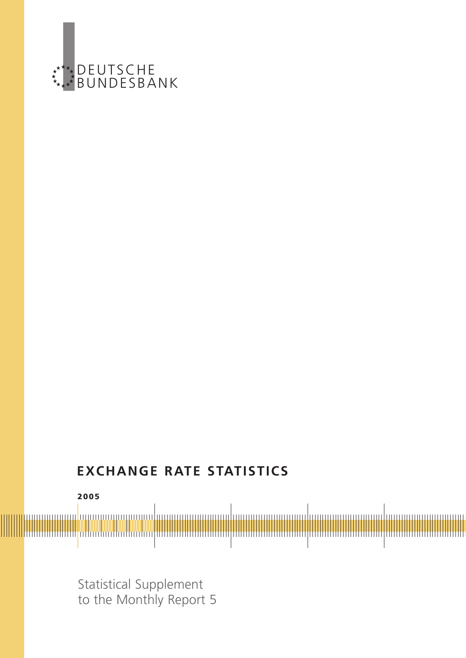

# **EXCHANGE RATE STATISTICS**



Statistical Supplement to the Monthly Report 5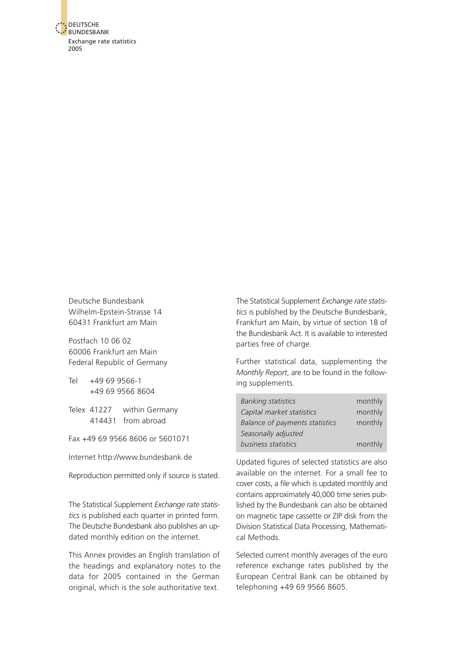

Deutsche Bundesbank Wilhelm-Epstein-Strasse 14 60431 Frankfurt am Main

Postfach 10 06 02 60006 Frankfurt am Main Federal Republic of Germany

Tel +49 69 9566-1 +49 69 9566 8604

Telex 41227 within Germany 414431 from abroad

Fax +49 69 9566 8606 or 5601071

Internet http://www.bundesbank.de

Reproduction permitted only if source is stated.

The Statistical Supplement *Exchange rate statistics* is published each quarter in printed form. The Deutsche Bundesbank also publishes an updated monthly edition on the internet.

This Annex provides an English translation of the headings and explanatory notes to the data for 2005 contained in the German original, which is the sole authoritative text.

The Statistical Supplement *Exchange rate statistics* is published by the Deutsche Bundesbank, Frankfurt am Main, by virtue of section 18 of the Bundesbank Act. It is available to interested parties free of charge.

Further statistical data, supplementing the *Monthly Report*, are to be found in the following supplements.

| <b>Banking statistics</b>             | monthly |
|---------------------------------------|---------|
| Capital market statistics             | monthly |
| <b>Balance of payments statistics</b> | monthly |
| Seasonally adjusted                   |         |
| business statistics                   | monthly |

Updated figures of selected statistics are also available on the internet. For a small fee to cover costs, a file which is updated monthly and contains approximately 40,000 time series published by the Bundesbank can also be obtained on magnetic tape cassette or ZIP disk from the Division Statistical Data Processing, Mathematical Methods.

Selected current monthly averages of the euro reference exchange rates published by the European Central Bank can be obtained by telephoning +49 69 9566 8605.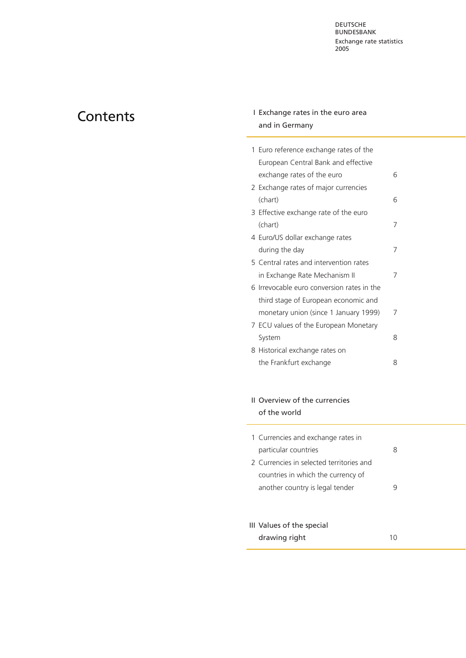# <span id="page-2-0"></span>**Contents**

# I Exchange rates in the euro area and in Germany

| 1 Euro reference exchange rates of the     |   |
|--------------------------------------------|---|
| European Central Bank and effective        |   |
| exchange rates of the euro                 | 6 |
| 2 Exchange rates of major currencies       |   |
| (chart)                                    | 6 |
| 3 Effective exchange rate of the euro      |   |
| (chart)                                    | 7 |
| 4 Euro/US dollar exchange rates            |   |
| during the day                             |   |
| 5 Central rates and intervention rates     |   |
| in Exchange Rate Mechanism II              | 7 |
| 6 Irrevocable euro conversion rates in the |   |
| third stage of European economic and       |   |
| monetary union (since 1 January 1999)      | 7 |
| 7 ECU values of the European Monetary      |   |
| System                                     | 8 |
| 8 Historical exchange rates on             |   |
| the Frankfurt exchange                     | 8 |
|                                            |   |

# II Overview of the currencies of the world

| 1 Currencies and exchange rates in       |  |
|------------------------------------------|--|
| particular countries                     |  |
| 2 Currencies in selected territories and |  |
| countries in which the currency of       |  |
| another country is legal tender          |  |
|                                          |  |
|                                          |  |
| III Values of the special                |  |
| drawing right                            |  |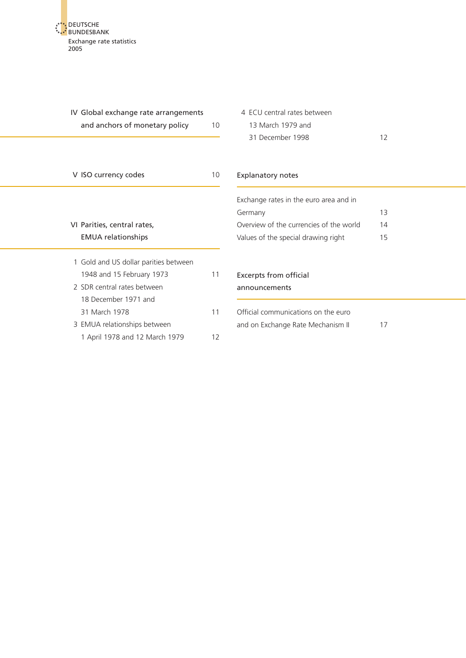DEUTSCHE BUNDESBANK [Exchange rate st](#page-2-0)atistics 2005

<span id="page-3-0"></span>

| IV Global exchange rate arrangements<br>and anchors of monetary policy                                                    | 10       | 4 ECU central rates between<br>13 March 1979 and<br>31 December 1998     | 12 |
|---------------------------------------------------------------------------------------------------------------------------|----------|--------------------------------------------------------------------------|----|
| V ISO currency codes                                                                                                      | 10       | <b>Explanatory notes</b>                                                 |    |
|                                                                                                                           |          | Exchange rates in the euro area and in<br>Germany                        | 13 |
| VI Parities, central rates,                                                                                               |          | Overview of the currencies of the world                                  | 14 |
| <b>EMUA</b> relationships                                                                                                 |          | Values of the special drawing right                                      | 15 |
| 1 Gold and US dollar parities between<br>1948 and 15 February 1973<br>2 SDR central rates between<br>18 December 1971 and | 11       | <b>Excerpts from official</b><br>announcements                           |    |
| 31 March 1978<br>3 EMUA relationships between<br>1 April 1978 and 12 March 1979                                           | 11<br>12 | Official communications on the euro<br>and on Exchange Rate Mechanism II | 17 |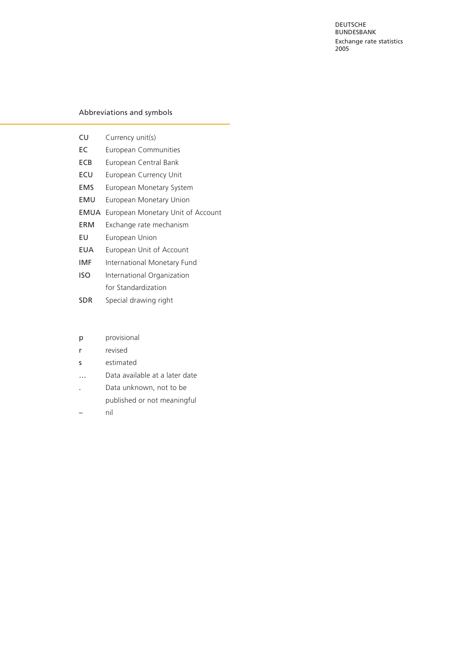DEUTSCHE **BUNDESBANK** Exchange rate statistics 2005

#### Abbreviations and symbols

| CU          | Currency unit(s)                  |
|-------------|-----------------------------------|
| EC          | European Communities              |
| <b>ECB</b>  | European Central Bank             |
| ECU         | European Currency Unit            |
| <b>EMS</b>  | European Monetary System          |
| EMU         | European Monetary Union           |
| <b>EMUA</b> | European Monetary Unit of Account |
| ERM         | Exchange rate mechanism           |
| EU          | European Union                    |
| EUA         | European Unit of Account          |
| IMF         | International Monetary Fund       |
| ISO         | International Organization        |
|             | for Standardization               |
| <b>SDR</b>  | Special drawing right             |
|             |                                   |

| p | provisional |
|---|-------------|

- r revised
- s estimated
- … Data available at a later date
- . Data unknown, not to be published or not meaningful
- nil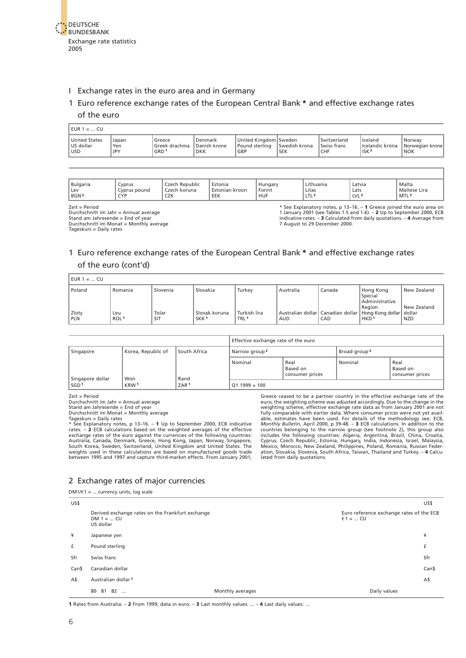<span id="page-5-1"></span>

#### <span id="page-5-0"></span>I Exchange rates in the euro area and in Germany

#### 1 Euro reference exchange rates of the European Central Bank **\*** and effective exchange rates

#### of the euro

| $EUR 1 =  CU$                       |                            |                                             |                                       |                                                    |                             |                                          |                                                   |                                            |
|-------------------------------------|----------------------------|---------------------------------------------|---------------------------------------|----------------------------------------------------|-----------------------------|------------------------------------------|---------------------------------------------------|--------------------------------------------|
| United States<br>US dollar<br>l usd | Japan<br>Yen<br><b>JPY</b> | Greece<br>Greek drachma<br>GRD <sup>1</sup> | Denmark<br>Danish krone<br><b>DKK</b> | United Kinadom   Sweden<br>l Pound sterlina<br>GBP | Swedish krona<br><b>SEK</b> | Switzerland<br>Swiss franc<br><b>CHF</b> | l Iceland<br>LIcelandic króna<br>ISK <sup>2</sup> | Norway<br>  Norwegian krone <br><b>NOK</b> |

| Bulgaria<br>Lev<br>BGN <sup>2</sup>                                                           | Cvprus<br>Cyprus pound<br>CYP | Czech Republic<br>Czech koruna<br>CZK | Estonia<br>Estonian kroon<br>EEK | Hungary<br>Forint<br><b>HUF</b> | Lithuania<br>Litas<br>LTL <sup>2</sup> | Latvia<br>Lats<br>LVL <sup>2</sup> | Malta<br>Maltese Lira<br>MTL <sup>2</sup>                                                                                                                                                                                    |
|-----------------------------------------------------------------------------------------------|-------------------------------|---------------------------------------|----------------------------------|---------------------------------|----------------------------------------|------------------------------------|------------------------------------------------------------------------------------------------------------------------------------------------------------------------------------------------------------------------------|
| $Zeit = Period$<br>Durchschnitt im Jahr = Annual average<br>Stand am Jahresende = End of year |                               |                                       |                                  |                                 |                                        |                                    | * See Explanatory notes, p 13–16. – 1 Greece joined the euro area on<br>1 January 2001 (see Tables 1.5 and 1.6). - 2 Up to September 2000, ECB<br>indicative rates. $-3$ Calculated from daily quotations. $-4$ Average from |

Stand am Jahresende = End of year Durchschnitt im Monat = Monthly average Tageskurs = Daily rates

indicative rates. – **3** Calculated from daily quotations. – **4** Average from 7 August to 29 December 2000.

## 1 Euro reference exchange rates of the European Central Bank **\*** and effective exchange rates of the euro (cont'd)

| $EUR_1 =  CU$       |                         |              |                                   |                                  |            |        |                                                                                             |                           |
|---------------------|-------------------------|--------------|-----------------------------------|----------------------------------|------------|--------|---------------------------------------------------------------------------------------------|---------------------------|
| Poland              | ` Romania               | Slovenia     | Slovakia                          | Turkey                           | Australia  | Canada | Hong Kong<br>Special<br>Administrative                                                      | New Zealand               |
| Zloty<br><b>PLN</b> | Leu<br>ROL <sup>1</sup> | Tolar<br>SIT | Slovak koruna<br>SKK <sup>1</sup> | Turkish lira<br>TRL <sup>1</sup> | <b>AUD</b> | CAD    | Region<br>Australian dollar Canadian dollar   Hong Kong dollar   dollar<br>HKD <sup>1</sup> | New Zealand<br><b>NZD</b> |

|                         |                    |                  | Effective exchange rate of the euro |         |                                     |  |  |
|-------------------------|--------------------|------------------|-------------------------------------|---------|-------------------------------------|--|--|
| Singapore               | Korea, Republic of | South Africa     | Narrow group <sup>2</sup>           |         | Broad group <sup>3</sup>            |  |  |
| Singapore dollar<br>Won | Rand               | Nominal          | Real<br>Based on<br>consumer prices | Nominal | Real<br>Based on<br>consumer prices |  |  |
| SGD <sup>1</sup>        | KRW <sup>1</sup>   | ZAR <sup>1</sup> | $011999 = 100$                      |         |                                     |  |  |

Zeit = Period Durchschnitt im Jahr = Annual average Stand am Jahresende = End of year Durchschnitt im Monat = Monthly average

 $DM1/E1 =$  currency units, log scale

Tageskurs = Daily rates<br>\* See Explanatory notes, p 13–16. – 1 Up to September 2000, ECB indicative<br>\* see Explanatory notes, p 13–16. – 1 Up to September 2000, ECB indicative<br>exchange rates of the euro against the currencie between 1995 and 1997 and capture third-market effects. From January 2001,

Greece ceased to be a partner country in the effective exchange rate of the euro; the weighting scheme was adjusted accordingly. Due to the change in the weighting scheme, effective exchange rate data as from January 2001 lated from daily quotations.

#### 2 Exchange rates of major currencies

|       | $P_{\text{IV}}$ and $P_{\text{IV}}$ and $P_{\text{IV}}$ and $P_{\text{IV}}$ and $P_{\text{IV}}$ |                  |                                                      |                |
|-------|-------------------------------------------------------------------------------------------------|------------------|------------------------------------------------------|----------------|
| US\$  |                                                                                                 |                  |                                                      | US\$           |
|       | Derived exchange rates on the Frankfurt exchange<br>$DM 1 =  CU$<br>US dollar                   |                  | Euro reference exchange rates of the ECB<br>€1 =  CU |                |
| ¥     | Japanese yen                                                                                    |                  |                                                      | ¥              |
| f     | Pound sterling                                                                                  |                  |                                                      | £              |
| Sfr   | Swiss franc                                                                                     |                  |                                                      | Sfr            |
| Can\$ | Canadian dollar                                                                                 |                  |                                                      | Can\$          |
| A\$   | Australian dollar <sup>1</sup>                                                                  |                  |                                                      | A <sup>5</sup> |
|       | 81 82<br>80                                                                                     | Monthly averages | Daily values                                         |                |
|       |                                                                                                 |                  |                                                      |                |

**1** Rates from Australia. – **2** From 1999, data in euro. – **3** Last monthly values: ... – **4** Last daily values: ...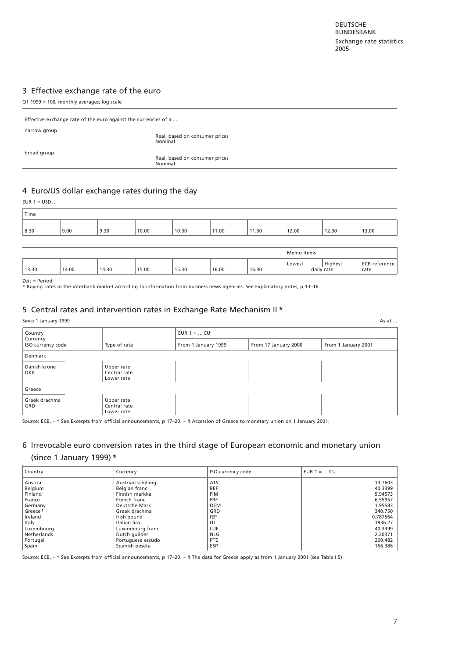## <span id="page-6-1"></span><span id="page-6-0"></span>[3 Effective exchange rate of the euro](#page-29-0)

| Q1 1999 = 100, monthly averages; log scale                      |                                           |  |  |  |
|-----------------------------------------------------------------|-------------------------------------------|--|--|--|
| Effective exchange rate of the euro against the currencies of a |                                           |  |  |  |
| narrow group                                                    | Real, based on consumer prices<br>Nominal |  |  |  |
| broad group                                                     | Real, based on consumer prices<br>Nominal |  |  |  |
|                                                                 |                                           |  |  |  |

#### 4 Euro/US dollar exchange rates during the day

| $EUR 1 = USD$ |       |       |       |       |       |       |            |                       |                       |
|---------------|-------|-------|-------|-------|-------|-------|------------|-----------------------|-----------------------|
| Time          |       |       |       |       |       |       |            |                       |                       |
| 8.30          | 9.00  | 9.30  | 10.00 | 10.30 | 11.00 | 11.30 | 12.00      | 12.30                 | 13.00                 |
|               |       |       |       |       |       |       |            |                       |                       |
|               |       |       |       |       |       |       | Memo items |                       |                       |
| 13.30         | 14.00 | 14.30 | 15.00 | 15.30 | 16.00 | 16.30 | Lowest     | Highest<br>daily rate | ECB reference<br>rate |

Zeit = Period \* Buying rates in the interbank market according to information from business news agencies. See Explanatory notes, p 13–16.

#### 5 [Central rates and intervention rates in Exchange Rate Mechanism II](#page-32-0) **\***

Since 1 January 1999 **As at ...** As at ...

| Country                       |                                          | $EUR 1 =  CU$       |                      |                     |
|-------------------------------|------------------------------------------|---------------------|----------------------|---------------------|
| Currency<br>ISO currency code | Type of rate                             | From 1 January 1999 | From 17 January 2000 | From 1 January 2001 |
| Denmark                       |                                          |                     |                      |                     |
| Danish krone<br><b>DKK</b>    | Upper rate<br>Central rate<br>Lower rate |                     |                      |                     |
| Greece                        |                                          |                     |                      |                     |
| Greek drachma<br>GRD          | Upper rate<br>Central rate<br>Lower rate |                     |                      |                     |

Source: ECB. – \* See Excerpts from official announcements, p 17–20. – **1** Accession of Greece to monetary union on 1 January 2001.

# 6 Irrevocable euro conversion rates in the third stage of European economic and monetary union

#### (since 1 January 1999) **\***

| <b>Country</b>      | Currency           | ISO currency code | EUR $1 = $ CU |
|---------------------|--------------------|-------------------|---------------|
| Austria             | Austrian schilling | <b>ATS</b>        | 13.7603       |
| Belgium             | Belgian franc      | <b>BEF</b>        | 40.3399       |
| Finland             | Finnish markka     | <b>FIM</b>        | 5.94573       |
| France              | French franc       | <b>FRF</b>        | 6.55957       |
| Germany             | Deutsche Mark      | <b>DEM</b>        | 1.95583       |
| Greece <sup>1</sup> | Greek drachma      | GRD               | 340.750       |
| Ireland             | Irish pound        | <b>IEP</b>        | 0.787564      |
| Italy               | Italian lira       | <b>ITL</b>        | 1936.27       |
| Luxembourg          | Luxembourg franc   | <b>LUF</b>        | 40.3399       |
| Netherlands         | Dutch quilder      | <b>NLG</b>        | 2.20371       |
| Portugal            | Portuguese escudo  | <b>PTE</b>        | 200.482       |
| Spain               | Spanish peseta     | <b>ESP</b>        | 166.386       |

Source: ECB. – \* See Excerpts from official announcements, p 17–20. – **1** The data for Greece apply as from 1 January 2001 (see Table I.5).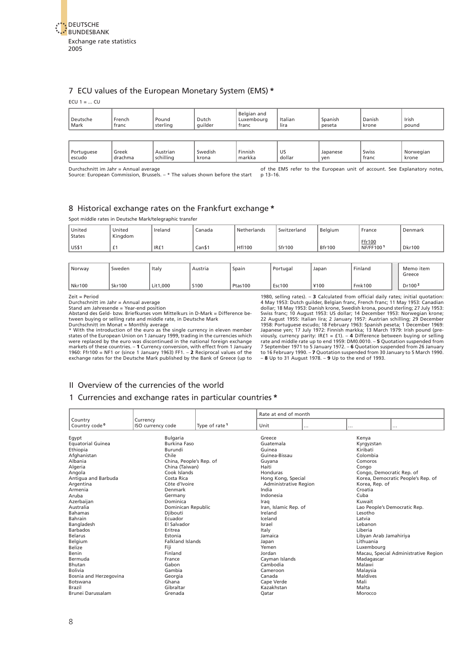<span id="page-7-1"></span><span id="page-7-0"></span>

#### 7 ECU values of the European Monetary System (EMS) **\***

ECU  $1 = ...$  CU

| Deutsche<br>Mark | French<br>franc | Pound<br>sterling | Dutch<br>quilder | Belgian and<br>Luxembourg<br>franc | Italian<br>lira | Spanish<br>peseta | Danish<br>krone | Irish<br>pound |
|------------------|-----------------|-------------------|------------------|------------------------------------|-----------------|-------------------|-----------------|----------------|
|                  |                 |                   |                  |                                    |                 |                   |                 |                |

Portuguese |Greek |Austrian |Swedish |Finnish |US |Japanese |Swiss |Norwegian escudo |drachma |schilling |krona |markka |dollar |yen |franc |krone

Durchschnitt im Jahr = Annual average

Source: European Commission, Brussels. – \* The values shown before the start of the EMS refer to the European unit of account. See Explanatory notes, p 13–16.

#### 8 Historical exchange rates on the Frankfurt exchange **\***

Spot middle rates in Deutsche Mark/telegraphic transfer

| United<br><b>States</b> | United<br>Kingdom | Ireland | Canada | Netherlands   | Switzerland | Belgium       | France              | Denmark       |
|-------------------------|-------------------|---------|--------|---------------|-------------|---------------|---------------------|---------------|
| US\$1                   | <u>.</u>          | IR£1    | Can    | <b>HfI100</b> | Sfr100      | <b>Bfr100</b> | Ffr100<br>NF/FF1001 | <b>Dkr100</b> |
|                         |                   |         |        |               |             |               |                     |               |

| Norway | Sweden        | Italy    | Austria | Spain   | Portugal      | Japan | Finland       | Memo item<br>Greece |
|--------|---------------|----------|---------|---------|---------------|-------|---------------|---------------------|
| Nkr100 | <b>Skr100</b> | Lit1,000 | S100    | Ptas100 | <b>Esc100</b> | ¥100  | <b>Fmk100</b> | Dr100 <sup>2</sup>  |

Zeit = Period

Durchschnitt im Jahr = Annual average

Stand am Jahresende = Year-end position Abstand des Geld- bzw. Briefkurses vom Mittelkurs in D-Mark = Difference be-

tween buying or selling rate and middle rate, in Deutsche Mark Durchschnitt im Monat = Monthly average

\* With the introduction of the euro as the single currency in eleven member states of the European Union on 1 January 1999, trading in the currencies which were replaced by the euro was discontinued in the national foreign exchange<br>markets of these countries. – 1 Currency conversion, with effect from 1 January<br>1960: Ffr100 = NF1 or (since 1 January 1963) FF1. – 2 Reciprocal v exchange rates for the Deutsche Mark published by the Bank of Greece (up to 1980, selling rates). **– 3** Calculated from official daily rates; initial quotation:<br>4 May 1953: Dutch guilder, Belgian franc, French franc; 11 May 1953: Canadian; dollar; 18 May 1953: Danish krone, Swedish krona, pound s

### II Overview of the currencies of the world

#### 1 [Currencies and exchange rates in particular countries](#page-38-0) **\***

|                           |                         |                           | Rate at end of month  |          |                              |                                      |
|---------------------------|-------------------------|---------------------------|-----------------------|----------|------------------------------|--------------------------------------|
| Country                   | Currency                |                           |                       |          |                              |                                      |
| Country code <sup>o</sup> | ISO currency code       | Type of rate <sup>1</sup> | Unit                  | $\cdots$ | $\cdots$                     | .                                    |
|                           |                         |                           |                       |          |                              |                                      |
| Egypt                     | <b>Bulgaria</b>         |                           | Greece                |          | Kenya                        |                                      |
| <b>Equatorial Guinea</b>  | <b>Burkina Faso</b>     |                           | Guatemala             |          | Kyrgyzstan                   |                                      |
| Ethiopia                  | Burundi                 |                           | Guinea                |          | Kiribati                     |                                      |
| Afghanistan               | Chile                   |                           | Guinea-Bissau         |          | Colombia                     |                                      |
| Albania                   | China, People's Rep. of |                           | Guyana                |          | Comoros                      |                                      |
| Algeria                   | China (Taiwan)          |                           | Haiti                 |          | Congo                        |                                      |
| Angola                    | Cook Islands            |                           | Honduras              |          | Congo, Democratic Rep. of    |                                      |
| Antigua and Barbuda       | Costa Rica              |                           | Hong Kong, Special    |          |                              | Korea, Democratic People's Rep. of   |
| Argentina                 | Côte d'Ivoire           |                           | Administrative Region |          | Korea, Rep. of               |                                      |
| Armenia                   | Denmark                 |                           | India                 |          | Croatia                      |                                      |
| Aruba                     | Germany                 |                           | Indonesia             |          | Cuba                         |                                      |
| Azerbaijan                | Dominica                |                           | Iraq                  |          | Kuwait                       |                                      |
| Australia                 | Dominican Republic      |                           | Iran, Islamic Rep. of |          | Lao People's Democratic Rep. |                                      |
| <b>Bahamas</b>            | Djibouti                |                           | Ireland               |          | Lesotho                      |                                      |
| Bahrain                   | Ecuador                 |                           | Iceland               |          | Latvia                       |                                      |
| Bangladesh                | El Salvador             |                           | Israel                |          | Lebanon                      |                                      |
| <b>Barbados</b>           | Eritrea                 |                           | Italy                 |          | Liberia                      |                                      |
| <b>Belarus</b>            | Estonia                 |                           | Jamaica               |          | Libyan Arab Jamahiriya       |                                      |
| Belgium                   | <b>Falkland Islands</b> |                           | Japan                 |          | Lithuania                    |                                      |
| <b>Belize</b>             | Fiji                    |                           | Yemen                 |          | Luxembourg                   |                                      |
| Benin                     | Finland                 |                           | Jordan                |          |                              | Macau, Special Administrative Region |
| Bermuda                   | France                  |                           | Cayman Islands        |          | Madagascar                   |                                      |
| Bhutan                    | Gabon                   |                           | Cambodia              |          | Malawi                       |                                      |
| <b>Bolivia</b>            | Gambia                  |                           | Cameroon              |          | Malaysia                     |                                      |
| Bosnia and Herzegovina    | Georgia                 |                           | Canada                |          | <b>Maldives</b>              |                                      |
| Botswana                  | Ghana                   |                           | Cape Verde            |          | Mali                         |                                      |
| Brazil                    | Gibraltar               |                           | Kazakhstan            |          | Malta                        |                                      |
| Brunei Darussalam         | Grenada                 |                           | Qatar                 |          | Morocco                      |                                      |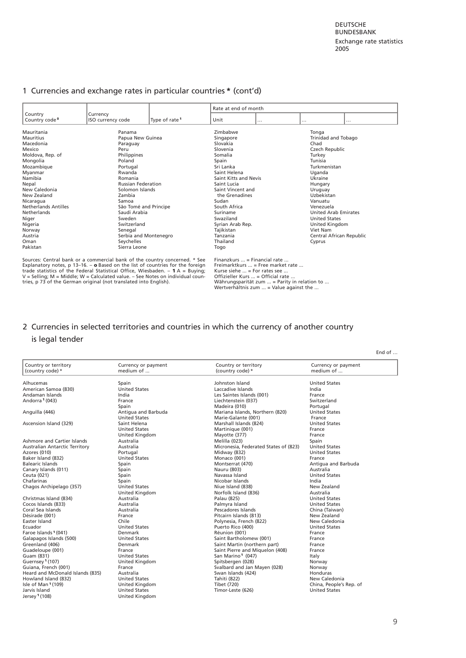#### <span id="page-8-0"></span>1 Currencies and exchange rates in particular countries **\*** (cont'd)

|                                                                                                                                                                                                                                               |                                                                                                                                                                                                                                                          |                           | Rate at end of month                                                                                                                                                                                                                                              |          |                                                                                                                                                                                                                                                                   |   |
|-----------------------------------------------------------------------------------------------------------------------------------------------------------------------------------------------------------------------------------------------|----------------------------------------------------------------------------------------------------------------------------------------------------------------------------------------------------------------------------------------------------------|---------------------------|-------------------------------------------------------------------------------------------------------------------------------------------------------------------------------------------------------------------------------------------------------------------|----------|-------------------------------------------------------------------------------------------------------------------------------------------------------------------------------------------------------------------------------------------------------------------|---|
| Country<br>Country code <sup>o</sup>                                                                                                                                                                                                          | Currency<br>ISO currency code                                                                                                                                                                                                                            | Type of rate <sup>1</sup> | Unit                                                                                                                                                                                                                                                              | $\cdots$ | $\cdots$                                                                                                                                                                                                                                                          | . |
| Mauritania<br>Mauritius<br>Macedonia<br>Mexico<br>Moldova, Rep. of<br>Mongolia<br>Mozambique<br>Myanmar<br>Namibia<br>Nepal<br>New Caledonia<br>New Zealand<br>Nicaragua<br>Netherlands Antilles<br>Netherlands<br>Niger<br>Nigeria<br>Norway | Panama<br>Papua New Guinea<br>Paraguay<br>Peru<br>Philippines<br>Poland<br>Portugal<br>Rwanda<br>Romania<br><b>Russian Federation</b><br>Solomon Islands<br>Zambia<br>Samoa<br>São Tomé and Principe<br>Saudi Arabia<br>Sweden<br>Switzerland<br>Senegal |                           | Zimbabwe<br>Singapore<br>Slovakia<br>Slovenia<br>Somalia<br>Spain<br>Sri Lanka<br>Saint Helena<br>Saint Kitts and Nevis<br>Saint Lucia<br>Saint Vincent and<br>the Grenadines<br>Sudan<br>South Africa<br>Suriname<br>Swaziland<br>Syrian Arab Rep.<br>Tajikistan |          | Tonga<br>Trinidad and Tobago<br>Chad<br>Czech Republic<br>Turkey<br>Tunisia<br>Turkmenistan<br>Uganda<br>Ukraine<br>Hungary<br>Uruguay<br>Uzbekistan<br>Vanuatu<br>Venezuela<br><b>United Arab Emirates</b><br><b>United States</b><br>United Kingdom<br>Viet Nam |   |
| Austria<br>Oman<br>Pakistan                                                                                                                                                                                                                   | Serbia and Montenegro<br>Seychelles<br>Sierra Leone                                                                                                                                                                                                      |                           | Tanzania<br>Thailand<br>Togo                                                                                                                                                                                                                                      |          | Central African Republic<br>Cyprus                                                                                                                                                                                                                                |   |

Sources: Central bank or a commercial bank of the country concerned. \* See<br>Explanatory notes, p 13–16. – **o** Based on the list of countries for the foreign<br>trade statistics of the Federal Statistical Office, Wiesbaden. – tries, p 73 of the German original (not translated into English).

Finanzkurs ... = Financial rate ...<br>Freimarktkurs ... = Free market rate ...<br>Kurse siehe ... = For rates see ...<br>Offizieller Kurs ... = Official rate ...<br>Wehrungsparität zum ... = Value against the ...<br>Wertverhältnis zum .

# 2 [Currencies in selected territories and countries in which the currency of another country](#page-61-0)  is legal tender

| Country or territory<br>(country code) * | Currency or payment<br>medium of | Country or territory<br>(country code) * | Currency or payment<br>medium of |
|------------------------------------------|----------------------------------|------------------------------------------|----------------------------------|
| Alhucemas                                | Spain                            | Johnston Island                          | <b>United States</b>             |
| American Samoa (830)                     | <b>United States</b>             | Laccadive Islands                        | India                            |
| Andaman Islands                          | India                            | Les Saintes Islands (001)                | France                           |
| Andorra <sup>1</sup> (043)               | France                           | Liechtenstein (037)                      | Switzerland                      |
|                                          | Spain                            | Madeira (010)                            | Portugal                         |
| Anguilla (446)                           | Antigua and Barbuda              | Mariana Islands, Northern (820)          | <b>United States</b>             |
|                                          | <b>United States</b>             | Marie-Galante (001)                      | France                           |
| Ascension Island (329)                   | Saint Helena                     | Marshall Islands (824)                   | <b>United States</b>             |
|                                          | <b>United States</b>             | Martinique (001)                         | France                           |
|                                          | United Kingdom                   | Mayotte (377)                            | France                           |
| Ashmore and Cartier Islands              | Australia                        | Melilla (023)                            | Spain                            |
| <b>Australian Antarctic Territory</b>    | Australia                        | Micronesia, Federated States of (823)    | <b>United States</b>             |
| Azores (010)                             | Portugal                         | Midway (832)                             | <b>United States</b>             |
| Baker Island (832)                       | <b>United States</b>             | Monaco (001)                             | France                           |
| <b>Balearic Islands</b>                  | Spain                            | Montserrat (470)                         | Antiqua and Barbuda              |
| Canary Islands (011)                     | Spain                            | Nauru (803)                              | Australia                        |
| Ceuta (021)                              | Spain                            | Navassa Island                           | <b>United States</b>             |
| Chafarinas                               | Spain                            | Nicobar Islands                          | India                            |
| Chagos Archipelago (357)                 | <b>United States</b>             | Niue Island (838)                        | New Zealand                      |
|                                          | United Kingdom                   | Norfolk Island (836)                     | Australia                        |
| Christmas Island (834)                   | Australia                        | Palau (825)                              | <b>United States</b>             |
| Cocos Islands (833)                      | Australia                        | Palmyra Island                           | <b>United States</b>             |
| Coral Sea Islands                        | Australia                        | Pescadores Islands                       | China (Taiwan)                   |
| Désirade (001)                           | France                           | Pitcairn Islands (813)                   | New Zealand                      |
| Easter Island                            | Chile                            | Polynesia, French (822)                  | New Caledonia                    |
| Ecuador                                  | <b>United States</b>             | Puerto Rico (400)                        | <b>United States</b>             |
| Faroe Islands <sup>1</sup> (041)         | Denmark                          | Réunion (001)                            | France                           |
| Galapagos Islands (500)                  | <b>United States</b>             | Saint Bartholomew (001)                  | France                           |
| Greenland (406)                          | Denmark                          | Saint Martin (northern part)             | France                           |
| Guadeloupe (001)                         | France                           | Saint Pierre and Miguelon (408)          | France                           |
| Guam (831)                               | <b>United States</b>             | San Marino <sup>1</sup> (047)            | Italy                            |
| Guernsey <sup>1</sup> (107)              | United Kingdom                   | Spitsbergen (028)                        | Norway                           |
| Guiana, French (001)                     | France                           | Svalbard and Jan Mayen (028)             | Norway                           |
| Heard and McDonald Islands (835)         | Australia                        | Swan Islands (424)                       | Honduras                         |
| Howland Island (832)                     | <b>United States</b>             | Tahiti (822)                             | New Caledonia                    |
| Isle of Man <sup>1</sup> $(109)$         | United Kingdom                   | Tibet (720)                              | China, People's Rep. of          |
| Jarvis Island                            | <b>United States</b>             | Timor-Leste (626)                        | <b>United States</b>             |
| Jersey 1 (108)                           | United Kingdom                   |                                          |                                  |

End of …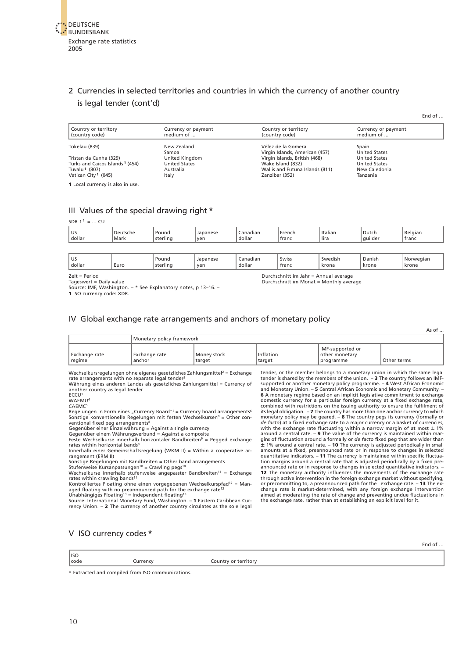### <span id="page-9-1"></span><span id="page-9-0"></span>2 Currencies in selected territories and countries in which the currency of another country is legal tender (cont'd)

| Country or territory<br>(country code)      | Currency or payment<br>medium of | Country or territory<br>(country code)                          | Currency or payment<br>medium of |
|---------------------------------------------|----------------------------------|-----------------------------------------------------------------|----------------------------------|
| Tokelau (839)                               | New Zealand                      | Vélez de la Gomera                                              | Spain<br><b>United States</b>    |
| Tristan da Cunha (329)                      | Samoa<br>United Kingdom          | Virgin Islands, American (457)<br>Virgin Islands, British (468) | <b>United States</b>             |
| Turks and Caicos Islands <sup>1</sup> (454) | <b>United States</b>             | Wake Island (832)                                               | <b>United States</b>             |
| Tuvalu <sup>1</sup> (807)                   | Australia                        | Wallis and Futuna Islands (811)                                 | New Caledonia                    |
| Vatican City <sup>1</sup> (045)             | Italy                            | Zanzibar (352)                                                  | Tanzania                         |
| 1 Local currency is also in use.            |                                  |                                                                 |                                  |

#### III Values of the special drawing right **\***

#### $SDR$  1<sup>1</sup> = ... CU

| US.<br>dollar | H<br>wur<br>Mark | ' Pound<br>$\cdots$<br>sterling | Japanese<br>ven | . .<br>Canadian<br>dollar<br>. | French<br><b>franc</b> | Italiar<br>$\cdots$<br>Tira | Dutch<br>$\cdots$<br>  auilder<br><b>STORY</b> | Belgian<br>' franc |
|---------------|------------------|---------------------------------|-----------------|--------------------------------|------------------------|-----------------------------|------------------------------------------------|--------------------|
|               |                  |                                 |                 |                                |                        |                             |                                                |                    |

| <b>US</b><br>Danish<br>No<br>Swiss<br>Pound<br>Swedish<br>iadiar<br>alar:<br>1626<br>.<br>dollar<br>krone<br>ver<br>krone<br>Euro<br>krona<br>franc<br>dollar<br>ada ay<br>'lınc<br>. |
|---------------------------------------------------------------------------------------------------------------------------------------------------------------------------------------|
|---------------------------------------------------------------------------------------------------------------------------------------------------------------------------------------|

Durchschnitt im Monat = Monthly average

Zeit = Period<br>
Tageswert = Daily value<br>
Source: IMF, Washington. – \* See Explanatory notes, p 13–16. – Purchschnitt im Monat = Monthly aver<br>
Source: IMF, Washington. – \* See Explanatory notes, p 13–16. – Purchschnitt im Mo \* See Explanatory notes, p 13-16. – **1** ISO currency code: XDR.

[IV Global exchange rate arrangements and anchors of monetary policy](#page-64-0)

 $\Delta s$  of

End of …

End of …

|                             | Monetary policy framework |                       |                     |                                                              |             |  |  |  |  |  |
|-----------------------------|---------------------------|-----------------------|---------------------|--------------------------------------------------------------|-------------|--|--|--|--|--|
| l Exchange rate<br>  regime | l Exchange rate<br>anchor | Money stock<br>target | Inflation<br>target | <b>I</b> IMF-supported or<br>I other monetary<br>l programme | Other terms |  |  |  |  |  |

Wechselkursregelungen ohne eigenes gesetzliches Zahlungsmittel<sup>2</sup> = Exchange rate arrangements with no separate legal tender<sup>2</sup><br>Währung eines anderen Landes als gesetzliches Zahlungsmittel = Currency of

another country as legal tender ECCU<sup>1</sup>

WAEMU<sup>4</sup>

CAEMC<sup>5</sup>

Regelungen in Form eines "Currency Board"<sup>6</sup> = Currency board arrangements<sup>6</sup> Sonstige konventionelle Regelungen mit festen Wechselkursen<sup>8</sup> = Other con-<br>ventional fixed peg arrangements<sup>8</sup>

Gegenüber einer Einzelwährung = Against a single currency<br>Gegenüber einem Währungsverbund = Against a composite<br>Feste Wechselkurse innerhalb horizontaler Bandbreiten<sup>9</sup> = Pegged exchange reste receivements inheritation

Innerhalb einer Gemeinschaftsregelung (WKM II) = Within a cooperative arrangement (ERM II)

Sonstige Regelungen mit Bandbreiten = Other band arrangements<br>Stufenweise Kursanpassungen<sup>10</sup> = Crawling pegs<sup>10</sup>

Wechselkurse innerhalb stufenweise angepasster Bandbreiten<sup>11</sup> = Exchange<br>rates within crawling bands<sup>11</sup>

Kontrolliertes Floating ohne einen vorgegebenen Wechselkurspfad<sup>12</sup> = Man-<br>aged floating with no preannounced path for the exchange rate<sup>12</sup><br>Unabhängiges Floating<sup>13</sup> = Independent floating<sup>13</sup>

Source: International Monetary Fund, Washington. – **1** Eastern Caribbean Cur-rency Union. – **2** The currency of another country circulates as the sole legal

tender, or the member belongs to a monetary union in which the same legal tender is shared by the members of the union. – **3** The country follows an IMF-<br>supported or another monetary policy programme. – **4** West African Economic<br>and Monetary Union. – **5** Central African Economic and Monetary C domestic currency for a particular foreign currency at a fixed exchange rate, combined with restrictions on the issuing authority to ensure the fulfilment of its legal obligation.  $-7$  The country has more than one anchor currency to which<br>monetary policy may be geared.  $-8$  The country pegs its currency (formally or<br> $de$  facto) at a fixed exchange rate to a major currency or a amounts at a fixed, preannounced rate or in response to changes in selected<br>quantitative indicators. – **11** The currency is maintained within specific fluctua-<br>tion margins around a central rate that is adjusted periodical **12** The monetary authority influences the movements of the exchange rate through active intervention in the foreign exchange market without specifying, or precommitting to, a preannounced path for the exchange rate. – **13** The ex-change rate is market-determined, with any foreign exchange intervention aimed at moderating the rate of change and preventing undue fluctuations in the exchange rate, rather than at establishing an explicit level for it.

#### V ISO currency codes **\***

| $ $ ISO |          |                      |
|---------|----------|----------------------|
| code    | Lurrency | Country or territory |
|         |          |                      |

\* Extracted and compiled from ISO communications.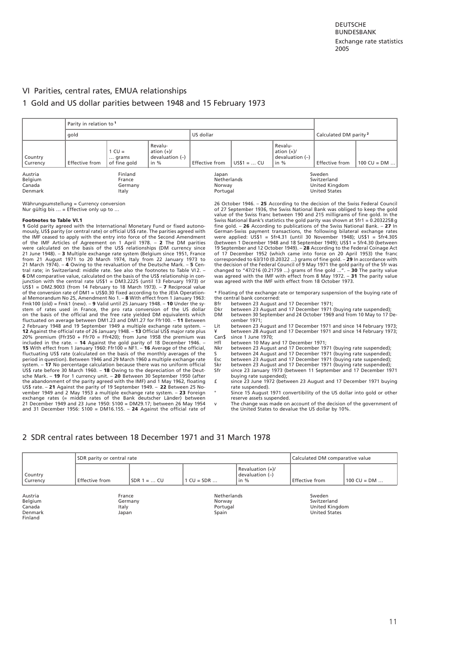#### <span id="page-10-0"></span>VI Parities, central rates, EMUA relationships

#### 1 [Gold and US dollar parities between 1948 and 15 February 1973](#page-68-0)

|                                         | Parity in relation to <sup>1</sup> |                                       |                                                        |                                            |              |                                                      |                                                                 |                              |
|-----------------------------------------|------------------------------------|---------------------------------------|--------------------------------------------------------|--------------------------------------------|--------------|------------------------------------------------------|-----------------------------------------------------------------|------------------------------|
|                                         | gold                               |                                       |                                                        | US dollar                                  |              |                                                      | Calculated DM parity <sup>2</sup>                               |                              |
| Country<br>Currency                     | Effective from                     | $1 CU =$<br>grams<br>of fine gold     | Revalu-<br>ation $(+)/$<br>devaluation $(-)$<br>in $%$ | Effective from                             | $US$1 =  CU$ | Revalu-<br>ation $(+)/$<br>devaluation (-)<br>in $%$ | Effective from                                                  | $100 \text{ CU} = \text{DM}$ |
| Austria<br>Belgium<br>Canada<br>Denmark |                                    | Finland<br>France<br>Germany<br>Italy |                                                        | Japan<br>Netherlands<br>Norway<br>Portugal |              |                                                      | Sweden<br>Switzerland<br>United Kingdom<br><b>United States</b> |                              |

Währungsumstellung = Currency conversion Nur gültig bis  $\ldots$  = Effective only up to  $\ldots$ 

#### **Footnotes to Table VI.1**

**1** Gold parity agreed with the International Monetary Fund or fixed autonomously, US\$ parity (or central rate) or official US\$ rate. The parities agreed with<br>the IMF ceased to apply with the entry into force of the Second Amendment<br>of the IMF Articles of Agreement on 1 April 1978. – **2** The DM p 21 June 1948). – **3** Multiple exchange rate system (Belgium since 1951, France<br>from 21 August 1971 to 20 March 1974, Italy from 22 January 1973 to<br>21 March 1974). – 4 Owing to the revaluation of the Deutsche Mark. – **5** Ce **6** DM comparative value, calculated on the basis of the US\$ relationship in conjunction with the central rate US\$1 = DM3.2225 (until 13 February 1973) or US\$1 = DM2.9003 (from 14 February to 18 March 1973). - 7 Reciprocal value of the conversion rate of DM1 = US\$0.30 fixed according to the JEIA Oper on the basis of the official and the free rate yielded DM equivalents which fluctuated on average between DM1.23 and DM1.27 for Ffr100. – **11** Between 2 February 1948 and 19 September 1949 a multiple exchange rate system. – **12** Against the official rate of 26 January 1948. – **13** Official US\$ major rate plus 20% premium (Ffr350 + Ffr70 = Ffr420); from June 1958 the premium was<br>included in the rate. - **14** Against the gold parity of 18 December 1946.<br>**15** With effect from 1 January 1960: Ffr100 = NF1. - **16** Average of the offi period in question). Between 1946 and 29 March 1960 a multiple exchange rate<br>system. – **17** No percentage calculation because there was no uniform official<br>US\$ rate before 30 March 1960. – **18** Owing to the depreciation of US\$ rate. – **21** Against the parity of 19 September 1949. – **22** Between 25 No-vember 1949 and 2 May 1953 a multiple exchange rate system. – **23** Foreign exchange rates (= middle rates of the Bank deutscher Länder) between 21 December 1949 and 23 June 1950: S100 = DM29.17; between 26 May 1954 and 31 December 1956: S100 = DM16.155. – **24** Against the official rate of

26 October 1946. – **25** According to the decision of the Swiss Federal Council of 27 September 1936, the Swiss National Bank was obliged to keep the gold value of the Swiss franc between 190 and 215 milligrams of fine gold. In the Swiss National Bank's statistics the gold parity was shown at Sfr1 = 0.2032258 g fine gold. – **26** According to publications of the Swiss National Bank. – **27** In German-Swiss payment transactions, the following bilateral exchange rates<br>were applied: US\$1 = Sfr4.31 (until 30 November 1948); US\$1 = Sfr4.305<br>(between 1 December 1948 and 18 September 1949); US\$1 = Sfr4.30 (between<br>19 S of 17 December 1952 (which came into force on 20 April 1953) the franc corresponded to 63/310 (0.20322 ...) grams of fine gold. – **29** In accordance with the decision of the Federal Council of 9 May 1971 the gold parity of the Sfr was<br>changed to "47/216 (0.21759 ...) grams of fine gold ...". – **30** The parity value<br>was agreed with the IMF with effect from 8 May 1972. – **31** 

\* Floating of the exchange rate or temporary suspension of the buying rate of the central bank concerned:

- 
- Bfr between 23 August and 17 December 1971; Dkr between 23 August and 17 December 1971 (buying rate suspended); DM between 30 September and 24 October 1969 and from 10 May to 17 December 1971;
- Lit between 23 August and 17 December 1971 and since 14 February 1973; ¥ between 28 August and 17 December 1971 and since 14 February 1973;
- Can\$ since 1 June 1970; Hfl between 10 May and 17 December 1971;
- Nkr between 23 August and 17 December 1971 (buying rate suspended); S between 24 August and 17 December 1971 (buying rate suspended);
- 
- 
- Esc between 23 August and 17 December 1971 (buying rate suspended); Skr between 23 August and 17 December 1971 (buying rate suspended); Sfr since 23 January 1973 (between 11 September and 17 December 1971
- buving rate suspended): £ since 23 June 1972 (between 23 August and 17 December 1971 buying
	- rate suspended). Face suspended,.<br>Since 15 August 1971 convertibility of the US dollar into gold or other
- reserve assets suspended. v The change was made on account of the decision of the government of the United States to devalue the US dollar by 10%.

#### 2 [SDR central rates between 18 December 1971 and 31 March 1978](#page-71-0)

| Country<br>Currency | SDR parity or central rate |               |                    | Calculated DM comparative value               |                       |                |  |
|---------------------|----------------------------|---------------|--------------------|-----------------------------------------------|-----------------------|----------------|--|
|                     | Effective from             | $SDR 1 =  CU$ | $1 CU = SDR $      | Revaluation (+)/<br>devaluation $(-)$<br>in % | <b>Effective from</b> | 100 CU = $DM$  |  |
|                     |                            |               |                    |                                               |                       |                |  |
| Austria             |                            | France        | <b>Netherlands</b> |                                               | Sweden                |                |  |
| Belgium             |                            | Germany       | Norway             |                                               | Switzerland           |                |  |
| Canada              |                            | Italy         |                    | Portugal                                      |                       | United Kingdom |  |
| Denmark             |                            | Japan         | Spain              |                                               | <b>United States</b>  |                |  |
| Finland             |                            |               |                    |                                               |                       |                |  |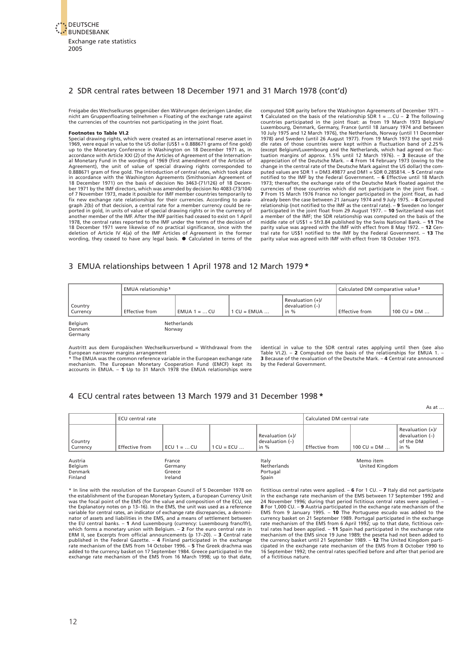<span id="page-11-0"></span>

#### 2 SDR central rates between 18 December 1971 and 31 March 1978 (cont'd)

Freigabe des Wechselkurses gegenüber den Währungen derjenigen Länder, die nicht am Gruppenfloating teilnehmen = Floating of the exchange rate against the currencies of the countries not participating in the joint float.

#### **Footnotes to Table VI.2**

Special drawing rights, which were created as an international reserve asset in 1969, were equal in value to the US dollar (US\$1 = 0.888671 grams of fine gold) up to the Monetary Conference in Washington on 18 December 1971 as, in accordance with Article XXI (2) of the Articles of Agreement of the Int in accordance with the Washington Agreements (Smithsonian Agreement of 18 December 1971) on the basis of decision No 3463-(71/126) of 18 December 1971 by the IMF directors, which was amended by decision No 4083-(73/104) of 7 November 1973, made it possible for IMF member countries temporarily to fix new exchange rate relationships for their currencies. According to paragraph 2(b) of that decision, a central rate for a member currency could be re-<br>ported in gold, in units of value of special drawing rights or in the currency of<br>another member of the IMF. After the IMF parities had ceased 18 December 1971 were likewise of no practical significance, since with the deletion of Article IV 4(a) of the IMF Articles of Agreement in the former wording, they ceased to have any legal basis.  $\bullet$  Calculated in terms computed SDR parity before the Washington Agreements of December 1971. – **1** Calculated on the basis of the relationship SDR  $1 = ...$  CU  $-$  **2** The following countries participated in the joint float: as from 19 March 1973 Belgium/<br>Luxembourg, Denmark, Germany, France (until 18 January 1974 and dle rates of those countries were kept within a fluctuation band of 2.25%<br>(except Belgium/Luxembourg and the Netherlands, which had agreed on fluc-<br>tuation margins of approx. 1.5% until 12 March 1976). – **3** Because of the change in the central rate of the Deutsche Mark against the US dollar) the computed values are SDR 1 = DM3.49877 and DM1 = SDR 0.285814. – **5** Central rate notified to the IMF by the Federal Government. – **6** Effective until 18 March 1973; thereafter, the exchange rate of the Deutsche Mark floated against the currencies of those countries which did not participate in the joint float. – 7 From 15 March 1976 France no longer participated in the joint float, as had allevel already been the case between 21 January 1974 and 9 July 1

#### 3 [EMUA relationships between 1 April 1978 and 12 March 1979](#page-74-0) **\***

|                               | EMUA relationship <sup>1</sup> |                | Calculated DM comparative value <sup>2</sup> |                                               |                       |               |
|-------------------------------|--------------------------------|----------------|----------------------------------------------|-----------------------------------------------|-----------------------|---------------|
| Country<br>Currency           | <b>Effective from</b>          | EMUA $1 = $ CU | $ICU = EMUA $                                | Revaluation (+)/<br>devaluation (-)<br>in $%$ | <b>Effective from</b> | 100 CU = $DM$ |
| Belgium<br>Denmark<br>Germany | Netherlands<br>Norway          |                |                                              |                                               |                       |               |

Austritt aus dem Europäischen Wechselkursverbund = Withdrawal from the European narrower margins arrangement

\* The EMUA was the common reference variable in the European exchange rate<br>mechanism. The European Monetary Cooperation Fund (EMCF) kept its<br>accounts in EMUA. – **1** Up to 31 March 1978 the EMUA

identical in value to the SDR central rates applying until then (see also Table VI.2). – **2** Computed on the basis of the relationships for EMUA 1. – **3** Because of the revaluation of the Deutsche Mark. – **4** Central rate announced by the Federal Government.

As at …

#### 4 [ECU central rates between 13 March 1979 and 31 December 1998](#page-75-0) **\***

ECU central rate Calculated DM central rate Calculated DM central rate Revaluation (+)/ Revaluation  $(+)$   $|$  devaluation  $(-)$  devaluation  $(-)$  devaluation  $(-)$ Country the DM devaluation (–) country the DM country of the DM country the DM country of the DM country of the DM Currency Effective from ECU 1 = … CU 1 CU = ECU … in % Effective from 100 CU = DM … in % Austria Belgium Denmark France **Germany** Greece Italy Netherlands Portugal Memo item United Kingdom

Spain

\* In line with the resolution of the European Council of 5 December 1978 on the establishment of the European Monetary System, a European Currency Unit<br>was the focal point of the EMS (for the value and composition of the ECU, see<br>the Explanatory notes on p 13–16). In the EMS, the unit was used as variable for central rates, an indicator of exchange rate discrepancies, a denomi-nator of assets and liabilities in the EMS, and a means of settlement between the EU central banks. – **1** And Luxembourg (currency: Luxembourg franc/lfr), which forms a monetary union with Belgium. – **2** For the euro central rate in ERM II, see Excerpts from official announcements (p 17–20). – **3** Central rate<br>published in the Federal Gazette. – **4** Finland participated in the exchange<br>rate mechanism of the EMS from 14 October 1996. – **5** The Greek dr exchange rate mechanism of the EMS from 16 March 1998; up to that date,

Ireland

fictitious central rates were applied. – **6** For 1 CU. – **7** Italy did not participate in the exchange rate mechanism of the EMS between 17 September 1992 and 24 November 1996; during that period fictitious central rates were applied. – **8** For 1,000 CU. – **9** Austria participated in the exchange rate mechanism of the<br>EMS from 9 January 1995. – **10** The Portuguese escudo was added to the<br>currency basket on 21 September 1989. Portugal participated in t rate mechanism of the EMS from 6 April 1992; up to that date, fictitious cen-tral rates had been applied. – **11** Spain had participated in the exchange rate mechanism of the EMS since 19 June 1989; the peseta had not been added to<br>the currency basket until 21 September 1989. – **12** The United Kingdom parti-<br>cipated in the exchange rate mechanism of the EMS from 8 October 1990 16 September 1992; the central rates specified before and after that period are of a fictitious nature.

Finland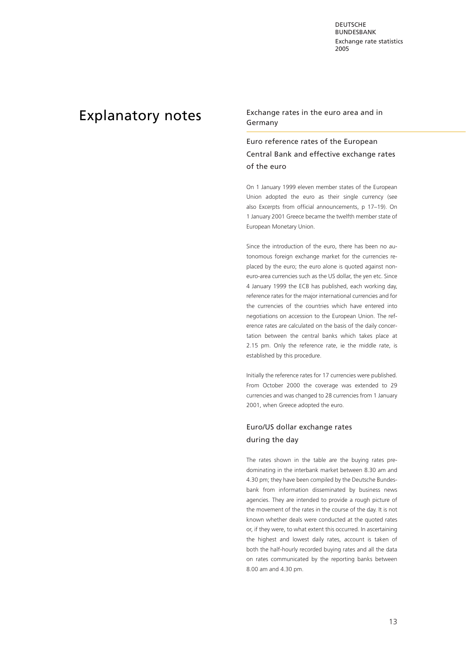DEUTSCHE **BUNDESBANK** Exc[hange rate statistics](#page-3-0) 2005

<span id="page-12-0"></span>Explanatory notes<br>
Explanatory notes<br>
Cormany Germany

# Euro reference rates of the European Central Bank and effective exchange rates of the euro

On 1 January 1999 eleven member states of the European Union adopted the euro as their single currency (see also Excerpts from official announcements, p 17–19). On 1 January 2001 Greece became the twelfth member state of European Monetary Union.

Since the introduction of the euro, there has been no autonomous foreign exchange market for the currencies replaced by the euro; the euro alone is quoted against noneuro-area currencies such as the US dollar, the yen etc. Since 4 January 1999 the ECB has published, each working day, reference rates for the major international currencies and for the currencies of the countries which have entered into negotiations on accession to the European Union. The reference rates are calculated on the basis of the daily concertation between the central banks which takes place at 2.15 pm. Only the reference rate, ie the middle rate, is established by this procedure.

Initially the reference rates for 17 currencies were published. From October 2000 the coverage was extended to 29 currencies and was changed to 28 currencies from 1 January 2001, when Greece adopted the euro.

### Euro/US dollar exchange rates during the day

The rates shown in the table are the buying rates predominating in the interbank market between 8.30 am and 4.30 pm; they have been compiled by the Deutsche Bundesbank from information disseminated by business news agencies. They are intended to provide a rough picture of the movement of the rates in the course of the day. It is not known whether deals were conducted at the quoted rates or, if they were, to what extent this occurred. In ascertaining the highest and lowest daily rates, account is taken of both the half-hourly recorded buying rates and all the data on rates communicated by the reporting banks between 8.00 am and 4.30 pm.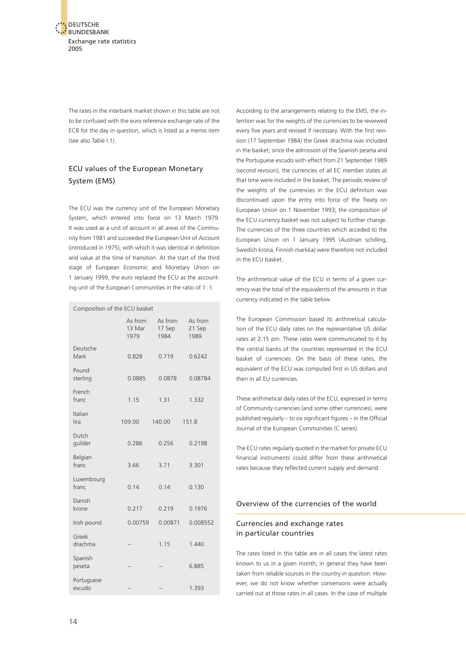<span id="page-13-0"></span>The rates in the interbank market shown in this table are not to be confused with the euro reference exchange rate of the ECB for the day in question, which is listed as a memo item (see also Table I.1).

## ECU values of the European Monetary System (EMS)

The ECU was the currency unit of the European Monetary System, which entered into force on 13 March 1979. It was used as a unit of account in all areas of the Community from 1981 and succeeded the European Unit of Account (introduced in 1975), with which it was identical in definition and value at the time of transition. At the start of the third stage of European Economic and Monetary Union on 1 January 1999, the euro replaced the ECU as the accounting unit of the European Communities in the ratio of 1 : 1.

| Composition of the ECU basket |                           |                           |                           |  |  |  |  |  |
|-------------------------------|---------------------------|---------------------------|---------------------------|--|--|--|--|--|
|                               | As from<br>13 Mar<br>1979 | As from<br>17 Sep<br>1984 | As from<br>21 Sep<br>1989 |  |  |  |  |  |
| Deutsche<br>Mark              | 0.828                     | 0.719                     | 0.6242                    |  |  |  |  |  |
| Pound<br>sterling             | 0.0885                    | 0.0878                    | 0.08784                   |  |  |  |  |  |
| French<br>franc               | 1.15                      | 1.31                      | 1.332                     |  |  |  |  |  |
| Italian<br>lira               | 109.00                    | 140.00                    | 151.8                     |  |  |  |  |  |
| Dutch<br>guilder              | 0.286                     | 0.256                     | 0.2198                    |  |  |  |  |  |
| Belgian<br>franc              | 3.66                      | 3.71                      | 3.301                     |  |  |  |  |  |
| Luxembourg<br>franc           | 0.14                      | 0.14                      | 0.130                     |  |  |  |  |  |
| Danish<br>krone               | 0.217                     | 0.219                     | 0.1976                    |  |  |  |  |  |
| Irish pound                   | 0.00759                   | 0.00871                   | 0.008552                  |  |  |  |  |  |
| Greek<br>drachma              |                           | 1.15                      | 1.440                     |  |  |  |  |  |
| Spanish<br>peseta             |                           |                           | 6.885                     |  |  |  |  |  |
| Portuguese<br>escudo          |                           |                           | 1.393                     |  |  |  |  |  |

According to the arrangements relating to the EMS, the intention was for the weights of the currencies to be reviewed every five years and revised if necessary. With the first revision (17 September 1984) the Greek drachma was included in the basket; since the admission of the Spanish peseta and the Portuguese escudo with effect from 21 September 1989 (second revision), the currencies of all EC member states at that time were included in the basket. The periodic review of the weights of the currencies in the ECU definition was discontinued upon the entry into force of the Treaty on European Union on 1 November 1993; the composition of the ECU currency basket was not subject to further change. The currencies of the three countries which acceded to the European Union on 1 January 1995 (Austrian schilling, Swedish krona, Finnish markka) were therefore not included in the ECU basket.

The arithmetical value of the ECU in terms of a given currency was the total of the equivalents of the amounts in that currency indicated in the table below.

The European Commission based its arithmetical calculation of the ECU daily rates on the representative US dollar rates at 2.15 pm. These rates were communicated to it by the central banks of the countries represented in the ECU basket of currencies. On the basis of these rates, the equivalent of the ECU was computed first in US dollars and then in all EU currencies.

These arithmetical daily rates of the ECU, expressed in terms of Community currencies (and some other currencies), were published regularly – to six significant figures – in the Official Journal of the European Communities (C series).

The ECU rates regularly quoted in the market for private ECU financial instruments could differ from these arithmetical rates because they reflected current supply and demand.

#### Overview of the currencies of the world

#### Currencies and exchange rates in particular countries

The rates listed in this table are in all cases the latest rates known to us in a given month; in general they have been taken from reliable sources in the country in question. However, we do not know whether conversions were actually carried out at those rates in all cases. In the case of multiple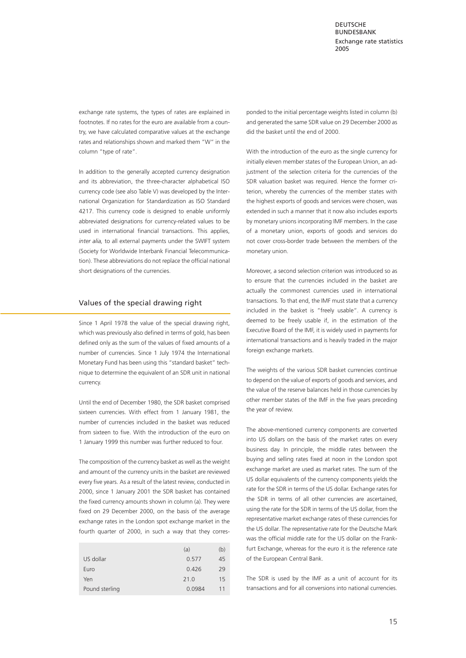<span id="page-14-0"></span>exchange rate systems, the types of rates are explained in footnotes. If no rates for the euro are available from a country, we have calculated comparative values at the exchange rates and relationships shown and marked them "W" in the column "type of rate".

In addition to the generally accepted currency designation and its abbreviation, the three-character alphabetical ISO currency code (see also Table V) was developed by the International Organization for Standardization as ISO Standard 4217. This currency code is designed to enable uniformly abbreviated designations for currency-related values to be used in international financial transactions. This applies, *inter alia,* to all external payments under the SWIFT system (Society for Worldwide Interbank Financial Telecommunication). These abbreviations do not replace the official national short designations of the currencies.

#### Values of the special drawing right

Since 1 April 1978 the value of the special drawing right, which was previously also defined in terms of gold, has been defined only as the sum of the values of fixed amounts of a number of currencies. Since 1 July 1974 the International Monetary Fund has been using this "standard basket" technique to determine the equivalent of an SDR unit in national currency.

Until the end of December 1980, the SDR basket comprised sixteen currencies. With effect from 1 January 1981, the number of currencies included in the basket was reduced from sixteen to five. With the introduction of the euro on 1 January 1999 this number was further reduced to four.

The composition of the currency basket as well as the weight and amount of the currency units in the basket are reviewed every five years. As a result of the latest review, conducted in 2000, since 1 January 2001 the SDR basket has contained the fixed currency amounts shown in column (a). They were fixed on 29 December 2000, on the basis of the average exchange rates in the London spot exchange market in the fourth quarter of 2000, in such a way that they corres-

|                | (a)    | (b) |
|----------------|--------|-----|
| US dollar      | 0.577  | 45  |
| Euro           | 0.426  | 29  |
| Yen            | 21.0   | 15  |
| Pound sterling | 0.0984 | 11  |

ponded to the initial percentage weights listed in column (b) and generated the same SDR value on 29 December 2000 as did the basket until the end of 2000.

With the introduction of the euro as the single currency for initially eleven member states of the European Union, an adjustment of the selection criteria for the currencies of the SDR valuation basket was required. Hence the former criterion, whereby the currencies of the member states with the highest exports of goods and services were chosen, was extended in such a manner that it now also includes exports by monetary unions incorporating IMF members. In the case of a monetary union, exports of goods and services do not cover cross-border trade between the members of the monetary union.

Moreover, a second selection criterion was introduced so as to ensure that the currencies included in the basket are actually the commonest currencies used in international transactions. To that end, the IMF must state that a currency included in the basket is "freely usable". A currency is deemed to be freely usable if, in the estimation of the Executive Board of the IMF, it is widely used in payments for international transactions and is heavily traded in the major foreign exchange markets.

The weights of the various SDR basket currencies continue to depend on the value of exports of goods and services, and the value of the reserve balances held in those currencies by other member states of the IMF in the five years preceding the year of review.

The above-mentioned currency components are converted into US dollars on the basis of the market rates on every business day. In principle, the middle rates between the buying and selling rates fixed at noon in the London spot exchange market are used as market rates. The sum of the US dollar equivalents of the currency components yields the rate for the SDR in terms of the US dollar. Exchange rates for the SDR in terms of all other currencies are ascertained, using the rate for the SDR in terms of the US dollar, from the representative market exchange rates of these currencies for the US dollar. The representative rate for the Deutsche Mark was the official middle rate for the US dollar on the Frankfurt Exchange, whereas for the euro it is the reference rate of the European Central Bank.

The SDR is used by the IMF as a unit of account for its transactions and for all conversions into national currencies.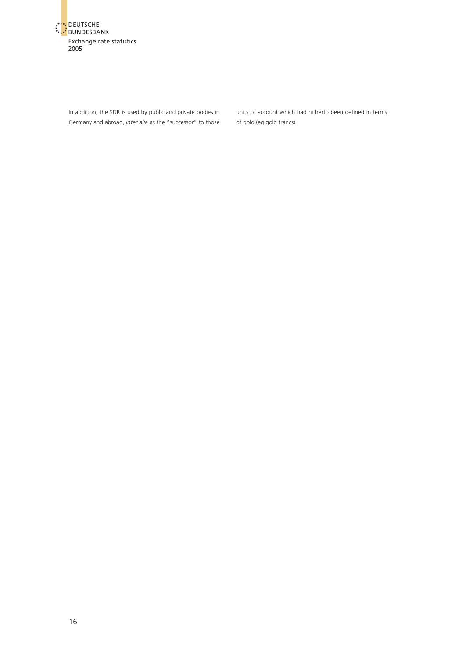

In addition, the SDR is used by public and private bodies in Germany and abroad, *inter alia* as the "successor" to those units of account which had hitherto been defined in terms of gold (eg gold francs).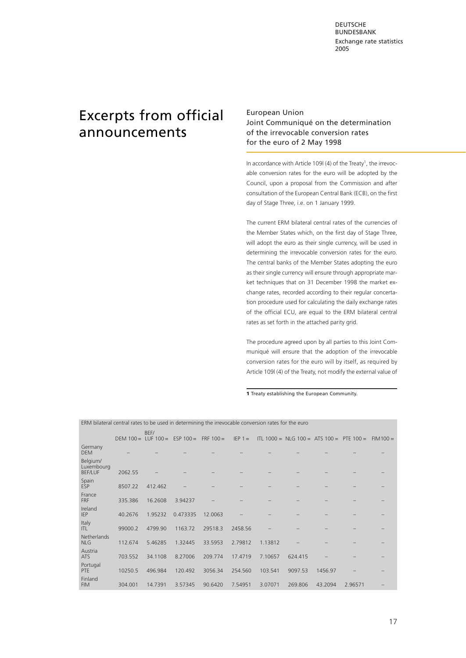DEUTSCHE BUNDESBANK Exch[ange rate statistics](#page-3-0) 2005

# <span id="page-16-0"></span>Excerpts from official announcements

#### European Union Joint Communiqué on the determination of the irrevocable conversion rates for the euro of 2 May 1998

In accordance with Article 109l (4) of the Treaty<sup>1</sup>, the irrevocable conversion rates for the euro will be adopted by the Council, upon a proposal from the Commission and after consultation of the European Central Bank (ECB), on the first day of Stage Three, i.e. on 1 January 1999.

The current ERM bilateral central rates of the currencies of the Member States which, on the first day of Stage Three, will adopt the euro as their single currency, will be used in determining the irrevocable conversion rates for the euro. The central banks of the Member States adopting the euro as their single currency will ensure through appropriate market techniques that on 31 December 1998 the market exchange rates, recorded according to their regular concertation procedure used for calculating the daily exchange rates of the official ECU, are equal to the ERM bilateral central rates as set forth in the attached parity grid.

The procedure agreed upon by all parties to this Joint Communiqué will ensure that the adoption of the irrevocable conversion rates for the euro will by itself, as required by Article 109l (4) of the Treaty, not modify the external value of

**1** Treaty establishing the European Community.

ERM bilateral central rates to be used in determining the irrevocable conversion rates for the euro

|                                          | DEM $100 = LUF 100 =$ | BEF/    | $ESP 100 =$ | $FRF 100 =$ | $IEP 1 =$ |         | ITL 1000 = NLG 100 = ATS 100 = PTE 100 = |         |         | $FIM100 =$ |
|------------------------------------------|-----------------------|---------|-------------|-------------|-----------|---------|------------------------------------------|---------|---------|------------|
| Germany<br><b>DEM</b>                    |                       |         |             |             |           |         |                                          |         |         |            |
| Belgium/<br>Luxembourg<br><b>BEF/LUF</b> | 2062.55               |         |             |             |           |         |                                          |         |         |            |
| Spain<br><b>ESP</b>                      | 8507.22               | 412.462 |             |             |           |         |                                          |         |         |            |
| France<br><b>FRF</b>                     | 335.386               | 16.2608 | 3.94237     |             |           |         |                                          |         |         |            |
| Ireland<br><b>IEP</b>                    | 40.2676               | 1.95232 | 0.473335    | 12.0063     |           |         |                                          |         |         |            |
| Italy<br> T                              | 99000.2               | 4799.90 | 1163.72     | 29518.3     | 2458.56   |         |                                          |         |         |            |
| Netherlands<br><b>NLG</b>                | 112.674               | 5.46285 | 1.32445     | 33.5953     | 2.79812   | 1.13812 |                                          |         |         |            |
| Austria<br><b>ATS</b>                    | 703.552               | 34,1108 | 8.27006     | 209.774     | 17.4719   | 7.10657 | 624.415                                  |         |         |            |
| Portugal<br><b>PTE</b>                   | 10250.5               | 496.984 | 120.492     | 3056.34     | 254.560   | 103.541 | 9097.53                                  | 1456.97 |         |            |
| Finland<br><b>FIM</b>                    | 304.001               | 14.7391 | 3.57345     | 90.6420     | 7.54951   | 3.07071 | 269,806                                  | 43.2094 | 2.96571 |            |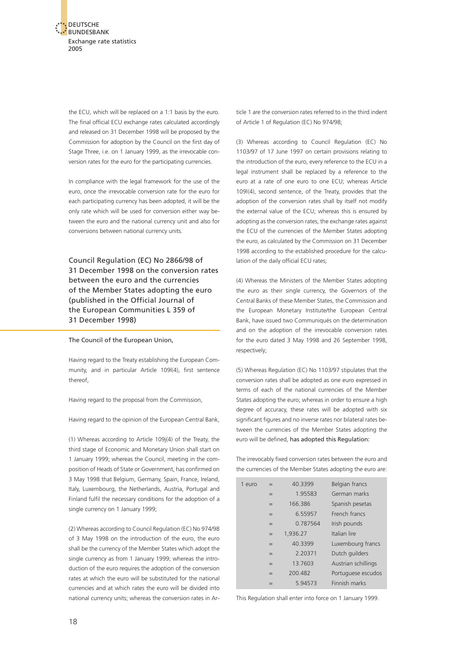

the ECU, which will be replaced on a 1:1 basis by the euro. The final official ECU exchange rates calculated accordingly and released on 31 December 1998 will be proposed by the Commission for adoption by the Council on the first day of Stage Three, i.e. on 1 January 1999, as the irrevocable conversion rates for the euro for the participating currencies.

In compliance with the legal framework for the use of the euro, once the irrevocable conversion rate for the euro for each participating currency has been adopted, it will be the only rate which will be used for conversion either way between the euro and the national currency unit and also for conversions between national currency units.

Council Regulation (EC) No 2866/98 of 31 December 1998 on the conversion rates between the euro and the currencies of the Member States adopting the euro (published in the Official Journal of the European Communities L 359 of 31 December 1998)

The Council of the European Union,

Having regard to the Treaty establishing the European Community, and in particular Article 109l(4), first sentence thereof,

Having regard to the proposal from the Commission,

Having regard to the opinion of the European Central Bank,

(1) Whereas according to Article 109j(4) of the Treaty, the third stage of Economic and Monetary Union shall start on 1 January 1999; whereas the Council, meeting in the composition of Heads of State or Government, has confirmed on 3 May 1998 that Belgium, Germany, Spain, France, Ireland, Italy, Luxembourg, the Netherlands, Austria, Portugal and Finland fulfil the necessary conditions for the adoption of a single currency on 1 January 1999;

(2) Whereas according to Council Regulation (EC) No 974/98 of 3 May 1998 on the introduction of the euro, the euro shall be the currency of the Member States which adopt the single currency as from 1 January 1999; whereas the introduction of the euro requires the adoption of the conversion rates at which the euro will be substituted for the national currencies and at which rates the euro will be divided into national currency units; whereas the conversion rates in Article 1 are the conversion rates referred to in the third indent of Article 1 of Regulation (EC) No 974/98;

(3) Whereas according to Council Regulation (EC) No 1103/97 of 17 June 1997 on certain provisions relating to the introduction of the euro, every reference to the ECU in a legal instrument shall be replaced by a reference to the euro at a rate of one euro to one ECU; whereas Article 109l(4), second sentence, of the Treaty, provides that the adoption of the conversion rates shall by itself not modify the external value of the ECU; whereas this is ensured by adopting as the conversion rates, the exchange rates against the ECU of the currencies of the Member States adopting the euro, as calculated by the Commission on 31 December 1998 according to the established procedure for the calculation of the daily official ECU rates;

(4) Whereas the Ministers of the Member States adopting the euro as their single currency, the Governors of the Central Banks of these Member States, the Commission and the European Monetary Institute/the European Central Bank, have issued two Communiqués on the determination and on the adoption of the irrevocable conversion rates for the euro dated 3 May 1998 and 26 September 1998, respectively;

(5) Whereas Regulation (EC) No 1103/97 stipulates that the conversion rates shall be adopted as one euro expressed in terms of each of the national currencies of the Member States adopting the euro; whereas in order to ensure a high degree of accuracy, these rates will be adopted with six significant figures and no inverse rates nor bilateral rates between the currencies of the Member States adopting the euro will be defined, has adopted this Regulation:

The irrevocably fixed conversion rates between the euro and the currencies of the Member States adopting the euro are:

| 1 euro | $=$ | 40.3399  | Belgian francs      |
|--------|-----|----------|---------------------|
|        | $=$ | 1.95583  | German marks        |
|        | $=$ | 166.386  | Spanish pesetas     |
|        | $=$ | 6.55957  | French francs       |
|        | $=$ | 0.787564 | Irish pounds        |
|        | $=$ | 1,936.27 | Italian lire        |
|        | $=$ | 40.3399  | Luxembourg francs   |
|        | $=$ | 2.20371  | Dutch quilders      |
|        | $=$ | 13.7603  | Austrian schillings |
|        | $=$ | 200.482  | Portuguese escudos  |
|        | $=$ | 594573   | Finnish marks       |

This Regulation shall enter into force on 1 January 1999.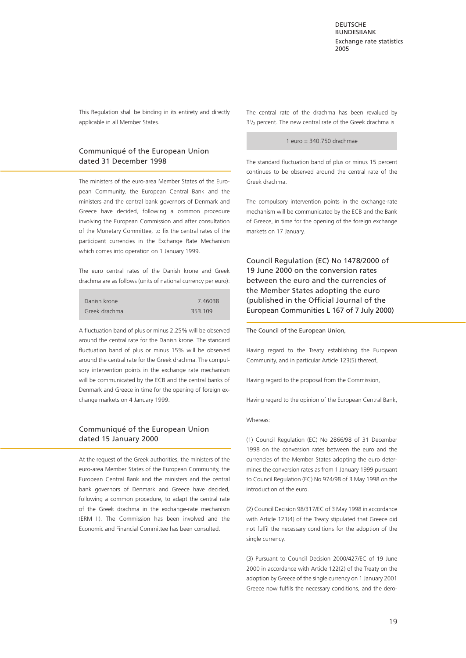This Regulation shall be binding in its entirety and directly applicable in all Member States.

#### Communiqué of the European Union dated 31 December 1998

The ministers of the euro-area Member States of the European Community, the European Central Bank and the ministers and the central bank governors of Denmark and Greece have decided, following a common procedure involving the European Commission and after consultation of the Monetary Committee, to fix the central rates of the participant currencies in the Exchange Rate Mechanism which comes into operation on 1 January 1999.

The euro central rates of the Danish krone and Greek drachma are as follows (units of national currency per euro):

| Danish krone  | 746038  |
|---------------|---------|
| Greek drachma | 353.109 |

A fluctuation band of plus or minus 2.25% will be observed around the central rate for the Danish krone. The standard fluctuation band of plus or minus 15% will be observed around the central rate for the Greek drachma. The compulsory intervention points in the exchange rate mechanism will be communicated by the ECB and the central banks of Denmark and Greece in time for the opening of foreign exchange markets on 4 January 1999.

#### Communiqué of the European Union dated 15 January 2000

At the request of the Greek authorities, the ministers of the euro-area Member States of the European Community, the European Central Bank and the ministers and the central bank governors of Denmark and Greece have decided, following a common procedure, to adapt the central rate of the Greek drachma in the exchange-rate mechanism (ERM II). The Commission has been involved and the Economic and Financial Committee has been consulted.

The central rate of the drachma has been revalued by  $3<sup>1</sup>$ <sub>2</sub> percent. The new central rate of the Greek drachma is

#### 1 euro = 340.750 drachmae

The standard fluctuation band of plus or minus 15 percent continues to be observed around the central rate of the Greek drachma.

The compulsory intervention points in the exchange-rate mechanism will be communicated by the ECB and the Bank of Greece, in time for the opening of the foreign exchange markets on 17 January.

Council Regulation (EC) No 1478/2000 of 19 June 2000 on the conversion rates between the euro and the currencies of the Member States adopting the euro (published in the Official Journal of the European Communities L 167 of 7 July 2000)

The Council of the European Union,

Having regard to the Treaty establishing the European Community, and in particular Article 123(5) thereof,

Having regard to the proposal from the Commission,

Having regard to the opinion of the European Central Bank,

Whereas:

(1) Council Regulation (EC) No 2866/98 of 31 December 1998 on the conversion rates between the euro and the currencies of the Member States adopting the euro determines the conversion rates as from 1 January 1999 pursuant to Council Regulation (EC) No 974/98 of 3 May 1998 on the introduction of the euro.

(2) Council Decision 98/317/EC of 3 May 1998 in accordance with Article 121(4) of the Treaty stipulated that Greece did not fulfil the necessary conditions for the adoption of the single currency.

(3) Pursuant to Council Decision 2000/427/EC of 19 June 2000 in accordance with Article 122(2) of the Treaty on the adoption by Greece of the single currency on 1 January 2001 Greece now fulfils the necessary conditions, and the dero-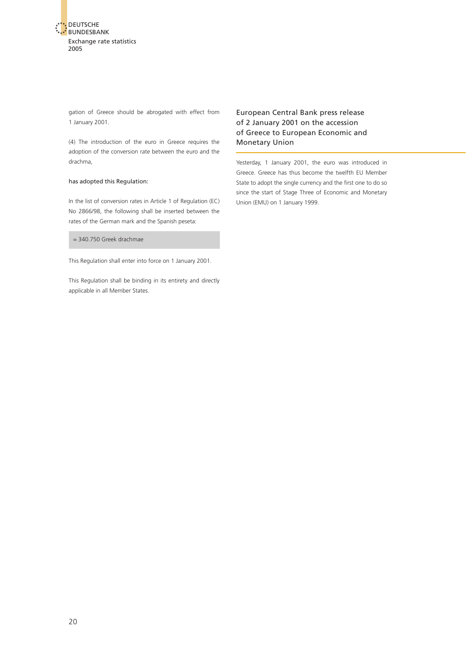

gation of Greece should be abrogated with effect from 1 January 2001.

(4) The introduction of the euro in Greece requires the adoption of the conversion rate between the euro and the drachma,

#### has adopted this Regulation:

In the list of conversion rates in Article 1 of Regulation (EC) No 2866/98, the following shall be inserted between the rates of the German mark and the Spanish peseta:

= 340.750 Greek drachmae

This Regulation shall enter into force on 1 January 2001.

This Regulation shall be binding in its entirety and directly applicable in all Member States.

#### European Central Bank press release of 2 January 2001 on the accession of Greece to European Economic and Monetary Union

Yesterday, 1 January 2001, the euro was introduced in Greece. Greece has thus become the twelfth EU Member State to adopt the single currency and the first one to do so since the start of Stage Three of Economic and Monetary Union (EMU) on 1 January 1999.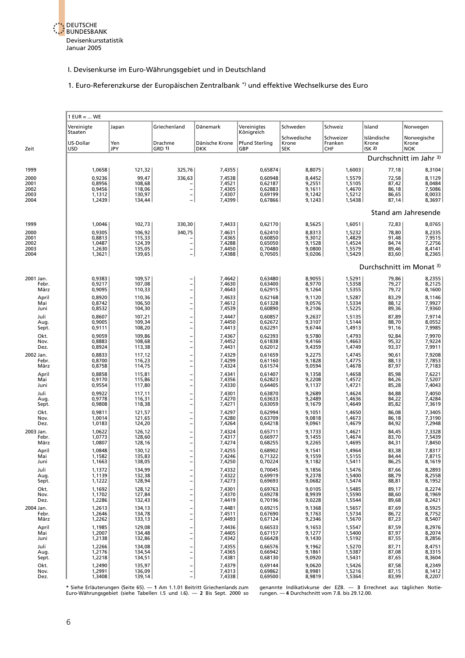

#### 1. Euro-Referenzkurse der Europäischen Zentralbank \*) und effektive Wechselkurse des Euro

<span id="page-20-0"></span>

|                            | $1$ EUR =  WE              |                            |                                                            |                              |                               |                                    |                                    |                                          |                                    |
|----------------------------|----------------------------|----------------------------|------------------------------------------------------------|------------------------------|-------------------------------|------------------------------------|------------------------------------|------------------------------------------|------------------------------------|
|                            | Vereinigte<br>Staaten      | Japan                      | Griechenland                                               | Dänemark                     | Vereinigtes<br>Königreich     | Schweden                           | Schweiz                            | Island                                   | Norwegen                           |
| Zeit                       | US-Dollar<br><b>USD</b>    | Yen<br>JPY                 | Drachme<br>GRD 1)                                          | Dänische Krone<br><b>DKK</b> | <b>Pfund Sterling</b><br>GBP  | Schwedische<br>Krone<br><b>SEK</b> | Schweizer<br>Franken<br><b>CHF</b> | Isländische<br>Krone<br>ISK <sub>2</sub> | Norwegische<br>Krone<br><b>NOK</b> |
|                            |                            |                            |                                                            |                              |                               |                                    |                                    |                                          | Durchschnitt im Jahr 3)            |
| 1999                       | 1,0658                     | 121,32                     | 325,76                                                     | 7,4355                       | 0,65874                       | 8,8075                             | 1,6003                             | 77,18                                    | 8,3104                             |
| 2000<br>2001               | 0,9236<br>0,8956           | 99,47<br>108,68            | 336,63                                                     | 7,4538<br>7,4521             | 0,60948<br>0,62187            | 8,4452<br>9,2551                   | 1,5579<br>1,5105                   | 72,58<br>87,42                           | 8,1129<br>8,0484                   |
| 2002<br>2003               | 0,9456<br>1,1312           | 118,06<br>130,97           | $\qquad \qquad -$                                          | 7,4305<br>7,4307             | 0,62883<br>0,69199            | 9,1611<br>9,1242                   | 1,4670<br>1,5212                   | 86,18<br>86,65                           | 7,5086<br>8,0033                   |
| 2004                       | 1,2439                     | 134,44                     | $\overline{\phantom{0}}$                                   | 7,4399                       | 0,67866                       | 9,1243                             | 1,5438                             | 87,14                                    | 8,3697                             |
|                            |                            |                            |                                                            |                              |                               |                                    |                                    |                                          | Stand am Jahresende                |
| 1999                       | 1,0046                     | 102,73                     | 330,30                                                     | 7,4433                       | 0,62170                       | 8,5625                             | 1,6051                             | 72,83                                    | 8,0765                             |
| 2000<br>2001               | 0,9305<br>0,8813           | 106,92<br>115,33           | 340,75                                                     | 7,4631<br>7,4365             | 0,62410<br>0,60850            | 8,8313<br>9,3012                   | 1,5232<br>1,4829                   | 78,80<br>91,48                           | 8,2335<br>7,9515                   |
| 2002<br>2003               | 1,0487<br>1,2630           | 124,39<br>135,05           | $\qquad \qquad -$                                          | 7,4288<br>7,4450             | 0,65050<br>0,70480            | 9,1528<br>9,0800                   | 1,4524<br>1,5579                   | 84,74<br>89,46                           | 7,2756<br>8,4141                   |
| 2004                       | 1,3621                     | 139,65                     | $\overline{\phantom{0}}$                                   | 7,4388                       | 0,70505                       | 9,0206                             | 1,5429                             | 83,60                                    | 8,2365                             |
|                            |                            |                            |                                                            |                              |                               |                                    |                                    | Durchschnitt im Monat 3)                 |                                    |
| 2001 Jan.<br>Febr.         | 0,9383<br>0,9217           | 109,57<br>107,08           | $\overline{\phantom{0}}$                                   | 7,4642<br>7,4630             | 0,63480<br>0,63400            | 8,9055<br>8,9770                   | 1,5291<br>1,5358                   | 79,86<br>79,27                           | 8,2355<br>8,2125                   |
| März<br>April              | 0,9095<br>0,8920           | 110,33<br>110,36           | $\overline{\phantom{0}}$<br><b>-</b>                       | 7,4643<br>7,4633             | 0,62915<br>0,62168            | 9,1264<br>9,1120                   | 1,5355<br>1,5287                   | 79,72<br>83,29                           | 8,1600<br>8,1146                   |
| Mai<br>Juni                | 0,8742<br>0,8532           | 106,50<br>104,30           | $\qquad \qquad -$<br>$\overline{a}$                        | 7,4612<br>7,4539             | 0,61328<br>0,60890            | 9,0576<br>9,2106                   | 1,5334<br>1,5225                   | 88,12<br>89,36                           | 7,9927<br>7,9360                   |
| Juli                       | 0,8607                     | 107,21                     | $\overline{a}$                                             | 7,4447                       | 0,60857                       | 9,2637                             | 1,5135                             | 87,89                                    | 7,9714                             |
| Aug.<br>Sept.              | 0,9005<br>0,9111           | 109,34<br>108,20           | $\overline{a}$<br>$\overline{\phantom{0}}$                 | 7,4450<br>7,4413             | 0,62672<br>0,62291            | 9,3107<br>9,6744                   | 1,5144<br>1,4913                   | 88,70<br>91,16                           | 8,0552<br>7,9985                   |
| Okt.<br>Nov.               | 0,9059<br>0,8883           | 109,86<br>108,68           | -<br>$\overline{\phantom{0}}$                              | 7,4367<br>7,4452             | 0,62393<br>0,61838            | 9,5780<br>9,4166                   | 1,4793<br>1,4663                   | 92,84<br>95,32                           | 7,9970<br>7,9224                   |
| Dez.                       | 0,8924                     | 113,38                     | $\overline{\phantom{0}}$                                   | 7,4431                       | 0,62012                       | 9,4359                             | 1,4749                             | 93,37                                    | 7,9911                             |
| 2002 Jan.<br>Febr.<br>März | 0,8833<br>0,8700<br>0,8758 | 117,12<br>116,23<br>114,75 | $\overline{\phantom{0}}$<br><sup>-</sup><br>$\overline{a}$ | 7,4329<br>7,4299<br>7,4324   | 0,61659<br>0,61160<br>0,61574 | 9,2275<br>9,1828<br>9,0594         | 1,4745<br>1,4775<br>1,4678         | 90,61<br>88,13<br>87,97                  | 7,9208<br>7,7853<br>7,7183         |
| April<br>Mai<br>Juni       | 0,8858<br>0,9170<br>0,9554 | 115,81<br>115,86<br>117,80 | <sup>-</sup><br><sup>-</sup><br>$\overline{\phantom{0}}$   | 7,4341<br>7,4356<br>7,4330   | 0,61407<br>0,62823<br>0,64405 | 9,1358<br>9,2208<br>9,1137         | 1,4658<br>1,4572<br>1,4721         | 85,98<br>84,26<br>85,28                  | 7,6221<br>7,5207<br>7,4043         |
| Juli<br>Aug.               | 0,9922<br>0,9778           | 117,11<br>116,31           | -<br>$\overline{a}$                                        | 7,4301<br>7,4270             | 0,63870<br>0,63633            | 9,2689<br>9,2489                   | 1,4624<br>1,4636                   | 84,88<br>84,22                           | 7,4050<br>7,4284                   |
| Sept.                      | 0,9808                     | 118,38                     |                                                            | 7,4271                       | 0,63059                       | 9,1679                             | 1,4649                             | 85,82                                    | 7,3619                             |
| Okt.<br>Nov.<br>Dez.       | 0,9811<br>1,0014<br>1,0183 | 121,57<br>121,65<br>124,20 | $\overline{a}$<br>$\overline{\phantom{0}}$                 | 7,4297<br>7,4280<br>7,4264   | 0,62994<br>0,63709<br>0,64218 | 9,1051<br>9,0818<br>9,0961         | 1,4650<br>1,4673<br>1,4679         | 86,08<br>86,18<br>84,92                  | 7,3405<br>7,3190<br>7,2948         |
| 2003 Jan.<br>Febr.<br>März | 1,0622<br>1,0773<br>1,0807 | 126,12<br>128,60<br>128,16 | $\overline{\phantom{0}}$                                   | 7,4324<br>7,4317<br>7,4274   | 0,65711<br>0,66977<br>0,68255 | 9,1733<br>9,1455<br>9,2265         | 1,4621<br>1,4674<br>1,4695         | 84,45<br>83,70<br>84,31                  | 7,3328<br>7,5439<br>7,8450         |
| April<br>Mai               | 1,0848<br>1,1582           | 130,12<br>135,83           | $\overline{\phantom{0}}$                                   | 7,4255<br>7,4246             | 0,68902<br>0,71322            | 9,1541<br>9,1559                   | 1,4964<br>1,5155                   | 83,38<br>84,44                           | 7,8317<br>7,8715                   |
| Juni                       | 1,1663                     | 138,05<br>134,99           |                                                            | 7,4250<br>7,4332             | 0,70224<br>0,70045            | 9,1182<br>9,1856                   | 1,5411<br>1,5476                   | 86,25                                    | 8,1619                             |
| Juli<br>Aug.<br>Sept.      | 1,1372<br>1,1139<br>1,1222 | 132,38<br>128,94           | -<br>$\overline{\phantom{0}}$                              | 7,4322<br>7,4273             | 0,69919<br>0,69693            | 9,2378<br>9,0682                   | 1,5400<br>1,5474                   | 87,66<br>88,79<br>88,81                  | 8,2893<br>8,2558<br>8,1952         |
| Okt.<br>Nov.<br>Dez.       | 1,1692<br>1,1702<br>1,2286 | 128,12<br>127,84<br>132,43 | -<br>$\overline{\phantom{0}}$                              | 7,4301<br>7,4370<br>7,4419   | 0,69763<br>0,69278<br>0,70196 | 9,0105<br>8,9939<br>9,0228         | 1,5485<br>1,5590<br>1,5544         | 89,17<br>88,60<br>89,68                  | 8,2274<br>8,1969<br>8,2421         |
| 2004 Jan.<br>Febr.         | 1,2613<br>1,2646           | 134,13<br>134,78           |                                                            | 7,4481<br>7,4511             | 0,69215<br>0,67690            | 9,1368<br>9,1763                   | 1,5657<br>1,5734                   | 87,69<br>86,72                           | 8,5925<br>8,7752                   |
| März                       | 1,2262                     | 133,13                     |                                                            | 7,4493                       | 0,67124                       | 9,2346                             | 1,5670                             | 87,23                                    | 8,5407                             |
| April<br>Mai<br>Juni       | 1,1985<br>1,2007<br>1,2138 | 129,08<br>134,48<br>132,86 |                                                            | 7,4436<br>7,4405<br>7,4342   | 0,66533<br>0,67157<br>0,66428 | 9,1653<br>9,1277<br>9,1430         | 1,5547<br>1,5400<br>1,5192         | 87,59<br>87,97<br>87,55                  | 8,2976<br>8,2074<br>8,2856         |
| Juli<br>Aug.               | 1,2266<br>1,2176           | 134,08<br>134,54           | $\overline{\phantom{0}}$<br>$\overline{a}$                 | 7,4355<br>7,4365             | 0,66576<br>0,66942            | 9,1962<br>9,1861                   | 1,5270<br>1,5387                   | 87,71<br>87,08                           | 8,4751<br>8,3315                   |
| Sept.                      | 1,2218                     | 134,51                     | $\overline{\phantom{0}}$                                   | 7,4381                       | 0,68130                       | 9,0920                             | 1,5431                             | 87,65                                    | 8,3604                             |
| Okt.<br>Nov.<br>Dez.       | 1,2490<br>1,2991<br>1,3408 | 135,97<br>136,09<br>139,14 | -<br>-<br>$\overline{\phantom{0}}$                         | 7,4379<br>7,4313<br>7,4338   | 0,69144<br>0,69862<br>0,69500 | 9,0620<br>8,9981<br>8,9819         | 1,5426<br>1,5216<br>1,5364         | 87,58<br>87,15<br>83,99                  | 8,2349<br>8,1412<br>8,2207         |

\* Siehe Erläuterungen (Seite 65). — 1 Am 1.1.01 Beitritt Griechenlands zum benannte Indikativkurse der EZB. — 3 Errechnet aus täglichen Notie-<br>Euro-Währungsgebiet (siehe Tabellen 1.5 und 1.6). — 2 Bis Sept. 2000 sohrungen.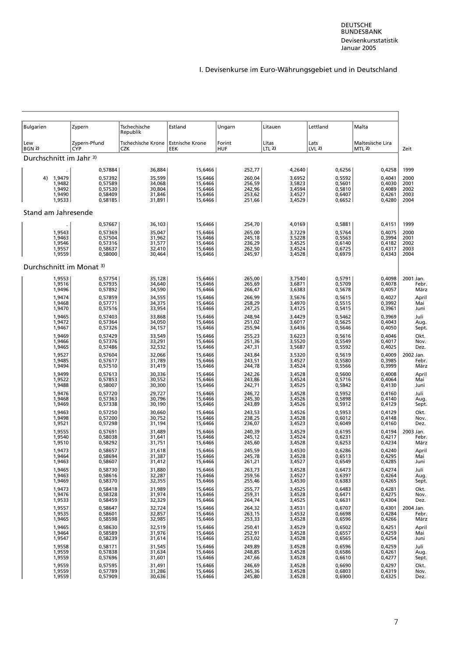<span id="page-21-0"></span>

| Bulgarien                           | Zypern                     | Tschechische<br>Republik                           | Estland            | Ungarn               | Litauen          | Lettland                 | Malta                             |              |
|-------------------------------------|----------------------------|----------------------------------------------------|--------------------|----------------------|------------------|--------------------------|-----------------------------------|--------------|
| Lew<br><b>BGN 2)</b>                | Zypern-Pfund<br><b>CYP</b> | Tschechische Krone   Estnische Krone<br><b>CZK</b> | EEK                | Forint<br><b>HUF</b> | Litas<br>LTL 2)  | Lats<br>LVL <sub>2</sub> | Maltesische Lira<br><b>MTL 2)</b> | Zeit         |
| Durchschnitt im Jahr 3)             |                            |                                                    |                    |                      |                  |                          |                                   |              |
|                                     | 0,57884                    | 36,884                                             | 15,6466            | 252,77               | 4,2640           | 0,6256                   | 0,4258                            | 1999         |
| 4) 1,9479                           | 0,57392                    | 35,599                                             | 15,6466            | 260,04               | 3,6952           | 0,5592                   | 0,4041                            | 2000         |
| 1,9482                              | 0,57589                    | 34,068                                             | 15,6466            | 256,59               | 3,5823           | 0,5601                   | 0,4030                            | 2001         |
| 1,9492                              | 0,57530                    | 30,804                                             | 15.6466            | 242,96               | 3,4594           | 0,5810                   | 0,4089                            | 2002         |
| 1,9490                              | 0,58409                    | 31,846                                             | 15,6466            | 253,62               | 3,4527           | 0,6407                   | 0,4261                            | 2003         |
| 1,9533                              | 0,58185                    | 31,891                                             | 15,6466            | 251,66               | 3,4529           | 0,6652                   | 0,4280                            | 2004         |
| Stand am Jahresende                 |                            |                                                    |                    |                      |                  |                          |                                   |              |
|                                     | 0,57667                    | 36,103                                             | 15,6466            | 254,70               | 4,0169           | 0,5881                   | 0,4151                            | 1999         |
| 1,9543                              | 0,57369                    | 35,047                                             | 15,6466            | 265,00               | 3,7229           | 0,5764                   | 0,4075                            | 2000         |
| 1,9463                              | 0,57504                    | 31,962                                             | 15,6466            | 245,18               | 3,5228           | 0,5563                   | 0,3994                            | 2001         |
| 1,9546                              | 0,57316                    | 31,577                                             | 15,6466            | 236,29               | 3,4525           | 0,6140                   | 0,4182                            | 2002         |
| 1,9557                              | 0,58637                    | 32,410                                             | 15,6466            | 262,50               | 3,4524           | 0,6725                   | 0,4317                            | 2003         |
| 1,9559                              | 0,58000                    | 30,464                                             | 15,6466            | 245,97               | 3,4528           | 0,6979                   | 0,4343                            | 2004         |
| Durchschnitt im Monat <sup>3)</sup> |                            |                                                    |                    |                      |                  |                          |                                   |              |
| 1,9553                              | 0,57754                    | 35,128                                             | 15,6466            | 265,00               | 3,7540           | 0,5791                   | 0,4098                            | 2001 Jan.    |
| 1,9516                              | 0,57935                    | 34,640                                             | 15,6466            | 265,69               | 3,6871           | 0,5709                   | 0,4078                            | Febr.        |
| 1,9496                              | 0,57892                    | 34,590                                             | 15,6466            | 266,47               | 3,6383           | 0,5678                   | 0,4057                            | März         |
| 1,9474                              | 0,57859                    | 34,555                                             | 15,6466            | 266,99               | 3,5676           | 0,5615                   | 0,4027                            | April        |
| 1,9468                              | 0,57771                    | 34,375                                             | 15,6466            | 258,29               | 3,4970           | 0,5515                   | 0,3992                            | Mai          |
| 1,9470                              | 0,57516                    | 33,954                                             | 15,6466            | 247,25               | 3,4125           | 0,5415                   | 0,3961                            | Juni         |
| 1,9465                              | 0,57403                    | 33,868                                             | 15,6466            | 248,94               | 3,4429           | 0,5462                   | 0,3969                            | Juli         |
| 1,9472                              | 0,57364                    | 34,050                                             | 15,6466            | 251,02               | 3,6017           | 0,5625                   | 0,4043                            | Aug.         |
| 1,9467                              | 0,57326                    | 34,157                                             | 15,6466            | 255,94               | 3,6436           | 0,5646                   | 0,4050                            | Sept.        |
| 1,9469                              | 0,57429                    | 33,549                                             | 15,6466            | 255,23               | 3,6223           | 0,5616                   | 0,4046                            | Okt.         |
| 1,9466                              | 0,57376                    | 33,291                                             | 15,6466            | 251,36               | 3,5520           | 0,5549                   | 0,4017                            | Nov.         |
| 1,9465                              | 0,57486                    | 32,532                                             | 15,6466            | 247,31               | 3,5687           | 0,5592                   | 0,4025                            | Dez.         |
| 1,9527                              | 0,57604                    | 32,066                                             | 15,6466            | 243,84               | 3,5320           | 0,5619                   | 0,4009                            | 2002 Jan.    |
| 1,9485                              | 0,57617                    | 31,789                                             | 15,6466            | 243,51               | 3,4527           | 0,5580                   | 0,3985                            | Febr.        |
| 1,9494                              | 0,57510                    | 31,419                                             | 15,6466            | 244,78               | 3,4524           | 0,5566                   | 0,3999                            | März         |
| 1,9499                              | 0,57613                    | 30,336                                             | 15,6466            | 242,26               | 3,4528           | 0,5600                   | 0,4008                            | April        |
| 1,9522                              | 0,57853                    | 30,552                                             | 15,6466            | 243,86               | 3,4524           | 0,5716                   | 0,4064                            | Mai          |
| 1,9488                              | 0,58007                    | 30,300                                             | 15,6466            | 242,71               | 3,4525           | 0,5842                   | 0,4130                            | Juni         |
| 1,9476                              | 0,57720                    | 29,727                                             | 15,6466            | 246,72               | 3,4528           | 0,5952                   | 0,4160                            | Juli         |
| 1,9468                              | 0,57363                    | 30,796                                             | 15,6466            | 245,30               | 3,4526           | 0,5898                   | 0,4140                            | Aug.         |
| 1,9469                              | 0,57338                    | 30,190                                             | 15,6466            | 243,89               | 3,4526           | 0,5912                   | 0,4129                            | Sept.        |
| 1,9463                              | 0,57250                    | 30,660                                             | 15,6466            | 243,53               | 3,4526           | 0,5953                   | 0,4129                            | Okt.         |
| 1,9498<br>1,9521                    | 0,57200                    | 30,752<br>31,194                                   | 15,6466<br>15,6466 | 238,25<br>236,07     | 3,4528           | 0,6012<br>0,6049         | 0,4148<br>0,4160                  | Nov.<br>Dez. |
| 1,9555                              | 0,57298<br>0,57691         | 31,489                                             | 15,6466            | 240,39               | 3,4523<br>3,4529 | 0,6195                   | 0,4194                            | 2003 Jan.    |
| 1,9540                              | 0,58038                    | 31,641                                             | 15,6466            | 245,12               | 3,4524           | 0,6231                   | 0,4217                            | Febr.        |
| 1,9510                              | 0,58292                    | 31,751                                             | 15,6466            | 245,60               | 3,4528           | 0,6253                   | 0,4234                            | März         |
| 1,9473                              | 0,58657                    | 31,618                                             | 15,6466            | 245,59               | 3,4530           | 0,6286                   | 0,4240                            | April        |
| 1,9464                              | 0,58694                    | 31,387                                             | 15,6466            | 245,78               | 3,4528           | 0,6513                   | 0,4295                            | Mai          |
| 1,9463                              | 0,58607                    | 31,412                                             | 15,6466            | 261,21               | 3,4527           | 0,6549                   | 0,4285                            | Juni         |
| 1,9465                              | 0,58730                    | 31.880                                             | 15,6466            | 263,73               | 3,4528           | 0,6473                   | 0,4274                            | Juli         |
| 1,9463                              | 0,58616                    | 32,287                                             | 15,6466            | 259,56               | 3,4527           | 0,6397                   | 0,4264                            | Aug.         |
| 1,9469                              | 0,58370                    | 32,355                                             | 15,6466            | 255,46               | 3,4530           | 0,6383                   | 0,4265                            | Sept.        |
| 1,9473                              | 0,58418                    | 31,989                                             | 15.6466            | 255,77               | 3,4525           | 0,6483                   | 0,4281                            | Okt.         |
| 1,9476                              | 0.58328                    | 31,974                                             | 15.6466            | 259,31               | 3,4528           | 0,6471                   | 0,4275                            | Nov.         |
| 1,9533                              | 0,58459                    | 32,329                                             | 15,6466            | 264,74               | 3,4525           | 0,6631                   | 0,4304                            | Dez.         |
| 1,9557                              | 0,58647                    | 32,724                                             | 15,6466            | 264,32               | 3,4531           | 0,6707                   | 0,4301                            | 2004 Jan.    |
| 1,9535                              | 0,58601                    | 32,857                                             | 15,6466            | 263,15               | 3,4532           | 0,6698                   | 0,4284                            | Febr.        |
| 1,9465                              | 0,58598                    | 32,985                                             | 15,6466            | 253,33               | 3,4528           | 0,6596                   | 0,4266                            | März         |
| 1,9465                              | 0,58630                    | 32,519                                             | 15.6466            | 250,41               | 3,4529           | 0,6502                   | 0,4251                            | April        |
| 1,9464                              | 0,58589                    | 31,976                                             | 15,6466            | 252,91               | 3,4528           | 0,6557                   | 0,4259                            | Mai          |
| 1,9547                              | 0,58239                    | 31,614                                             | 15,6466            | 253,02               | 3,4528           | 0,6565                   | 0,4254                            | Juni         |
| 1,9558                              | 0,58171                    | 31,545                                             | 15,6466            | 249,89               | 3,4528           | 0,6596                   | 0,4259                            | Juli         |
| 1,9559                              | 0,57838                    | 31,634                                             | 15,6466            | 248,85               | 3,4528           | 0,6586                   | 0,4261                            | Aug.         |
| 1,9559                              | 0,57696                    | 31,601                                             | 15,6466            | 247,66               | 3,4528           | 0,6610                   | 0,4277                            | Sept.        |
| 1,9559                              | 0,57595                    | 31,491                                             | 15,6466            | 246,69               | 3,4528           | 0,6690                   | 0,4297                            | Okt.         |
| 1,9559                              | 0,57789                    | 31,286                                             | 15,6466            | 245,36               | 3,4528           | 0,6803                   | 0,4319                            | Nov.         |
| 1,9559                              | 0,57909                    | 30,636                                             | 15,6466            | 245,80               | 3,4528           | 0,6900                   | 0,4325                            | Dez.         |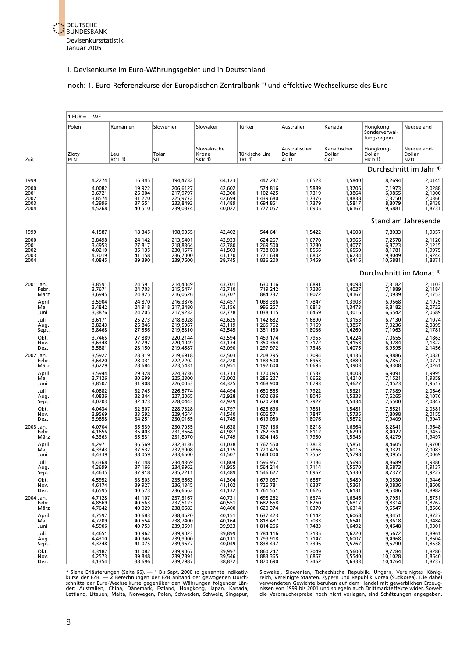

#### noch: 1. Euro-Referenzkurse der Europäischen Zentralbank \*) und effektive Wechselkurse des Euro

|                       | $1$ EUR =  WE              |                            |                                  |                                       |                                 |                                |                              |                                           |                                     |  |
|-----------------------|----------------------------|----------------------------|----------------------------------|---------------------------------------|---------------------------------|--------------------------------|------------------------------|-------------------------------------------|-------------------------------------|--|
|                       | Polen                      | Rumänien                   | Slowenien                        | Slowakei                              | Türkei                          | Australien                     | Kanada                       | Hongkong,<br>Sonderverwal-<br>tungsregion | Neuseeland                          |  |
| Zeit                  | Zloty<br><b>PLN</b>        | Leu<br><b>ROL 1)</b>       | Tolar<br>SIT                     | Slowakische<br>Krone<br><b>SKK 1)</b> | Türkische Lira<br><b>TRL 1)</b> | Australischer<br>Dollar<br>AUD | Kanadischer<br>Dollar<br>CAD | Hongkong-<br>Dollar<br><b>HKD 1)</b>      | Neuseeland-<br>Dollar<br><b>NZD</b> |  |
|                       |                            |                            |                                  |                                       |                                 |                                |                              |                                           | Durchschnitt im Jahr <sup>4)</sup>  |  |
| 1999                  | 4,2274                     | 16 345                     | 194,4732                         | 44,123                                | 447 237                         | 1,6523                         | 1,5840                       | 8,2694                                    | 2,0145                              |  |
| 2000                  | 4,0082                     | 19 922                     | 206,6127                         | 42,602                                | 574 816                         | 1,5889                         | 1,3706                       | 7,1973                                    | 2,0288                              |  |
| 2001                  | 3,6721                     | 26 004                     | 217,9797                         | 43,300                                | 1 102 425                       | 1,7319                         | 1,3864                       | 6,9855                                    | 2,1300                              |  |
| 2002                  | 3,8574                     | 31 270                     | 225,9772                         | 42,694                                | 1 439 680                       | 1,7376                         | 1,4838                       | 7,3750                                    | 2,0366                              |  |
| 2003                  | 4,3996                     | 37 551                     | 233,8493                         | 41,489                                | 1694851                         | 1,7379                         | 1,5817                       | 8,8079                                    | 1,9438                              |  |
| 2004                  | 4,5268                     | 40 510                     | 239,0874                         | 40,022                                | 1777052                         | 1,6905                         | 1,6167                       | 9,6881                                    | 1,8731                              |  |
|                       |                            |                            |                                  |                                       |                                 |                                |                              |                                           | Stand am Jahresende                 |  |
| 1999                  | 4,1587                     | 18 345                     | 198,9055                         | 42,402                                | 544 641                         | 1,5422                         | 1,4608                       | 7,8033                                    | 1,9357                              |  |
| 2000                  | 3,8498                     | 24 142                     | 213,5401                         | 43,933                                | 624 267                         | 1,6770                         | 1,3965                       | 7,2578                                    | 2,1120                              |  |
| 2001                  | 3,4953                     | 27817                      | 218,8364                         | 42,780                                | 1 269 500                       | 1,7280                         | 1,4077                       | 6,8723                                    | 2,1215                              |  |
| 2002                  | 4,0210                     | 35 135                     | 230,1577                         | 41,503                                | 1738000                         | 1,8556                         | 1,6550                       | 8,1781                                    | 1,9975                              |  |
| 2003                  | 4,7019                     | 41 158                     | 236,7000                         | 41,170                                | 1771638                         | 1,6802                         | 1,6234                       | 9,8049                                    | 1,9244                              |  |
| 2004                  | 4,0845                     | 39 390                     | 239,7600                         | 38,745                                | 1836 200                        | 1,7459                         | 1,6416                       | 10,5881                                   | 1,8871                              |  |
|                       |                            |                            |                                  |                                       |                                 |                                |                              | Durchschnitt im Monat <sup>4)</sup>       |                                     |  |
| 2001 Jan.             | 3,8591                     | 24 591                     | 214,4049                         | 43,701                                | 630 116                         | 1,6891                         | 1,4098                       | 7,3182                                    | 2,1103                              |  |
| Febr.                 | 3,7671                     | 24 703                     | 215,5474                         | 43,710                                | 719 242                         | 1,7236                         | 1,4027                       | 7,1889                                    | 2,1184                              |  |
| März                  | 3,6945                     | 24 8 25                    | 216,0526                         | 43,707                                | 884 732                         | 1,8072                         | 1,4167                       | 7,0939                                    | 2,1753                              |  |
| April                 | 3,5904                     | 24 870                     | 216,3876                         | 43,457                                | 1 088 386                       | 1,7847                         | 1,3903                       | 6,9568                                    | 2,1975                              |  |
| Mai                   | 3,4842                     | 24 918                     | 217,3480                         | 43,156                                | 996 257                         | 1,6813                         | 1,3473                       | 6,8182                                    | 2,0723                              |  |
| Juni                  | 3,3876                     | 24 705                     | 217,9232                         | 42,778                                | 1038115                         | 1,6469                         | 1,3016                       | 6,6542                                    | 2,0589                              |  |
| Juli                  | 3,6171                     | 25 273                     | 218,8028                         | 42,625                                | 1 142 682                       | 1,6890                         | 1,3153                       | 6,7130                                    | 2,1074                              |  |
| Aug.                  | 3.8243                     | 26 846                     | 219,5067                         | 43,119                                | 1 265 762                       | 1.7169                         | 1,3857                       | 7,0236                                    | 2,0895                              |  |
| Sept.                 | 3,8468                     | 27 556                     | 219,8310                         | 43,545                                | 1 351 150                       | 1,8036                         | 1,4260                       | 7,1063                                    | 2,1781                              |  |
| Okt.                  | 3,7465                     | 27889                      | 220.2144                         | 43,594                                | 1 459 174                       | 1,7955                         | 1,4224                       | 7,0655                                    | 2,1863                              |  |
| Nov.                  | 3,6348                     | 27 797                     | 220,1049                         | 43,134                                | 1 350 364                       | 1,7172                         | 1,4153                       | 6,9284                                    | 2,1322                              |  |
| Dez.                  | 3,5881                     | 28 150                     | 219,4587                         | 43,090                                | 1 297 972                       | 1,7348                         | 1,4075                       | 6,9595                                    | 2,1456                              |  |
| 2002 Jan.             | 3,5922                     | 28 3 19                    | 219,6918                         | 42,503                                | 1 208 795                       | 1,7094                         | 1,4135                       | 6,8886                                    | 2,0826                              |  |
| Febr.                 | 3,6420                     | 28 031                     | 222,7202                         | 42,220                                | 1 183 500                       | 1,6963                         | 1,3880                       | 6,7857                                    | 2,0771                              |  |
| März                  | 3,6229                     | 28 684                     | 223,5431                         | 41,951                                | 1 192 600                       | 1,6695                         | 1,3903                       | 6,8308                                    | 2,0261                              |  |
| April                 | 3,5944                     | 29 3 28                    | 224,3736                         | 41,713                                | 1 170 095                       | 1,6537                         | 1,4008                       | 6,9091                                    | 1,9995                              |  |
| Mai                   | 3,7126                     | 30 699                     | 225,2300                         | 43,002                                | 1 286 227                       | 1,6662                         | 1,4210                       | 7,1521                                    | 1,9859                              |  |
| Juni                  | 3,8502                     | 31 908                     | 226,0053                         | 44,325                                | 1468900                         | 1,6793                         | 1,4627                       | 7,4523                                    | 1,9517                              |  |
| Juli                  | 4,0882                     | 32745                      | 226,5774                         | 44,494                                | 1 650 565                       | 1,7922                         | 1,5321                       | 7,7389                                    | 2,0646                              |  |
| Aug.                  | 4,0836                     | 32 344                     | 227,2065                         | 43,928                                | 1602636                         | 1,8045                         | 1,5333                       | 7,6265                                    | 2,1076                              |  |
| Sept.                 | 4,0703                     | 32 473                     | 228,0443                         | 42,929                                | 1 620 238                       | 1,7927                         | 1,5434                       | 7,6500                                    | 2,0847                              |  |
| Okt.                  | 4,0434                     | 32 607                     | 228,7328                         | 41,797                                | 1625696                         | 1,7831                         | 1,5481                       | 7,6521                                    | 2,0381                              |  |
| Nov.                  | 3,9569                     | 33 592                     | 229,4644                         | 41,540                                | 1 606 571                       | 1,7847                         | 1,5735                       | 7,8098                                    | 2,0155                              |  |
| Dez.                  | 3,9858                     | 34 251                     | 230,0165                         | 41,745                                | 1619050                         | 1,8076                         | 1,5872                       | 7,9409                                    | 1,9947                              |  |
| 2003 Jan.             | 4,0704                     | 35 539                     | 230,7055                         | 41,638                                | 1767136                         | 1,8218                         | 1,6364                       | 8,2841                                    | 1,9648                              |  |
| Febr.                 | 4,1656                     | 35 403                     | 231,3664                         | 41,987                                | 1762350                         | 1,8112                         | 1,6299                       | 8,4022                                    | 1,9457                              |  |
| März                  | 4,3363                     | 35 831                     | 231,8070                         | 41,749                                | 1804 143                        | 1,7950                         | 1,5943                       | 8,4279                                    | 1,9497                              |  |
| April                 | 4,2971                     | 36 569                     | 232,3136                         | 41,038                                | 1767550                         | 1,7813                         | 1,5851                       | 8,4605                                    | 1,9700                              |  |
| Mai                   | 4,3343                     | 37 632                     | 232,9908                         | 41,125                                | 1720476                         | 1,7866                         | 1,6016                       | 9,0321                                    | 2,0083                              |  |
| Juni                  | 4,4339                     | 38 059                     | 233,6600                         | 41,507                                | 1 664 000                       | 1,7552                         | 1,5798                       | 9,0955                                    | 2,0069                              |  |
| Juli                  | 4,4368                     | 37 148                     | 234,4369                         | 41,804                                | 1 596 957                       | 1,7184                         | 1,5694                       | 8,8689                                    | 1,9386                              |  |
| Aug.                  | 4,3699                     | 37 166                     | 234,9962                         | 41,955                                | 1 564 214                       | 1,7114                         | 1,5570                       | 8,6873                                    | 1,9137                              |  |
| Sept.                 | 4,4635                     | 37918                      | 235,2211                         | 41,489                                | 1 546 627                       | 1,6967                         | 1,5330                       | 8,7377                                    | 1,9227                              |  |
| Okt.                  | 4,5952                     | 38 803                     | 235,6663                         | 41,304                                | 1679067                         | 1,6867                         | 1,5489                       | 9,0530                                    | 1,9446                              |  |
| Nov.                  | 4,6174                     | 39 927                     | 236,1345                         | 41,102                                | 1726781                         | 1,6337                         | 1,5361                       | 9,0836                                    | 1,8608                              |  |
| Dez.                  | 4,6595                     | 40 573                     | 236,6662                         | 41,132                                | 1761551                         | 1,6626                         | 1,6131                       | 9,5386                                    | 1,8982                              |  |
| 2004 Jan.             | 4,7128                     | 41 107                     | 237,3167                         | 40,731                                | 1 698 262                       | 1,6374                         | 1,6346                       | 9,7951                                    | 1,8751                              |  |
| Febr.                 | 4,8569                     | 40 563                     | 237,5123                         | 40,551                                | 1682658                         | 1,6260                         | 1,6817                       | 9,8314                                    | 1,8262                              |  |
| März                  | 4,7642                     | 40 0 29                    | 238,0683                         | 40,400                                | 1620374                         | 1,6370                         | 1,6314                       | 9,5547                                    | 1,8566                              |  |
| April<br>Mai<br>Juni  | 4,7597<br>4,7209<br>4,5906 | 40 683<br>40 554<br>40753  | 238,4520<br>238,7400<br>239,3591 | 40,151<br>40,164<br>39,923            | 1 637 423<br>1818487<br>1814266 | 1,6142<br>1,7033<br>1,7483     | 1,6068<br>1,6541<br>1,6492   | 9,3451<br>9,3618<br>9,4648                | 1,8727<br>1,9484<br>1,9301          |  |
| Juli<br>Aug.<br>Sept. | 4,4651<br>4,4310<br>4,3748 | 40 962<br>40 946<br>41 075 | 239,9023<br>239,9900<br>239,9677 | 39,899<br>40,111<br>40,049            | 1784 116<br>1799918<br>1838497  | 1,7135<br>1,7147<br>1,7396     | 1,6220<br>1,6007<br>1,5767   | 9,5672<br>9,4968<br>9,5290                | 1,8961<br>1,8604<br>1,8538          |  |
| Okt.                  | 4,3182                     | 41 082                     | 239,9067                         | 39,997                                | 1860247                         | 1,7049                         | 1,5600                       | 9,7284                                    | 1,8280                              |  |
| Nov.                  | 4,2573                     | 39 848                     | 239,7891                         | 39,546                                | 1883 365                        | 1,6867                         | 1,5540                       | 10,1028                                   | 1,8540                              |  |
| Dez.                  | 4,1354                     | 38 696                     | 239,7987                         | 38,872                                | 1870 690                        | 1,7462                         | 1,6333                       | 10,4264                                   | 1,8737                              |  |

\* Siehe Erläuterungen (Seite 65). — 1 Bis Sept. 2000 so genannte Indikativ-clowakei, Slowenien, Tschechische Republik, Ungarn, Vereinigtes König-<br>Kurse der EZB. — 2 Berechnungen der EZB anhand der gewogenen Durch-cieh, Ver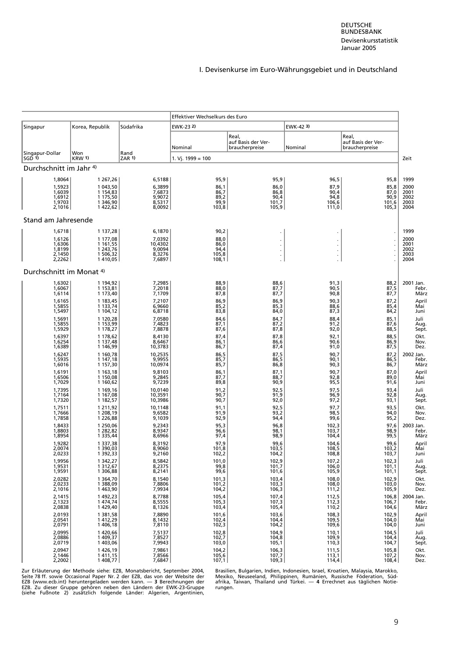<span id="page-23-0"></span>

|                                     |                                  |                               | Effektiver Wechselkurs des Euro |                                               |                      |                                               |                       |
|-------------------------------------|----------------------------------|-------------------------------|---------------------------------|-----------------------------------------------|----------------------|-----------------------------------------------|-----------------------|
| Singapur                            | Korea, Republik                  | Südafrika                     | EWK-23 2)                       |                                               | EWK-42 3)            |                                               |                       |
|                                     |                                  |                               | Nominal                         | Real,<br>auf Basis der Ver-<br>braucherpreise | Nominal              | Real,<br>auf Basis der Ver-<br>braucherpreise |                       |
| Singapur-Dollar<br>$SGD$ 1)         | Won<br><b>KRW 1)</b>             | Rand<br><b>ZAR 1)</b>         | 1. Vj. 1999 = $100$             |                                               |                      |                                               | Zeit                  |
| Durchschnitt im Jahr <sup>4)</sup>  |                                  |                               |                                 |                                               |                      |                                               |                       |
| 1,8064                              | 1 267,26                         | 6,5188                        | 95,9                            | 95,9                                          | 96,5                 | 95,8                                          | 1999                  |
| 1,5923<br>1,6039                    | 1 043,50<br>1 154,83             | 6,3899<br>7,6873              | 86,1<br>86,7                    | 86,0<br>86,8                                  | 87,9<br>90,4         | 85,8<br>87,0                                  | 2000<br>2001          |
| 1,6912                              | 1 175,50                         | 9,9072                        | 89,2                            | 90,4                                          | 94,8                 | 90,9                                          | 2002                  |
| 1,9703                              | 1 346,90                         | 8,5317                        | 99,9                            | 101,7                                         | 106,6                | 101,6                                         | 2003                  |
| 2,1016                              | 1422,62                          | 8,0092                        | 103,8                           | 105,9                                         | 111,0                | 105,3                                         | 2004                  |
| Stand am Jahresende                 |                                  |                               |                                 |                                               |                      |                                               |                       |
| 1,6718<br>1,6126                    | 1 137,28<br>1 177,08             | 6,1870<br>7,0392              | 90,2<br>88,0                    |                                               |                      |                                               | 1999<br>2000          |
| 1,6306<br>1,8199                    | 1 1 6 1 , 5 5<br>1 243,76        | 10,4302<br>9,0094             | 86,0<br>94,4                    | $\blacksquare$<br>$\ddot{\phantom{0}}$        | $\ddot{\phantom{0}}$ |                                               | 2001<br>2002          |
| 2,1450<br>2,2262                    | 1 506,32<br>1410,05              | 8,3276<br>7,6897              | 105,8<br>108,1                  | $\blacksquare$                                | $\ddot{\phantom{0}}$ |                                               | 2003<br>2004          |
| Durchschnitt im Monat <sup>4)</sup> |                                  |                               |                                 |                                               |                      |                                               |                       |
| 1,6302<br>1,6067                    | 1 194,92<br>1 153,81             | 7,2985<br>7,2018              | 88,9<br>88,0                    | 88,6<br>87,7                                  | 91,3<br>90,5         | 88,2<br>87,5                                  | 2001 Jan.<br>Febr.    |
| 1,6114                              | 1 173,40                         | 7,1709                        | 87,8                            | 87,7                                          | 90,8                 | 87,7                                          | März                  |
| 1,6165                              | 1 183,45                         | 7,2107                        | 86,9                            | 86,9                                          | 90,3                 | 87,2                                          | April                 |
| 1,5855                              | 1 133,74                         | 6,9660                        | 85,2                            | 85,3                                          | 88,6                 | 85,4                                          | Mai                   |
| 1,5497                              | 1 104,12                         | 6,8718                        | 83,8                            | 84,0                                          | 87,3                 | 84,2                                          | Juni                  |
| 1,5691                              | 1 120,28                         | 7,0580                        | 84,6                            | 84,7                                          | 88,4                 | 85,1                                          | Juli                  |
| 1,5855                              | 1 153,99                         | 7,4823                        | 87,1                            | 87,2                                          | 91,2                 | 87,6                                          | Aug.                  |
| 1,5929                              | 1 178,27                         | 7,8878                        | 87,6                            | 87,8                                          | 92,0                 | 88,5                                          | Sept.                 |
| 1,6397                              | 1 178,62                         | 8,4130                        | 87,4                            | 87,8                                          | 92,1                 | 88,5                                          | Okt.                  |
| 1,6254                              | 1 137,48                         | 8,6467                        | 86,1                            | 86,6                                          | 90,6                 |                                               | Nov.                  |
| 1,6389                              | 1 146,99                         | 10,3783                       | 86,7                            | 87,4                                          | 91,0                 | 86,9<br>87,5                                  | Dez.                  |
| 1,6247                              | 1 160,78                         | 10,2535                       | 86,5                            | 87,5                                          | 90.7                 | 87,2                                          | 2002 Jan.             |
| 1,5935                              | 1 147,18                         | 9,9955                        | 85,7                            | 86,5                                          | 90,1                 | 86,5                                          | Febr.                 |
| 1,6016                              | 1 157,30                         | 10,0974                       | 85,7                            | 86,8                                          | 90,3                 | 86,7                                          | März                  |
| 1,6191                              | 1 163,18                         | 9,8103                        | 86,1                            | 87,1                                          | 90.7                 | 87,0                                          | April                 |
| 1,6506                              | 1 150,08                         | 9,2845                        | 87,7                            | 88,7                                          | 92,8                 | 89,0                                          | Mai                   |
| 1,7029                              | 1 160,62                         | 9,7239                        | 89,8                            | 90,9                                          | 95,5                 | 91,6                                          | Juni                  |
| 1,7395<br>1,7164<br>1,7320          | 1 169,16<br>1 167,08<br>1 182,57 | 10,0140<br>10,3591<br>10,3986 | 91,2<br>90,7<br>90,7            | 92,5<br>91,9<br>92,0                          | 97,5<br>96,9<br>97,2 | 93,4<br>92,8<br>93,1                          | Juli<br>Aug.<br>Sept. |
| 1,7511                              | 1 2 1 1 , 9 2                    | 10,1148                       | 91,1                            | 92,5                                          | 97,7                 | 93,5                                          | Okt.                  |
| 1,7666                              | 1 208,19                         | 9,6582                        | 91,9                            | 93,2                                          | 98,5                 | 94,0                                          | Nov.                  |
| 1,7858                              | 1 2 2 6,88                       | 9,1039                        | 92,9                            | 94,4                                          | 99,6                 | 95,2                                          | Dez.                  |
| 1,8433                              | 1 250,06                         | 9,2343                        | 95,3                            | 96,8                                          | 102,3                | 97,6                                          | 2003 Jan.             |
| 1,8803                              | 1 282,82                         | 8,9347                        | 96,6                            | 98,1                                          | 103,7                | 98,9<br>99,5                                  | Febr.                 |
| 1,8954                              | 1 3 3 5 , 4 4                    | 8,6966                        | 97,4                            | 98,9                                          | 104,4                | 99,6                                          | März                  |
| 1,9282                              | 1 3 3 7 , 3 8                    | 8,3192                        | 97.9                            | 99,6                                          | 104,6                |                                               | April                 |
| 2,0074                              | 1 390,03                         | 8,9060                        | 101,8                           | 103,5                                         | 108,5                | 103,2                                         | Mai                   |
| 2,0233                              | 1 392,33                         | 9,2160                        | 102,2                           | 104,2                                         | 108,8                | 103,7                                         | Juni                  |
| 1,9956                              | 1 3 4 2, 27                      | 8,5842<br>8,2375              | 101,0                           | 102,9                                         | 107,2                | 102,3                                         | Juli                  |
| 1,9531                              | 1 3 1 2,67                       |                               | 99,8                            | 101,7                                         | 106,0                | 101,1                                         | Aug.                  |
| 1,9591                              | 1 306,88                         | 8,2141                        | 99,6                            | 101,6                                         | 105,9                | 101,1                                         | Sept.                 |
| 2,0282                              | 1 3 6 4 , 7 0                    | 8,1540                        | 101,3                           | 103,4                                         | 108,0                | 102,9                                         | Okt.                  |
| 2,0233                              | 1 388,09                         | 7,8806                        | 101,2                           | 103,3                                         | 108,0                | 103,0                                         | Nov.                  |
| 2,1016                              | 1463,90                          | 7,9934                        | 104,2                           | 106,3                                         | 111,2                | 105,9                                         | Dez.                  |
| 2,1415                              | 1 492,23<br>1 474,74             | 8,7788                        | 105,4                           | 107,4                                         | 112,5                | 106,8                                         | 2004 Jan.             |
| 2,1323                              | 1429,40                          | 8,5555                        | 105,3                           | 107,3                                         | 112,3                | 106,7                                         | Febr.                 |
| 2,0838                              |                                  | 8,1326                        | 103,4                           | 105,4                                         | 110,2                | 104,6                                         | März                  |
| 2,0193                              | 1 381,58                         | 7,8890                        | 101,6                           | 103,6                                         | 108,3                | 102,9                                         | April                 |
| 2,0541                              | 1412,29                          | 8,1432                        | 102,4                           | 104,4                                         | 109,5                | 104,0                                         | Mai                   |
| 2,0791                              | 1 406,18                         | 7,8110                        | 102,3                           | 104,2                                         | 109,6                | 104,0                                         | Juni                  |
| 2,0995                              | 1420,66                          | 7,5137                        | 102,8                           | 104,9                                         | 110,1                | 104,5                                         | Juli                  |
| 2,0886                              | 1 409,37                         | 7,8527                        | 102,7                           | 104,8                                         | 109,9                | 104,4                                         | Aug.                  |
| 2,0719                              | 1 403,06                         | 7,9943                        | 103,0                           | 105,1                                         | 110,3                | 104,7                                         | Sept.                 |
| 2,0947                              | 1 426,19                         | 7,9861                        | 104,2                           | 106,3                                         | 111,5                | 105,8                                         | Okt.                  |
| 2,1446                              | 1411,15                          | 7,8566                        | 105,6                           | 107,7                                         | 113,1                | 107,2                                         | Nov.                  |
| 2,2002                              | 1 408,77                         | 7,6847                        | 107,1                           | 109,3                                         | 114,4                | 108,4                                         | Dez.                  |

[Zur Erläuterung der Methode siehe: EZB, Monatsbericht, September 2004, Brasilien, Bulgarien, Indien, Indonesien, Israel, Kroatien, Malaysia, Marokko,](#page-5-1)<br>Seite 78 ff. sowie Occasional Paper Nr. 2 der EZB, das von der Website d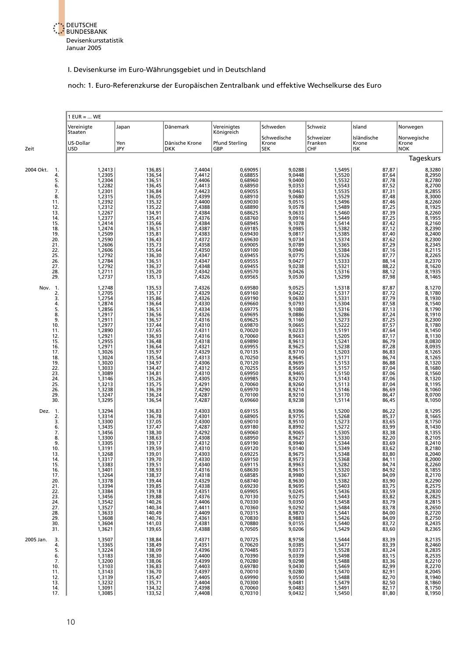<span id="page-24-0"></span>

#### noch: 1. Euro-Referenzkurse der Europäischen Zentralbank und effektive Wechselkurse des Euro

|                                      | $1$ EUR =  WE              |                            |                              |                               |                                    |                                    |                             |                                                                    |  |  |
|--------------------------------------|----------------------------|----------------------------|------------------------------|-------------------------------|------------------------------------|------------------------------------|-----------------------------|--------------------------------------------------------------------|--|--|
|                                      | Vereinigte<br>Staaten      | Japan                      | Dänemark                     | Vereinigtes<br>Königreich     | Schweden                           | Schweiz                            | Island                      | Norwegen                                                           |  |  |
| Zeit                                 | US-Dollar<br>USD           | Yen<br>JPY                 | Dänische Krone<br><b>DKK</b> | <b>Pfund Sterling</b><br>GBP  | Schwedische<br>Krone<br><b>SEK</b> | Schweizer<br>Franken<br><b>CHF</b> | Isländische<br>Krone<br>ISK | Norwegische<br>Krone<br><b>NOK</b>                                 |  |  |
|                                      |                            |                            |                              |                               |                                    |                                    |                             | Tageskurs                                                          |  |  |
| 2004 Okt.<br>1.<br>4.<br>5.          | 1,2413<br>1,2305<br>1,2304 | 136,85<br>136,54<br>136,51 | 7,4404<br>7,4412<br>7,4406   | 0,69095<br>0,68855<br>0,68960 | 9,0288<br>9,0448<br>9,0400         | 1,5495<br>1,5520<br>1,5532         | 87,87<br>87,64<br>87,78     | 8,3280<br>8,2950<br>8,2780                                         |  |  |
| 6.                                   | 1,2282                     | 136,45                     | 7,4413                       | 0,68950                       | 9,0353                             | 1,5543                             | 87,52                       | 8,2700                                                             |  |  |
| 7.                                   | 1,2301                     | 136,84                     | 7,4423                       | 0,69055                       | 9,0463                             | 1,5535                             | 87,31                       | 8,2855<br>8,3000                                                   |  |  |
| 8.<br>11.<br>12.                     | 1,2315<br>1,2392<br>1,2312 | 136,05<br>135,32<br>135,22 | 7,4399<br>7,4400<br>7,4388   | 0,68910<br>0,69030<br>0,68890 | 9,0680<br>9,0515<br>9,0578         | 1,5529<br>1,5496<br>1,5489         | 87,48<br>87,46<br>87,25     | 8,2260<br>8,1925                                                   |  |  |
| 13.                                  | 1,2267                     | 134,91                     | 7,4384                       | 0,68625                       | 9,0633                             | 1,5460                             | 87,39                       | 8,2260                                                             |  |  |
| 14.                                  | 1,2377                     | 135,41                     | 7,4376                       | 0,68760                       | 9,0916                             | 1,5449                             |                             | 8,1955                                                             |  |  |
| 15.                                  | 1,2414                     | 135,66                     | 7,4384                       | 0,68945                       | 9,1078                             | 1,5414                             | 87,25<br>87,42              | 8,2160                                                             |  |  |
| 18.                                  | 1,2474                     | 136,51                     | 7,4387                       | 0,69185                       | 9,0985                             | 1,5382                             | 87,12                       | 8,2390<br>8,2400                                                   |  |  |
| 19.                                  | 1,2509                     | 135,81                     | 7,4383                       | 0,69430                       | 9,0817                             | 1,5385                             | 87,40                       | 8,2300                                                             |  |  |
| 20.                                  | 1,2590                     | 136,43                     | 7,4372                       | 0,69630                       | 9,0734                             | 1,5374                             | 87,62                       |                                                                    |  |  |
| 21.<br>22.<br>25.                    | 1,2606<br>1,2606<br>1,2792 | 135,73<br>135,64<br>136,30 | 7,4358<br>7,4350<br>7,4347   | 0,69005<br>0,69100<br>0,69455 | 9,0789<br>9,0940<br>9,0775         | 1,5365<br>1,5384<br>1,5326         | 87,29<br>87,16              | 8,2345<br>8,2115<br>8,2265                                         |  |  |
| 26.<br>27.                           | 1,2784<br>1,2792           | 136,51<br>136,37           | 7,4347<br>7,4348             | 0,69555<br>0,69455            | 9,0427<br>9,0238                   | 1,5333<br>1,5321                   | 87,77<br>88,14<br>88,22     | 8,2370<br>8,1620                                                   |  |  |
| 28.                                  | 1,2711                     | 135,20                     | 7,4342                       | 0,69570                       | 9,0426                             | 1,5316                             | 88,12                       | 8,1935                                                             |  |  |
| 29.                                  | 1,2737                     | 135,13                     | 7,4326                       | 0,69565                       | 9,0530                             | 1,5299                             | 87,98                       | 8,1465                                                             |  |  |
| Nov. 1.                              | 1,2748                     | 135,53                     | 7,4326                       | 0.69580                       | 9,0525                             | 1,5318                             | 87,87                       | 8,1270                                                             |  |  |
| $\frac{2}{3}$ .                      | 1,2705                     | 135,17                     | 7,4329                       | 0.69160                       | 9,0422                             | 1,5317                             | 87,72<br>87,79              | 8,1780                                                             |  |  |
| 4.                                   | 1,2754<br>1,2874           | 135,86<br>136,64           | 7,4326<br>7,4330             | 0,69190<br>0,69660            | 9,0630<br>9,0793                   | 1,5331<br>1,5304                   | 87,58                       | 8,1930<br>8,1540                                                   |  |  |
| 5.                                   | 1,2856                     | 136,51                     | 7,4334                       | 0,69775                       | 9,1080                             | 1,5316                             | 87,13                       | 8,1790                                                             |  |  |
| 8.                                   | 1,2917                     | 136,56                     | 7,4326                       | 0,69695                       | 9,0886                             | 1,5286                             | 87,24                       | 8,1910                                                             |  |  |
| 9.<br>10.<br>11.                     | 1,2911<br>1,2977<br>1,2890 | 136,57<br>137,44<br>137,65 | 7,4316<br>7,4310<br>7,4311   | 0,69625<br>0,69870<br>0,70020 | 9,1160<br>9,0665<br>9,0233         | 1,5273<br>1,5222<br>1,5191         | 87,25<br>87,57<br>87,64     | 8,2300<br>8,1780                                                   |  |  |
| 12.                                  | 1,2921                     | 136,93                     | 7,4316                       | 0,70060                       | 8,9663                             | 1,5205                             | 87,17                       | 8,1450<br>8,1130                                                   |  |  |
| 15.                                  | 1,2955                     | 136,48                     | 7,4318                       | 0,69890                       | 8,9613                             | 1,5241                             | 86,79                       | 8,0830                                                             |  |  |
| 16.                                  | 1,2971                     | 136,64                     | 7,4321                       | 0,69955                       | 8,9625                             | 1,5238                             | 87,28                       | 8,0935                                                             |  |  |
| 17.                                  | 1,3026                     | 135,97                     | 7,4329                       | 0,70135                       | 8,9710                             | 1,5203                             | 86,83                       | 8,1265                                                             |  |  |
| 18.                                  | 1,3024                     | 135,54                     | 7,4313                       | 0,70250                       | 8,9645                             | 1,5171                             | 86,74                       | 8,1265                                                             |  |  |
| 19.                                  | 1,3020                     | 134,97                     | 7,4306                       | 0,70120                       | 8,9695                             | 1,5153                             | 86,88                       | 8,1320                                                             |  |  |
| 22.                                  | 1,3033                     | 134,47                     | 7,4312                       | 0,70255                       | 8,9569                             | 1,5157                             | 87,04                       | 8,1680                                                             |  |  |
| 23.                                  | 1,3089                     | 134,81                     | 7,4310                       | 0,69950                       | 8,9465                             | 1,5150                             | 87,06                       | 8,1560                                                             |  |  |
| 24.                                  | 1,3146                     | 135,26                     | 7,4305                       | 0,69985                       | 8,9270                             | 1,5143                             | 87,06                       | 8,1320                                                             |  |  |
| 25.                                  | 1,3213                     | 135,75                     | 7,4291                       | 0,70060                       | 8,9260                             | 1,5113                             | 87,04                       | 8,1195                                                             |  |  |
| 26.                                  | 1,3238                     | 136,39                     | 7,4290                       | 0,69970                       | 8,9214                             | 1,5146                             | 86,69                       | 8,1060                                                             |  |  |
| 29.                                  | 1,3247                     | 136,24                     | 7,4287                       | 0,70100                       | 8,9210                             | 1,5170                             | 86,47                       | 8,0700                                                             |  |  |
| 30.                                  | 1,3295                     | 136,54                     | 7,4287                       | 0,69660                       | 8,9238                             | 1,5114                             | 86,45                       | 8,1050                                                             |  |  |
| Dez.<br>$\overline{1}$ .<br>2.<br>3. | 1,3294<br>1,3314<br>1,3300 | 136,83<br>136,78<br>137,05 | 7,4303<br>7,4301<br>7,4300   | 0,69155<br>0,68905<br>0,69010 | 8,9396<br>8,9755<br>8,9510         | 1,5200<br>1,5268<br>1,5273         | 86,22<br>85,37<br>83,65     | 8,1295<br>8,1665<br>8,1750                                         |  |  |
| 6.                                   | 1,3435                     | 137,47                     | 7,4287                       | 0,69180                       | 8,8992                             | 1,5272                             | 83,99                       | 8,1430                                                             |  |  |
| 7.                                   | 1,3456                     | 138,30                     | 7,4292                       | 0,69060                       | 8,9065                             | 1,5305                             | 83,38                       | 8,1355                                                             |  |  |
| 8.                                   | 1,3300                     | 138,63                     | 7,4308                       | 0,68950                       | 8,9627                             | 1,5330                             | 82,20                       | 8,2105                                                             |  |  |
| 9.                                   | 1,3305                     | 139,17                     | 7,4312                       | 0.69190                       | 8,9940                             | 1,5344                             | 83,69                       | 8,2410                                                             |  |  |
| 10.                                  | 1,3191                     | 139,59                     | 7,4310                       | 0,69120                       | 9,0140                             | 1,5349                             | 83,62                       | 8,2180                                                             |  |  |
| 13.                                  | 1,3268                     | 139,01                     | 7,4303                       | 0,69225                       | 8,9675                             | 1,5348                             | 83,80                       | 8,2040                                                             |  |  |
| 14.                                  | 1,3317                     | 139,70                     | 7,4330                       | 0,69150                       | 8,9573                             | 1,5368                             | 84,11                       | 8,2000                                                             |  |  |
| 15.                                  | 1,3383                     | 139,51                     | 7,4340                       | 0,69115                       | 8,9963                             | 1,5282                             | 84,74                       | 8,2260                                                             |  |  |
| 16.<br>17.<br>20.                    | 1,3401<br>1,3264<br>1,3378 | 138,93<br>138,37<br>139,44 | 7,4316<br>7,4318<br>7,4329   | 0,68630<br>0,68585<br>0,68740 | 8,9615<br>8,9980<br>8,9630         | 1,5320<br>1,5367<br>1,5382         | 84,92<br>84,09              | 8,2200<br>8,1855<br>8,2170<br>8,2290<br>8,2830<br>8,2825<br>8,2815 |  |  |
| 21.<br>22.                           | 1,3394<br>1,3384           | 139,85<br>139,18           | 7,4338                       | 0,69230<br>0,69905            | 8,9695<br>9,0245                   | 1,5403<br>1,5436                   | 83,90<br>83,75<br>83,59     |                                                                    |  |  |
| 23.<br>24.                           | 1,3456<br>1,3542           | 139,88<br>140,26           | 7,4351<br>7,4376<br>7,4406   | 0,70130<br>0,70330            | 9,0275<br>9,0350                   | 1,5443<br>1,5458                   | 83,82<br>83,79              |                                                                    |  |  |
| 27.<br>28.                           | 1,3527<br>1,3633           | 140,34<br>140,49           | 7,4411<br>7,4409             | 0,70360<br>0,70315            | 9,0292<br>8,9870                   | 1,5484<br>1,5441                   | 83,78<br>84,00              | 8,2650<br>8,2720                                                   |  |  |
| 29.                                  | 1,3608                     | 140,76                     | 7,4361                       | 0,70830                       | 8,9883                             | 1,5426                             | 84,09                       | 8,2750                                                             |  |  |
| 30.                                  | 1,3604                     | 141,03                     | 7,4381                       | 0,70880                       | 9,0155                             | 1,5440                             | 83,72                       | 8,2435<br>8,2365                                                   |  |  |
| 31.<br>2005 Jan.<br>3.               | 1,3621<br>1,3507           | 139,65<br>138,84           | 7,4388<br>7,4371             | 0,70505<br>0,70725            | 9,0206<br>8,9758                   | 1,5429<br>1,5444                   | 83,60<br>83,39              |                                                                    |  |  |
| 4.                                   | 1,3365                     | 138,49                     | 7,4351                       | 0,70620                       | 9,0385                             | 1,5477                             | 83,39                       | 8,2135<br>8,2460<br>8,2835                                         |  |  |
| 5.                                   | 1,3224                     | 138,09                     | 7,4396                       | 0,70485                       | 9,0373                             | 1,5528                             | 83,24                       |                                                                    |  |  |
| 6.<br>7.<br>10.                      | 1,3183<br>1,3200<br>1,3103 | 138,30<br>138,06<br>136,83 | 7,4400<br>7,4399             | 0,70390<br>0,70280<br>0,69780 | 9,0339<br>9,0298<br>9,0430         | 1,5498<br>1,5488                   | 83,15<br>83,36<br>82,99     | 8,2535<br>8,2210<br>8,2270                                         |  |  |
| 11.<br>12.                           | 1,3143<br>1,3139           | 136,70<br>135,47           | 7,4403<br>7,4397<br>7,4405   | 0,70010<br>0,69990            | 9,0280<br>9,0550                   | 1,5469<br>1,5470<br>1,5488         | 82,91<br>82,70              | 8,2045<br>8,1940                                                   |  |  |
| 13.                                  | 1,3232                     | 135,71                     | 7,4404                       | 0,70300                       | 9,0481                             | 1,5479                             | 82,50                       | 8,1860                                                             |  |  |
| 14.                                  | 1,3091                     | 134,32                     | 7,4398                       | 0,70060                       | 9,0483                             | 1,5491                             | 82,17                       | 8,1750                                                             |  |  |
| 17.                                  | 1,3085                     | 133,52                     | 7,4408                       | 0,70310                       | 9,0432                             | 1,5450                             | 81,80                       | 8,1950                                                             |  |  |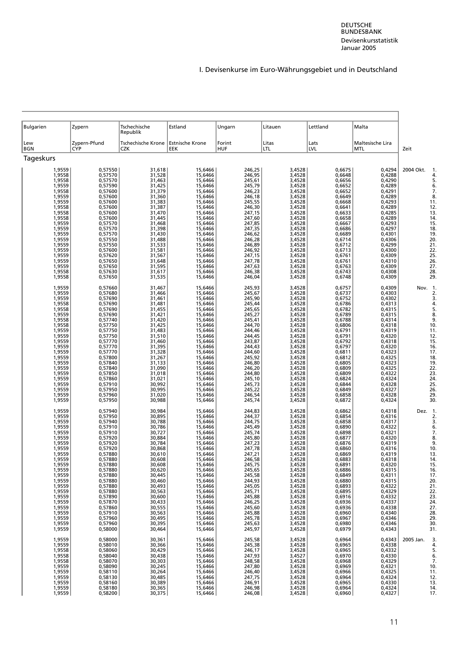| <b>Bulgarien</b>                                                                                                                                                                                                                   | Zypern                                                                                                                                                                                                                                                    | Tschechische<br>Republik                                                                                                                                                                                                           | Estland                                                                                                                                                                                                                                                   | Ungarn                                                                                                                                                                                                                             | Litauen                                                                                                                                                                                                                            | Lettland                                                                                                                                                                                                                           | Malta                                                                                                                                                                                                                              |                                                                                                                                    |
|------------------------------------------------------------------------------------------------------------------------------------------------------------------------------------------------------------------------------------|-----------------------------------------------------------------------------------------------------------------------------------------------------------------------------------------------------------------------------------------------------------|------------------------------------------------------------------------------------------------------------------------------------------------------------------------------------------------------------------------------------|-----------------------------------------------------------------------------------------------------------------------------------------------------------------------------------------------------------------------------------------------------------|------------------------------------------------------------------------------------------------------------------------------------------------------------------------------------------------------------------------------------|------------------------------------------------------------------------------------------------------------------------------------------------------------------------------------------------------------------------------------|------------------------------------------------------------------------------------------------------------------------------------------------------------------------------------------------------------------------------------|------------------------------------------------------------------------------------------------------------------------------------------------------------------------------------------------------------------------------------|------------------------------------------------------------------------------------------------------------------------------------|
| Lew<br><b>BGN</b>                                                                                                                                                                                                                  | Zypern-Pfund<br><b>CYP</b>                                                                                                                                                                                                                                | Tschechische Krone<br>CZK                                                                                                                                                                                                          | <b>Estnische Krone</b><br>EEK                                                                                                                                                                                                                             | Forint<br><b>HUF</b>                                                                                                                                                                                                               | Litas<br>LTL                                                                                                                                                                                                                       | Lats<br>LVL                                                                                                                                                                                                                        | Maltesische Lira<br><b>MTL</b>                                                                                                                                                                                                     | Zeit                                                                                                                               |
| Tageskurs                                                                                                                                                                                                                          |                                                                                                                                                                                                                                                           |                                                                                                                                                                                                                                    |                                                                                                                                                                                                                                                           |                                                                                                                                                                                                                                    |                                                                                                                                                                                                                                    |                                                                                                                                                                                                                                    |                                                                                                                                                                                                                                    |                                                                                                                                    |
| 1,9559<br>1,9558<br>1,9558<br>1,9559<br>1,9558<br>1,9559<br>1,9559<br>1,9558<br>1,9558<br>1,9558<br>1,9559                                                                                                                         | 0,57550<br>0,57570<br>0,57570<br>0,57590<br>0,57600<br>0,57600<br>0,57600<br>0,57600<br>0,57600<br>0,57600                                                                                                                                                | 31,618<br>31,528<br>31,463<br>31,425<br>31,379<br>31,360<br>31,383<br>31,387<br>31,470<br>31,445<br>31,468                                                                                                                         | 15,6466<br>15,6466<br>15,6466<br>15,6466<br>15,6466<br>15,6466<br>15,6466<br>15,6466<br>15,6466<br>15,6466<br>15,6466                                                                                                                                     | 246,25<br>246,95<br>245,61<br>245,79<br>246,23<br>246,18<br>245,55<br>246,30<br>247,15<br>247,60                                                                                                                                   | 3,4528<br>3,4528<br>3,4528<br>3,4528<br>3,4528<br>3,4528<br>3,4528<br>3,4528<br>3,4528<br>3,4528<br>3,4528                                                                                                                         | 0,6675<br>0,6648<br>0,6656<br>0,6652<br>0,6652<br>0,6649<br>0,6668<br>0,6641<br>0,6633<br>0,6658<br>0,6667                                                                                                                         | 0,4294<br>0,4288<br>0,4290<br>0,4289<br>0,4291<br>0,4289<br>0,4293<br>0,4289<br>0,4285<br>0,4289<br>0,4293                                                                                                                         | 2004 Okt.<br>5<br>6<br>7<br>8<br>11<br>12<br>13<br>14<br>15                                                                        |
| 1,9559<br>1,9559<br>1,9559<br>1,9559<br>1,9559<br>1,9559<br>1,9559<br>1,9559<br>1,9558<br>1,9558                                                                                                                                   | 0,57570<br>0,57570<br>0,57570<br>0,57550<br>0,57550<br>0,57600<br>0,57620<br>0,57650<br>0,57650<br>0,57630<br>0,57650                                                                                                                                     | 31,398<br>31,430<br>31,488<br>31,533<br>31,581<br>31,567<br>31,648<br>31,595<br>31,617<br>31,535                                                                                                                                   | 15,6466<br>15,6466<br>15,6466<br>15,6466<br>15,6466<br>15,6466<br>15,6466<br>15,6466<br>15,6466<br>15,6466                                                                                                                                                | 247,85<br>247,35<br>246,62<br>246,28<br>246,89<br>246,92<br>247,15<br>247,78<br>247,63<br>246,38<br>246,04                                                                                                                         | 3,4528<br>3,4528<br>3,4528<br>3,4528<br>3,4528<br>3,4528<br>3,4528<br>3,4528<br>3,4528<br>3,4528                                                                                                                                   | 0,6686<br>0,6689<br>0,6714<br>0,6712<br>0,6713<br>0,6761<br>0,6761<br>0,6763<br>0,6743<br>0,6748                                                                                                                                   | 0,4297<br>0,4301<br>0,4306<br>0,4299<br>0,4300<br>0,4309<br>0,4310<br>0,4309<br>0,4308<br>0,4309                                                                                                                                   | 18<br>19<br>20<br>21<br>22<br>25<br>26<br>27<br>28<br>29                                                                           |
| 1,9559<br>1,9559<br>1,9559<br>1,9558<br>1,9558<br>1,9559<br>1,9558<br>1,9558<br>1,9559<br>1,9559<br>1,9559<br>1,9559<br>1,9559<br>1,9559<br>1,9559<br>1,9559<br>1,9559<br>1,9559<br>1,9559<br>1,9559<br>1,9559<br>1,9559           | 0,57660<br>0,57680<br>0,57690<br>0,57690<br>0,57690<br>0,57690<br>0,57740<br>0,57750<br>0,57750<br>0,57750<br>0,57770<br>0,57770<br>0,57770<br>0,57800<br>0,57840<br>0,57840<br>0,57850<br>0,57860<br>0,57910<br>0,57950<br>0,57960<br>0,57950            | 31,467<br>31,466<br>31,461<br>31,481<br>31,455<br>31,421<br>31,420<br>31,425<br>31,483<br>31,510<br>31,460<br>31,395<br>31,328<br>31,267<br>31,133<br>31,090<br>31,018<br>31,021<br>30,992<br>30,995<br>31,020<br>30,988           | 15,6466<br>15,6466<br>15,6466<br>15,6466<br>15,6466<br>15,6466<br>15,6466<br>15.6466<br>15,6466<br>15,6466<br>15,6466<br>15,6466<br>15,6466<br>15,6466<br>15,6466<br>15,6466<br>15,6466<br>15,6466<br>15,6466<br>15,6466<br>15,6466<br>15,6466            | 245,93<br>245,67<br>245,90<br>245,44<br>245,65<br>245,27<br>245,41<br>244,70<br>244,46<br>244,45<br>243,87<br>244,43<br>244,60<br>245,92<br>246,80<br>246,20<br>244,80<br>245,10<br>245,73<br>245,22<br>246,54<br>245,74           | 3,4528<br>3,4528<br>3,4528<br>3,4528<br>3,4528<br>3,4528<br>3,4528<br>3,4528<br>3,4528<br>3,4528<br>3,4528<br>3,4528<br>3,4528<br>3,4528<br>3,4528<br>3,4528<br>3,4528<br>3,4528<br>3,4528<br>3,4528<br>3,4528<br>3,4528           | 0,6757<br>0,6737<br>0,6752<br>0,6786<br>0,6782<br>0,6789<br>0,6788<br>0,6806<br>0,6791<br>0,6791<br>0,6792<br>0,6797<br>0,6811<br>0,6812<br>0,6805<br>0,6809<br>0,6809<br>0,6824<br>0,6844<br>0,6849<br>0,6858<br>0,6872           | 0,4309<br>0,4303<br>0,4302<br>0,4313<br>0,4315<br>0,4315<br>0,4314<br>0,4318<br>0,4319<br>0,4320<br>0,4318<br>0,4320<br>0,4323<br>0,4325<br>0,4323<br>0,4325<br>0,4322<br>0,4324<br>0,4328<br>0,4327<br>0,4328<br>0,4324           | Nov. 1<br>2<br>3<br>4<br>5<br>8<br>9<br>10<br>11<br>12<br>15<br>16<br>17<br>18<br>19<br>22<br>23<br>24<br>25<br>26<br>29<br>30     |
| 1,9559<br>1,9559<br>1,9559<br>1,9559<br>1,9559<br>1,9559<br>1,9559<br>1,9559<br>1,9559<br>1,9559<br>1,9559<br>1,9559<br>1,9559<br>1,9559<br>1,9559<br>1,9559<br>1,9559<br>1,9559<br>1,9559<br>1,9559<br>1,9559<br>1,9559<br>1,9559 | 0,57940<br>0,57950<br>0,57940<br>0,57910<br>0,57910<br>0,57920<br>0,57920<br>0,57920<br>0.57880<br>0,57880<br>0,57880<br>0,57880<br>0,57880<br>0,57880<br>0,57880<br>0,57880<br>0,57890<br>0,57870<br>0,57860<br>0,57910<br>0,57960<br>0,57960<br>0,58000 | 30,984<br>30,895<br>30,788<br>30,786<br>30,727<br>30,884<br>30,784<br>30,868<br>30,610<br>30,608<br>30,608<br>30,620<br>30,445<br>30,460<br>30,493<br>30,563<br>30,600<br>30,433<br>30,555<br>30,563<br>30,495<br>30,395<br>30,464 | 15,6466<br>15,6466<br>15,6466<br>15,6466<br>15,6466<br>15,6466<br>15,6466<br>15,6466<br>15,6466<br>15,6466<br>15,6466<br>15,6466<br>15,6466<br>15,6466<br>15,6466<br>15,6466<br>15,6466<br>15,6466<br>15,6466<br>15,6466<br>15,6466<br>15,6466<br>15,6466 | 244,83<br>244,37<br>244,75<br>245,49<br>245,74<br>245,80<br>247,23<br>247,78<br>247,21<br>246,58<br>245,75<br>245,65<br>245,58<br>244,93<br>245,05<br>245,71<br>245,88<br>246,25<br>245,60<br>245,88<br>245,78<br>245,63<br>245,97 | 3,4528<br>3,4528<br>3,4528<br>3,4528<br>3,4528<br>3,4528<br>3,4528<br>3,4528<br>3,4528<br>3,4528<br>3,4528<br>3,4528<br>3,4528<br>3,4528<br>3,4528<br>3,4528<br>3,4528<br>3,4528<br>3,4528<br>3,4528<br>3,4528<br>3,4528<br>3,4528 | 0,6862<br>0,6854<br>0,6858<br>0,6890<br>0,6898<br>0,6877<br>0,6876<br>0,6860<br>0,6869<br>0,6883<br>0,6891<br>0,6886<br>0,6849<br>0,6880<br>0,6893<br>0,6895<br>0,6916<br>0,6936<br>0,6936<br>0,6960<br>0,6967<br>0,6980<br>0,6979 | 0,4318<br>0,4316<br>0,4317<br>0,4322<br>0,4321<br>0,4320<br>0,4319<br>0,4316<br>0,4319<br>0,4318<br>0,4320<br>0,4315<br>0,4311<br>0,4315<br>0,4322<br>0,4329<br>0,4332<br>0,4337<br>0,4338<br>0,4340<br>0,4346<br>0,4346<br>0,4343 | Dez.<br>2<br>3<br>6<br>7<br>8<br>q<br>10<br>13<br>14<br>15<br>16<br>17<br>20<br>21<br>22<br>23<br>24<br>27<br>28<br>29<br>30<br>31 |
| 1,9559<br>1,9559<br>1,9558<br>1,9558<br>1,9558<br>1,9559<br>1,9559<br>1,9559<br>1,9559<br>1,9559<br>1,9559                                                                                                                         | 0,58000<br>0,58010<br>0,58060<br>0,58040<br>0,58070<br>0,58090<br>0,58110<br>0,58130<br>0,58160<br>0,58180<br>0,58200                                                                                                                                     | 30,361<br>30,366<br>30,429<br>30,438<br>30,303<br>30,245<br>30,264<br>30,485<br>30,389<br>30,365<br>30,375                                                                                                                         | 15,6466<br>15,6466<br>15,6466<br>15,6466<br>15,6466<br>15,6466<br>15,6466<br>15,6466<br>15,6466<br>15,6466<br>15,6466                                                                                                                                     | 245,58<br>245,38<br>246,17<br>247,93<br>248,58<br>247,80<br>246,40<br>247,75<br>246,91<br>246,98<br>246,08                                                                                                                         | 3,4528<br>3,4528<br>3,4528<br>3,4527<br>3,4528<br>3,4528<br>3,4528<br>3,4528<br>3,4528<br>3,4528<br>3,4528                                                                                                                         | 0,6964<br>0,6965<br>0,6965<br>0,6970<br>0,6968<br>0,6969<br>0,6966<br>0,6964<br>0,6965<br>0,6964<br>0,6960                                                                                                                         | 0,4343<br>0,4338<br>0,4332<br>0,4330<br>0,4329<br>0,4321<br>0,4325<br>0,4324<br>0,4330<br>0,4324<br>0,4327                                                                                                                         | 2005 Jan.<br>3<br>4<br>5<br>6<br>7<br>10<br>11<br>12<br>13<br>14<br>17                                                             |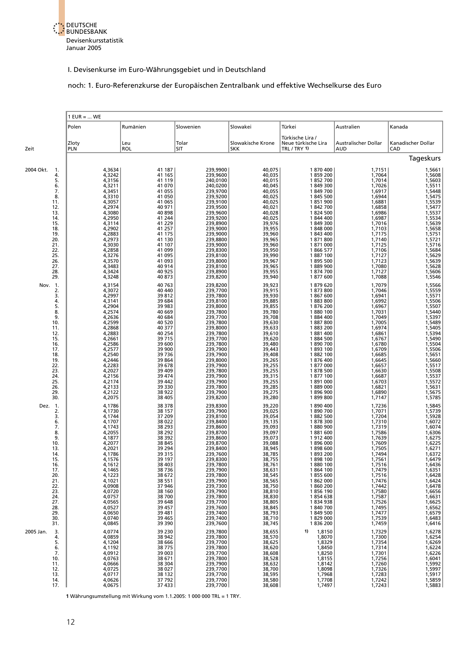

#### noch: 1. Euro-Referenzkurse der Europäischen Zentralbank und effektive Wechselkurse des Euro

|                                             | $1$ EUR =  WE                                            |                                                           |                                                                      |                                                                    |                                                                    |                                                          |                                                          |  |
|---------------------------------------------|----------------------------------------------------------|-----------------------------------------------------------|----------------------------------------------------------------------|--------------------------------------------------------------------|--------------------------------------------------------------------|----------------------------------------------------------|----------------------------------------------------------|--|
|                                             | Polen                                                    | Rumänien                                                  | Slowenien                                                            | Slowakei                                                           | Türkei                                                             | Australien                                               | Kanada                                                   |  |
| Zeit                                        | Zloty<br><b>PLN</b>                                      | Leu<br><b>ROL</b>                                         | Tolar<br>SIT                                                         | Slowakische Krone<br><b>SKK</b>                                    | Türkische Lira /<br>Neue türkische Lira<br>TRL / TRY 1)            | Australischer Dollar<br><b>AUD</b>                       | Kanadischer Dollar<br>CAD                                |  |
|                                             |                                                          |                                                           |                                                                      |                                                                    |                                                                    |                                                          | Tageskurs                                                |  |
| 2004 Okt.<br>1.<br>4.<br>5.<br>6.           | 4,3634<br>4,3242<br>4,3156<br>4,3211                     | 41 187<br>41 165<br>41 119<br>41 070                      | 239,9900<br>239,9600<br>240,0100<br>240,0200                         | 40,075<br>40,035<br>40,015<br>40,045                               | 1870400<br>1859200<br>1852700<br>1849300                           | 1,7151<br>1,7064<br>1,7014<br>1,7026                     | 1,5661<br>1,5608<br>1,5603<br>1,5511                     |  |
| 7.<br>8.<br>11.<br>12.<br>13.               | 4,3451<br>4,3310<br>4,3057<br>4,2974<br>4,3080           | 41 055<br>41 050<br>41 065<br>40 971<br>40 898            | 239,9700<br>239,9200<br>239,9100<br>239,9500<br>239,9600             | 40,055<br>40,025<br>40,025<br>$40,021$<br>$40,028$                 | 1849700<br>1845 500<br>1851900<br>1842700<br>1824 500              | 1,6917<br>1,6944<br>1,6881<br>1,6858<br>1,6986           | 1,5448<br>1,5475<br>1,5539<br>1,5477<br>1,5537           |  |
| 14.<br>15.<br>18.<br>19.                    | 4,2950<br>4,3114<br>4,2902<br>4,2883                     | 41 244<br>41 229<br>41 257<br>41 175                      | 239,9200<br>239,8900<br>239,9000<br>239,9000                         | 40,025<br>39,976<br>39,955<br>39,960                               | 1844 400<br>1849300<br>1848000<br>1843 400                         | 1,6987<br>1,7016<br>1,7103<br>1,7175                     | 1,5534<br>1,5639<br>1,5658<br>1,5751                     |  |
| 20.<br>21.<br>22.<br>25.<br>26.             | 4,2973<br>4,3030<br>4,2858<br>4,3276<br>4,3570           | 41 130<br>41 107<br>41 099<br>41 095<br>41 093            | 239,8800<br>239,9000<br>239,8300<br>239,8100<br>239,8000             | 39,965<br>39,960<br>39,950<br>39,950<br>39,990<br>39,967<br>39,965 | 1871800<br>1871000<br>1866 577<br>1887 100<br>1895 500             | 1,7140<br>1,7125<br>1,7106<br>1,7127<br>1,7123           | 1,5721<br>1,5716<br>1,5684<br>1,5629<br>1,5639           |  |
| 27.<br>28.<br>29.<br>Nov. 1.                | 4,3483<br>4,3424<br>4,3248<br>4,3154                     | 40 914<br>40 925<br>40 873<br>40 763                      | 239,8100<br>239,8900<br>239,8200<br>239,8200                         | 39,955<br>39,940<br>39,923                                         | 1889 900<br>1874700<br>1877600<br>1879620                          | 1,7080<br>1,7127<br>1,7088<br>1,7079                     | 1,5628<br>1,5606<br>1,5546<br>1,5566                     |  |
| 2.<br>3.<br>4.<br>5.<br>8.                  | 4,3072<br>4,2997<br>4,3141<br>4,2904<br>4,2574           | 40 440<br>39 812<br>39 684<br>39 983<br>40 669            | 239,7700<br>239,7800<br>239,8100<br>239,8000<br>239,7800             | 39,915<br>39,930<br>39,885<br>39,855<br>39,780                     | 1873800<br>1867600<br>1883800<br>1876 200<br>1880 100              | 1,7046<br>1,6941<br>1,6992<br>1,6967<br>1,7031           | 1,5559<br>1,5571<br>1,5506<br>1,5507<br>1,5440           |  |
| 9.<br>10.<br>11.<br>12.<br>15.              | 4,2636<br>4,2599<br>4,2868<br>4,2883<br>4,2661           | 40 684<br>40 520<br>40 377<br>40 254<br>39 7 15           | 239,7700<br>239,7800<br>239,8000<br>239,7800<br>239,7700             | 39,708<br>39,630<br>39,633<br>39,610<br>39,620                     | 1884 400<br>1887800<br>1883 200<br>1881400<br>1884 500             | 1,7049<br>1,7005<br>1,6974<br>1,6861<br>1,6767           | 1,5397<br>1,5489<br>1,5405<br>1,5394<br>1,5490           |  |
| 16.<br>17.<br>18.<br>19.<br>22.<br>23.      | 4,2586<br>4,2577<br>4,2540<br>4,2446<br>4,2283<br>4,2027 | 39 600<br>39 900<br>39 7 36<br>39 864<br>39 678<br>39 409 | 239,7800<br>239,7900<br>239,7900<br>239,8000<br>239,7900<br>239,7800 | 39,480<br>39,443<br>39,408<br>39,265<br>39,255<br>39,255           | 1890700<br>1893 100<br>1882 100<br>1876 400<br>1877000<br>1878 500 | 1,6780<br>1,6709<br>1,6685<br>1,6645<br>1,6657<br>1,6630 | 1,5504<br>1,5506<br>1,5651<br>1,5660<br>1,5517<br>1,5508 |  |
| 24.<br>25.<br>26.<br>29.<br>30.             | 4,2156<br>4,2174<br>4,2133<br>4,2122<br>4,2075           | 39 474<br>39 442<br>39 330<br>38 922<br>38 405            | 239,7900<br>239,7900<br>239,7800<br>239,7900<br>239,8200             | 39,315<br>39,255<br>39,285<br>39,275<br>39,280                     | 1877 100<br>1891000<br>1889000<br>1896900<br>1899800               | 1,6687<br>1,6703<br>1,6821<br>1,6890<br>1,7147           | 1,5537<br>1,5572<br>1,5631<br>1,5675<br>1,5785           |  |
| $\frac{1}{2}$<br>Dez.<br>2.<br>3.<br>6.     | 4,1786<br>4,1730<br>4,1744<br>4,1707                     | 38 378<br>38 157<br>37 209<br>38 0 22                     | 239,8300<br>239,7900<br>239,8100<br>239,8400                         | 39,220<br>39,025<br>39,054<br>39,135<br>39,093                     | 1890400<br>1890700<br>1882 500<br>1878300                          | 1,7236<br>1,7071<br>1,7204<br>1,7310                     | 1,5845<br>1,5739<br>$1,5928$<br>$1,6072$                 |  |
| 7.<br>8.<br>9.<br>10.<br>13.                | 4,1743<br>4,2055<br>4,1877<br>4,2077<br>4,2021           | 38 293<br>38 29 2<br>38 392<br>38 845<br>39 294           | 239,8600<br>239,8700<br>239,8600<br>239,8700<br>239,8400             | 39,097<br>39,073<br>39,088<br>38,945                               | 1880 900<br>1881600<br>1912 400<br>1896000<br>1898600              | 1,7319<br>1,7586<br>1,7639<br>1,7609<br>1,7505           | 1,6074<br>1,6306<br>1,6275<br>1,6271                     |  |
| 14.<br>15.<br>16.<br>17.<br>20.             | 4,1786<br>4,1576<br>4,1612<br>4,1465<br>4,1223<br>4,1021 | 39 315<br>39 197<br>38 403<br>38 7 36<br>38 672           | 239,7600<br>239,8300<br>239,7800<br>239,7900<br>239,7800<br>239,7900 | 38,785<br>38,755<br>38,761<br>38,631<br>38,545<br>38,565           | 1893200<br>1898 100<br>1880 100<br>1864 100<br>1855600             | 1,7494<br>1,7561<br>1,7516<br>1,7479<br>1,7516           | 1,6372<br>1,6479<br>1,6436<br>1,6351<br>1,6428           |  |
| 21.<br>22.<br>23.<br>24.<br>27.             | 4,0908<br>4,0720<br>4,0757<br>4,0565                     | 38 551<br>37 946<br>38 160<br>38 700<br>39 648            | 239,7300<br>239,7900<br>239,7800<br>239,7700                         | 38,750<br>38,810<br>38,830<br>38,805                               | 1862000<br>1860200<br>1856 190<br>1854638<br>1834938               | 1,7476<br>1,7442<br>1,7580<br>1,7587<br>1,7526           | 1,6424<br>1,6478<br>1,6656<br>1,6631<br>1,6625           |  |
| 28.<br>29.<br>30.<br>31.<br>3.<br>2005 Jan. | 4,0527<br>4,0650<br>4,0740<br>4,0845<br>4,0774           | 39 457<br>39 481<br>39 4 65<br>39 390<br>39 230           | 239,7600<br>239,7400<br>239,7400<br>239,7600<br>239,7800             | 38,845<br>38,793<br>38,793<br>38,745                               | 1840700<br>1849 500<br>1829000<br>1836 200<br>1,8150<br>1)         | 1,7495<br>1,7477<br>1,7539<br>1,7459<br>1,7329           | 1,6562<br>1,6579<br>1,6483<br>1,6416<br>1,6278           |  |
| 4.<br>5.<br>6.<br>7.                        | 4,0859<br>4,1204<br>4,1192<br>4,0912<br>4,0763           | 38 942<br>38 666<br>38 775<br>39 003                      | 239,7800<br>239,7700<br>239,7800<br>239,7700                         | 38,655<br>38,570<br>38,625<br>38,620<br>38,608                     | 1,8070<br>1,8329<br>1,8450<br>1,8250<br>1,8155                     | 1,7300<br>1,7354<br>1,7314<br>1,7301                     | 1,6254<br>1,6269<br>1,6224<br>1,6226                     |  |
| 10.<br>11.<br>12.<br>13.<br>14.<br>17.      | 4,0666<br>4,0725<br>4,0717<br>4,0626<br>4,0675           | 38 671<br>38 304<br>38 0 27<br>38 132<br>37 792<br>37 433 | 239,7800<br>239,7900<br>239,7700<br>239,7700<br>239,7700<br>239,7700 | 38,528<br>38,632<br>38,700<br>38,595<br>38,580<br>38,608           | 1,8142<br>1,8098<br>1,7968<br>1,7708<br>1,7497                     | 1,7256<br>1,7260<br>1,7326<br>1,7283<br>1,7242<br>1,7243 | 1,6041<br>1,5992<br>1,5997<br>1,5917<br>1,5859<br>1,5883 |  |

**1** Währungsumstellung mit Wirkung vom 1.1.2005: 1 000 000 TRL = 1 TRY.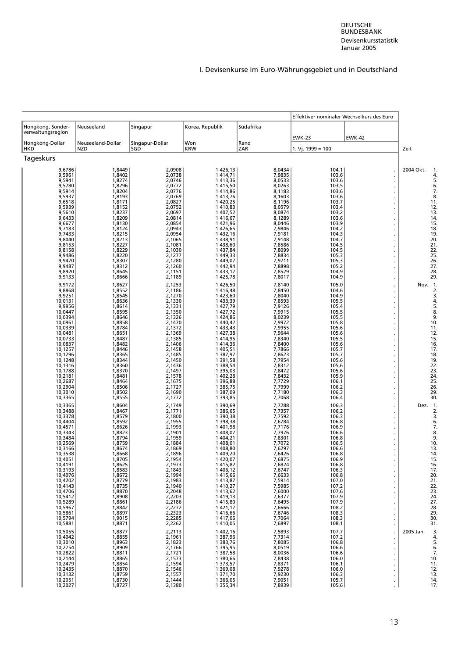|                                                                                                                                                                                                                                                                                                                                                                                    |                                                                                                                                                                                                                                                                                                                                                  |                                                                                                                                                                                                                                                                                                                                                  |                                                                                                                                                                                                                                                                                                                                                                                                                             |                                                                                                                                                                                                                                                                                                                                                  | Effektiver nominaler Wechselkurs des Euro                                                                                                                                                                                                                                                                      |               |                                                                                                                                                                                                                                                               |
|------------------------------------------------------------------------------------------------------------------------------------------------------------------------------------------------------------------------------------------------------------------------------------------------------------------------------------------------------------------------------------|--------------------------------------------------------------------------------------------------------------------------------------------------------------------------------------------------------------------------------------------------------------------------------------------------------------------------------------------------|--------------------------------------------------------------------------------------------------------------------------------------------------------------------------------------------------------------------------------------------------------------------------------------------------------------------------------------------------|-----------------------------------------------------------------------------------------------------------------------------------------------------------------------------------------------------------------------------------------------------------------------------------------------------------------------------------------------------------------------------------------------------------------------------|--------------------------------------------------------------------------------------------------------------------------------------------------------------------------------------------------------------------------------------------------------------------------------------------------------------------------------------------------|----------------------------------------------------------------------------------------------------------------------------------------------------------------------------------------------------------------------------------------------------------------------------------------------------------------|---------------|---------------------------------------------------------------------------------------------------------------------------------------------------------------------------------------------------------------------------------------------------------------|
| Hongkong, Sonder-<br>verwaltungsregion                                                                                                                                                                                                                                                                                                                                             | Neuseeland                                                                                                                                                                                                                                                                                                                                       | Singapur                                                                                                                                                                                                                                                                                                                                         | Korea, Republik                                                                                                                                                                                                                                                                                                                                                                                                             | Südafrika                                                                                                                                                                                                                                                                                                                                        | <b>EWK-23</b>                                                                                                                                                                                                                                                                                                  | <b>EWK-42</b> |                                                                                                                                                                                                                                                               |
| Hongkong-Dollar<br><b>HKD</b>                                                                                                                                                                                                                                                                                                                                                      | Neuseeland-Dollar<br><b>NZD</b>                                                                                                                                                                                                                                                                                                                  | Singapur-Dollar<br>SGD                                                                                                                                                                                                                                                                                                                           | Won<br><b>KRW</b>                                                                                                                                                                                                                                                                                                                                                                                                           | Rand<br>ZAR                                                                                                                                                                                                                                                                                                                                      | 1. Vj. 1999 = 100                                                                                                                                                                                                                                                                                              |               | Zeit                                                                                                                                                                                                                                                          |
| Tageskurs                                                                                                                                                                                                                                                                                                                                                                          |                                                                                                                                                                                                                                                                                                                                                  |                                                                                                                                                                                                                                                                                                                                                  |                                                                                                                                                                                                                                                                                                                                                                                                                             |                                                                                                                                                                                                                                                                                                                                                  |                                                                                                                                                                                                                                                                                                                |               |                                                                                                                                                                                                                                                               |
| 9,6786<br>9,5961<br>9,5941<br>9,5780<br>9,5914<br>9,5937<br>9,6518<br>9,5939<br>9,5610                                                                                                                                                                                                                                                                                             | 1,8449<br>1,8402<br>1,8274<br>1,8296<br>1,8204<br>1,8193<br>1,8171<br>1,8152<br>1,8237                                                                                                                                                                                                                                                           | 2,0908<br>2,0738<br>2,0746<br>2,0772<br>2,0776<br>2,0769<br>2,0827<br>2,0752<br>2,0697                                                                                                                                                                                                                                                           | 1 426,13<br>1 4 1 4, 7 1<br>1413,36<br>1415,50<br>1414,86<br>1413,76<br>1 420,25<br>1410,83<br>1 407,52                                                                                                                                                                                                                                                                                                                     | 8,0434<br>7,9835<br>8,0533<br>8,0263<br>8,1183<br>8,1603<br>8.1196<br>8,0579<br>8,0874                                                                                                                                                                                                                                                           | 104,1<br>103,6<br>103,6<br>103,5<br>103,6<br>103,6<br>103,7<br>103,4<br>103,2                                                                                                                                                                                                                                  |               | 2004 Okt.<br>4<br>5<br>6<br>$\overline{7}$<br>8<br>11<br>12<br>13                                                                                                                                                                                             |
| 9,6433<br>9,6677<br>9,7183<br>9,7433<br>9,8040<br>9,8153<br>9,8158<br>9,9486<br>9,9470<br>9,9487<br>9,8920<br>9,9133                                                                                                                                                                                                                                                               | 1,8209<br>1,8130<br>1,8124<br>1,8215<br>1,8213<br>1,8227<br>1,8229<br>1,8220<br>1,8307<br>1,8312<br>1,8645<br>1,8666                                                                                                                                                                                                                             | 2,0814<br>2,0854<br>2,0943<br>2,0954<br>2,1065<br>2,1081<br>2,1030<br>2,1277<br>2,1280<br>2,1260<br>2,1151<br>2,1189                                                                                                                                                                                                                             | 1416,67<br>1 421,96<br>1426,65<br>1 432,16<br>1 438,91<br>1 438,60<br>1 437,84<br>1 449,33<br>1 449,07<br>1442,94<br>1 433,17<br>1425,78                                                                                                                                                                                                                                                                                    | 8,1289<br>8,0446<br>7,9846<br>7,9181<br>7,9148<br>7,8586<br>7,8099<br>7,8834<br>7,9711<br>7,8898<br>7,8529<br>7,8017                                                                                                                                                                                                                             | 103,6<br>103,9<br>104,2<br>104,3<br>104,7<br>104,5<br>104,5<br>105,3<br>105,3<br>105,2<br>104,9<br>104,9                                                                                                                                                                                                       |               | 14<br>15<br>18<br>19<br>20<br>21<br>$\begin{array}{c} 22 \\ 25 \end{array}$<br>26<br>27<br>28<br>29                                                                                                                                                           |
| 9,9172<br>9,8868<br>9,9251<br>10,0131<br>9,9956<br>10,0447<br>10,0394<br>10,0961<br>10,0339<br>10,0481<br>10,0733<br>10,0837<br>10,1257<br>10,1296<br>10,1248<br>10,1316<br>10,1788<br>10,2181<br>10,2687<br>10,2904<br>10,3010<br>10,3365                                                                                                                                         | 1,8627<br>1,8552<br>1,8545<br>1,8636<br>1,8614<br>1,8595<br>1,8646<br>1,8858<br>1,8784<br>1,8651<br>1,8487<br>1,8482<br>1,8446<br>1,8365<br>1,8344<br>1,8360<br>1,8370<br>1,8481<br>1,8464<br>1,8506<br>1,8502<br>1,8555                                                                                                                         | 2,1253<br>2,1186<br>2,1270<br>2,1330<br>2,1331<br>2,1350<br>2,1326<br>2,1470<br>2,1372<br>2,1369<br>2,1385<br>2,1406<br>2,1458<br>2,1485<br>2,1450<br>2,1436<br>2,1497<br>2,1578<br>2,1675<br>2,1727<br>2,1690<br>2,1772                                                                                                                         | 1426,50<br>1416,48<br>1 423.60<br>1 433,39<br>1427,79<br>1 427,72<br>1 424,86<br>1 440,42<br>1 433,43<br>1 427,38<br>1 4 1 4, 95<br>1414,36<br>1 405,51<br>1 387,97<br>1 391,58<br>1 388,54<br>1 395,03<br>1 402,28<br>1 396,88<br>1 3 8 5 , 7 5<br>1 387,09<br>1 393,85                                                                                                                                                    | 7,8140<br>7,8450<br>7,8040<br>7,8593<br>7,9126<br>7,9915<br>8,0239<br>7,9972<br>7,9955<br>7,9644<br>7,8340<br>7,8400<br>7,7866<br>7,8623<br>7,7954<br>7,8312<br>7,8472<br>7,8432<br>7,7729<br>7,7999<br>7,7180<br>7,7068                                                                                                                         | 105,0<br>104,6<br>104,9<br>105,5<br>105,4<br>105,5<br>105,5<br>105,8<br>105,6<br>105,6<br>105,5<br>105,6<br>105,7<br>105,7<br>105,6<br>105,6<br>105,6<br>105,9<br>106,1<br>106,2<br>106,3<br>106,4                                                                                                             |               | Nov. 1<br>2<br>3<br>4<br>5<br>8<br>9<br>10<br>11<br>12<br>15<br>16<br>17<br>18<br>19<br>22<br>23<br>24<br>25<br>26<br>29<br>30                                                                                                                                |
| 10,3365<br>10,3488<br>10,3378<br>10,4404<br>10,4571<br>10,3343<br>10,3484<br>10,2569<br>10,3166<br>10,3538<br>10,4051<br>10,4191<br>10,3193<br>10,4076<br>10,4202<br>10,4143<br>10,4706<br>10,5412<br>10,5289<br>10,5967<br>10,5861<br>10,5794<br>10,5881<br>10,5055<br>10,4042<br>10,3010<br>10,2754<br>10,2822<br>10,2144<br>10,2479<br>10,2435<br>10,3132<br>10,2051<br>10,2027 | 1,8604<br>1,8467<br>1,8579<br>1,8592<br>1,8626<br>1,8823<br>1,8794<br>1,8759<br>1,8674<br>1,8668<br>1,8705<br>1,8625<br>1,8583<br>1,8672<br>1,8779<br>1,8735<br>1,8870<br>1,8908<br>1,8861<br>1,8842<br>1,8897<br>1,9015<br>1,8871<br>1,8877<br>1,8855<br>1,8963<br>1,8909<br>1,8811<br>1,8865<br>1,8854<br>1,8870<br>1,8759<br>1,8730<br>1,8727 | 2,1749<br>2,1771<br>2,1800<br>2,1955<br>2,1993<br>2,1901<br>2,1959<br>2,1884<br>2,1869<br>2,1896<br>2,1954<br>2,1973<br>2,1843<br>2,1994<br>2,1983<br>2,1940<br>2,2048<br>2,2203<br>2,2186<br>2,2272<br>2,2323<br>2,2285<br>2,2262<br>2,2113<br>2,1961<br>2,1823<br>2,1766<br>2,1721<br>2,1573<br>2,1594<br>2,1546<br>2,1557<br>2,1444<br>2,1380 | 1 390,69<br>1 386,65<br>1 390,38<br>1 398,38<br>1 401,98<br>1 408,07<br>1 404,21<br>1 408,01<br>1408,80<br>1 409,20<br>1420,07<br>1415,82<br>1 406,12<br>1415,66<br>1413,87<br>1410,27<br>1413,62<br>1419,13<br>1415,80<br>1 4 2 1 , 1 7<br>1416,66<br>1417,06<br>1410,05<br>1 402,16<br>1 387,96<br>1 383,76<br>1 3 9 5 , 9 5<br>1 387,58<br>1 380,66<br>1 373,57<br>1 369,08<br>1 371,70<br>1 3 6 6, 0 5<br>1 3 5 5 , 3 4 | 7,7288<br>7,7357<br>7,7592<br>7,6784<br>7,7176<br>7,7976<br>7,8301<br>7,7072<br>7,6297<br>7,6426<br>7,6875<br>7,6824<br>7,6747<br>7,6633<br>7,5914<br>7,5985<br>7,6000<br>7,6377<br>7,6495<br>7,6666<br>7,6746<br>7,7064<br>7,6897<br>7,5893<br>7,7314<br>7,8085<br>8,0519<br>8,0036<br>7,8438<br>7,8371<br>7,9278<br>7,9230<br>7,9051<br>7,8939 | 106,3<br>106,2<br>106,3<br>106,8<br>106,9<br>106,6<br>106,8<br>106,5<br>106,6<br>106,8<br>106,9<br>106,8<br>106,3<br>106,8<br>107,0<br>107,2<br>107,6<br>107,9<br>107,9<br>108,2<br>108,3<br>108,3<br>108,1<br>107,7<br>107,2<br>106,8<br>106,6<br>106,6<br>106,0<br>106,1<br>106,0<br>106,3<br>105,7<br>105,6 |               | Dez. 1<br>3<br>6<br>$\overline{7}$<br>8<br>9<br>10<br>13<br>14<br>15<br>16<br>17<br>20<br>21<br>22<br>$\begin{array}{c} 23 \\ 24 \end{array}$<br>27<br>28<br>29<br>30<br>31<br>2005 Jan.<br>4<br>5<br>6<br>$\overline{7}$<br>10<br>11<br>12<br>13<br>14<br>17 |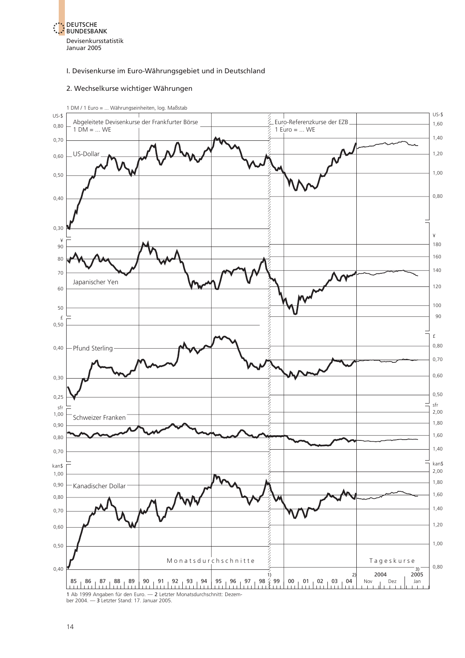<span id="page-28-0"></span>

#### 2. Wechselkurse wichtiger Währungen



14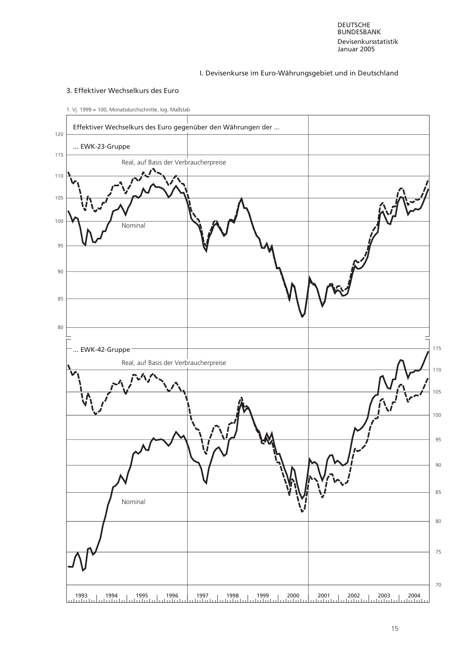DEUTSCHE **BUNDESBANK** Devisenkursstatistik Januar 2005

#### I. Devisenkurse im Euro-Währungsgebiet und in Deutschland

#### 3. Effektiver Wechselkurs des Euro

<span id="page-29-0"></span>

1. Vj. 1999 = 100, Monatsdurchschnitte, log. Maßstab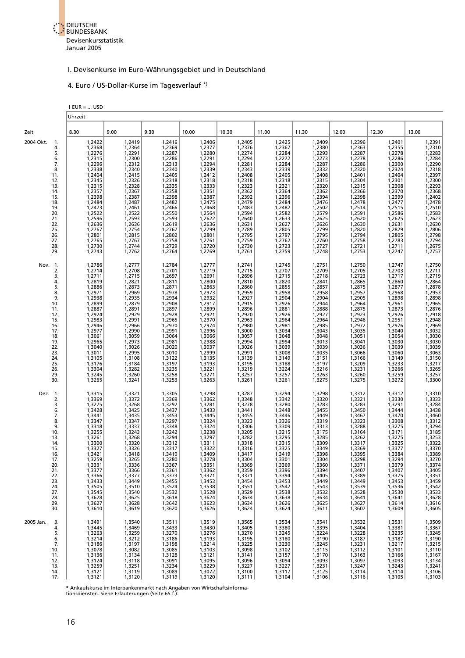

#### 4. Euro / US-Dollar-Kurse im Tagesverlauf \*)

<span id="page-30-0"></span>

|                                                                                                                                                                        | $1$ EUR =  USD<br>Uhrzeit                                                                                                                                                                                                |                                                                                                                                                                                                                          |                                                                                                                                                                                                                          |                                                                                                                                                                                                                          |                                                                                                                                                                                                                          |                                                                                                                                                                                                                          |                                                                                                                                                                                                                          |                                                                                                                                                                                                                          |                                                                                                                                                                                                                          |                                                                                                                                                                                                                          |
|------------------------------------------------------------------------------------------------------------------------------------------------------------------------|--------------------------------------------------------------------------------------------------------------------------------------------------------------------------------------------------------------------------|--------------------------------------------------------------------------------------------------------------------------------------------------------------------------------------------------------------------------|--------------------------------------------------------------------------------------------------------------------------------------------------------------------------------------------------------------------------|--------------------------------------------------------------------------------------------------------------------------------------------------------------------------------------------------------------------------|--------------------------------------------------------------------------------------------------------------------------------------------------------------------------------------------------------------------------|--------------------------------------------------------------------------------------------------------------------------------------------------------------------------------------------------------------------------|--------------------------------------------------------------------------------------------------------------------------------------------------------------------------------------------------------------------------|--------------------------------------------------------------------------------------------------------------------------------------------------------------------------------------------------------------------------|--------------------------------------------------------------------------------------------------------------------------------------------------------------------------------------------------------------------------|--------------------------------------------------------------------------------------------------------------------------------------------------------------------------------------------------------------------------|
| Zeit                                                                                                                                                                   | 8.30                                                                                                                                                                                                                     | 9.00                                                                                                                                                                                                                     | 9.30                                                                                                                                                                                                                     | 10.00                                                                                                                                                                                                                    | 10.30                                                                                                                                                                                                                    | 11.00                                                                                                                                                                                                                    | 11.30                                                                                                                                                                                                                    | 12.00                                                                                                                                                                                                                    | 12.30                                                                                                                                                                                                                    | 13.00                                                                                                                                                                                                                    |
| 2004 Okt.<br>-1.<br>4.<br>5.<br>6.<br>7.<br>8.<br>11.<br>12.<br>13.<br>14.<br>15.<br>18.<br>19.<br>20.<br>21.<br>22.<br>25.<br>26.<br>27.<br>28.<br>29.                | 1,2422<br>1,2368<br>1,2276<br>1,2315<br>1,2296<br>1,2338<br>1,2404<br>1,2345<br>1,2315<br>1,2357<br>1,2398<br>1,2484<br>1,2473<br>1,2522<br>1,2596<br>1,2636<br>1,2767<br>1,2801<br>1,2765<br>1,2730<br>1,2743           | 1,2419<br>1,2364<br>1,2291<br>1,2300<br>1,2312<br>1,2340<br>1,2415<br>1,2326<br>1,2328<br>1,2367<br>1,2387<br>1,2487<br>1,2461<br>1,2522<br>1,2593<br>1,2636<br>1,2754<br>1,2815<br>1,2767<br>1,2744<br>1,2762           | 1,2416<br>1,2369<br>1,2287<br>1,2286<br>1,2313<br>1,2340<br>1,2405<br>1,2318<br>1,2335<br>1,2358<br>1,2398<br>1,2482<br>1,2466<br>1,2550<br>1,2593<br>1,2619<br>1,2767<br>1,2802<br>1,2758<br>1,2729<br>1,2764           | 1,2406<br>1,2377<br>1,2280<br>1,2291<br>1,2294<br>1,2339<br>1,2412<br>1,2318<br>1,2333<br>1,2351<br>1,2387<br>1,2475<br>1,2468<br>1,2564<br>1,2622<br>1,2636<br>1,2799<br>1,2801<br>1,2761<br>1,2720<br>1,2769           | 1,2405<br>1,2376<br>1,2274<br>1,2294<br>1,2281<br>1,2343<br>1,2408<br>1,2318<br>1,2323<br>1,2362<br>1,2392<br>1,2479<br>1,2483<br>1,2594<br>1,2640<br>1,2631<br>1,2789<br>1,2795<br>1,2759<br>1,2730<br>1,2761           | 1,2425<br>1,2367<br>1,2284<br>1,2272<br>1,2284<br>1,2339<br>1,2405<br>1,2318<br>1,2321<br>1,2364<br>1,2396<br>1,2484<br>1,2482<br>1,2582<br>1,2633<br>1,2627<br>1,2805<br>1,2797<br>1,2762<br>1,2723<br>1,2759           | 1,2409<br>1,2380<br>1,2293<br>1,2273<br>1,2287<br>1,2332<br>1,2408<br>1,2315<br>1,2320<br>1,2362<br>1,2394<br>1,2476<br>1,2502<br>1,2579<br>1,2625<br>1,2626<br>1,2799<br>1,2795<br>1,2760<br>1,2727<br>1,2748           | 1,2396<br>1,2363<br>1,2287<br>1,2278<br>1,2286<br>1,2320<br>1,2401<br>1,2304<br>1,2315<br>1,2366<br>1,2398<br>1,2478<br>1,2514<br>1,2591<br>1,2620<br>1,2630<br>1,2820<br>1,2794<br>1,2758<br>1,2721<br>1,2753           | 1,2401<br>1,2355<br>1,2278<br>1,2286<br>1,2300<br>1,2324<br>1,2404<br>1,2301<br>1,2308<br>1,2370<br>1,2399<br>1,2477<br>1,2515<br>1,2586<br>1,2625<br>1,2631<br>1,2829<br>1,2805<br>1,2783<br>1,2711<br>1,2747           | 1,2391<br>1,2310<br>1,2283<br>1,2284<br>1,2290<br>1,2318<br>1,2397<br>1,2300<br>1,2293<br>1,2368<br>1,2402<br>1,2478<br>1,2510<br>1,2583<br>1,2623<br>1,2630<br>1,2806<br>1,2798<br>1,2794<br>1,2675<br>1,2757           |
| Nov. 1.<br>2.<br>3.<br>4.<br>5.<br>8.<br>9.<br>10.<br>11.<br>12.<br>15.<br>16.<br>17.<br>18.<br>19.<br>22.<br>23.<br>24.<br>25.<br>26.<br>29.<br>30.                   | 1,2786<br>1,2714<br>1,2711<br>1,2819<br>1,2886<br>1,2971<br>1,2938<br>1,2899<br>1,2887<br>1,2924<br>1,2983<br>1,2946<br>1,2977<br>1,3061<br>1,2965<br>1,3040<br>1,3011<br>1,3105<br>1,3176<br>1,3304<br>1,3245<br>1,3265 | 1,2777<br>1,2708<br>1,2715<br>1,2821<br>1,2873<br>1,2969<br>1,2935<br>1,2879<br>1,2891<br>1,2929<br>1,2991<br>1,2966<br>1,2990<br>1,3059<br>1,2973<br>1,3026<br>1,2995<br>1,3108<br>1,3184<br>1,3282<br>1,3260<br>1,3241 | 1,2784<br>1,2701<br>1,2697<br>1,2811<br>1,2871<br>1,2978<br>1,2934<br>1,2908<br>1,2897<br>1,2928<br>1,2965<br>1,2970<br>1,2991<br>1,3064<br>1,2981<br>1,3020<br>1,3010<br>1,3122<br>1,3197<br>1,3235<br>1,3258<br>1,3253 | 1,2777<br>1,2719<br>1,2691<br>1,2800<br>1,2863<br>1,2973<br>1,2932<br>1,2917<br>1,2899<br>1,2921<br>1,2970<br>1,2974<br>1,2996<br>1,3066<br>1,2988<br>1,3037<br>1,2999<br>1,3135<br>1,3193<br>1,3221<br>1,3271<br>1,3263 | 1,2741<br>1,2715<br>1,2696<br>1,2810<br>1,2860<br>1,2959<br>1,2927<br>1,2915<br>1,2896<br>1,2920<br>1,2963<br>1,2980<br>1,3000<br>1,3057<br>1,2994<br>1,3026<br>1,2991<br>1,3139<br>1,3195<br>1,3219<br>1,3257<br>1,3261 | 1,2745<br>1,2707<br>1,2715<br>1,2820<br>1,2855<br>1,2958<br>1,2904<br>1,2926<br>1,2881<br>1,2926<br>1,2964<br>1,2981<br>1,3034<br>1,3048<br>1,2994<br>1,3039<br>1,3008<br>1,3149<br>1,3188<br>1,3224<br>1,3257<br>1,3261 | 1,2751<br>1,2709<br>1,2718<br>1,2841<br>1,2857<br>1,2958<br>1,2904<br>1,2944<br>1,2888<br>1,2927<br>1,2964<br>1,2985<br>1,3043<br>1,3048<br>1,3013<br>1,3039<br>1,3035<br>1,3151<br>1,3197<br>1,3216<br>1,3263<br>1,3275 | 1,2750<br>1,2705<br>1,2723<br>1,2865<br>1,2875<br>1,2957<br>1,2905<br>1,2964<br>1,2875<br>1,2923<br>1,2946<br>1,2972<br>1,3035<br>1,3051<br>1,3041<br>1,3036<br>1,3066<br>1,3166<br>1,3209<br>1,3231<br>1,3260<br>1,3275 | 1,2747<br>1,2703<br>1,2717<br>1,2860<br>1,2877<br>1,2968<br>1,2898<br>1,2961<br>1,2873<br>1,2926<br>1,2951<br>1,2976<br>1,3040<br>1,3054<br>1,3030<br>1,3039<br>1,3060<br>1,3149<br>1,3233<br>1,3266<br>1,3259<br>1,3272 | 1,2750<br>1,2711<br>1,2719<br>1,2864<br>1,2878<br>1,2953<br>1,2965<br>1,2876<br>1,2918<br>1,2948<br>1,2969<br>1,3032<br>1,3030<br>1,3030<br>1,3039<br>1,3063<br>1,3150<br>1,3217<br>1,3265<br>1,3257<br>1,3300           |
| Dez.<br>$\blacksquare$ 1.<br>2.<br>3.<br>6.<br>7.<br>8.<br>9.<br>10.<br>13.<br>14.<br>15.<br>16.<br>17.<br>20.<br>21.<br>22.<br>23.<br>24.<br>27.<br>28.<br>29.<br>30. | 1,3315<br>1,3369<br>1,3275<br>1,3428<br>1,3441<br>1,3347<br>1,3318<br>1,3255<br>1,3261<br>1,3300<br>1,3327<br>1,3421<br>1,3259<br>1,3331<br>1,3377<br>1,3366<br>1,3433<br>1,3505<br>1,3545<br>1,3628<br>1,3627<br>1,3610 | 1,3321<br>1,3372<br>1,3268<br>1,3425<br>1,3435<br>1,3347<br>1,3337<br>1,3243<br>1,3268<br>1,3320<br>1,3326<br>1,3418<br>1,3265<br>1,3336<br>1,3366<br>1,3377<br>1,3449<br>1,3510<br>1,3540<br>1,3625<br>1,3628<br>1,3619 | 1,3305<br>1,3369<br>1,3292<br>1,3437<br>1,3453<br>1,3297<br>1,3348<br>1,3242<br>1,3294<br>1,3312<br>1,3317<br>1,3410<br>1,3280<br>1,3367<br>1,3361<br>1,3373<br>1,3455<br>1,3524<br>1,3532<br>1,3618<br>1,3642<br>1,3620 | 1,3298<br>1,3362<br>1,3281<br>1,3433<br>1,3445<br>1,3324<br>1,3324<br>1,3238<br>1,3297<br>1,3311<br>1,3322<br>1,3409<br>1,3278<br>1,3351<br>1,3362<br>1,3371<br>1,3453<br>1,3538<br>1,3528<br>1,3624<br>1,3623<br>1,3626 | 1,3287<br>1,3348<br>1,3278<br>1,3441<br>1,3455<br>1,3323<br>1,3306<br>1,3205<br>1,3282<br>1,3318<br>1,3316<br>1,3417<br>1,3304<br>1,3369<br>1,3359<br>1,3371<br>1,3454<br>1,3551<br>1,3529<br>1,3634<br>1,3634<br>1,3624 | 1,3294<br>1,3342<br>1,3280<br>1,3448<br>1,3446<br>1,3326<br>1,3309<br>1,3215<br>1,3295<br>1,3315<br>1,3325<br>1,3419<br>1,3301<br>1,3369<br>1,3396<br>1,3394<br>1,3453<br>1,3542<br>1,3538<br>1,3638<br>1,3626<br>1,3624 | 1,3298<br>1,3320<br>1,3283<br>1,3455<br>1,3449<br>1,3319<br>1,3313<br>1,3175<br>1,3285<br>1,3309<br>1,3349<br>1,3398<br>1,3304<br>1,3360<br>1,3394<br>1,3405<br>1,3449<br>1,3543<br>1,3532<br>1,3634<br>1,3625<br>1,3611 | 1,3312<br>1,3321<br>1,3283<br>1,3450<br>1,3467<br>1,3323<br>1,3288<br>1,3164<br>1,3262<br>1,3317<br>1,3369<br>1,3395<br>1,3298<br>1,3371<br>1,3407<br>1,3389<br>1,3449<br>1,3539<br>1,3528<br>1,3641<br>1,3627<br>1,3607 | 1,3312<br>1,3330<br>1,3291<br>1,3444<br>1,3470<br>1,3308<br>1,3275<br>1,3171<br>1,3275<br>1,3325<br>1,3377<br>1,3384<br>1,3294<br>1,3379<br>1,3407<br>1,3375<br>1,3453<br>1,3536<br>1,3530<br>1,3641<br>1,3614<br>1,3609 | 1,3310<br>1,3333<br>1,3284<br>1,3438<br>1,3460<br>1,3312<br>1,3294<br>1,3185<br>1,3253<br>1,3322<br>1,3370<br>1,3389<br>1,3270<br>1,3374<br>1,3405<br>1,3351<br>1,3459<br>1,3542<br>1,3533<br>1,3628<br>1,3616<br>1,3605 |
| 2005 Jan.<br>3.<br>4.<br>5.<br>6.<br>7.<br>10.<br>11.<br>12.<br>13.<br>14.<br>17.                                                                                      | 1,3491<br>1,3445<br>1,3263<br>1,3214<br>1,3186<br>1,3078<br>1,3136<br>1,3124<br>1,3259<br>1,3121<br>1,3121                                                                                                               | 1,3540<br>1,3469<br>1,3259<br>1,3212<br>1,3197<br>1,3082<br>1,3134<br>1,3118<br>1,3251<br>1,3119<br>1,3120                                                                                                               | 1,3511<br>1,3433<br>1,3270<br>1,3186<br>1,3198<br>1,3085<br>1,3128<br>1,3091<br>1,3234<br>1,3089<br>1,3119                                                                                                               | 1,3519<br>1,3430<br>1,3276<br>1,3193<br>1,3214<br>1,3103<br>1,3121<br>1,3095<br>1,3229<br>1,3072<br>1,3120                                                                                                               | 1,3565<br>1,3405<br>1,3270<br>1,3195<br>1,3225<br>1,3098<br>1,3141<br>1,3096<br>1,3227<br>1,3100<br>1,3111                                                                                                               | 1,3534<br>1,3380<br>1,3245<br>1,3180<br>1,3230<br>1,3102<br>1,3157<br>1,3094<br>1,3227<br>1,3117<br>1,3104                                                                                                               | 1,3541<br>1,3395<br>1,3224<br>1,3190<br>1,3245<br>1,3115<br>1,3170<br>1,3093<br>1,3231<br>1,3125<br>1,3106                                                                                                               | 1,3532<br>1,3404<br>1,3228<br>1,3187<br>1,3231<br>1,3112<br>1,3163<br>1,3097<br>1,3247<br>1,3114<br>1,3116                                                                                                               | 1,3531<br>1,3381<br>1,3235<br>1,3187<br>1,3217<br>1,3101<br>1,3166<br>1,3093<br>1,3243<br>1,3114<br>1,3105                                                                                                               | 1,3509<br>1,3367<br>1,3245<br>1,3190<br>1,3215<br>1,3110<br>1,3167<br>1,3134<br>1,3241<br>1,3106<br>1,3103                                                                                                               |

**\*** Ankaufskurse im Interbankenmarkt nach Angaben von Wirtschaftsinforma-tionsdiensten. Siehe Erläuterungen (Seite 65 f.).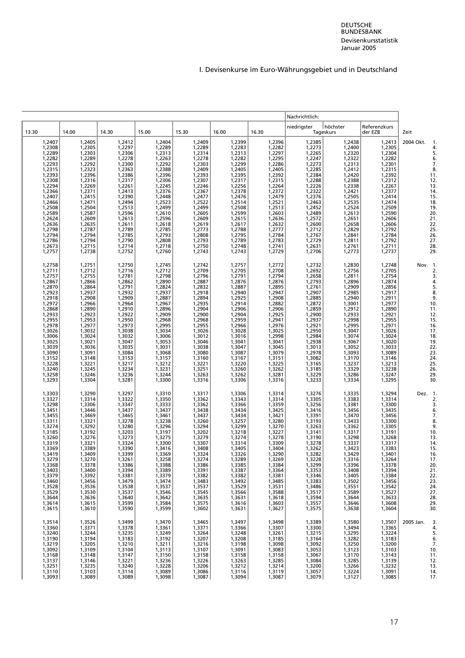<span id="page-31-0"></span>

|                                                                                                                                                                                                                              |                                                                                                                                                                                                                                    |                                                                                                                                                                                                                          |                                                                                                                                                                                                                              |                                                                                                                                                                                                                          |                                                                                                                                                                                                                                                                                                                                   |                                                                                                                                                                                                                                    | Nachrichtlich:                                                                                                                                                                                                           |                                                                                                                                                                                                                          |                                                                                                                                                                                                                          |                                                                                                                                                           |
|------------------------------------------------------------------------------------------------------------------------------------------------------------------------------------------------------------------------------|------------------------------------------------------------------------------------------------------------------------------------------------------------------------------------------------------------------------------------|--------------------------------------------------------------------------------------------------------------------------------------------------------------------------------------------------------------------------|------------------------------------------------------------------------------------------------------------------------------------------------------------------------------------------------------------------------------|--------------------------------------------------------------------------------------------------------------------------------------------------------------------------------------------------------------------------|-----------------------------------------------------------------------------------------------------------------------------------------------------------------------------------------------------------------------------------------------------------------------------------------------------------------------------------|------------------------------------------------------------------------------------------------------------------------------------------------------------------------------------------------------------------------------------|--------------------------------------------------------------------------------------------------------------------------------------------------------------------------------------------------------------------------|--------------------------------------------------------------------------------------------------------------------------------------------------------------------------------------------------------------------------|--------------------------------------------------------------------------------------------------------------------------------------------------------------------------------------------------------------------------|-----------------------------------------------------------------------------------------------------------------------------------------------------------|
| 13.30                                                                                                                                                                                                                        | 14.00                                                                                                                                                                                                                              | 14.30                                                                                                                                                                                                                    | 15.00                                                                                                                                                                                                                        | 15.30                                                                                                                                                                                                                    | 16.00                                                                                                                                                                                                                                                                                                                             | 16.30                                                                                                                                                                                                                              | niedrigster                                                                                                                                                                                                              | höchster<br>Tageskurs                                                                                                                                                                                                    | Referenzkurs<br>der EZB                                                                                                                                                                                                  | Zeit                                                                                                                                                      |
| 1,2407<br>1,2308<br>1,2289<br>1,2282<br>1,2315<br>1,2315<br>1,2393<br>1,2308<br>1,2294<br>1,2366<br>1,2407<br>1,2466<br>1,2508<br>1,2589<br>1,2624<br>1,2636<br>1,2798<br>1,2794<br>1,2786<br>1,2673<br>1,2757               | 1,2405<br>1,2305<br>1,2303<br>1,2289<br>1,2292<br>1,2323<br>1,2396<br>1,2316<br>1,2269<br>1,2371<br>1,2415<br>1,2471<br>1,2504<br>1,2587<br>1,2609<br>1,2635<br>1,2787<br>1,2794<br>$1,2794$<br>$1,2715$<br>1,2738                 | 1,2412<br>1,2297<br>1,2306<br>1,2278<br>1,2300<br>1,2363<br>1,2386<br>1,2317<br>1,2261<br>1,2413<br>1,2390<br>1,2494<br>1,2513<br>1,2596<br>1,2613<br>1,2611<br>1,2789<br>1,2785<br>1,2790<br>1,2714<br>1,2752           | 1,2404<br>$1,2289$<br>$1,2313$<br>1,2263<br>1,2292<br>1,2388<br>1,2396<br>1,2306<br>1,2245<br>1,2376<br>1,2448<br>1,2523<br>1,2499<br>1,2610<br>1,2596<br>1,2618<br>1,2785<br>1,2793<br>1,2808<br>1,2718<br>1,2760           | 1,2409<br>$1,2289$<br>$1,2314$<br>$1,2278$<br>1,2303<br>1,2409<br>1,2393<br>1,2307<br>1,2246<br>1,2367<br>1,2477<br>1,2522<br>1,2499<br>1,2605<br>1,2609<br>1,2619<br>1,2773<br>1,2808<br>1,2793<br>1,2750<br>1,2743     | 1,2383<br>1,2282<br>1,2383<br>1,2282<br>1,2295<br>1,2295<br>1,2377<br>1,2578<br>1,2599<br>1,2599<br>1,2599<br>1,2599<br>1,2599<br>1,2599<br>1,2599<br>1,2599<br>1,2599<br>1,2599<br>1,2599<br>1,2599<br>1,2599<br>1,2599<br>1,250<br>1,250<br>1,250<br>1,250<br>1,250<br>1,250<br>1,250<br>1,250<br>1,250<br>1,250<br>1,250<br>1, | 1,2396<br>$1,2282$<br>$1,2297$<br>$1,2295$<br>1,2286<br>1,2405<br>1,2392<br>1,2315<br>1,2264<br>1,2372<br>1,2479<br>1,2521<br>1,2513<br>1,2603<br>1,2636<br>1,2632<br>1,2777<br>1,2784<br>1,2783<br>1,2783<br>1,2741<br>1,2729     | 1,2385<br>1,2273<br>1,2265<br>1,2247<br>1,2273<br>1,2285<br>1,2384<br>1,2288<br>1,2226<br>1,2322<br>1,2376<br>1,2463<br>1,2452<br>1,2489<br>1,2572<br>1,2600<br>1,2712<br>1,2767<br>1,2729<br>1,2631<br>1,2706           | 1,2438<br>1,2400<br>1,2320<br>1,2322<br>1,2322<br>1,2313<br>1,2412<br>1,2420<br>1,2388<br>1,2338<br>1,2535<br>1,2505<br>1,2535<br>1,2524<br>1,2613<br>1,2651<br>1,2658<br>1,2829<br>1,2841<br>1,2811<br>1,2811<br>1,2773 | 1,2413<br>1,2305<br>1,2304<br>1,2282<br>1,2301<br>1,2315<br>1,2392<br>1,2312<br>1,2267<br>1,2377<br>1,2414<br>1,2474<br>1,2509<br>1,2590<br>1,2606<br>1,2606<br>1,2792<br>1,2784<br>1,2792<br>1,2711<br>1,2737           | 2004 Okt.<br>$\mathbf{1}$<br>4<br>5<br>6<br>7<br>8<br>11<br>12<br>13<br>14<br>15<br>18<br>19<br>20<br>21<br>22<br>25<br>26<br>$\overline{27}$<br>28<br>29 |
| 1,2758<br>1,2711<br>1,2757<br>1,2867<br>1,2870<br>1,2923<br>$1,2918$<br>$1,2972$<br>1,2868<br>1,2933<br>1,2955<br>1,2978<br>1,3026<br>1,3006<br>1,3006<br>1,3039<br>1,3090<br>1,3152<br>1,3228<br>1,3240<br>1,3258<br>1,3293 | 1,2751<br>1,2712<br>1,2755<br>1,2866<br>1,2864<br>1,2937<br>1,2908<br>1,2966<br>1,2890<br>1,2923<br>1,2953<br>1,2953<br>1,3032<br>1,3024<br>1,3021<br>1,3036<br>1,3091<br>1,3148<br>1,3140<br>1,3221<br>1,3245<br>1,3246<br>1,3304 | 1,2750<br>1,2716<br>1,2781<br>1,2862<br>1,2791<br>1,2932<br>1,2909<br>1,2964<br>1,2910<br>1,2922<br>1,2950<br>1,2973<br>1,3038<br>1,3032<br>1,3047<br>1,3035<br>1,3084<br>1,3153<br>1,3217<br>1,3234<br>1,3236<br>1,3281 | 1,2745<br>1,2712<br>1,2798<br>1,2890<br>1,2824<br>1,2937<br>1,2887<br>1,2967<br>1,2896<br>1,2909<br>1,2968<br>1,2995<br>1,3034<br>1,3006<br>1,3053<br>1,3031<br>1,3068<br>$1,3157$<br>$1,3212$<br>1,3231<br>1,3244<br>1,3300 | 1,2742<br>1,2709<br>1,2796<br>1,2887<br>1,2832<br>1,2918<br>1,2894<br>1,2935<br>1,2904<br>1,2900<br>1,2968<br>1,2955<br>1,3026<br>1,3012<br>1,3046<br>1,3038<br>1,3080<br>1,3160<br>1,3221<br>1,3251<br>1,3263<br>1,3316 | 1,2757<br>1,2705<br>1,2887<br>1,2887<br>1,2940<br>1,2906<br>1,2906<br>1,2905<br>1,2905<br>1,3006<br>1,3006<br>1,3006<br>1,3006<br>1,3006<br>1,3006<br>1,3006<br>1,3006<br>1,3006<br>1,3006<br>1,3006<br>1,3006<br>1,3006<br>1,3006<br>1,3006<br>1,3006<br>1,3006<br>1,3006<br>1,3006<br>1,3006<br>1,3306                          | 1,2772<br>1,2708<br>1,2794<br>1,2876<br>1,2895<br>1,2935<br>1,2947<br>1,2908<br>1,2882<br>1,2906<br>1,2925<br>1,2941<br>1,2976<br>1,3025<br>1,2998<br>1,3041<br>1,3045<br>1,3045<br>1,3151<br>1,3225<br>1,3225<br>1,3281<br>1,3316 | 1,2732<br>1,2692<br>1,2658<br>1,2793<br>1,2761<br>1,2907<br>1,2885<br>1,2872<br>1,2859<br>1,2900<br>1,2937<br>1,2921<br>1,2950<br>1,2984<br>1,2938<br>1,3013<br>1,2978<br>1,3082<br>1,3165<br>1,3185<br>1,3229<br>1,3233 | 1,2830<br>1,2756<br>1,2811<br>1,2896<br>1,2896<br>1,2985<br>1,2940<br>1,3001<br>1,2912<br>1,2933<br>1,2998<br>1,2995<br>1,3047<br>1,3074<br>1,3067<br>1,3052<br>1,3093<br>1,3170<br>1,3237<br>1,3329<br>1,3286<br>1,3334 | 1,2748<br>1,2705<br>1,2754<br>1,2874<br>1,2856<br>1,2917<br>1,2911<br>1,2977<br>1,2890<br>1,2921<br>1,2955<br>1,2971<br>1,3026<br>1,3024<br>1,3020<br>1,3033<br>1,3089<br>1,3146<br>1,3213<br>1,3238<br>1,3247<br>1,3295 | Nov. 1<br>2<br>3<br>4<br>5<br>8<br>9<br>10<br>11<br>12<br>15<br>16<br>17<br>18<br>19<br>22<br>23<br>24<br>25<br>26<br>29<br>30                            |
| 1,3303<br>1,3327<br>1,3298<br>1,3451<br>1,3455<br>1,3311<br>1,3274<br>1,3185<br>1,3260<br>1,3319<br>1,3369<br>1,3419<br>1,3279<br>1,3368<br>1,3403<br>1,3379<br>1,3460<br>1,3528<br>1,3529<br>1,3644<br>1,3614<br>1,3615     | 1,3290<br>1,3314<br>1,3306<br>1,3446<br>1,3469<br>1,3321<br>1,3292<br>1,3192<br>1,3276<br>1,3321<br>1,3389<br>1,3409<br>1,3270<br>1,3378<br>1,3400<br>1,3392<br>1,3456<br>1,3536<br>1,3530<br>1,3636<br>1,3615<br>1,3610           | 1,3297<br>1,3322<br>1,3347<br>1,3437<br>1,3465<br>1,3278<br>1,3280<br>1,3203<br>1,3273<br>1,3324<br>1,3390<br>1,3399<br>1,3261<br>1,3386<br>1,3394<br>1,3381<br>1,3479<br>1,3538<br>1,3537<br>1,3640<br>1,3599<br>1,3590 | 1,3310<br>1,3350<br>1,3333<br>1,3437<br>1,3461<br>1,3238<br>1,3296<br>1,3197<br>1,3275<br>1,3300<br>1,3416<br>1,3369<br>1,3258<br>1,3388<br>1,3389<br>1,3379<br>1,3474<br>1,3537<br>1,3546<br>1,3642<br>1,3584<br>1,3599     | 1,3317<br>1,3362<br>1,3362<br>1,3438<br>1,3437<br>1,3260<br>1,3294<br>1,3202<br>1,3279<br>1,3307<br>1,3408<br>1,3324<br>1,3274<br>1,3386<br>1,3391<br>1,3382<br>1,3483<br>1,3537<br>1,3545<br>1,3635<br>1,3575<br>1,3602 | 1,3306<br>1,3343<br>1,3366<br>1,3334<br>1,3434<br>1,3257<br>1,3299<br>1,3218<br>1,3274<br>1,3314<br>1,3405<br>1,3326<br>1,3289<br>1,3385<br>1,3387<br>1,3382<br>1,3492<br>1,3529<br>1,3566<br>1,3631<br>1,3616<br>1,3631                                                                                                          | 1,3314<br>1,3314<br>1,3359<br>1,3425<br>1,3421<br>1,3280<br>1,3270<br>1,3227<br>1,3278<br>1,3309<br>1,3404<br>1,3290<br>1,3269<br>1,3384<br>1,3364<br>1,3381<br>1,3485<br>1,3531<br>1,3588<br>1,3618<br>1,3603<br>1,3627           | 1,3276<br>1,3305<br>1,3256<br>1,3416<br>1,3391<br>1,3193<br>1,3263<br>1,3141<br>1,3190<br>1,3278<br>1,3262<br>1,3282<br>1,3228<br>1,3299<br>1,3353<br>1,3346<br>1,3383<br>1,3486<br>1,3517<br>1,3594<br>1,3557<br>1,3575 | 1,3335<br>1,3383<br>1,3381<br>1,3456<br>1,3470<br>1,3433<br>1,3362<br>1,3317<br>1,3298<br>1,3337<br>1,3423<br>1,3429<br>1,3316<br>1,3396<br>1,3408<br>1,3405<br>1,3502<br>1,3551<br>1,3589<br>1,3644<br>1,3646<br>1,3638 | 1,3294<br>1,3314<br>1,3300<br>1,3435<br>1,3456<br>1,3300<br>1,3305<br>1,3191<br>1,3268<br>1,3317<br>1,3383<br>1,3401<br>1,3264<br>1,3378<br>1,3394<br>1,3384<br>1,3456<br>1,3542<br>1,3527<br>1,3633<br>1,3608<br>1,3604 | Dez.<br>2<br>3<br>6<br>7<br>8<br>9<br>10<br>13<br>14<br>15<br>16<br>17<br>20<br>21<br>22<br>23<br>24<br>27<br>28<br>29<br>30                              |
| 1,3514<br>1,3360<br>1,3240<br>1,3190<br>1,3219<br>1,3092<br>1,3168<br>1,3137<br>1,3251<br>1,3110<br>1,3093                                                                                                                   | 1,3526<br>1,3371<br>1,3244<br>1,3194<br>1,3205<br>1,3109<br>1,3148<br>1,3146<br>1,3235<br>1,3103<br>1,3089                                                                                                                         | 1,3499<br>1,3378<br>1,3235<br>1,3183<br>1,3210<br>1,3104<br>1,3147<br>1,3221<br>1,3240<br>1,3114<br>1,3089                                                                                                               | 1,3470<br>1,3361<br>1,3249<br>1,3192<br>1,3211<br>1,3113<br>1,3150<br>1,3236<br>1,3228<br>1,3089<br>1,3098                                                                                                                   | 1,3465<br>1,3371<br>1,3264<br>1,3207<br>1,3216<br>1,3107<br>1,3158<br>1,3226<br>1,3206<br>1,3086<br>1,3087                                                                                                               | 1,3497<br>1,3366<br>1,3248<br>1,3208<br>1,3198<br>1,3091<br>1,3158<br>1,3263<br>1,3212<br>1,3116<br>1,3094                                                                                                                                                                                                                        | 1,3498<br>1,3307<br>1,3261<br>1,3185<br>1,3098<br>1,3083<br>1,3158<br>1,3285<br>1,3214<br>1,3119<br>1,3087                                                                                                                         | 1,3389<br>1,3300<br>1,3215<br>1,3164<br>1,3092<br>1,3053<br>1,3067<br>1,3084<br>1,3200<br>1,3057<br>1,3079                                                                                                               | 1,3580<br>1,3494<br>1,3295<br>1,3282<br>1,3250<br>1,3123<br>1,3170<br>1,3285<br>1,3266<br>1,3224<br>1,3127                                                                                                               | 1,3507<br>1,3365<br>1,3224<br>1,3183<br>1,3200<br>1,3103<br>1,3143<br>1,3139<br>1,3232<br>1,3091<br>1,3085                                                                                                               | 2005 Jan.<br>3<br>4<br>5<br>6<br>7<br>10<br>11<br>12<br>13<br>14<br>17                                                                                    |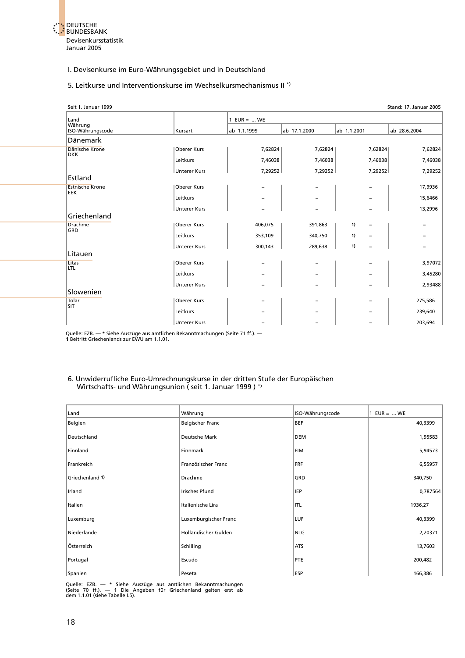<span id="page-32-0"></span>

#### 5. Leitkurse und Interventionskurse im Wechselkursmechanismus II \*)

| Seit 1. Januar 1999                  |                     |               |              |             | <b>Stand: 17. Januar 2005</b> |
|--------------------------------------|---------------------|---------------|--------------|-------------|-------------------------------|
| Land                                 |                     | 1 $EUR =  WE$ |              |             |                               |
| Währung<br>ISO-Währungscode          | Kursart             | ab 1.1.1999   | ab 17.1.2000 | ab 1.1.2001 | ab 28.6.2004                  |
| Dänemark                             |                     |               |              |             |                               |
| Dänische Krone<br><b>DKK</b>         | Oberer Kurs         | 7,62824       | 7,62824      | 7,62824     | 7,62824                       |
|                                      | Leitkurs            | 7,46038       | 7,46038      | 7,46038     | 7,46038                       |
|                                      | <b>Unterer Kurs</b> | 7,29252       | 7,29252      | 7,29252     | 7,29252                       |
| Estland                              |                     |               |              |             |                               |
| <b>Estnische Krone</b><br><b>EEK</b> | Oberer Kurs         |               |              |             | 17,9936                       |
|                                      | Leitkurs            |               |              |             | 15,6466                       |
|                                      | <b>Unterer Kurs</b> |               |              |             | 13,2996                       |
| Griechenland                         |                     |               |              |             |                               |
| <b>Drachme</b><br>GRD                | <b>Oberer Kurs</b>  | 406,075       | 391,863      | 1)          |                               |
|                                      | Leitkurs            | 353,109       | 340,750      | 1)          |                               |
|                                      | <b>Unterer Kurs</b> | 300,143       | 289,638      | 1)          |                               |
| Litauen                              |                     |               |              |             |                               |
| Litas<br><b>LTL</b>                  | Oberer Kurs         |               |              |             | 3,97072                       |
|                                      | Leitkurs            |               |              |             | 3,45280                       |
|                                      | <b>Unterer Kurs</b> |               |              |             | 2,93488                       |
| Slowenien                            |                     |               |              |             |                               |
| Tolar<br><b>SIT</b>                  | Oberer Kurs         |               |              |             | 275,586                       |
|                                      | Leitkurs            |               |              |             | 239,640                       |
|                                      | <b>Unterer Kurs</b> |               |              |             | 203,694                       |

Quelle: EZB. — **\*** Siehe Auszüge aus amtlichen Bekanntmachungen (Seite 71 ff.). — **1** Beitritt Griechenlands zur EWU am 1.1.01.

#### 6. Unwiderrufliche Euro-Umrechnungskurse in der dritten Stufe der Europäischen Wirtschafts- und Währungsunion ( seit 1. Januar 1999 ) \*)

| Land            | Währung                 | ISO-Währungscode | 1 $EUR =  WE$ |
|-----------------|-------------------------|------------------|---------------|
| Belgien         | <b>Belgischer Franc</b> | <b>BEF</b>       | 40,3399       |
| Deutschland     | Deutsche Mark           | DEM              | 1,95583       |
| Finnland        | Finnmark                | <b>FIM</b>       | 5,94573       |
| Frankreich      | Französischer Franc     | FRF              | 6,55957       |
| Griechenland 1) | Drachme                 | GRD              | 340,750       |
| Irland          | <b>Irisches Pfund</b>   | <b>IEP</b>       | 0,787564      |
| Italien         | Italienische Lira       | ITL              | 1936,27       |
| Luxemburg       | Luxemburgischer Franc   | LUF              | 40,3399       |
| Niederlande     | Holländischer Gulden    | NLG              | 2,20371       |
| Österreich      | Schilling               | <b>ATS</b>       | 13,7603       |
| Portugal        | Escudo                  | PTE              | 200,482       |
| Spanien         | Peseta                  | <b>ESP</b>       | 166,386       |

Quelle: EZB. — \* Siehe Auszüge aus amtlichen Bekanntmachungen<br>(Seite 70 ff.). — 1 Die Angaben für Griechenland gelten erst ab<br>dem 1.1.01 (siehe-Tabelle I.5).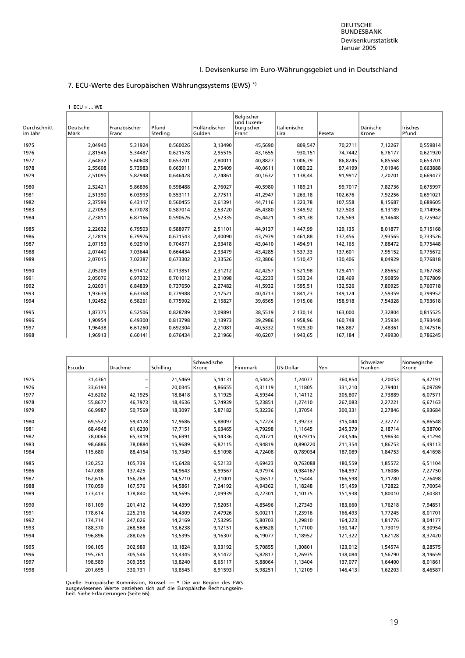#### DEUTSCHE BUNDESBANK Devisenkursstatistik Januar 2005

#### I. Devisenkurse im Euro-Währungsgebiet und in Deutschland

#### 7. ECU-Werte des Europäischen Währungssystems (EWS) \*)

1  $ECU = ...$  WE

<span id="page-33-0"></span>

| Durchschnitt<br>im Jahr | Deutsche<br>Mark | Französischer<br>Franc | Pfund<br>Sterlina | Holländischer<br>Gulden | Belgischer<br>und Luxem-<br>burgischer<br>Franc | Italienische<br>Lira | Peseta  | Dänische<br>Krone | <b>Irisches</b><br>Pfund |
|-------------------------|------------------|------------------------|-------------------|-------------------------|-------------------------------------------------|----------------------|---------|-------------------|--------------------------|
| 1975                    | 3,04940          | 5,31924                | 0,560026          | 3,13490                 | 45,5690                                         | 809,547              | 70,2711 | 7,12267           | 0,559814                 |
| 1976                    | 2.81546          | 5.34487                | 0.621578          | 2.95515                 | 43,1655                                         | 930,151              | 74,7442 | 6,76177           | 0,621920                 |
| 1977                    | 2,64832          | 5,60608                | 0,653701          | 2,80011                 | 40,8827                                         | 1 006,79             | 86,8245 | 6,85568           | 0,653701                 |
| 1978                    | 2,55608          | 5,73983                | 0,663911          | 2.75409                 | 40,0611                                         | 1 080,22             | 97,4199 | 7.01946           | 0,663888                 |
| 1979                    | 2,51095          | 5,82948                | 0.646428          | 2,74861                 | 40,1632                                         | 1 138,44             | 91,9917 | 7,20701           | 0,669477                 |
| 1980                    | 2,52421          | 5.86896                | 0.598488          | 2.76027                 | 40.5980                                         | 1 189,21             | 99.7017 | 7.82736           | 0,675997                 |
| 1981                    | 2,51390          | 6.03993                | 0.553111          | 2,77511                 | 41,2947                                         | 1 263,18             | 102,676 | 7,92256           | 0,691021                 |
| 1982                    | 2,37599          | 6,43117                | 0,560455          | 2,61391                 | 44,7116                                         | 1 323,78             | 107,558 | 8,15687           | 0,689605                 |
| 1983                    | 2,27053          | 6,77078                | 0,587014          | 2,53720                 | 45,4380                                         | 1 349,92             | 127,503 | 8,13189           | 0,714956                 |
| 1984                    | 2,23811          | 6,87166                | 0,590626          | 2,52335                 | 45,4421                                         | 1 381,38             | 126,569 | 8,14648           | 0,725942                 |
| 1985                    | 2,22632          | 6,79503                | 0,588977          | 2,51101                 | 44,9137                                         | 1447,99              | 129,135 | 8,01877           | 0,715168                 |
| 1986                    | 2,12819          | 6,79976                | 0,671543          | 2,40090                 | 43,7979                                         | 1461,88              | 137,456 | 7,93565           | 0,733526                 |
| 1987                    | 2,07153          | 6.92910                | 0.704571          | 2,33418                 | 43,0410                                         | 1494,91              | 142,165 | 7,88472           | 0,775448                 |
| 1988                    | 2.07440          | 7,03644                | 0.664434          | 2,33479                 | 43,4285                                         | 1 537,33             | 137,601 | 7.95152           | 0,775672                 |
| 1989                    | 2,07015          | 7,02387                | 0,673302          | 2,33526                 | 43,3806                                         | 1510,47              | 130,406 | 8,04929           | 0,776818                 |
| 1990                    | 2.05209          | 6.91412                | 0.713851          | 2,31212                 | 42,4257                                         | 1521,98              | 129,411 | 7.85652           | 0,767768                 |
| 1991                    | 2,05076          | 6,97332                | 0,701012          | 2,31098                 | 42,2233                                         | 1 533,24             | 128,469 | 7,90859           | 0,767809                 |
| 1992                    | 2,02031          | 6,84839                | 0,737650          | 2,27482                 | 41,5932                                         | 1 595,51             | 132,526 | 7,80925           | 0,760718                 |
| 1993                    | 1,93639          | 6,63368                | 0,779988          | 2,17521                 | 40,4713                                         | 1841,23              | 149,124 | 7,59359           | 0,799952                 |
| 1994                    | 1,92452          | 6,58261                | 0,775902          | 2,15827                 | 39,6565                                         | 1915,06              | 158,918 | 7,54328           | 0,793618                 |
| 1995                    | 1,87375          | 6,52506                | 0,828789          | 2,09891                 | 38,5519                                         | 2 130,14             | 163,000 | 7,32804           | 0,815525                 |
| 1996                    | 1,90954          | 6,49300                | 0,813798          | 2,13973                 | 39,2986                                         | 1958,96              | 160,748 | 7,35934           | 0,793448                 |
| 1997                    | 1,96438          | 6,61260                | 0,692304          | 2,21081                 | 40,5332                                         | 1929,30              | 165,887 | 7,48361           | 0,747516                 |
| 1998                    | 1,96913          | 6,60141                | 0,676434          | 2,21966                 | 40,6207                                         | 1943,65              | 167,184 | 7,49930           | 0,786245                 |

|      | Escudo  | Drachme | Schilling | Schwedische<br>Krone | <b>Finnmark</b> | US-Dollar | Yen     | Schweizer<br>Franken | Norwegische<br>Krone |
|------|---------|---------|-----------|----------------------|-----------------|-----------|---------|----------------------|----------------------|
| 1975 | 31,4361 |         | 21,5469   | 5,14131              | 4,54425         | 1,24077   | 360,854 | 3,20053              | 6,47191              |
| 1976 | 33,6193 |         | 20,0345   | 4,86655              | 4,31119         | 1,11805   | 331,210 | 2,79401              | 6,09789              |
| 1977 | 43,6202 | 42,1925 | 18,8418   | 5,11925              | 4,59344         | 1,14112   | 305,807 | 2,73889              | 6,07571              |
|      |         |         |           |                      |                 |           |         |                      |                      |
| 1978 | 55,8677 | 46,7973 | 18,4636   | 5,74939              | 5,23851         | 1,27410   | 267,083 | 2,27221              | 6,67163              |
| 1979 | 66,9987 | 50,7569 | 18,3097   | 5,87182              | 5,32236         | 1,37054   | 300,331 | 2,27846              | 6,93684              |
| 1980 | 69,5522 | 59,4178 | 17,9686   | 5,88097              | 5,17224         | 1,39233   | 315,044 | 2,32777              | 6,86548              |
| 1981 | 68,4948 | 61,6230 | 17,7151   | 5,63465              | 4,79298         | 1.11645   | 245,379 | 2,18714              | 6,38700              |
| 1982 | 78,0066 | 65,3419 | 16,6991   | 6,14336              | 4,70721         | 0,979715  | 243,546 | 1,98634              | 6,31294              |
| 1983 | 98,6886 | 78,0884 | 15,9689   | 6,82115              | 4,94819         | 0,890220  | 211,354 | 1,86753              | 6,49113              |
| 1984 | 115,680 | 88,4154 | 15,7349   | 6,51098              | 4,72408         | 0,789034  | 187,089 | 1,84753              | 6,41698              |
| 1985 | 130,252 | 105,739 | 15,6428   | 6,52133              | 4,69423         | 0,763088  | 180,559 | 1,85572              | 6,51104              |
| 1986 | 147,088 | 137,425 | 14,9643   | 6,99567              | 4,97974         | 0,984167  | 164,997 | 1,76086              | 7,27750              |
| 1987 | 162,616 | 156,268 | 14,5710   | 7,31001              | 5,06517         | 1,15444   | 166,598 | 1,71780              | 7,76498              |
| 1988 | 170,059 | 167,576 | 14,5861   | 7,24192              | 4,94362         | 1,18248   | 151,459 | 1,72822              | 7,70054              |
| 1989 | 173,413 | 178,840 | 14,5695   | 7,09939              | 4,72301         | 1,10175   | 151,938 | 1,80010              | 7,60381              |
| 1990 | 181.109 | 201,412 | 14,4399   | 7,52051              | 4,85496         | 1,27343   | 183,660 | 1,76218              | 7,94851              |
| 1991 | 178,614 | 225,216 | 14,4309   | 7,47926              | 5,00211         | 1,23916   | 166,493 | 1,77245              | 8,01701              |
| 1992 | 174,714 | 247,026 | 14,2169   | 7,53295              | 5,80703         | 1,29810   | 164,223 | 1,81776              | 8,04177              |
| 1993 | 188,370 | 268,568 | 13,6238   | 9,12151              | 6,69628         | 1,17100   | 130,147 | 1,73019              | 8,30954              |
| 1994 | 196,896 | 288,026 | 13,5395   | 9,16307              | 6,19077         | 1,18952   | 121,322 | 1,62128              | 8,37420              |
| 1995 | 196,105 | 302,989 | 13,1824   | 9,33192              | 5,70855         | 1,30801   | 123,012 | 1,54574              | 8,28575              |
| 1996 | 195,761 | 305,546 | 13,4345   | 8,51472              | 5,82817         | 1,26975   | 138,084 | 1,56790              | 8,19659              |
| 1997 | 198,589 | 309,355 | 13,8240   | 8,65117              | 5,88064         | 1,13404   | 137,077 | 1,64400              | 8,01861              |
| 1998 | 201,695 | 330,731 | 13,8545   | 8,91593              | 5,98251         | 1,12109   | 146,413 | 1,62203              | 8,46587              |

Quelle: Europäische Kommission, Brüssel. — \* Die vor Beginn des EWS<br>ausgewiesenen Werte beziehen sich auf die Europäische Rechnungsein-<br>heit. Siehe Erläuterungen (Seite 66).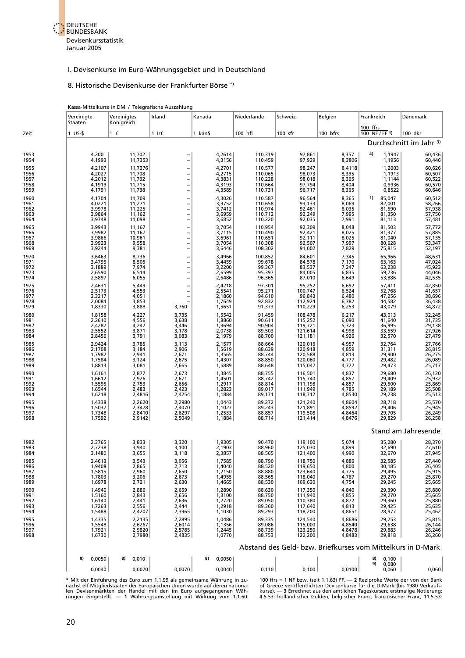

#### 8. Historische Devisenkurse der Frankfurter Börse \*)

<span id="page-34-0"></span>

|                      |                                                             | Kassa-Mittelkurse in DM / Telegrafische Auszahlung |                                                      |                            |                                                |                               |                            |                            |                            |  |  |  |
|----------------------|-------------------------------------------------------------|----------------------------------------------------|------------------------------------------------------|----------------------------|------------------------------------------------|-------------------------------|----------------------------|----------------------------|----------------------------|--|--|--|
|                      | Vereinigte<br>Staaten                                       | Vereinigtes<br>Königreich                          | Irland                                               | Kanada                     | Niederlande                                    | Schweiz                       | Belgien                    | Frankreich                 | Dänemark                   |  |  |  |
| Zeit                 | $1$ US-\$                                                   | 1 f                                                | $1$ Ir $f$                                           | 1 kan\$                    | 100 hfl                                        | $100$ sfr                     | 100 bfrs                   | 100 ffrs<br>100 NF / FF 1) | 100 dkr                    |  |  |  |
|                      |                                                             | Durchschnitt im Jahr <sup>3)</sup>                 |                                                      |                            |                                                |                               |                            |                            |                            |  |  |  |
| 1953<br>1954         | 4,200<br>4,1993                                             | 11,702<br>11,7353                                  |                                                      | 4,2614<br>4,3156           | 110,319<br>110,459                             | 97,861<br>97,929              | 8,357<br>8,3806            | 4)<br>1,1947<br>1,1956     | 60,436<br>60,446           |  |  |  |
| 1955<br>1956         | 4,2107<br>4,2027                                            | 11,7376<br>11,708                                  | $\qquad \qquad -$                                    | 4,2701<br>4,2715           | 110,577<br>110,065                             | 98,247<br>98,073              | 8,4118<br>8,395            | 1,2003<br>1,1913           | 60,626<br>60,507           |  |  |  |
| 1957<br>1958<br>1959 | 4,2012<br>4,1919<br>4,1791                                  | 11,732<br>11,715<br>11,738                         | $\overline{a}$<br>$\qquad \qquad -$                  | 4,3831<br>4,3193<br>4,3589 | 110,228<br>110,664<br>110,731                  | 98,018<br>97,794<br>96,717    | 8,365<br>8,404<br>8,365    | 1,1144<br>0,9936<br>0,8522 | 60,522<br>60,570<br>60,646 |  |  |  |
| 1960<br>1961         | 4,1704<br>4,0221                                            | 11,709<br>11,271                                   |                                                      | 4,3026<br>3,9752           | 110,587<br>110,658                             | 96,564<br>93,133              | 8,365<br>8,069             | 85,047<br>1)<br>82,001     | 60,512<br>58,266           |  |  |  |
| 1962<br>1963         | 3,9978<br>3,9864                                            | 11,225<br>11,162<br>11,098                         | $\frac{1}{1}$                                        | 3,7412<br>3,6959           | 110,974<br>110,712                             | 92,461<br>92,249              | 8,035<br>7,995             | 81,590<br>81,350           | 57,938<br>57,750           |  |  |  |
| 1964<br>1965<br>1966 | 3,9748<br>3,9943<br>3,9982                                  | 11,167<br>11,167                                   | -                                                    | 3,6852<br>3,7054<br>3,7115 | 110,220<br>110,954<br>110,490                  | 92,035<br>92,309<br>92,421    | 7,991<br>8,048<br>8,025    | 81,113<br>81,503<br>81,377 | 57,481<br>57,772<br>57,885 |  |  |  |
| 1967<br>1968         | 3,9866<br>3,9923                                            | 10,961<br>9,558                                    | $\overline{\phantom{a}}$<br>$\qquad \qquad -$        | 3,6961<br>3,7054           | 110,651<br>110,308                             | 92,111<br>92,507              | 8,025<br>7,997             | 81,040<br>80,628           | 57,135<br>53,347<br>52,197 |  |  |  |
| 1969<br>1970         | 3,9244<br>3,6463                                            | 9,381<br>8,736                                     |                                                      | 3,6446<br>3,4966           | 108,302<br>100,852                             | 91,002<br>84,601              | 7,829<br>7,345<br>7,170    | 75,815<br>65,966           | 48,631                     |  |  |  |
| 1971<br>1972<br>1973 | 3,4795<br>3,1889<br>2,6590                                  | 8,505<br>7,974<br>6,514                            | $\overline{\phantom{0}}$                             | 3,4459<br>3,2200<br>2,6599 | 99,678<br>99,367<br>95,397                     | 84,578<br>83,537<br>84,005    | 7,247<br>6,835             | 63,163<br>63,238<br>59,736 | 47,024<br>45,923<br>44,046 |  |  |  |
| 1974<br>1975         | 2,5897<br>2,4631                                            | 6,055<br>5,449                                     | $\overline{\phantom{0}}$                             | 2,6486<br>2,4218           | 96,365<br>97,301<br>95,271                     | 87,010<br>95,252              | 6,649<br>6,692             | 53,886<br>57,411           | 42,535<br>42,850           |  |  |  |
| 1976<br>1977<br>1978 | 2,5173<br>2,3217<br>2,0084                                  | 4,553<br>4,051<br>3,853                            | $\overline{\phantom{0}}$<br>$\overline{\phantom{0}}$ | 2,5541<br>2,1860<br>1,7649 | 94,610<br>92,832                               | 100,747<br>96,843<br>112,924  | 6,524<br>6,480<br>6,382    | 52,768<br>47,256<br>44,582 | 41,657<br>38,696           |  |  |  |
| 1979<br>1980         | 1,8330<br>1,8158                                            | 3,888<br>4,227                                     | 3,760<br>3,735                                       | 1,5651<br>1,5542           | 91,373<br>91,459                               | 110,229<br>108,478            | 6,253<br>6,217             | 43,079<br>43,013           | 36,438<br>34,872<br>32,245 |  |  |  |
| 1981<br>1982<br>1983 | 2,2610<br>2,4287<br>2,5552                                  | 4,556<br>4,242<br>3,871                            | 3,638<br>3,446<br>3,178                              | 1,8860<br>1,9694<br>2,0738 | 90,611<br>90,904<br>89,503                     | 115,252<br>119,721<br>121,614 | 6,090<br>5,323<br>4,998    | 41,640<br>36,995<br>33,559 | 31,735<br>29,138<br>27,926 |  |  |  |
| 1984<br>1985         | 2,8456<br>2,9424                                            | 3,791<br>3,785                                     | 3,083<br>3,113                                       | 2,1979<br>2,1577           | 88,700<br>88,664                               | 121,181<br>120,016            | 4,926<br>4,957             | 32,570<br>32,764           | 27,479                     |  |  |  |
| 1986<br>1987         | 2,1708<br>1,7982                                            | 3,184<br>2,941                                     | 2,906<br>2,671                                       | 1,5619<br>1,3565           | 88,639<br>88,639<br>88,744<br>88,850<br>88,648 | 120,918<br>120,588            | 4,859<br>4,813             | 31,311<br>29,900           | 27,766<br>26,815<br>26,275 |  |  |  |
| 1988<br>1989<br>1990 | 1,7584<br>1,8813<br>1,6161                                  | 3,124<br>3,081<br>2,877                            | 2,675<br>2,665<br>2,673                              | 1,4307<br>1,5889<br>1,3845 | 88,755                                         | 120,060<br>115,042<br>116,501 | 4,777<br>4,772<br>4,837    | 29,482<br>29,473<br>29,680 | 26,089<br>25,717<br>26,120 |  |  |  |
| 1991<br>1992         | 1,6612<br>1,5595                                            | 2,926<br>2,753                                     | 2,671<br>2,656                                       | 1,4501<br>1,2917           | 88,742<br>88,814                               | 115,740<br>111,198            | 4,857<br>4,857             | 29,409<br>29,500           | 25,932<br>25,869           |  |  |  |
| 1993<br>1994         | 1,6544<br>1,6218                                            | 2,483<br>2,4816                                    | 2,423<br>2,4254                                      | 1,2823<br>1,1884           | 89,017<br>89,171                               | 111,949<br>118,712            | 4,785<br>4,8530            | 29,189<br>29,238           | 25,508<br>25,513           |  |  |  |
| 1995<br>1996<br>1997 | 1,4338<br>1,5037<br>1,7348                                  | 2,2620<br>2,3478<br>2,8410                         | 2,2980<br>2,4070<br>2,6297                           | 1,0443<br>1,1027<br>1,2533 | 89,272<br>89,243<br>88,857                     | 121,240<br>121,891<br>119,508 | 4,8604<br>4,8592<br>4,8464 | 28,718<br>29,406<br>29,705 | 25,570<br>25,945<br>26,249 |  |  |  |
| 1998                 | 1,7592                                                      | 2,9142                                             | 2,5049                                               | 1,1884                     | 88,714                                         | 121,414                       | 4,8476                     | 29,829                     | 26,258                     |  |  |  |
| 1982                 | 2,3765                                                      | 3,833                                              | 3,320                                                | 1,9305                     | 90,470                                         | 119,100                       | 5,074                      | 35,280                     | Stand am Jahresende        |  |  |  |
| 1983<br>1984         | 2,7238<br>3,1480                                            | 3,940<br>3,655                                     | 3,100<br>3,118                                       | 2,1903<br>2,3857           | 88,960<br>88,565                               | 125.030<br>121,400            | 4,899<br>4,990             | 32,690<br>32,670           | 28,370<br>27,610<br>27,945 |  |  |  |
| 1985<br>1986         | 2,4613<br>1,9408                                            | 3,543<br>2,865                                     | 3,056<br>2,713                                       | 1,7585<br>1,4040           | 88,790<br>88,520                               | 118,750<br>119,650            | 4,886<br>4,800             | 32,585<br>30,185           | 27,440<br>26,405           |  |  |  |
| 1987<br>1988<br>1989 | 1,5815<br>1,7803<br>1,6978                                  | 2,960<br>3,206<br>2,721                            | 2,650<br>2,673<br>2,630                              | 1,2150<br>1,4955<br>1,4665 | 88,880<br>88,565<br>88,530                     | 123,640<br>118,040<br>109,630 | 4,775<br>4,767<br>4,754    | 29,495<br>29,270<br>29,245 | 25,915<br>25,870<br>25,665 |  |  |  |
| 1990<br>1991         | 1,4940<br>1,5160                                            | 2,886<br>2,843                                     | 2,659<br>2,656                                       | 1,2890<br>1,3100           | 88,630<br>88,750                               | 117,350<br>111,940            | 4,840<br>4,855             | 29,390<br>29,270           | 25,880<br>25,665           |  |  |  |
| 1992<br>1993<br>1994 | 1,6140<br>1,7263<br>1,5488                                  | 2,441<br>2,556<br>2,4207                           | 2,636<br>2,444<br>2,3965                             | 1,2720<br>1,2918<br>1,1030 | 89,050<br>89,360<br>89,293                     | 110,380<br>117,640<br>118,200 | 4,872<br>4,813<br>4,8651   | 29,360<br>29,425<br>28,977 | 25,880<br>25,635<br>25,462 |  |  |  |
| 1995<br>1996         | 1,4335<br>1,5548                                            | 2,2135<br>2,6267                                   | 2,2895<br>2,6014                                     | 1,0486<br>1,1356           | 89,335<br>89,086                               | 124,540<br>115,000            | 4,8686<br>4,8540           | 29,253<br>29,638           | 25,815<br>26,144           |  |  |  |
| 1997<br>1998         | 1,7921<br>1,6730                                            | 2,9820<br>2,7980                                   | 2,5785<br>2,4835                                     | 1,2445<br>1,0770           | 88,739<br>88,753                               | 123,250<br>122,200            | 4,8478<br>4,8483           | 29,883<br>29,818           | 26,246<br>26,260           |  |  |  |
|                      | Abstand des Geld- bzw. Briefkurses vom Mittelkurs in D-Mark |                                                    |                                                      |                            |                                                |                               |                            |                            |                            |  |  |  |
|                      | 0,0050<br>8)                                                | 0,010<br>8)                                        |                                                      | 8)<br>0,0050               |                                                |                               |                            | 8)<br>0,100<br>0,080<br>9) |                            |  |  |  |
|                      | 0,0040                                                      | 0,0070                                             | 0,0070                                               | 0,0040                     | 0,110                                          | 0,100                         | 0,0100                     | 0,060                      | 0,060                      |  |  |  |

\* Mit der Einführung des Euro zum 1.1.99 als gemeinsame Währung in zu- 100 ffrs = 1 NF bzw. (seit 1.1.63) FF. — 2 Reziproke Werte der von der Bank<br>nächst elf Mitgliedstaaten der Europäischen Union wurde auf deren nationa-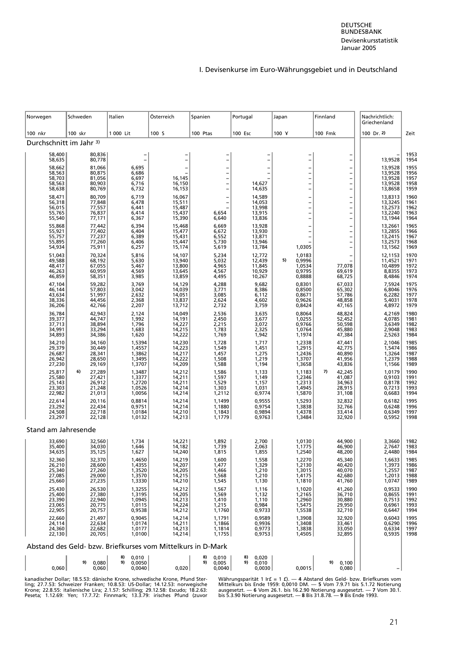<span id="page-35-0"></span>

| Schweden<br>Norwegen                                                 | Italien                               | Österreich                 | Spanien                                    | Portugal                             | Japan                                | Finnland                                                               | Nachrichtlich:                       |                      |  |  |  |  |
|----------------------------------------------------------------------|---------------------------------------|----------------------------|--------------------------------------------|--------------------------------------|--------------------------------------|------------------------------------------------------------------------|--------------------------------------|----------------------|--|--|--|--|
| 100 skr<br>100 nkr                                                   | 1 000 Lit                             | 100 S                      | 100 Ptas                                   | 100 Esc                              | 100 Y                                | 100 Fmk                                                                | Griechenland<br>100 Dr. 2)           | Zeit                 |  |  |  |  |
| Durchschnitt im Jahr 3)                                              |                                       |                            |                                            |                                      |                                      |                                                                        |                                      |                      |  |  |  |  |
| 58,400<br>80,836<br>80,778<br>58,635                                 | $\overline{a}$                        | $\overline{\phantom{a}}$   | $\overline{\phantom{0}}$                   | $\overline{\phantom{0}}$             | $\qquad \qquad -$                    | $\overline{a}$                                                         | 13,9528                              | 1953<br>1954         |  |  |  |  |
| 58,662<br>58,563<br>81,066<br>80,875                                 | 6,695<br>6,686                        |                            | <b>-</b>                                   | $\overline{\phantom{0}}$             | <sup>-</sup>                         | $\overline{\phantom{0}}$<br>$\bar{a}$                                  | 13,9528<br>13,9528                   | 1955<br>1956         |  |  |  |  |
| 58,703<br>81,056<br>80,903<br>58,563<br>80,769<br>58,638             | 6,697<br>6,716<br>6,732               | 16,145<br>16,150<br>16,153 | $\overline{\phantom{0}}$<br>$\overline{a}$ | 14,627<br>14,635                     |                                      | $\overline{\phantom{0}}$<br>$\overline{\phantom{0}}$                   | 13,9528<br>13,9528<br>13,8658        | 1957<br>1958<br>1959 |  |  |  |  |
| 58,471<br>80,709<br>56,318                                           | 6,719<br>6,478                        | 16,067<br>15,511           | Ξ<br>$\overline{a}$                        | 14,589<br>14,053                     |                                      | <sup>-</sup><br>$\overline{\phantom{0}}$                               | 13,8313<br>13,3245                   | 1960<br>1961         |  |  |  |  |
| 77,848<br>77,557<br>76,837<br>56,015<br>55,765<br>55,540<br>77,171   | 6,441<br>6,414<br>6,367               | 15,487<br>15,437<br>15,390 | 6,654<br>6,640                             | 13,998<br>13,915<br>13,836           |                                      | $\overline{a}$<br>$\bar{a}$                                            | 13,2573<br>13,2240<br>13,1944        | 1962<br>1963<br>1964 |  |  |  |  |
| 77,442<br>55,868<br>77,402<br>77,237<br>55,921<br>55,757             | 6,394<br>6,404                        | 15,468<br>15,477           | 6,669<br>6,672                             | 13,928<br>13,930                     |                                      | $\overline{a}$<br><sup>-</sup>                                         | 13,2661<br>13,2855                   | 1965<br>1966         |  |  |  |  |
| 55,895<br>77,260<br>54,934<br>75,911                                 | 6,389<br>6,406<br>6,257               | 15,431<br>15,447<br>15,174 | 6,552<br>5,730<br>5,619                    | 13,871<br>13,946<br>13,784           | 1,0305                               | $\overline{\phantom{0}}$<br>$\overline{\phantom{0}}$<br>$\overline{a}$ | 13,2415<br>13,2573<br>13,1562        | 1967<br>1968<br>1969 |  |  |  |  |
| 51,043<br>70,324<br>49,588<br>68,192                                 | 5,816<br>5,630                        | 14,107<br>13,940<br>13,800 | 5,234<br>5,032                             | 12,772<br>12,439                     | 1,0183<br>0,9996<br>5)               | -                                                                      | 12,1153<br>11,4521                   | 1970<br>1971         |  |  |  |  |
| 67,055<br>48,417<br>60,959<br>46,263<br>46,859<br>58,351             | 5,467<br>4,569<br>3,985               | 13,645<br>13,859           | 4,965<br>4,567<br>4,495                    | 11,845<br>10,929<br>10,267           | 1,0534<br>0,9795<br>0,8888           | 77,078<br>69,619<br>68,725                                             | 10,4899<br>8,8355<br>8,4846          | 1972<br>1973<br>1974 |  |  |  |  |
| 47,104<br>59,282<br>57,803                                           | 3,769<br>3,042                        | 14,129<br>14,039           | 4,288<br>3,771                             | 9,682<br>8,386                       | 0,8301<br>0,8500                     | 67,033                                                                 | 7,5924<br>6,8046                     | 1975<br>1976         |  |  |  |  |
| 46, 144<br>43, 634<br>51,997<br>38,336<br>44,456<br>36,206<br>42,766 | 2,632<br>2,368<br>2,207               | 14,051<br>13,837<br>13,712 | 3,085<br>2,624<br>2,732                    | 6,112<br>4,602<br>3,759              | 0,8671<br>0,9626<br>0,8424           | 65,302<br>57,786<br>48,858<br>47,165                                   | 6,2282<br>5,4031<br>4,8972           | 1977<br>1978<br>1979 |  |  |  |  |
| 36,784<br>42,943<br>44,747                                           | 2,124                                 | 14,049<br>14,191           | 2,536<br>2,450                             | 3,635<br>3,677                       | 0,8064                               | 48,824                                                                 | 4,2169<br>4,0785                     | 1980<br>1981         |  |  |  |  |
| 39,377<br>37,713<br>38,894<br>33,294<br>34,991<br>34,893<br>34,386   | $7,992$<br>$1,796$<br>1,683<br>1,620  | 14,227<br>14,215<br>14,222 | $\frac{2}{2}$ , 215<br>1,783<br>1,769      | 3,072<br>2,325<br>1,942              | 1,0255<br>0,9766<br>1,0764<br>1,1974 | 52,452<br>50,598<br>45,880<br>47,384                                   | 3,6349<br>2,9048<br>2,5263           | 1982<br>1983<br>1984 |  |  |  |  |
| 34,210<br>29,379<br>26,687<br>34,160                                 | 1,5394<br>1,4557                      | 14,230<br>14,223           | 1,728                                      | 1,717                                | 1,2338<br>1,2915                     | 47,441<br>42,775<br>40,890                                             | 2,1046                               | 1985<br>1986         |  |  |  |  |
| 30,449<br>28,341<br>26,942<br>28,650<br>27,230<br>29,169             | 1,3862<br>1,3495<br>1,3707            | 14,217<br>14,222<br>14,209 | $1,549$<br>$1,457$<br>1,508<br>1,588       | $1,451$<br>$1,275$<br>1,219<br>1,194 | 1,2436<br>1,3707<br>1,3658           | 41,956<br>43,836                                                       | 1,5474<br>1,3264<br>1,2379<br>1,1566 | 1987<br>1988<br>1989 |  |  |  |  |
| 27,289<br>25,817<br>6)<br>25,580<br>27,421                           | 1,3487<br>1,3377                      | 14,212<br>14,211           | 1,586<br>1,597                             | 1,133<br>1,149                       | 1,1183<br>1,2346                     | 7)<br>42,245<br>41,087                                                 | 1,0179<br>0,9103                     | 1990<br>1991         |  |  |  |  |
| 25,143<br>26,912<br>21,248<br>21,013<br>23,303                       | 1,2720<br>1,0526<br>1,0056            | 14,211<br>14,214<br>14,214 | 1,529<br>1,303                             | 1,157<br>1,031                       | 1,2313<br>1,4945                     | 34,963<br>28,915<br>31,108                                             | 0,8178<br>0,7213<br>0,6683           | 1992<br>1993<br>1994 |  |  |  |  |
| 22,982<br>22,614<br>20,116<br>22,434<br>23,292                       | 0,8814<br>0,9751                      | 14,214<br>14,214           | 1,2112<br>1,1499<br>1,1880                 | 0,9774<br>0,9555<br>0,9754           | 1,5870<br>1,5293<br>1,3838           | 32,832<br>32,766                                                       | 0,6182<br>0,6248                     | 1995<br>1996         |  |  |  |  |
| 22,718<br>24,508<br>23,297<br>22,128                                 | 1,0184<br>1,0132                      | 14,210<br>14,213           | 1,1843<br>1,1779                           | 0,9894<br>0,9763                     | 1,4378<br>1,3484                     | 33,414<br>32,920                                                       | 0,6349<br>0,5952                     | 1997<br>1998         |  |  |  |  |
| Stand am Jahresende                                                  |                                       |                            |                                            |                                      |                                      |                                                                        |                                      |                      |  |  |  |  |
| 32,560<br>34,030<br>33,690<br>35,400<br>34,635<br>35,125             | 1,734<br>1,646                        | 14,221<br>14,182           | 1,892<br>1,739                             | 2,700<br>2,063                       | 1,0130<br>1,1775                     | 44,900<br>46,900<br>48,200                                             | 3,3660<br>2,7647<br>2,4480           | 1982<br>1983<br>1984 |  |  |  |  |
| 32,360<br>32,370<br>28,600                                           | 1,627<br>1,4650<br>1,4355             | 14,240<br>14,219<br>14,207 | 1,815<br>1,600<br>1,477                    | 1,855<br>1,558<br>1,329              | 1,2540<br>1,2270<br>1,2130           | 45,340<br>40,420                                                       | 1,6633<br>1,3973<br>1,2557           | 1985<br>1986         |  |  |  |  |
| 26,210<br>25,340<br>27,260<br>27,085<br>29,000                       | 1,3520<br>1,3570                      | 14,205<br>14,215           | 1,466<br>1,568                             | 1,210<br>1,210                       | 1,3015<br>1,4175                     | 40,070<br>42,680                                                       | 1,2013                               | 1987<br>1988         |  |  |  |  |
| 25,660<br>27,235<br>25,430<br>26,530<br>27,380<br>25,400             | 1,3330<br>1,3255<br>1,3195            | 14,210<br>14,212<br>14,205 | 1,545<br>1,567<br>1,569                    | 1,130<br>1,116<br>1,132              | 1,1810<br>1,1020<br>1,2165           | 41,760<br>41,260<br>36,710                                             | 1,0747<br>0,9533<br>0,8655           | 1989<br>1990<br>1991 |  |  |  |  |
| 23,390<br>22,940<br>23,065<br>20,775                                 | 1,0945<br>1,0115                      | 14,213<br>14,224           | 1,410<br>1,215                             | 1,110<br>0,984                       | 1,2960<br>1,5475                     | 30,880<br>29,950                                                       | 0,7513<br>0,6961                     | 1992<br>1993         |  |  |  |  |
| 22,905<br>20,757<br>22,660<br>21,497<br>22,634                       | 0,9538<br>0,9045<br>1,0174            | 14,212<br>14,214<br>14,211 | 1,1760<br>1,1791                           | 0,9733<br>0,9589                     | 1,5538<br>1,3908                     | 32,710<br>32,920<br>33,461                                             | 0,6447<br>0,6043<br>0,6290           | 1994<br>1995         |  |  |  |  |
| 24,114<br>24,360<br>22,682<br>22,130<br>20,705                       | 1,0177<br>1,0100                      | 14,213<br>14,214           | 1,1866<br>1,1814<br>1,1755                 | 0,9936<br>0,9773<br>0,9753           | 1,3408<br>1,3838<br>1,4505           | 33,050<br>32,895                                                       | 0,6334<br>0,5935                     | 1996<br>1997<br>1998 |  |  |  |  |
| Abstand des Geld- bzw. Briefkurses vom Mittelkurs in D-Mark          |                                       |                            |                                            |                                      |                                      |                                                                        |                                      |                      |  |  |  |  |
| 9)<br>0,080<br>0,060<br>0,060                                        | 8)<br>0,010<br>9)<br>0,0050<br>0,0040 | 0,020                      | 8)<br>0,010<br>9)<br>0,005<br>0,0040       | 8)<br>0,020<br>9)<br>0,010<br>0,0030 | 0,0015                               | 9) 0,100<br>0,080                                                      |                                      |                      |  |  |  |  |

kanadischer Dollar; 18.5.53: dänische Krone, schwedische Krone, Pfund Ster-Währungsparität 1 Ir£ = 1 £). — 4 Abstand des Geld- bzw. Briefkurses vom<br>ling; 27.7.53: Schweizer Franken; 10.8.53: US-Dollar; 14.12.53: norwegisch kanadischer Dollar; 18.5.53: dänische Krone, schwedische Krone, Pfund Sterling; 27.7.53: Schweizer Franken; 10.8.53: US-Dollar; 14.12.53: norwegische Krone; 22.8.55: italienische Lira; 2.1.57: Schilling; 29.12.58: Escudo;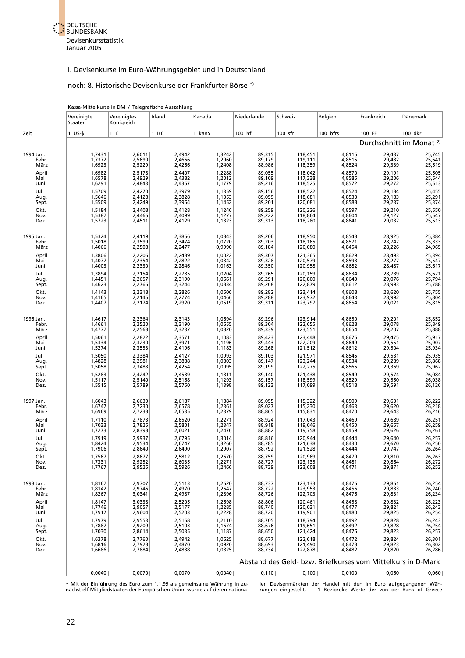

#### I. Devisenkurse im Euro-Währungsgebiet und in Deutschland

#### noch: 8. Historische Devisenkurse der Frankfurter Börse \*)

|                               |                                      | Kassa-Mittelkurse in DM / Telegrafische Auszahlung |                                      |                                      |                                      |                                          |                                      |                                                             |                                      |
|-------------------------------|--------------------------------------|----------------------------------------------------|--------------------------------------|--------------------------------------|--------------------------------------|------------------------------------------|--------------------------------------|-------------------------------------------------------------|--------------------------------------|
|                               | Vereinigte<br>Staaten                | Vereinigtes<br>Königreich                          | Irland                               | Kanada                               | Niederlande                          | Schweiz                                  | Belgien                              | Frankreich                                                  | Dänemark                             |
| Zeit                          | $1$ US-\$                            | 1 f                                                | $1$ Ir $f$                           | 1 kan\$                              | 100 hfl                              | 100 sfr                                  | 100 bfrs                             | 100 FF                                                      | 100 dkr                              |
|                               |                                      |                                                    |                                      |                                      |                                      |                                          |                                      | Durchschnitt im Monat <sup>2)</sup>                         |                                      |
| 1994 Jan.<br>Febr.<br>März    | 1,7431<br>1,7372<br>1,6923           | 2,6011<br>2,5690<br>2,5229                         | 2,4942<br>2,4666<br>2,4266           | 1,3242<br>1,2960<br>1,2408           | 89,315<br>89,179<br>88,986           | 118,451<br>119,111<br>118,359            | 4,8115<br>4,8515<br>4,8524           | 29,437<br>29,432<br>29,339                                  | 25,745<br>25,641<br>25,519           |
| April<br>Mai<br>Juni          | 1,6982<br>1,6578<br>1,6291           | 2,5178<br>2,4929<br>2,4843                         | 2,4407<br>2,4382<br>2,4357           | 1,2288<br>1,2012<br>1,1779           | 89,055<br>89,109<br>89,216           | 118,042<br>117,338<br>118,525            | 4,8570<br>4,8585<br>4,8572           | 29,191<br>29,206<br>29,272                                  | 25,505<br>25,544<br>25,513           |
| Juli<br>Aug.<br>Sept.         | 1,5709<br>1,5646<br>1,5509           | 2,4270<br>2,4128<br>2,4249                         | 2,3979<br>2,3828<br>2,3954           | 1,1359<br>1,1353<br>1,1452           | 89,156<br>89,059<br>89,201           | 118,522<br>118,681<br>120,081            | 4,8524<br>4,8533<br>4,8588           | 29,184<br>29,183<br>29,237                                  | 25,455<br>25,291<br>25,374           |
| Okt.<br>Nov.<br>Dez.          | 1,5184<br>1,5387<br>1,5723           | 2,4408<br>2,4466<br>2,4511                         | 2,4128<br>2,4099<br>2,4129           | 1,1246<br>1,1277<br>1,1323           | 89,259<br>89,222<br>89,313           | 120,226<br>118,864<br>118,280            | 4,8597<br>4,8604<br>4,8641           | 29,210<br>29,127<br>29,037                                  | 25,550<br>25,547<br>25,513           |
| 1995 Jan.<br>Febr.<br>März    | 1,5324<br>1,5018<br>1,4066           | 2,4119<br>2,3599<br>2,2508                         | 2,3856<br>2,3474<br>2,2477           | 1,0843<br>1,0720<br>0,9990           | 89,206<br>89,203<br>89,184           | 118,950<br>118,165<br>120,080            | 4,8548<br>4,8571<br>4,8454           | 28,925<br>28,747<br>28,226                                  | 25,384<br>25,333<br>24,965           |
| April<br>Mai<br>Juni          | 1,3806<br>1,4077<br>1,4003           | 2,2206<br>2,2354<br>2,2330                         | 2,2489<br>2,2822<br>2,2846           | 1,0022<br>1,0342<br>1,0163           | 89,307<br>89,328<br>89,350           | 121,365<br>120,579<br>120,958            | 4,8629<br>4,8593<br>4,8682           | 28,493<br>28,277<br>28,487                                  | 25,394<br>25,547<br>25,617           |
| Juli<br>Aug.<br>Sept.         | 1,3894<br>1,4451<br>1,4623           | 2,2154<br>2,2657<br>2,2766                         | 2,2785<br>2,3190<br>2,3244           | 1,0204<br>1,0661<br>1,0834           | 89,265<br>89,291<br>89,268           | 120,159<br>120,800<br>122,879            | 4,8634<br>4,8640<br>4,8612           | 28,739<br>29,076<br>28,993                                  | 25,671<br>25,794<br>25,788           |
| Okt.<br>Nov.<br>Dez.          | 1,4143<br>1,4165<br>1,4407           | 2,2318<br>2,2145<br>2,2174                         | 2,2826<br>2,2774<br>2,2920           | 1,0506<br>1,0466<br>1,0519           | 89,282<br>89,288<br>89,311           | 123,414<br>123,972<br>123,797            | 4,8608<br>4,8643<br>4,8654           | 28,620<br>28,992<br>29,021                                  | 25,755<br>25,804<br>25,815           |
| 1996 Jan.<br>Febr.<br>März    | 1,4617<br>1,4661<br>1,4777           | 2,2364<br>2,2520<br>2,2568                         | 2,3143<br>2,3190<br>2,3237           | 1,0694<br>1,0655<br>1,0820           | 89,296<br>89,304<br>89,339           | 123,914<br>122,655<br>123,551            | 4,8650<br>4,8628<br>4,8654           | 29,201<br>29,078<br>29,207                                  | 25,852<br>25,849<br>25,888           |
| April<br>Mai<br>Juni          | 1,5061<br>1,5334<br>1,5274           | 2,2822<br>2,3230<br>2,3553                         | 2,3571<br>2,3971<br>2,4196           | 1,1083<br>1,1196<br>1,1183           | 89,423<br>89,443<br>89,268           | 123,448<br>122,209<br>121,512            | 4,8675<br>4,8649<br>4,8612           | 29,475<br>29,551<br>29,504                                  | 25,917<br>25,907<br>25,934           |
| Juli<br>Aug.<br>Sept.         | 1,5050<br>1,4828<br>1,5058           | 2,3384<br>2,2981<br>2,3483                         | 2,4127<br>2,3888<br>2,4254           | 1,0993<br>1,0803<br>1,0995           | 89,103<br>89,147<br>89,199           | 121,971<br>123,244<br>122,275            | 4,8545<br>4,8534<br>4,8565           | 29,531<br>29,289<br>29,369                                  | 25,935<br>25,868<br>25,962           |
| Okt.<br>Nov.<br>Dez.          | 1,5283<br>1,5117<br>1,5515           | 2,4242<br>2,5140<br>2,5789                         | 2,4589<br>2,5168<br>2,5750           | 1,1311<br>1,1293<br>1,1398           | 89,140<br>89,157<br>89,123           | 121,438<br>118,599<br>117,099            | 4,8549<br>4,8529<br>4,8518           | 29,574<br>29,550<br>29,591                                  | 26,084<br>26,038<br>26,126           |
| 1997 Jan.<br>Febr.<br>März    | 1,6043<br>1,6747<br>1,6969           | 2,6630<br>2,7230<br>2,7238                         | 2,6187<br>2,6578<br>2,6535           | 1,1884<br>1,2361<br>1,2379           | 89,055<br>89,027<br>88,865           | 115,322<br>115,230<br>115,831            | 4,8509<br>4,8463<br>4,8470           | 29,631<br>29,620<br>29,643                                  | 26,222<br>26,218<br>26,216           |
| April<br>Mai<br>Juni          | 1,7110<br>1,7033<br>1,7273           | 2,7873<br>2,7825<br>2,8398                         | 2,6520<br>2,5801<br>2,6021           | 1,2271<br>1,2347<br>1,2476           | 88,924<br>88,918<br>88,882           | 117,043<br>119,046<br>119,758            | 4,8469<br>4,8450<br>4,8459           | 29,689<br>29,657<br>29,626                                  | 26,251<br>26,259<br>26,261           |
| Juli<br>Aug.<br>Sept.         | 1,7919<br>1,8424<br>1,7906           | 2,9937<br>2,9534<br>2,8640                         | 2,6795<br>2,6747<br>2,6490           | 1,3014<br>1,3260<br>1,2907           | 88,816<br>88,785<br>88,792           | 120,944<br>121,638<br>121,528            | 4,8444<br>4,8430<br>4,8444           | 29,640<br>29,670<br>29,747                                  | 26,257<br>26,250<br>26,264           |
| Okt.<br>Nov.<br>Dez.          | 1,7567<br>1,7331<br>1,7767           | 2,8677<br>2,9252<br>2,9525                         | 2,5812<br>2,6035<br>2,5926           | 1,2670<br>1,2271<br>1,2466           | 88,759<br>88,727<br>88,739           | 120,969<br>123,135<br>123,608            | 4,8479<br>4,8481<br>4,8471           | 29,810<br>29,864<br>29,871                                  | 26,263<br>26,272<br>26,252           |
| 1998 Jan.<br>Febr.<br>März    | 1,8167<br>1,8142<br>1,8267           | 2,9707<br>2,9746<br>3,0341                         | 2,5113<br>2,4970<br>2,4987           | 1,2620<br>1,2647<br>1,2896           | 88,737<br>88,722<br>88,726           | 123,133<br>123,953<br>122,703            | 4,8476<br>4,8456<br>4,8476           | 29,861<br>29,833<br>29,831                                  | 26,254<br>26,240<br>26,234           |
| April<br>Mai<br>Juni          | 1,8147<br>1,7746<br>1,7917<br>1,7979 | 3,0338<br>2,9057<br>2,9604<br>2,9553               | 2,5205<br>2,5177<br>2,5203           | 1,2698<br>1,2285<br>1,2228           | 88,806<br>88,740<br>88,720<br>88,705 | 120,461<br>120,031<br>119,901<br>118,794 | 4,8458<br>4,8477<br>4,8480<br>4,8492 | 29,832<br>29,821<br>29,825<br>29,828                        | 26,223<br>26,243<br>26,254<br>26,243 |
| Juli<br>Aug.<br>Sept.<br>Okt. | 1,7887<br>1,7030<br>1,6378           | 2,9209<br>2,8614<br>2,7760                         | 2,5158<br>2,5103<br>2,5035<br>2,4942 | 1,2110<br>1,1674<br>1,1187<br>1,0625 | 88,676<br>88,650<br>88,677           | 119,651<br>121,424<br>122,618            | 4,8492<br>4,8476<br>4,8472           | 29,828<br>29,823<br>29,824                                  | 26,254<br>26,257<br>26,301           |
| Nov.<br>Dez.                  | 1,6816<br>1,6686                     | 2,7928<br>2,7884                                   | 2,4870<br>2,4838                     | 1,0920<br>1,0825                     | 88,693<br>88,734                     | 121,490<br>122,878                       | 4,8478<br>4,8482                     | 29,823<br>29,820                                            | 26,302<br>26,286                     |
|                               |                                      |                                                    |                                      |                                      |                                      |                                          |                                      | Abstand des Geld- bzw. Briefkurses vom Mittelkurs in D-Mark |                                      |
|                               | 0,0040                               | 0,0070                                             | 0,0070                               | 0,0040                               | 0,110                                | 0,100                                    | 0,0100                               | 0,060                                                       | 0,060                                |

\* Mit der Einführung des Euro zum 1.1.99 als gemeinsame Währung in zu- len Devisenmärkten der Handel mit den im Euro aufgegangenen Wäh-<br>nächst elf Mitgliedstaaten der Europäischen Union wurde auf deren nationa- rungen eing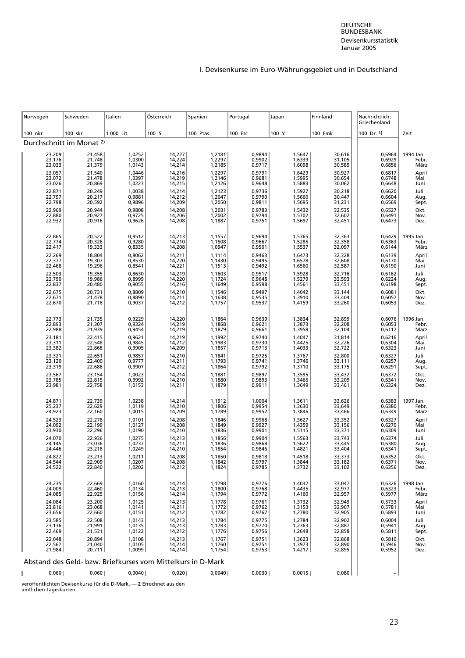# I. Devisenkurse im Euro-Währungsgebiet und in Deutschland

| Norwegen                   | Schweden                                                    | Italien                    | Österreich                 | Spanien                    | Portugal                   | Japan                      | Finnland                   | Nachrichtlich:<br>Griechenland |                      |
|----------------------------|-------------------------------------------------------------|----------------------------|----------------------------|----------------------------|----------------------------|----------------------------|----------------------------|--------------------------------|----------------------|
| 100 nkr                    | 100 skr                                                     | 1 000 Lit                  | 100 S                      | 100 Ptas                   | 100 Esc                    | 100 Y                      | <b>100 Fmk</b>             | 100 Dr. 1)                     | Zeit                 |
|                            | Durchschnitt im Monat <sup>2)</sup>                         |                            |                            |                            |                            |                            |                            |                                |                      |
| 23,209                     | 21,458                                                      | 1,0252                     | 14,227                     | 1,2181                     | 0,9894                     | 1,5647                     | 30,616                     | 0,6964                         | 1994 Jan.            |
| 23,176                     | 21,748                                                      | 1,0300                     | 14,224                     | 1,2297                     | 0,9902                     | 1,6339                     | 31,105                     | 0,6929                         | Febr.                |
| 23,033                     | 21,379                                                      | 1,0143                     | 14,214                     | 1,2185                     | 0,9717                     | 1,6098                     | 30,585                     | 0,6856                         | März                 |
| 23,057                     | 21,540                                                      | 1,0446                     | 14,216                     | 1,2297                     | 0,9791                     | 1,6429                     | 30,927                     | 0,6817                         | April                |
| 23,072                     | 21,478                                                      | 1,0397                     | 14,219                     | 1,2146                     | 0,9681                     | 1,5995                     | 30,654                     | 0,6748                         | Mai                  |
| 23,026                     | 20,869                                                      | 1,0223                     | 14,215                     | 1,2126                     | 0,9648                     | 1,5883                     | 30,062                     | 0,6648                         | Juni                 |
| 22,871                     | 20,249                                                      | 1,0038                     | 14,214                     | 1,2123                     | 0,9736                     | 1,5927                     | 30,218                     | 0,6620                         | Juli                 |
| 22,797                     | 20,217                                                      | 0,9881                     | 14,212                     | 1,2047                     | 0,9790                     | 1,5660                     | 30,447                     | 0,6604                         | Aug.                 |
| 22,798                     | 20,592                                                      | 0,9896                     | 14,209                     | 1,2050                     | 0,9811                     | 1,5695                     | 31,231                     | 0,6569                         | Sept.                |
| 22,969                     | 20,944                                                      | 0,9808                     | 14,208                     | 1,2031                     | 0,9783                     | 1,5432                     | 32,535                     | 0,6527                         | Okt.                 |
| 22,880                     | 20,927                                                      | 0,9725                     | 14,206                     | 1,2002                     | 0,9794                     | 1,5702                     | 32,602                     | 0,6491                         | Nov.                 |
| 22,932                     | 20,916                                                      | 0,9626                     | 14,208                     | 1,1887                     | 0,9751                     | 1,5697                     | 32,451                     | 0,6473                         | Dez.                 |
| 22,865                     | 20,522                                                      | 0,9512                     | 14,213                     | 1,1557                     | 0,9694                     | 1,5365                     | 32,363                     | 0,6429                         | 1995 Jan.            |
| 22,774                     | 20,326                                                      | 0,9280                     | 14,210                     | 1,1508                     | 0,9667                     | 1,5285                     | 32,358                     | 0,6363                         | Febr.                |
| 22,417                     | 19,333                                                      | 0,8335                     | 14,208                     | 1,0947                     | 0,9501                     | 1,5537                     | 32,097                     | 0,6144                         | März                 |
| 22,269                     | 18,804                                                      | 0,8062                     | 14,211                     | 1,1114                     | 0,9463                     | 1,6473                     | 32,328                     | 0,6139                         | April                |
| 22,377                     | 19,307                                                      | 0,8530                     | 14,220                     | 1,1430                     | 0,9495                     | 1,6578                     | 32,608                     | 0,6170                         | Mai                  |
| 22,468                     | 19,296                                                      | 0,8541                     | 14,221                     | 1,1513                     | 0,9492                     | 1,6560                     | 32,587                     | 0,6190                         | Juni                 |
| 22,503                     | 19,355                                                      | 0,8630                     | 14,219                     | 1,1603                     | 0,9517                     | 1,5928                     | 32,716                     | 0,6162                         | Juli                 |
| 22,790                     | 19,986                                                      | 0,8999                     | 14,220                     | 1,1724                     | 0,9648                     | 1,5279                     | 33,593                     | 0,6224                         | Aug.                 |
| 22,837                     | 20,480                                                      | 0,9055                     | 14,216                     | 1,1649                     | 0,9598                     | 1,4561                     | 33,451                     | 0,6198                         | Sept.                |
| 22,675                     | 20,731                                                      | 0,8809                     | 14,210                     | 1,1546                     | 0,9497                     | 1,4042                     | 33,144                     | 0,6081                         | Okt.                 |
| 22,671                     | 21,478                                                      | 0,8890                     | 14,211                     | 1,1638                     | 0,9535                     | 1,3910                     | 33,404                     | 0,6057                         | Nov.                 |
| 22,670                     | 21,718                                                      | 0,9037                     | 14,212                     | 1,1757                     | 0,9537                     | 1,4159                     | 33,260                     | 0,6053                         | Dez.                 |
| 22,773                     | 21,735                                                      | 0,9229                     | 14,220                     | 1,1864                     | 0,9639                     | 1,3834                     | 32,899                     | 0,6076                         | 1996 Jan.            |
| 22,893                     | 21,307                                                      | 0,9324                     | 14,219                     | 1,1868                     | 0,9621                     | 1,3873                     | 32,208                     | 0,6053                         | Febr.                |
| 22,988                     | 21,939                                                      | 0,9454                     | 14,219                     | 1,1879                     | 0,9661                     | 1,3958                     | 32,104                     | 0,6117                         | März                 |
| 23,181                     | 22,415                                                      | 0,9621                     | 14,219                     | 1,1992                     | 0,9740                     | 1,4047                     | 31,814                     | 0,6216                         | April                |
| 23,311                     | 22,548                                                      | 0,9845                     | 14,212                     | 1,1983                     | 0,9730                     | 1,4425                     | 32,226                     | 0,6304                         | Mai                  |
| 23,382                     | 22,868                                                      | 0,9905                     | 14,209                     | 1,1857                     | 0,9713                     | 1,4033                     | 32,722                     | 0,6323                         | Juni                 |
| 23,321                     | 22,651                                                      | 0,9857                     | 14,210                     | 1,1841                     | 0,9725                     | 1,3767                     | 32,800                     | 0,6327                         | Juli                 |
| 23,120                     | 22,400                                                      | 0,9777                     | 14,211                     | 1,1793                     | 0,9741                     | 1,3746                     | 33,111                     | 0,6257                         | Aug.                 |
| 23,319                     | 22,686                                                      | 0,9907                     | 14,212                     | 1,1864                     | 0,9792                     | 1,3710                     | 33,175                     | 0,6291                         | Sept.                |
| 23,567                     | 23,154                                                      | 1,0023                     | 14,214                     | 1,1881                     | 0,9897                     | 1,3595                     | 33,432                     | 0,6372                         | Okt.                 |
| 23,785                     | 22,815                                                      | 0,9992                     | 14,210                     | 1,1880                     | 0,9893                     | 1,3466                     | 33,209                     | 0,6341                         | Nov.                 |
| 23,981                     | 22,758                                                      | 1,0153                     | 14,211                     | 1,1879                     | 0,9911                     | 1,3649                     | 33,461                     | 0,6324                         | Dez.                 |
| 24,871                     | 22,739                                                      | 1,0238                     | 14,214                     | 1,1912                     | 1,0004                     | 1,3611                     | 33,626                     | 0,6383                         | 1997 Jan.            |
| 25,237                     | 22,629                                                      | 1,0119                     | 14,210                     | 1,1806                     | 0,9954                     | 1,3630                     | 33,649                     | 0,6380                         | Febr.                |
| 24,923                     | 22,160                                                      | 1,0015                     | 14,209                     | 1,1789                     | 0,9952                     | 1,3846                     | 33,466                     | 0,6349                         | März                 |
| 24,523                     | 22,278                                                      | 1,0101                     | 14,208                     | 1,1846                     | 0,9968                     | 1,3627                     | 33,352                     | 0,6327                         | April                |
| 24,092                     | 22,199                                                      | 1,0127                     | 14,208                     | 1,1849                     | 0,9927                     | 1,4359                     | 33,156                     | 0,6270                         | Mai                  |
| 23,930                     | 22,296                                                      | 1,0190                     | 14,210                     | 1,1836                     | 0,9901                     | 1,5115                     | 33,371                     | 0,6309                         | Juni                 |
| 24,070                     | 22,936                                                      | 1,0275                     | 14,213                     | 1,1856                     | 0,9904                     | 1,5563                     | 33,743                     | 0,6374                         | Juli                 |
| 24,145                     | 23,036                                                      | 1,0237                     | 14,211                     | 1,1836                     | 0,9868                     | 1,5622                     | 33,445                     | 0,6380                         | Aug.                 |
| 24,446                     | 23,218                                                      | 1,0249                     | 14,210                     | 1,1854                     | 0,9846                     | 1,4821                     | 33,404                     | 0,6341                         | Sept.                |
| 24.822                     | 23.213                                                      | 1.0211                     | 14.208                     | 1.1850                     | 0.9818                     | 1,4518                     | 33.373                     | 0.6352                         | Okt.                 |
| 24,544                     | 22,909                                                      | 1,0207                     | 14,208                     | 1,1842                     | 0,9797                     | 1,3844                     | 33,182                     | 0,6371                         | Nov.                 |
| 24,522                     | 22,840                                                      | 1,0202                     | 14,212                     | 1,1824                     | 0,9785                     | 1,3732                     | 33,102                     | 0,6356                         | Dez.                 |
| 24,235                     | 22,669                                                      | 1,0160                     | 14,214                     | 1,1798                     | 0,9776                     | 1,4032                     | 33,047                     | 0,6326                         | 1998 Jan.            |
| 24,009                     | 22,460                                                      | 1,0134                     | 14,213                     | 1,1800                     | 0,9768                     | 1,4435                     | 32,977                     | 0,6323                         | Febr.                |
| 24,085                     | 22,925                                                      | 1,0156                     | 14,214                     | 1,1794                     | 0,9772                     | 1,4160                     | 32,957                     | 0,5977                         | März                 |
| 24,084<br>23,816<br>23,656 | 23,200<br>23,068<br>22,660                                  | 1,0125<br>1,0141<br>1,0151 | 14,213<br>14,211<br>14,212 | 1,1778<br>1,1772<br>1,1782 | 0,9761<br>0,9762<br>0,9767 | 1,3732<br>1,3153<br>1,2780 | 32,949<br>32,907<br>32,905 | 0,5733<br>0,5781<br>0,5893     | April<br>Mai<br>Juni |
| 23,585                     | 22,508                                                      | 1,0143                     | 14,213                     | 1,1784                     | 0,9775                     | 1,2784                     | 32,902                     | 0,6004                         | Juli                 |
| 23,136                     | 21,991                                                      | 1,0135                     | 14,213                     | 1,1783                     | 0,9770                     | 1,2363                     | 32,887                     | 0,5941                         | Aug.                 |
| 22,469                     | 21,531                                                      | 1,0122                     | 14,212                     | 1,1776                     | 0,9756                     | 1,2648                     | 32,858                     | 0,5811                         | Sept.                |
| 22,048                     | 20,894                                                      | 1,0108                     | 14,213                     | 1,1767                     | 0,9751                     | 1,3623                     | 32,868                     | 0,5810                         | Okt.                 |
| 22,567                     | 21,040                                                      | 1,0105                     | 14,214                     | 1,1760                     | 0,9751                     | 1,3973                     | 32,890                     | 0,5946                         | Nov.                 |
| 21,984                     | 20,711                                                      | 1,0099                     | 14,214                     | 1,1754                     | 0,9753                     | 1,4217                     | 32,895                     | 0,5952                         | Dez.                 |
|                            | Abstand des Geld- bzw. Briefkurses vom Mittelkurs in D-Mark |                            |                            |                            |                            |                            |                            |                                |                      |
| 0,060                      | 0,060                                                       | 0,0040                     | 0,020                      | 0,0040                     | 0,0030                     | 0,0015                     | 0,080                      |                                |                      |

veröffentlichten Devisenkurse für die D-Mark. — **2** Errechnet aus den amtlichen Tageskursen.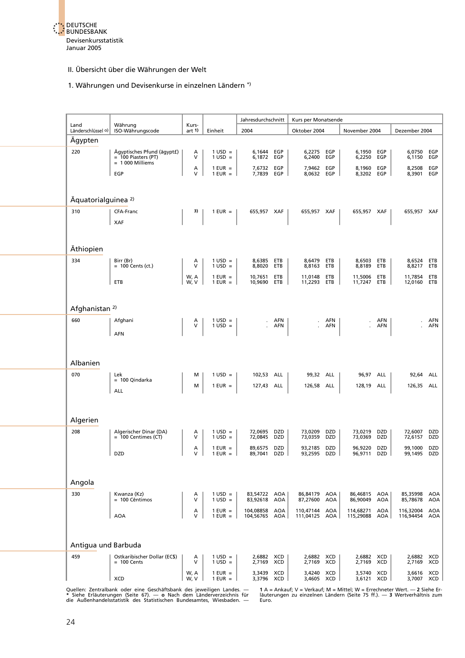

#### 1. Währungen und Devisenkurse in einzelnen Ländern \*)

|                                |                                                                          |                   |                                        | Jahresdurchschnitt     |                   | Kurs per Monatsende    |                   |                            |                   |                          |                   |
|--------------------------------|--------------------------------------------------------------------------|-------------------|----------------------------------------|------------------------|-------------------|------------------------|-------------------|----------------------------|-------------------|--------------------------|-------------------|
| Land<br>Länderschlüssel o)     | Währung<br>ISO-Währungscode                                              | Kurs-<br>art 1)   | Einheit                                | 2004                   |                   | Oktober 2004           |                   | November 2004              |                   | Dezember 2004            |                   |
| Ägypten                        |                                                                          |                   |                                        |                        |                   |                        |                   |                            |                   |                          |                   |
| 220                            | Ägyptisches Pfund (ägyptf)<br>$=$ 100 Piasters (PT)<br>$= 1000$ Milliems | Α<br>$\vee$       | $1$ USD =<br>$1$ USD =                 | 6,1644<br>6,1872       | EGP<br>EGP        | 6,2275<br>6,2400       | EGP<br>EGP        | 6,1950<br>6,2250           | EGP<br>EGP        | 6,0750<br>6,1150         | EGP<br>EGP        |
|                                | EGP                                                                      | Α<br>$\mathsf{V}$ | $1$ EUR $=$<br>$1$ EUR = $\vert$       | 7,6732<br>7,7839       | EGP<br>EGP        | 7,9462<br>8,0632 EGP   | EGP               | 8,1960<br>8,3202           | EGP<br>EGP        | 8,2508<br>8,3901         | EGP<br>EGP        |
|                                |                                                                          |                   |                                        |                        |                   |                        |                   |                            |                   |                          |                   |
| Äquatorialguinea <sup>2)</sup> |                                                                          |                   |                                        |                        |                   |                        |                   |                            |                   |                          |                   |
| 310                            | CFA-Franc                                                                | 3)                | $1$ EUR $=$                            | 655,957 XAF            |                   | 655,957 XAF            |                   | 655,957 XAF                |                   | 655,957 XAF              |                   |
|                                | <b>XAF</b>                                                               |                   |                                        |                        |                   |                        |                   |                            |                   |                          |                   |
| Äthiopien                      |                                                                          |                   |                                        |                        |                   |                        |                   |                            |                   |                          |                   |
| 334                            | Birr (Br)<br>$= 100$ Cents (ct.)                                         | Α<br>V            | $1 \text{ USD} =$<br>$1$ USD =         | 8,6385<br>8,8020       | ETB<br>ETB        | 8,6479 ETB<br>8,8163   | ETB               | 8,6503 ETB<br>8,8189       | ETB               | 8,6524<br>8,8217         | ETB<br>ETB        |
|                                |                                                                          | W, A              | $1$ EUR $=$                            | 10,7651                | ETB               | 11,0148                | ETB               | 11,5006                    | ETB               | 11,7854                  | ETB               |
|                                | ETB                                                                      | W, V              | $1$ EUR $=$                            | 10,9690                | ETB               | 11,2293                | ETB               | 11,7247                    | ETB               | 12,0160                  | ETB               |
| Afghanistan <sup>2)</sup>      |                                                                          |                   |                                        |                        |                   |                        |                   |                            |                   |                          |                   |
| 660                            | Afghani                                                                  | Α<br>V            | $1 \text{ USD} =$<br>$1$ USD =         |                        | AFN<br>AFN        |                        | AFN<br>AFN        |                            | <b>AFN</b><br>AFN |                          | AFN<br><b>AFN</b> |
|                                | <b>AFN</b>                                                               |                   |                                        |                        |                   |                        |                   |                            |                   |                          |                   |
|                                |                                                                          |                   |                                        |                        |                   |                        |                   |                            |                   |                          |                   |
| Albanien                       |                                                                          |                   |                                        |                        |                   |                        |                   |                            |                   |                          |                   |
| 070                            | Lek<br>= 100 Qindarka                                                    | м                 | $1 \text{ USD} =$                      | 102,53                 | ALL               | 99,32 ALL              |                   | 96,97 ALL                  |                   | 92,64                    | ALL               |
|                                | ALL                                                                      | м                 | $1$ EUR $=$                            | 127,43 ALL             |                   | 126,58 ALL             |                   | 128,19                     | ALL               | 126,35 ALL               |                   |
|                                |                                                                          |                   |                                        |                        |                   |                        |                   |                            |                   |                          |                   |
| Algerien                       |                                                                          |                   |                                        |                        |                   |                        |                   |                            |                   |                          |                   |
| 208                            | Algerischer Dinar (DA)<br>$= 100$ Centimes (CT)                          | A<br>V            | $1 \text{ USD} =$<br>$1 \text{ USD} =$ | 72,0695<br>72,0845     | DZD<br>DZD        | 73,0209<br>73,0359     | <b>DZD</b><br>DZD | 73,0219<br>73,0369         | <b>DZD</b><br>DZD | 72,6007<br>72,6157       | DZD<br>DZD        |
|                                | <b>DZD</b>                                                               | А<br>$\vee$       | $1$ EUR =<br>$1$ EUR $=$               | 89,6575<br>89,7041     | DZD<br><b>DZD</b> | 93,2185<br>93,2595     | <b>DZD</b><br>DZD | 96.9220<br>96,9711         | DZD<br>DZD        | 99,1000<br>99,1495       | DZD<br>DZD        |
|                                |                                                                          |                   |                                        |                        |                   |                        |                   |                            |                   |                          |                   |
| Angola                         |                                                                          |                   |                                        |                        |                   |                        |                   |                            |                   |                          |                   |
| 330                            | Kwanza (Kz)                                                              | Α                 | $1 \text{ USD} =$                      | 83,54722 AOA           |                   | 86,84179               | AOA               | 86,46815                   | AOA               | 85,35998                 | AOA               |
|                                | = 100 Cêntimos                                                           | V                 | $1$ USD =                              | 83,92618               | AOA               | 87,27600               | AOA               | 86,90049                   | <b>AOA</b>        | 85,78678                 | AOA               |
|                                | <b>AOA</b>                                                               | A<br>V            | $1$ EUR $=$<br>$1$ EUR $=$             | 104,08858<br>104,56765 | <b>AOA</b><br>AOA | 110,47144<br>111,04125 | AOA<br>AOA        | 114,68271 AOA<br>115,29088 | AOA               | 116,32004<br>116,94454   | <b>AOA</b><br>AOA |
|                                |                                                                          |                   |                                        |                        |                   |                        |                   |                            |                   |                          |                   |
| Antigua und Barbuda            |                                                                          |                   |                                        |                        |                   |                        |                   |                            |                   |                          |                   |
| 459                            | Ostkaribischer Dollar (EC\$)<br>$= 100$ Cents                            | Α<br>V            | $1 \text{ USD} =$<br>$1$ USD =         | 2,6882 XCD<br>2,7169   | XCD               | 2,6882<br>2,7169       | XCD<br>XCD        | 2,6882<br>2,7169           | XCD<br><b>XCD</b> | 2,6882<br>2,7169         | XCD<br>XCD        |
|                                | XCD                                                                      | W, A<br>W, V      | $1$ EUR $=$<br>$1$ EUR $=$             | 3,3439<br>3,3796 XCD   | XCD               | 3,4240<br>3,4605       | XCD<br>XCD        | 3,5740<br>3,6121 XCD       | XCD               | 3,6616 XCD<br>3,7007 XCD |                   |
|                                |                                                                          |                   |                                        |                        |                   |                        |                   |                            |                   |                          |                   |

Quellen: Zentralbank oder eine Geschäftsbank des jeweiligen Landes. — 1 A = Ankauf; V = Verkauf; M = Mittel; W = Errechneter Wert. — 2 Siehe Er-<br>\* Siehe Erläuterungen (Seite 67). — o Nach dem Länderverzeichnis für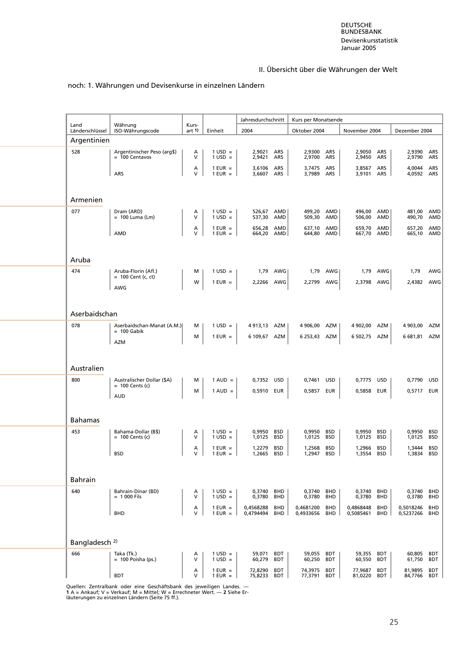# noch: 1. Währungen und Devisenkurse in einzelnen Ländern

| Land                      | Währung                                         | Kurs-       |                                | Jahresdurchschnitt       |                   | Kurs per Monatsende      |                          |                          |                          |                      |                   |
|---------------------------|-------------------------------------------------|-------------|--------------------------------|--------------------------|-------------------|--------------------------|--------------------------|--------------------------|--------------------------|----------------------|-------------------|
| Länderschlüssel           | ISO-Währungscode                                | art $1$     | Einheit                        | 2004                     |                   | Oktober 2004             |                          | November 2004            |                          | Dezember 2004        |                   |
| Argentinien               |                                                 |             |                                |                          |                   |                          |                          |                          |                          |                      |                   |
| 528                       | Argentinischer Peso (arg\$)<br>$= 100$ Centavos | Α<br>$\vee$ | $1 \text{ USD} =$<br>$1$ USD = | 2,9021<br>2,9421         | ARS<br>ARS        | 2,9300<br>2,9700         | ARS<br>ARS               | 2,9050<br>2,9450         | ARS<br>ARS               | 2,9390<br>2,9790     | ARS<br>ARS        |
|                           | ARS                                             | Α<br>$\vee$ | $1$ EUR =<br>$1$ EUR $=$       | 3,6106<br>3,6607         | <b>ARS</b><br>ARS | 3,7475<br>3,7989         | ARS<br>ARS               | 3,8567<br>3,9101 ARS     | ARS                      | 4,0044<br>4,0592 ARS | ARS               |
|                           |                                                 |             |                                |                          |                   |                          |                          |                          |                          |                      |                   |
| Armenien                  |                                                 |             |                                |                          |                   |                          |                          |                          |                          |                      |                   |
| 077                       | Dram (ARD)<br>$= 100$ Luma (Lm)                 | A<br>V      | $1 \text{ USD} =$<br>$1$ USD = | 526,67<br>537,30         | AMD<br>AMD        | 499,20<br>509,30         | AMD<br>AMD               | 496,00<br>506,00         | AMD<br>AMD               | 481,00<br>490,70     | AMD<br>AMD        |
|                           | <b>AMD</b>                                      | Α<br>V      | $1$ EUR $=$<br>$1$ EUR $=$     | 656,28 AMD<br>664,20 AMD |                   | 637,10 AMD<br>644,80 AMD |                          | 659,70 AMD<br>667,70 AMD |                          | 657,20<br>665,10 AMD | AMD               |
|                           |                                                 |             |                                |                          |                   |                          |                          |                          |                          |                      |                   |
| Aruba                     |                                                 |             |                                |                          |                   |                          |                          |                          |                          |                      |                   |
| 474                       | Aruba-Florin (Afl.)<br>$= 100$ Cent (c, ct)     | м           | $1$ USD =                      | 1,79                     | AWG               | 1,79                     | AWG                      | 1,79                     | AWG                      | 1,79                 | AWG               |
|                           | AWG                                             | W           | $1$ EUR =                      | 2,2266                   | AWG               | 2,2799                   | AWG                      | 2.3798                   | AWG                      | 2,4382               | AWG               |
|                           |                                                 |             |                                |                          |                   |                          |                          |                          |                          |                      |                   |
| Aserbaidschan             |                                                 |             |                                |                          |                   |                          |                          |                          |                          |                      |                   |
| 078                       | Aserbaidschan-Manat (A.M.)<br>$= 100$ Gabik     | м           | $1 \text{ USD} =$              | 4913,13 AZM              |                   | 4 906,00                 | AZM                      | 4 902,00                 | AZM                      | 4 903,00             | AZM               |
|                           | <b>AZM</b>                                      | м           | $1$ EUR $=$                    | 6 109,67 AZM             |                   | 6 253,43 AZM             |                          | 6 502,75 AZM             |                          | 6 681,81 AZM         |                   |
|                           |                                                 |             |                                |                          |                   |                          |                          |                          |                          |                      |                   |
| Australien                |                                                 |             |                                |                          |                   |                          |                          |                          |                          |                      |                   |
| 800                       | Australischer Dollar (\$A)                      | м           | $1 \text{ AUD} =$              | 0,7352 USD               |                   | 0,7461                   | <b>USD</b>               | 0,7775 USD               |                          | 0,7790               | <b>USD</b>        |
|                           | $= 100$ Cents (c)                               | м           | $1 \text{ AUD} =$              | 0,5910                   | EUR               | 0,5857                   | EUR                      | 0,5858                   | EUR                      | 0,5717               | EUR               |
|                           | <b>AUD</b>                                      |             |                                |                          |                   |                          |                          |                          |                          |                      |                   |
| <b>Bahamas</b>            |                                                 |             |                                |                          |                   |                          |                          |                          |                          |                      |                   |
| 453                       | Bahama-Dollar (B\$)                             | Α           | $1 \text{ USD} =$              | 0,9950                   | <b>BSD</b>        | 0,9950                   | <b>BSD</b>               | 0,9950                   | <b>BSD</b>               | 0,9950               | BSD               |
|                           | $= 100$ Cents (c)                               | $\vee$      | $1 \text{ USD} =$              | 1,0125                   | BSD               | 1,0125                   | BSD                      | 1,0125 BSD               |                          | 1,0125               | BSD               |
|                           | <b>BSD</b>                                      | Α<br>$\vee$ | $1$ EUR =<br>$1$ EUR $=$       | 1,2279<br>1,2665 BSD     | <b>BSD</b>        | 1,2568<br>1,2947         | <b>BSD</b><br><b>BSD</b> | 1,2966<br>1,3554         | <b>BSD</b><br><b>BSD</b> | 1.3444<br>1,3834     | BSD<br>BSD        |
|                           |                                                 |             |                                |                          |                   |                          |                          |                          |                          |                      |                   |
| <b>Bahrain</b>            |                                                 |             |                                |                          |                   |                          |                          |                          |                          |                      |                   |
| 640                       | Bahrain-Dinar (BD)<br>$= 1000$ Fils             | Α<br>$\vee$ | $1 \text{ USD} =$<br>$1$ USD = | 0,3740 BHD<br>0,3780     | <b>BHD</b>        | 0,3740<br>0,3780         | <b>BHD</b><br>BHD        | 0,3740<br>0,3780         | <b>BHD</b><br>BHD        | 0,3740<br>0,3780     | BHD<br>BHD        |
|                           |                                                 | Α           | $1$ EUR $=$                    | 0,4568288                | <b>BHD</b>        | 0,4681200                | <b>BHD</b>               | 0,4868448                | <b>BHD</b>               | 0,5018246            | <b>BHD</b>        |
|                           | <b>BHD</b>                                      | $\vee$      | $1$ EUR $=$                    | 0,4794494                | <b>BHD</b>        | 0,4933656                | BHD                      | 0,5085461                | <b>BHD</b>               | 0,5237266            | <b>BHD</b>        |
|                           |                                                 |             |                                |                          |                   |                          |                          |                          |                          |                      |                   |
| Bangladesch <sup>2)</sup> |                                                 |             |                                |                          |                   |                          |                          |                          |                          |                      |                   |
| 666                       | Taka (Tk.)<br>$= 100$ Poisha (ps.)              | A<br>V      | $1 \text{ USD} =$<br>$1$ USD = | 59,071<br>60,279         | BDT<br><b>BDT</b> | 59,055<br>60,250         | BDT<br>BDT               | 59,355<br>60,550         | <b>BDT</b><br><b>BDT</b> | 60,805<br>61,750     | <b>BDT</b><br>BDT |
|                           |                                                 | А           | $1$ EUR $=$                    | 72,8290                  | <b>BDT</b>        | 74,3975                  | <b>BDT</b>               | 77,9687                  | <b>BDT</b>               | 81,9895              | BDT               |
|                           | <b>BDT</b>                                      | V           | $1$ EUR $=$                    | 75,8233 BDT              |                   | 77,3791 BDT              |                          | 81,0220 BDT              |                          | 84,7766 BDT          |                   |

Quellen: Zentralbank oder eine Geschäftsbank des jeweiligen Landes. —<br>1 A = Ankauf; V = Verkauf; M = Mittel; W = Errechneter Wert. — 2 Siehe Er-<br>läuterungen zu einzelnen Ländern (Seite 75 ff.).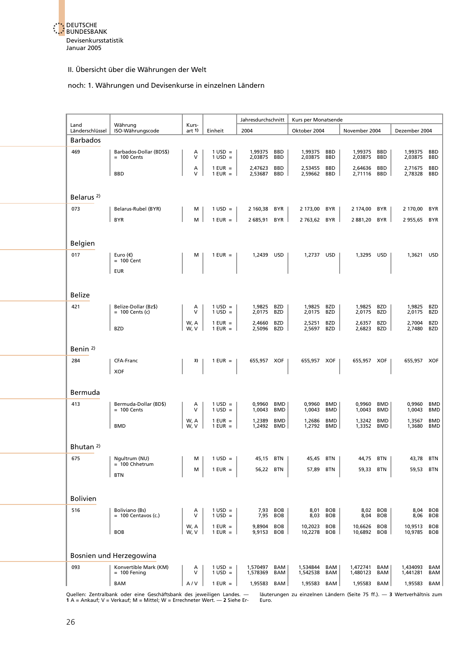

#### noch: 1. Währungen und Devisenkurse in einzelnen Ländern

| Land                  | Währung                                   | Kurs-        |                                   | Jahresdurchschnitt |                          | Kurs per Monatsende |                          |                    |                          |                      |                          |
|-----------------------|-------------------------------------------|--------------|-----------------------------------|--------------------|--------------------------|---------------------|--------------------------|--------------------|--------------------------|----------------------|--------------------------|
| Länderschlüssel       | ISO-Währungscode                          | art $1$      | Einheit                           | 2004               |                          | Oktober 2004        |                          | November 2004      |                          | Dezember 2004        |                          |
| <b>Barbados</b>       |                                           |              |                                   |                    |                          |                     |                          |                    |                          |                      |                          |
| 469                   | Barbados-Dollar (BDS\$)<br>$= 100$ Cents  | Α<br>$\vee$  | $1$ USD =<br>$1$ USD =            | 1,99375<br>2,03875 | <b>BBD</b><br>BBD        | 1,99375<br>2,03875  | <b>BBD</b><br><b>BBD</b> | 1,99375<br>2,03875 | <b>BBD</b><br><b>BBD</b> | 1,99375<br>2,03875   | <b>BBD</b><br><b>BBD</b> |
|                       |                                           | Α            | $1$ EUR $=$                       | 2,47623            | <b>BBD</b>               | 2,53455             | <b>BBD</b>               | 2,64636            | <b>BBD</b>               | 2,71675              | <b>BBD</b>               |
|                       | <b>BBD</b>                                | v            | $1$ EUR $=$                       | 2,53687            | BBD                      | 2,59662             | BBD                      | 2,71116            | BBD                      | 2,78328              | <b>BBD</b>               |
|                       |                                           |              |                                   |                    |                          |                     |                          |                    |                          |                      |                          |
| Belarus <sup>2)</sup> |                                           |              |                                   |                    |                          |                     |                          |                    |                          |                      |                          |
| 073                   | Belarus-Rubel (BYR)                       | м            | $1 \text{ USD} =$                 | 2 160,38           | BYR                      | 2 173,00 BYR        |                          | 2 174,00           | BYR                      | 2 170,00 BYR         |                          |
|                       | <b>BYR</b>                                | м            | $1$ EUR $=$                       | 2 685,91           | <b>BYR</b>               | 2763,62 BYR         |                          | 2 881,20           | BYR                      | 2955,65              | BYR                      |
|                       |                                           |              |                                   |                    |                          |                     |                          |                    |                          |                      |                          |
| Belgien               |                                           |              |                                   |                    |                          |                     |                          |                    |                          |                      |                          |
| 017                   | Euro $(\epsilon)$                         | М            | $1$ EUR =                         | 1,2439 USD         |                          | 1,2737 USD          |                          | 1,3295 USD         |                          | 1,3621               | USD                      |
|                       | $= 100$ Cent                              |              |                                   |                    |                          |                     |                          |                    |                          |                      |                          |
|                       | <b>EUR</b>                                |              |                                   |                    |                          |                     |                          |                    |                          |                      |                          |
|                       |                                           |              |                                   |                    |                          |                     |                          |                    |                          |                      |                          |
| <b>Belize</b>         |                                           |              |                                   |                    |                          |                     |                          |                    |                          |                      |                          |
| 421                   | Belize-Dollar (Bz\$)<br>$= 100$ Cents (c) | A<br>$\vee$  | $1$ USD =<br>$1$ USD =            | 1,9825<br>2,0175   | BZD<br><b>BZD</b>        | 1,9825<br>2,0175    | BZD<br>BZD               | 1,9825<br>2,0175   | BZD<br>BZD               | 1,9825 BZD<br>2,0175 | <b>BZD</b>               |
|                       |                                           | W, A         | $1$ EUR $=$                       | 2,4660             | <b>BZD</b>               | 2,5251              | <b>BZD</b>               | 2,6357             | <b>BZD</b>               | 2,7004               | BZD                      |
|                       | <b>BZD</b>                                | W, V         | $1$ EUR $=$                       | 2,5096             | BZD                      | 2,5697              | BZD                      | 2,6823             | BZD                      | 2,7480               | <b>BZD</b>               |
|                       |                                           |              |                                   |                    |                          |                     |                          |                    |                          |                      |                          |
| Benin <sup>2)</sup>   |                                           |              |                                   |                    |                          |                     |                          |                    |                          |                      |                          |
| 284                   | CFA-Franc                                 | 3)           | $1$ EUR $=$                       | 655,957 XOF        |                          | 655,957 XOF         |                          | 655,957 XOF        |                          | 655,957 XOF          |                          |
|                       | <b>XOF</b>                                |              |                                   |                    |                          |                     |                          |                    |                          |                      |                          |
|                       |                                           |              |                                   |                    |                          |                     |                          |                    |                          |                      |                          |
| Bermuda               |                                           |              |                                   |                    |                          |                     |                          |                    |                          |                      |                          |
| 413                   | Bermuda-Dollar (BD\$)<br>$= 100$ Cents    | А<br>V       | $1$ USD =<br>$1$ USD =            | 0,9960<br>1,0043   | <b>BMD</b><br><b>BMD</b> | 0,9960<br>1,0043    | BMD<br>BMD               | 0,9960<br>1,0043   | <b>BMD</b><br><b>BMD</b> | 0,9960<br>1,0043     | BMD<br>BMD               |
|                       |                                           | W, A         | $1$ EUR $=$                       | 1,2389             | <b>BMD</b>               | 1,2686              | BMD                      | 1,3242             | <b>BMD</b>               | 1,3567               | <b>BMD</b>               |
|                       | <b>BMD</b>                                | W, V         | $1$ EUR $=$                       | 1,2492             | <b>BMD</b>               | 1,2792 BMD          |                          | 1,3352             | BMD                      | 1,3680               | <b>BMD</b>               |
| Bhutan <sup>2)</sup>  |                                           |              |                                   |                    |                          |                     |                          |                    |                          |                      |                          |
|                       |                                           |              |                                   |                    |                          |                     |                          |                    |                          |                      |                          |
| 675                   | Nquitrum (NU)<br>$= 100$ Chhetrum         |              | $\vert$ M $\vert$ 1 USD = $\vert$ |                    | 45,15 BTN                |                     | 45,45 BTN                |                    | 44,75 BTN                | 43,78 BTN            |                          |
|                       | <b>BTN</b>                                | м            | $1$ EUR =                         | 56,22              | <b>BTN</b>               | 57,89 BTN           |                          | 59,33              | <b>BTN</b>               | 59,53 BTN            |                          |
|                       |                                           |              |                                   |                    |                          |                     |                          |                    |                          |                      |                          |
| <b>Bolivien</b>       |                                           |              |                                   |                    |                          |                     |                          |                    |                          |                      |                          |
| 516                   | Boliviano (Bs)                            | А            | $1 \text{ USD} =$                 | 7,93               | <b>BOB</b>               | 8,01                | BOB                      |                    | 8,02 BOB                 | 8,04                 | BOB                      |
|                       | $= 100$ Centavos (c.)                     | $\vee$       | $1 \text{ USD} =$                 | 7,95               | <b>BOB</b>               | 8,03                | <b>BOB</b>               | 8,04               | <b>BOB</b>               | 8,06                 | <b>BOB</b>               |
|                       | <b>BOB</b>                                | W, A<br>W, V | $1$ EUR $=$<br>$1$ EUR $=$        | 9,8904<br>9,9153   | <b>BOB</b><br>BOB        | 10,2023<br>10,2278  | BOB<br>BOB               | 10,6626<br>10,6892 | BOB<br>BOB               | 10,9513<br>10,9785   | BOB<br><b>BOB</b>        |
|                       |                                           |              |                                   |                    |                          |                     |                          |                    |                          |                      |                          |
|                       | Bosnien und Herzegowina                   |              |                                   |                    |                          |                     |                          |                    |                          |                      |                          |
| 093                   | Konvertible Mark (KM)                     | Α            | $1 \text{ USD} =$                 | 1,570497           | BAM                      | 1,534844            | BAM                      | 1,472741           | BAM                      | 1,434093             | BAM                      |
|                       | $= 100$ Fening                            | V            | $1$ USD =                         | 1,578369           | BAM                      | 1,542538            | BAM                      | 1,480123           | BAM                      | 1,441281             | BAM                      |
|                       | <b>BAM</b>                                | A/V          | $1$ EUR $=$                       | 1,95583            | BAM                      | 1,95583 BAM         |                          | 1,95583            | BAM                      | 1,95583              | BAM                      |
|                       |                                           |              |                                   |                    |                          |                     |                          |                    |                          |                      |                          |

Quellen: Zentralbank oder eine Geschäftsbank des jeweiligen Landes. — läuterungen zu einzelnen Ländern (Seite 75 ff.). — 3 Wertverhältnis zum<br>1 A = Ankauf; V = Verkauf; M = Mittel; W = Errechneter Wert. — 2 Siehe Er-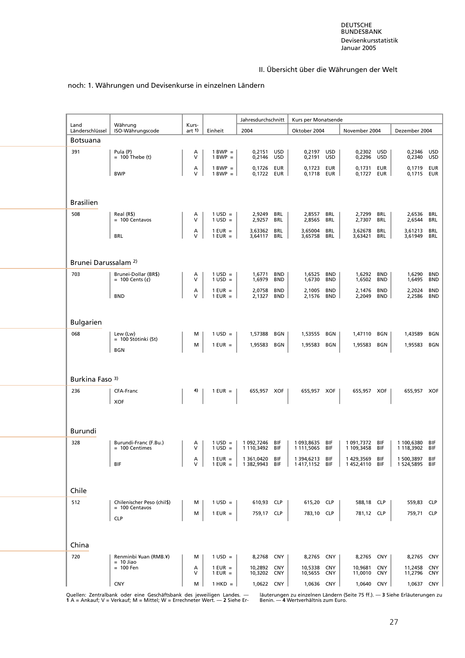#### noch: 1. Währungen und Devisenkurse in einzelnen Ländern

| Land                                   | Währung                                        | Kurs-       |                                  | Jahresdurchschnitt           |                          | Kurs per Monatsende              |                          |                             |                          |                              |                          |
|----------------------------------------|------------------------------------------------|-------------|----------------------------------|------------------------------|--------------------------|----------------------------------|--------------------------|-----------------------------|--------------------------|------------------------------|--------------------------|
| Länderschlüssel                        | ISO-Währungscode                               | art $1$     | Einheit                          | 2004                         |                          | Oktober 2004                     |                          | November 2004               |                          | Dezember 2004                |                          |
| <b>Botsuana</b>                        |                                                |             |                                  |                              |                          |                                  |                          |                             |                          |                              |                          |
| 391                                    | Pula (P)<br>$= 100$ Thebe (t)                  | Α<br>$\vee$ | $1 BWP =$<br>$1 BWP =$           | 0,2151 USD<br>0,2146         | USD                      | 0,2197 USD<br>0,2191             | USD                      | 0,2302 USD<br>0,2296        | USD                      | 0,2346 USD<br>0,2340         | USD                      |
|                                        | <b>BWP</b>                                     | А<br>$\vee$ | $1 BWP =$<br>$1 BWP =$           | 0,1726<br>0,1722             | EUR<br>EUR               | 0,1723<br>0,1718                 | EUR<br>EUR               | 0,1731<br>0,1727            | <b>EUR</b><br>EUR        | 0,1719<br>0,1715 EUR         | EUR                      |
|                                        |                                                |             |                                  |                              |                          |                                  |                          |                             |                          |                              |                          |
| <b>Brasilien</b>                       |                                                |             |                                  |                              |                          |                                  |                          |                             |                          |                              |                          |
| 508                                    | Real (R\$)<br>$= 100$ Centavos                 | A<br>V      | $1 \text{ USD} =$<br>$1$ USD =   | 2,9249<br>2,9257             | BRL<br>BRL               | 2,8557<br>2,8565                 | BRL<br>BRL               | 2,7299<br>2,7307            | BRL<br><b>BRL</b>        | 2,6536<br>2,6544             | BRL<br><b>BRL</b>        |
|                                        | <b>BRL</b>                                     | А<br>V      | $1$ EUR =<br>$1$ EUR =           | 3,63362<br>3,64117           | <b>BRL</b><br>BRL        | 3,65004<br>3,65758               | <b>BRL</b><br>BRL        | 3,62678<br>3,63421          | BRL<br>BRL               | 3,61213<br>3,61949           | BRL<br>BRL               |
|                                        |                                                |             |                                  |                              |                          |                                  |                          |                             |                          |                              |                          |
| Brunei Darussalam <sup>2)</sup><br>703 | Brunei-Dollar (BR\$)                           | Α           | $1 \text{ USD} =$                | 1,6771                       | <b>BND</b>               | 1,6525                           | <b>BND</b>               | 1.6292                      | <b>BND</b>               | 1,6290                       | <b>BND</b>               |
|                                        | = 100 Cents $(\phi)$                           | V<br>А      | $1$ USD =<br>$1$ EUR =           | 1,6979<br>2,0758             | <b>BND</b><br><b>BND</b> | 1,6730<br>2,1005                 | <b>BND</b><br><b>BND</b> | 1,6502<br>2,1476            | <b>BND</b><br><b>BND</b> | 1,6495<br>2,2024             | <b>BND</b><br><b>BND</b> |
|                                        | <b>BND</b>                                     | V           | $1$ EUR =                        | 2,1327                       | BND                      | 2,1576                           | <b>BND</b>               | 2,2049                      | <b>BND</b>               | 2,2586                       | <b>BND</b>               |
| <b>Bulgarien</b>                       |                                                |             |                                  |                              |                          |                                  |                          |                             |                          |                              |                          |
| 068                                    | Lew (Lw)<br>= 100 Stótinki (St)                | м<br>м      | $1 \text{ USD} =$<br>$1$ EUR $=$ | 1,57388<br>1,95583           | BGN<br>BGN               | 1,53555<br>1,95583 BGN           | BGN                      | 1,47110<br>1,95583          | BGN<br><b>BGN</b>        | 1,43589<br>1,95583           | BGN<br>BGN               |
|                                        | <b>BGN</b>                                     |             |                                  |                              |                          |                                  |                          |                             |                          |                              |                          |
| Burkina Faso 3)                        |                                                |             |                                  |                              |                          |                                  |                          |                             |                          |                              |                          |
| 236                                    | CFA-Franc                                      | 4)          | $1$ EUR $=$                      | 655,957 XOF                  |                          | 655,957 XOF                      |                          | 655,957 XOF                 |                          | 655,957 XOF                  |                          |
|                                        | <b>XOF</b>                                     |             |                                  |                              |                          |                                  |                          |                             |                          |                              |                          |
|                                        |                                                |             |                                  |                              |                          |                                  |                          |                             |                          |                              |                          |
| Burundi<br>328                         | Burundi-Franc (F.Bu.)                          | Α           | $1$ USD =                        | 1 092,7246                   | BIF                      | 1 093,8635                       | <b>BIF</b>               | 1 091,7372 BIF              |                          | 1 100,6380                   | BIF                      |
|                                        | $= 100$ Centimes                               | V<br>Α      | $1$ USD =<br>$1$ EUR $=$         | 1 110,3492 BIF<br>1 361,0420 | BIF                      | 1 111,5065 BIF<br>1 394,6213 BIF |                          | 1 109,3458 BIF<br>1429,3569 | BIF                      | 1 118,3902<br>1 500,3897 BIF | BIF                      |
|                                        | BIF                                            | V           | $1$ EUR = $\parallel$            | 1 382,9943                   | BIF                      | 1417,1152 BIF                    |                          | 1452,4110                   | BIF                      | 1 524,5895 BIF               |                          |
| Chile                                  |                                                |             |                                  |                              |                          |                                  |                          |                             |                          |                              |                          |
| 512                                    | Chilenischer Peso (chil\$)<br>$= 100$ Centavos | м<br>м      | $1 \text{ USD} =$<br>$1$ EUR =   | 610,93 CLP<br>759,17 CLP     |                          | 615,20 CLP<br>783,10 CLP         |                          | 588,18 CLP<br>781,12 CLP    |                          | 559,83 CLP<br>759,71 CLP     |                          |
|                                        | <b>CLP</b>                                     |             |                                  |                              |                          |                                  |                          |                             |                          |                              |                          |
| China                                  |                                                |             |                                  |                              |                          |                                  |                          |                             |                          |                              |                          |
| 720                                    | Renminbi ¥uan (RMB.¥)<br>$= 10$ Jiao           | м           | $1$ USD =                        | 8,2768 CNY                   |                          | 8,2765 CNY                       |                          | 8,2765 CNY                  |                          | 8,2765 CNY                   |                          |
|                                        | $= 100$ Fen                                    | А<br>v      | $1$ EUR =<br>$1$ EUR =           | 10,2892 CNY<br>10,3202       | CNY                      | 10,5338<br>10,5655               | <b>CNY</b><br>CNY        | 10,9681<br>11,0010          | <b>CNY</b><br>CNY        | 11,2458<br>11,2796           | <b>CNY</b><br>CNY        |
|                                        | <b>CNY</b>                                     | м           | $1$ HKD $=$                      | 1,0622 CNY                   |                          | 1,0636 CNY                       |                          | 1,0640 CNY                  |                          | 1,0637 CNY                   |                          |

Quellen: Zentralbank oder eine Geschäftsbank des jeweiligen Landes. — läuterungen zu einzelnen Ländern (Seite 75 ff.). — 3 Siehe Erläuterungen zu<br>1 A = Ankauf; V = Verkauf; M = Mittel; W = Errechneter Wert. — 2 Siehe Er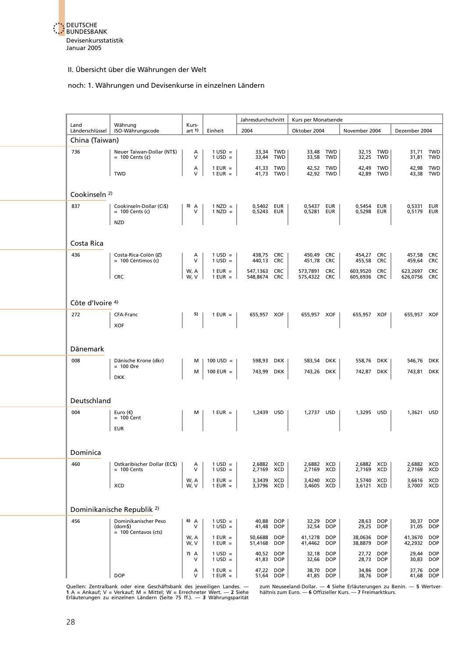

#### noch: 1. Währungen und Devisenkurse in einzelnen Ländern

| Land                     | Währung                                                               | Kurs-        |                                  | Jahresdurchschnitt           |                          | Kurs per Monatsende      |                          |                          |                          |                          |                          |
|--------------------------|-----------------------------------------------------------------------|--------------|----------------------------------|------------------------------|--------------------------|--------------------------|--------------------------|--------------------------|--------------------------|--------------------------|--------------------------|
| Länderschlüssel          | ISO-Währungscode                                                      | art $1$      | Einheit                          | 2004                         |                          | Oktober 2004             |                          | November 2004            |                          | Dezember 2004            |                          |
| China (Taiwan)           |                                                                       |              |                                  |                              |                          |                          |                          |                          |                          |                          |                          |
| 736                      | Neuer Taiwan-Dollar (NT\$)<br>$= 100$ Cents (¢)                       | А<br>$\vee$  | $1 \text{ USD} =$<br>$1$ USD =   | 33,34<br>33,44               | TWD<br><b>TWD</b>        | 33,48<br>33,58           | TWD<br>TWD               | 32,15<br>32,25           | TWD<br><b>TWD</b>        | 31,71<br>31,81           | <b>TWD</b><br><b>TWD</b> |
|                          | <b>TWD</b>                                                            | Α<br>$\vee$  | $1$ EUR =<br>$1$ EUR $=$         |                              | 41,33 TWD<br>41,73 TWD   | 42,52 TWD                | 42,92 TWD                | 42,49 TWD                | 42,89 TWD                | 42,98<br>43,38           | <b>TWD</b><br><b>TWD</b> |
| Cookinseln <sup>2)</sup> |                                                                       |              |                                  |                              |                          |                          |                          |                          |                          |                          |                          |
| 837                      | Cookinseln-Dollar (Ci\$)<br>$= 100$ Cents (c)                         | 3) $A$<br>V  | $1$ NZD $=$<br>$1$ NZD $=$       | 0,5402 EUR<br>0,5243 EUR     |                          | 0,5437 EUR<br>0,5281 EUR |                          | 0,5454 EUR<br>0,5298 EUR |                          | 0,5331<br>0,5179 EUR     | EUR                      |
|                          | <b>NZD</b>                                                            |              |                                  |                              |                          |                          |                          |                          |                          |                          |                          |
| Costa Rica               |                                                                       |              |                                  |                              |                          |                          |                          |                          |                          |                          |                          |
| 436                      | Costa-Rica-Colón (C)<br>$= 100$ Céntimos (c)                          | А<br>V       | $1 \text{ USD} =$<br>$1$ USD =   | 438,75 CRC<br>440,13         | <b>CRC</b>               | 450,49<br>451,78         | <b>CRC</b><br><b>CRC</b> | 454,27<br>455,58         | <b>CRC</b><br><b>CRC</b> | 457,58<br>459,64         | <b>CRC</b><br><b>CRC</b> |
|                          | <b>CRC</b>                                                            | W, A<br>W, V | $1$ EUR $=$<br>$1$ EUR = $\vert$ | 547,1363 CRC<br>548.8674 CRC |                          | 573,7891<br>575,4322 CRC | <b>CRC</b>               | 603,9520<br>605,6936 CRC | <b>CRC</b>               | 623,2697<br>626,0756 CRC | CRC                      |
|                          |                                                                       |              |                                  |                              |                          |                          |                          |                          |                          |                          |                          |
| Côte d'Ivoire 4)         |                                                                       |              |                                  |                              |                          |                          |                          |                          |                          |                          |                          |
| 272                      | CFA-Franc<br><b>XOF</b>                                               | 5)           | $1$ EUR $=$                      | 655,957 XOF                  |                          | 655,957 XOF              |                          | 655,957 XOF              |                          | 655,957 XOF              |                          |
|                          |                                                                       |              |                                  |                              |                          |                          |                          |                          |                          |                          |                          |
| Dänemark                 |                                                                       |              |                                  |                              |                          |                          |                          |                          |                          |                          |                          |
| 008                      | Dänische Krone (dkr)<br>$= 100$ Øre                                   | м            | $100$ USD =                      | 598,93 DKK                   |                          | 583,54 DKK               |                          | 558,76 DKK               |                          | 546,76 DKK               |                          |
|                          | <b>DKK</b>                                                            | м            | 100 EUR $=$                      | 743,99 DKK                   |                          | 743,26 DKK               |                          | 742,87 DKK               |                          | 743,81 DKK               |                          |
| Deutschland              |                                                                       |              |                                  |                              |                          |                          |                          |                          |                          |                          |                          |
| 004                      | Euro $(\epsilon)$<br>$= 100$ Cent                                     | м            | $1$ EUR =                        | 1,2439 USD                   |                          | 1,2737 USD               |                          | 1,3295 USD               |                          | 1,3621 USD               |                          |
|                          | <b>EUR</b>                                                            |              |                                  |                              |                          |                          |                          |                          |                          |                          |                          |
| Dominica                 |                                                                       |              |                                  |                              |                          |                          |                          |                          |                          |                          |                          |
| 460                      | Ostkaribischer Dollar (EC\$)<br>$= 100$ Cents                         | Α<br>V       | $1$ USD =<br>$1$ USD =           | 2,6882<br>2,7169             | XCD<br>XCD               | 2,6882 XCD<br>2,7169     | XCD                      | 2,6882 XCD<br>2,7169 XCD |                          | 2,6882 XCD<br>2,7169 XCD |                          |
|                          | <b>XCD</b>                                                            | W, A<br>W, V | $1$ EUR =<br>$1$ EUR = $\vert$   | 3,3439 XCD<br>3,3796 XCD     |                          | 3,4240 XCD<br>3,4605 XCD |                          | 3,5740 XCD<br>3,6121 XCD |                          | 3,6616 XCD<br>3,7007 XCD |                          |
|                          |                                                                       |              |                                  |                              |                          |                          |                          |                          |                          |                          |                          |
|                          | Dominikanische Republik <sup>2)</sup>                                 |              |                                  |                              |                          |                          |                          |                          |                          |                          |                          |
| 456                      | Dominikanischer Peso<br>(dom <sub>5</sub> )<br>$= 100$ Centavos (cts) | 6) A<br>V    | $1$ USD =<br>$1$ USD =           | 40,88<br>41,48               | <b>DOP</b><br><b>DOP</b> | 32,29<br>32,54           | <b>DOP</b><br><b>DOP</b> | 28,63<br>29,25           | <b>DOP</b><br><b>DOP</b> | 30,37<br>31,05           | <b>DOP</b><br><b>DOP</b> |
|                          |                                                                       | W, A<br>W, V | $1$ EUR $=$<br>$1$ EUR =         | 50,6688<br>51,4168           | <b>DOP</b><br><b>DOP</b> | 41,1278<br>41,4462       | <b>DOP</b><br><b>DOP</b> | 38,0636<br>38,8879       | <b>DOP</b><br><b>DOP</b> | 41,3670<br>42,2932       | <b>DOP</b><br><b>DOP</b> |
|                          |                                                                       | $7)$ A<br>v  | $1$ USD =<br>$1$ USD =           | 40,52<br>41,83               | <b>DOP</b><br><b>DOP</b> | 32,18<br>32,66           | <b>DOP</b><br><b>DOP</b> | 27,72<br>28,73           | <b>DOP</b><br><b>DOP</b> | 29,44<br>30,83           | <b>DOP</b><br><b>DOP</b> |
|                          | <b>DOP</b>                                                            | Α<br>$\vee$  | $1$ EUR $=$<br>$1$ EUR $=$       | 47,22<br>51,64               | <b>DOP</b><br><b>DOP</b> | 38,70<br>41,85           | <b>DOP</b><br><b>DOP</b> | 34,86<br>38,76           | <b>DOP</b><br><b>DOP</b> | 37,76                    | <b>DOP</b><br>41,68 DOP  |

Quellen: Zentralbank oder eine Geschäftsbank des jeweiligen Landes. — zum Neuseeland-Dollar. — 4 Siehe Erläuterungen zu Benin. — 5 Wertver-<br>1 A = Ankauf; V = Verkauf; M = Mittel; W = Errechneter Wert. — 2 Siehe kältnis zum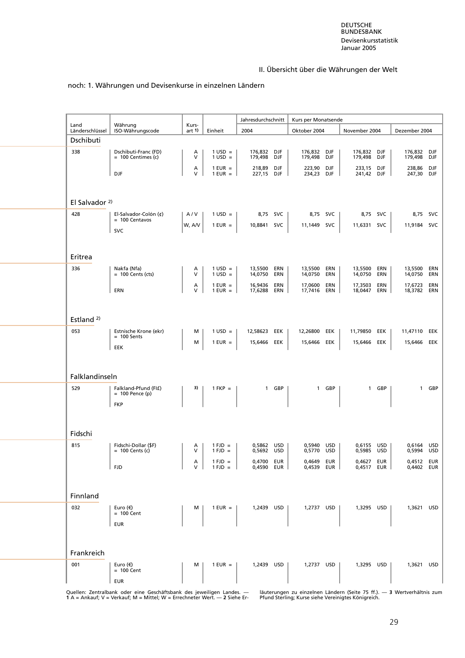#### noch: 1. Währungen und Devisenkurse in einzelnen Ländern

| Land                      | Währung                                      | Kurs-       |                                        | Jahresdurchschnitt          |       | Kurs per Monatsende        |            |                            |                   |                             |          |
|---------------------------|----------------------------------------------|-------------|----------------------------------------|-----------------------------|-------|----------------------------|------------|----------------------------|-------------------|-----------------------------|----------|
| Länderschlüssel           | ISO-Währungscode                             | art 1)      | Einheit                                | 2004                        |       | Oktober 2004               |            | November 2004              |                   | Dezember 2004               |          |
| Dschibuti                 |                                              |             |                                        |                             |       |                            |            |                            |                   |                             |          |
| 338                       | Dschibuti-Franc (FD)<br>$= 100$ Centimes (c) | Α<br>$\vee$ | $1 \text{ USD} =$<br>$1 \text{ USD} =$ | 176.832 DJF<br>179,498 DJF  |       | 176,832 DJF<br>179,498 DJF |            | 176,832 DJF<br>179,498 DJF |                   | 176,832 DJF<br>179,498 DJF  |          |
|                           | DJF                                          | A<br>V      | $1$ EUR =<br>$1$ EUR $=$               | 218,89<br>227,15 DJF        | DJF   | 223,90 DJF<br>234,23 DJF   |            | 233,15 DJF<br>241,42 DJF   |                   | 238,86 DJF<br>247,30 DJF    |          |
|                           |                                              |             |                                        |                             |       |                            |            |                            |                   |                             |          |
| El Salvador <sup>2)</sup> |                                              |             |                                        |                             |       |                            |            |                            |                   |                             |          |
| 428                       | El-Salvador-Colón (¢)<br>$= 100$ Centavos    | A/V         | $1 \text{ USD} =$                      | 8,75 SVC                    |       | 8,75 SVC                   |            | 8,75 SVC                   |                   |                             | 8,75 SVC |
|                           | <b>SVC</b>                                   | W, A/V      | $1$ EUR $=$                            | 10,8841 SVC                 |       | 11,1449 SVC                |            | 11,6331 SVC                |                   | 11,9184 SVC                 |          |
|                           |                                              |             |                                        |                             |       |                            |            |                            |                   |                             |          |
| Eritrea<br>336            | Nakfa (Nfa)                                  | Α           | $1 \text{ USD} =$                      | 13,5500                     | ERN   | 13,5500                    | ERN        | 13,5500                    | ERN               | 13,5500 ERN                 |          |
|                           | $= 100$ Cents (cts)                          | $\vee$      | $1$ USD =                              | 14,0750                     | ERN   | 14,0750                    | ERN        | 14,0750                    | ERN               | 14,0750                     | ERN      |
|                           | ERN                                          | Α<br>$\vee$ | $1$ EUR $=$<br>$1$ EUR =               | 16,9436<br>17,6288 ERN      | ERN   | 17,0600<br>17,7416 ERN     | ERN        | 17,3503<br>18,0447         | ERN<br>ERN        | 17,6723<br>18,3782 ERN      | ERN      |
|                           |                                              |             |                                        |                             |       |                            |            |                            |                   |                             |          |
| Estland <sup>2)</sup>     |                                              |             |                                        |                             |       |                            |            |                            |                   |                             |          |
| 053                       | Estnische Krone (ekr)<br>$= 100$ Sents       | м<br>М      | $1 \text{ USD} =$<br>$1$ EUR $=$       | 12,58623 EEK<br>15,6466 EEK |       | 12,26800<br>15,6466        | EEK<br>EEK | 11,79850<br>15,6466        | EEK<br>EEK        | 11,47110 EEK<br>15,6466 EEK |          |
|                           | EEK                                          |             |                                        |                             |       |                            |            |                            |                   |                             |          |
|                           |                                              |             |                                        |                             |       |                            |            |                            |                   |                             |          |
| Falklandinseln            |                                              |             |                                        |                             |       |                            |            |                            |                   |                             |          |
| 529                       | Falkland-Pfund (FI£)<br>$= 100$ Pence (p)    | 3)          | $1$ FKP $=$                            |                             | 1 GBP |                            | 1 GBP      |                            | 1 GBP             |                             | 1 GBP    |
|                           | <b>FKP</b>                                   |             |                                        |                             |       |                            |            |                            |                   |                             |          |
|                           |                                              |             |                                        |                             |       |                            |            |                            |                   |                             |          |
| Fidschi                   |                                              |             |                                        |                             |       |                            |            |                            |                   |                             |          |
| 815                       | Fidschi-Dollar (\$F)<br>$= 100$ Cents (c)    | Α<br>V      | $1 FJD =$<br>$1 FJD =$                 | 0,5862 USD<br>0,5692 USD    |       | 0,5940 USD<br>0,5770 USD   |            | 0,6155 USD<br>0,5985 USD   |                   | 0,6164 USD<br>0,5994 USD    |          |
|                           | <b>FJD</b>                                   | А<br>$\vee$ | $1 FJD =$<br>$1$ FJD =                 | 0,4700 EUR<br>0,4590 EUR    |       | 0,4649<br>0,4539 EUR       | EUR        | 0,4627<br>0,4517           | EUR<br><b>EUR</b> | 0,4512 EUR<br>0,4402 EUR    |          |
|                           |                                              |             |                                        |                             |       |                            |            |                            |                   |                             |          |
| Finnland                  |                                              |             |                                        |                             |       |                            |            |                            |                   |                             |          |
| 032                       | Euro $(\epsilon)$<br>$= 100$ Cent            | м           | $1$ EUR = $\vert$                      | 1,2439 USD                  |       | 1,2737 USD                 |            | 1,3295 USD                 |                   | 1,3621 USD                  |          |
|                           | <b>EUR</b>                                   |             |                                        |                             |       |                            |            |                            |                   |                             |          |
|                           |                                              |             |                                        |                             |       |                            |            |                            |                   |                             |          |
| Frankreich                |                                              |             |                                        |                             |       |                            |            |                            |                   |                             |          |
| 001                       | Euro $(\epsilon)$<br>$= 100$ Cent            | м           | $1$ EUR = $\vert$                      | 1,2439 USD                  |       | 1,2737 USD                 |            | 1,3295 USD                 |                   | 1,3621 USD                  |          |
|                           | <b>EUR</b>                                   |             |                                        |                             |       |                            |            |                            |                   |                             |          |

Quellen: Zentralbank oder eine Geschäftsbank des jeweiligen Landes. — läuterungen zu einzelnen Ländern (Seite 75 ff.). — 3 Wertverhältnis zum<br>1 A = Ankauf; V = Verkauf; M = Mittel; W = Errechneter Wert. — 2 Siehe Er-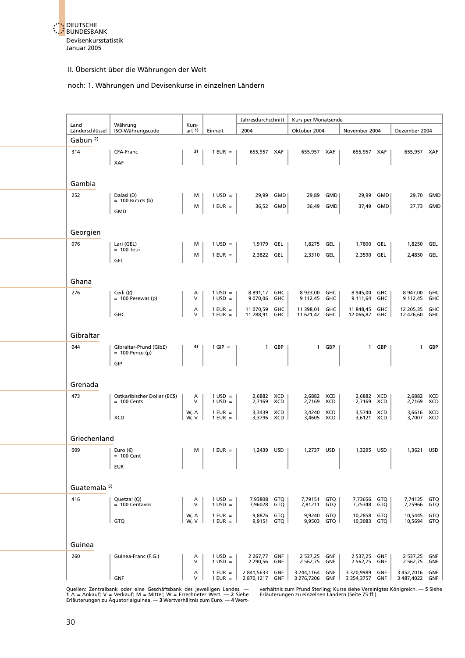

#### noch: 1. Währungen und Devisenkurse in einzelnen Ländern

|                         |                                               |                  |                                      | Jahresdurchschnitt           |           | Kurs per Monatsende              |            |                              |                   |                                 |            |
|-------------------------|-----------------------------------------------|------------------|--------------------------------------|------------------------------|-----------|----------------------------------|------------|------------------------------|-------------------|---------------------------------|------------|
| Land<br>Länderschlüssel | Währung<br>ISO-Währungscode                   | Kurs-<br>art $1$ | Einheit                              | 2004                         |           | Oktober 2004                     |            | November 2004                |                   | Dezember 2004                   |            |
| Gabun <sup>2)</sup>     |                                               |                  |                                      |                              |           |                                  |            |                              |                   |                                 |            |
| 314                     | CFA-Franc                                     | 3)               | $1$ EUR $=$                          | 655,957 XAF                  |           | 655,957 XAF                      |            | 655,957 XAF                  |                   | 655,957 XAF                     |            |
|                         | XAF                                           |                  |                                      |                              |           |                                  |            |                              |                   |                                 |            |
| Gambia                  |                                               |                  |                                      |                              |           |                                  |            |                              |                   |                                 |            |
| 252                     | Dalasi (D)<br>$= 100$ Bututs (b)              | м                | $1$ USD =                            | 29,99                        | GMD       | 29,89                            | GMD        | 29,99                        | GMD               | 29,70                           | GMD        |
|                         | GMD                                           | м                | $1$ EUR =                            |                              | 36,52 GMD | 36,49 GMD                        |            | 37,49                        | GMD               | 37,73 GMD                       |            |
|                         |                                               |                  |                                      |                              |           |                                  |            |                              |                   |                                 |            |
| Georgien                |                                               |                  |                                      |                              |           |                                  |            |                              |                   |                                 |            |
| 076                     | Lari (GEL)<br>$= 100$ Tetri                   | м                | $1$ USD =                            | 1,9179 GEL                   |           | 1,8275 GEL                       |            | 1,7800                       | GEL               | 1,8250                          | GEL        |
|                         | GEL                                           | м                | $1$ EUR $=$                          | 2,3822                       | GEL       | 2,3310                           | GEL        | 2,3590                       | GEL               | 2,4850 GEL                      |            |
|                         |                                               |                  |                                      |                              |           |                                  |            |                              |                   |                                 |            |
| Ghana                   |                                               |                  |                                      |                              |           |                                  |            |                              |                   |                                 |            |
| 276                     | Cedi $(\mathcal{Q})$<br>$= 100$ Pesewas (p)   | А<br>v           | $1 \text{ USD} =$<br>$1$ USD =       | 8891,17 GHC<br>9 070,06      | GHC       | 8 933,00 GHC<br>9 112,45         | GHC        | 8 945,00<br>9 111,64         | <b>GHC</b><br>GHC | 8947,00<br>9 112,45             | GHC<br>GHC |
|                         |                                               | Α                | $1$ EUR $=$                          | 11 070,59                    | GHC       | 11 398,01                        | <b>GHC</b> | 11 848,45                    | <b>GHC</b>        | 12 205,35                       | GHC        |
|                         | GHC                                           | V                | $1$ EUR $=$                          | 11 288,91                    | GHC       | 11 621,42 GHC                    |            | 12 066,87 GHC                |                   | 12 426,60                       | <b>GHC</b> |
| Gibraltar               |                                               |                  |                                      |                              |           |                                  |            |                              |                   |                                 |            |
| 044                     | Gibraltar-Pfund (Gib£)                        | 4)               | $1$ GIP =                            |                              | 1 GBP     |                                  | 1 GBP      | $\mathbf{1}$                 | GBP               | $\mathbf{1}$                    | GBP        |
|                         | $= 100$ Pence (p)<br>GIP                      |                  |                                      |                              |           |                                  |            |                              |                   |                                 |            |
|                         |                                               |                  |                                      |                              |           |                                  |            |                              |                   |                                 |            |
| Grenada                 |                                               |                  |                                      |                              |           |                                  |            |                              |                   |                                 |            |
| 473                     | Ostkaribischer Dollar (EC\$)<br>$= 100$ Cents | А<br>v           | $1$ USD =<br>$1$ USD =               | 2,6882 XCD<br>2,7169 XCD     |           | 2,6882 XCD<br>2,7169 XCD         |            | 2,6882 XCD<br>2,7169         | XCD               | 2,6882 XCD<br>2,7169 XCD        |            |
|                         |                                               | W, A             | $1$ EUR =                            | 3,3439 XCD                   |           | 3,4240 XCD                       |            | 3,5740 XCD                   |                   | 3,6616 XCD                      |            |
|                         | <b>XCD</b>                                    | W, V             | $1$ EUR $=$                          | 3,3796 XCD                   |           | 3,4605 XCD                       |            | 3,6121                       | XCD               | 3,7007 XCD                      |            |
| Griechenland            |                                               |                  |                                      |                              |           |                                  |            |                              |                   |                                 |            |
| 009                     | Euro $(\epsilon)$<br>$= 100$ Cent             | м                | $1$ EUR =                            | 1,2439 USD                   |           | 1,2737 USD                       |            | 1,3295                       | USD               | 1,3621                          | <b>USD</b> |
|                         | <b>EUR</b>                                    |                  |                                      |                              |           |                                  |            |                              |                   |                                 |            |
|                         |                                               |                  |                                      |                              |           |                                  |            |                              |                   |                                 |            |
| Guatemala <sup>5)</sup> |                                               |                  |                                      |                              |           |                                  |            |                              |                   |                                 |            |
| 416                     | Quetzal (Q)<br>$= 100$ Centavos               | A<br>v           | $1 \text{ USD} =$<br>$1$ USD =       | 7,93808 GTQ<br>7,96028 GTQ   |           | 7,79151 GTQ<br>7,81211 GTQ       |            | 7,73656 GTQ<br>7,75348 GTQ   |                   | 7.74135 GTO<br>7,75966 GTQ      |            |
|                         |                                               | W, A             | $1$ EUR $=$                          | 9,8876 GTQ                   |           | 9,9240 GTQ                       |            | 10,2858 GTQ                  |                   | 10,5445 GTQ                     |            |
|                         | GTQ                                           | W, V             | $1$ EUR $=$                          | 9,9151 GTQ                   |           | 9,9503 GTQ                       |            | 10,3083 GTQ                  |                   | 10,5694 GTQ                     |            |
|                         |                                               |                  |                                      |                              |           |                                  |            |                              |                   |                                 |            |
| Guinea<br>260           |                                               |                  |                                      |                              |           |                                  |            |                              |                   |                                 |            |
|                         | Guinea-Franc (F.G.)                           | A<br>V           | $1 \text{ USD} =$<br>$1$ USD =       | 2 267,77 GNF<br>2 290,56 GNF |           | 2 537,25 GNF<br>2 562,75 GNF     |            | 2 537,25 GNF<br>2 562,75     | GNF               | 2 537,25 GNF<br>2 562,75        | GNF        |
|                         | GNF                                           | Α<br>V           | $1$ EUR $=$<br>$1$ EUR = $\parallel$ | 2 841,5633<br>2870,1217 GNF  | GNF       | 3 244,1164 GNF<br>3 276,7206 GNF |            | 3 320,9989<br>3 354,3757 GNF | GNF               | 3 452,7016 GNF<br>3487,4022 GNF |            |

Quellen: Zentralbank oder eine Geschäftsbank des jeweiligen Landes. — werhältnis zum Pfund Sterling; Kurse siehe Vereinigtes Königreich. — 5 Siehe<br>1 A = Ankauf; V = Verkauf; M = Mittel; W = Errechneter Wert. — 2 Siehe erlä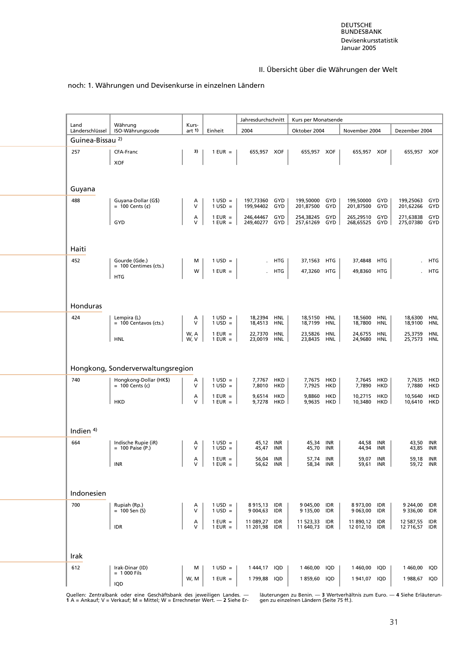#### noch: 1. Währungen und Devisenkurse in einzelnen Ländern

| Land                                           | Währung                                     | Kurs-  |                                    | Jahresdurchschnitt             |       | Kurs per Monatsende            |            |                                |            |                                |            |
|------------------------------------------------|---------------------------------------------|--------|------------------------------------|--------------------------------|-------|--------------------------------|------------|--------------------------------|------------|--------------------------------|------------|
| Länderschlüssel<br>Guinea-Bissau <sup>2)</sup> | ISO-Währungscode                            | art 1) | Einheit                            | 2004                           |       | Oktober 2004                   |            | November 2004                  |            | Dezember 2004                  |            |
| 257                                            | CFA-Franc                                   | 3)     | $1$ EUR $=$                        | 655,957 XOF                    |       | 655,957 XOF                    |            | 655,957 XOF                    |            | 655,957 XOF                    |            |
|                                                | <b>XOF</b>                                  |        |                                    |                                |       |                                |            |                                |            |                                |            |
|                                                |                                             |        |                                    |                                |       |                                |            |                                |            |                                |            |
|                                                |                                             |        |                                    |                                |       |                                |            |                                |            |                                |            |
| Guyana                                         |                                             |        |                                    |                                |       |                                |            |                                |            |                                |            |
| 488                                            | Guyana-Dollar (G\$)                         | A<br>v | $1 \text{ USD} =$                  | 197,73360 GYD                  |       | 199,50000 GYD<br>201,87500     |            | 199,50000 GYD                  |            | 199,25063                      | GYD        |
|                                                | $= 100$ Cents (¢)                           |        | $1$ USD =                          | 199,94402                      | GYD   |                                | GYD        | 201,87500 GYD                  |            | 201,62266<br>271,63838         | GYD        |
|                                                | GYD                                         | А<br>V | $1$ EUR =<br>$1$ EUR = $\vert$     | 246,44467 GYD<br>249,40277 GYD |       | 254,38245 GYD<br>257,61269 GYD |            | 265,29510 GYD<br>268,65525 GYD |            | 275,07380                      | GYD<br>GYD |
|                                                |                                             |        |                                    |                                |       |                                |            |                                |            |                                |            |
| Haiti                                          |                                             |        |                                    |                                |       |                                |            |                                |            |                                |            |
|                                                |                                             |        |                                    |                                |       |                                |            |                                |            |                                |            |
| 452                                            | Gourde (Gde.)<br>$= 100$ Centimes (cts.)    | м      | $1$ USD =                          |                                | . HTG | 37,1563 HTG                    |            | 37,4848                        | <b>HTG</b> |                                | HTG        |
|                                                | <b>HTG</b>                                  | w      | $1$ EUR $=$                        |                                | HTG   | 47,3260 HTG                    |            | 49,8360 HTG                    |            |                                | <b>HTG</b> |
|                                                |                                             |        |                                    |                                |       |                                |            |                                |            |                                |            |
|                                                |                                             |        |                                    |                                |       |                                |            |                                |            |                                |            |
| Honduras                                       |                                             |        |                                    |                                |       |                                |            |                                |            |                                |            |
| 424                                            | Lempira (L)<br>$= 100$ Centavos (cts.)      | Α<br>V | $1 \text{ USD} =$<br>$1$ USD =     | 18,2394 HNL<br>18,4513         | HNL   | 18,5150<br>18,7199             | HNL<br>HNL | 18,5600<br>18,7800             | HNL<br>HNL | 18,6300 HNL<br>18,9100         | <b>HNL</b> |
|                                                |                                             | W, A   | $1$ EUR $=$                        | 22,7370 HNL                    |       | 23,5826                        | HNL        | 24,6755                        | <b>HNL</b> | 25,3759                        | <b>HNL</b> |
|                                                | <b>HNL</b>                                  | W, V   | $1$ EUR $=$                        | 23,0019 HNL                    |       | 23,8435                        | HNL        | 24,9680                        | HNL        | 25,7573 HNL                    |            |
|                                                |                                             |        |                                    |                                |       |                                |            |                                |            |                                |            |
|                                                |                                             |        |                                    |                                |       |                                |            |                                |            |                                |            |
|                                                | Hongkong, Sonderverwaltungsregion           |        |                                    |                                |       |                                |            |                                |            |                                |            |
| 740                                            | Hongkong-Dollar (HK\$)<br>$= 100$ Cents (c) | Α<br>v | $1 \text{ USD} =$<br>$1$ USD =     | 7,7767 HKD<br>7,8010 HKD       |       | 7,7675 HKD<br>7,7925           | HKD        | 7,7645 HKD<br>7,7890           | HKD        | 7,7635 HKD<br>7,7880           | HKD        |
|                                                |                                             | Α      | $1$ EUR =                          | 9,6514 HKD                     |       | 9,8860                         | HKD        | 10,2715                        | HKD        | 10,5640                        | HKD        |
|                                                | <b>HKD</b>                                  | V      | $1$ EUR $=$                        | 9,7278                         | HKD   | 9,9635                         | HKD        | 10,3480                        | HKD        | 10,6410                        | HKD        |
|                                                |                                             |        |                                    |                                |       |                                |            |                                |            |                                |            |
| Indien <sup>4)</sup>                           |                                             |        |                                    |                                |       |                                |            |                                |            |                                |            |
| 664                                            | Indische Rupie (iR)                         | Α      | $1 \text{ USD} =$                  | 45,12 INR                      |       | 45,34 INR                      |            | 44,58 INR                      |            | 43,50 INR                      |            |
|                                                | $= 100$ Paise (P.)                          | V      | $1 \text{ USD} =$                  | 45,47 INR                      |       | 45,70 INR                      |            | 44,94 INR                      |            | 43,85 INR                      |            |
|                                                | <b>INR</b>                                  | А<br>v | $1$ EUR =<br>$1$ EUR = $\parallel$ | 56,04 INR<br>56,62 INR         |       | 57,74 INR<br>58,34 INR         |            | 59,07 INR<br>59,61 INR         |            | 59,18 INR<br>59,72 INR         |            |
|                                                |                                             |        |                                    |                                |       |                                |            |                                |            |                                |            |
|                                                |                                             |        |                                    |                                |       |                                |            |                                |            |                                |            |
| Indonesien                                     |                                             |        |                                    |                                |       |                                |            |                                |            |                                |            |
| 700                                            | Rupiah (Rp.)                                | Α      | $1 \text{ USD} =$                  | 8915,13 IDR                    |       | 9 045,00 IDR                   |            | 8973,00 IDR                    |            | 9 244,00 IDR                   |            |
|                                                | $= 100$ Sen (S)                             | V      | $1$ USD =                          | 9 004,63                       | IDR   | 9 135,00                       | IDR        | 9 063,00                       | IDR        | 9 336,00 IDR                   |            |
|                                                | <b>IDR</b>                                  | А<br>V | $1$ EUR $=$<br>$1$ EUR $=$         | 11 089,27<br>11 201,98 IDR     | IDR   | 11 523,33 IDR<br>11 640,73 IDR |            | 11 890,12 IDR<br>12 012,10 IDR |            | 12 587,55 IDR<br>12 716,57 IDR |            |
|                                                |                                             |        |                                    |                                |       |                                |            |                                |            |                                |            |
|                                                |                                             |        |                                    |                                |       |                                |            |                                |            |                                |            |
| Irak                                           |                                             |        |                                    |                                |       |                                |            |                                |            |                                |            |
| 612                                            | Irak-Dinar (ID)<br>$= 1000$ Fils            | м      | $1 \text{ USD} =$                  | 1444,17 IQD                    |       | 1460,00                        | IQD        | 1460,00                        | IQD        | 1460,00 IQD                    |            |
|                                                |                                             | W, M   | $1$ EUR $=$                        | 1799,88 IQD                    |       | 1859,60 IQD                    |            | 1941,07 IQD                    |            | 1988,67 IQD                    |            |
|                                                | IQD                                         |        |                                    |                                |       |                                |            |                                |            |                                |            |

Quellen: Zentralbank oder eine Geschäftsbank des jeweiligen Landes. — läuterungen zu Benin. — 3 Wertverhältnis zum Euro. — 4 Siehe Erläuterun-<br>1 A = Ankauf; V = Verkauf; M = Mittel; W = Errechneter Wert. — 2 Siehe Er-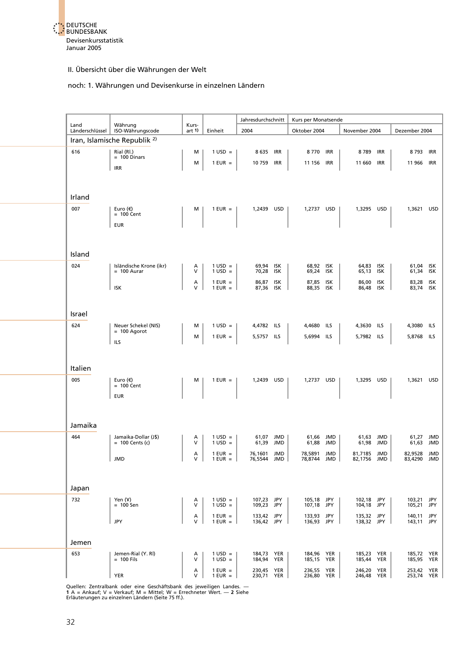

#### noch: 1. Währungen und Devisenkurse in einzelnen Ländern

|                         |                                           |                  |                                        | Jahresdurchschnitt       | Kurs per Monatsende      |     |                          |            |                          |  |
|-------------------------|-------------------------------------------|------------------|----------------------------------------|--------------------------|--------------------------|-----|--------------------------|------------|--------------------------|--|
| Land<br>Länderschlüssel | Währung<br>ISO-Währungscode               | Kurs-<br>art $1$ | Einheit                                | 2004                     | Oktober 2004             |     | November 2004            |            | Dezember 2004            |  |
|                         | Iran, Islamische Republik <sup>2)</sup>   |                  |                                        |                          |                          |     |                          |            |                          |  |
| 616                     | Rial (RI.)                                | M                | $1 \text{ USD} =$                      | 8 635 IRR                | 8 770 IRR                |     | 8789                     | <b>IRR</b> | 8793 IRR                 |  |
|                         | $= 100$ Dinars                            | M                | $1$ EUR =                              | 10 759 IRR               | 11 156 IRR               |     | 11 660                   | <b>IRR</b> | 11 966 IRR               |  |
|                         | <b>IRR</b>                                |                  |                                        |                          |                          |     |                          |            |                          |  |
|                         |                                           |                  |                                        |                          |                          |     |                          |            |                          |  |
|                         |                                           |                  |                                        |                          |                          |     |                          |            |                          |  |
| Irland                  |                                           |                  |                                        |                          |                          |     |                          |            |                          |  |
| 007                     | Euro (€)<br>$= 100$ Cent                  | м                | $1$ EUR $=$                            | 1,2439 USD               | 1,2737 USD               |     | 1,3295 USD               |            | 1,3621 USD               |  |
|                         | <b>EUR</b>                                |                  |                                        |                          |                          |     |                          |            |                          |  |
|                         |                                           |                  |                                        |                          |                          |     |                          |            |                          |  |
|                         |                                           |                  |                                        |                          |                          |     |                          |            |                          |  |
| Island                  |                                           |                  |                                        |                          |                          |     |                          |            |                          |  |
| 024                     | Isländische Krone (ikr)                   | Α                | $1 \text{ USD} =$                      | 69,94 ISK                | 68,92 ISK                |     | 64,83 ISK                |            | 61,04 ISK                |  |
|                         | $= 100$ Aurar                             | $\vee$           | $1 \text{ USD} =$                      | 70,28 ISK                | 69,24 ISK                |     | 65,13 ISK                |            | 61,34 ISK                |  |
|                         | <b>ISK</b>                                | А<br>$\vee$      | $1$ EUR =<br>$1$ EUR $=$               | 86,87 ISK<br>87,36 ISK   | 87,85 ISK<br>88,35 ISK   |     | 86,00 ISK<br>86,48 ISK   |            | 83,28 ISK<br>83,74 ISK   |  |
|                         |                                           |                  |                                        |                          |                          |     |                          |            |                          |  |
|                         |                                           |                  |                                        |                          |                          |     |                          |            |                          |  |
| Israel                  |                                           |                  |                                        |                          |                          |     |                          |            |                          |  |
| 624                     | Neuer Schekel (NIS)                       | м                | $1 \text{ USD} =$                      | 4,4782 ILS               | 4,4680                   | ils | 4,3630 ILS               |            | 4,3080 ILS               |  |
|                         | $= 100$ Agorot                            | М                | $1$ EUR =                              | 5,5757 ILS               | 5,6994 ILS               |     | 5,7982 ILS               |            | 5,8768 ILS               |  |
|                         | ILS                                       |                  |                                        |                          |                          |     |                          |            |                          |  |
|                         |                                           |                  |                                        |                          |                          |     |                          |            |                          |  |
| Italien                 |                                           |                  |                                        |                          |                          |     |                          |            |                          |  |
| 005                     | Euro $(\epsilon)$                         | м                | $1$ EUR $=$                            | 1,2439 USD               | 1,2737 USD               |     | 1,3295 USD               |            | 1,3621 USD               |  |
|                         | $= 100$ Cent                              |                  |                                        |                          |                          |     |                          |            |                          |  |
|                         | <b>EUR</b>                                |                  |                                        |                          |                          |     |                          |            |                          |  |
|                         |                                           |                  |                                        |                          |                          |     |                          |            |                          |  |
|                         |                                           |                  |                                        |                          |                          |     |                          |            |                          |  |
| Jamaika                 |                                           |                  |                                        |                          |                          |     |                          |            |                          |  |
| 464                     | Jamaika-Dollar (J\$)<br>$= 100$ Cents (c) | Α<br>$\vee$      | $1 \text{ USD} =$<br>$1 \text{ USD} =$ | 61,07 JMD<br>61,39 JMD   | 61,66 JMD<br>61,88 JMD   |     | 61,63 JMD<br>61,98 JMD   |            | 61,27 JMD<br>61,63 JMD   |  |
|                         |                                           | А                | $1$ EUR =                              | 76,1601 JMD              | 78,5891 JMD              |     | 81,7185 JMD              |            | 82,9528 JMD              |  |
|                         | JMD                                       | $\vee$           | $1$ EUR $=$                            | 76.5544 JMD              | 78.8744 JMD              |     | 82.1756 JMD              |            | 83.4290 JMD              |  |
|                         |                                           |                  |                                        |                          |                          |     |                          |            |                          |  |
|                         |                                           |                  |                                        |                          |                          |     |                          |            |                          |  |
| Japan                   |                                           |                  |                                        |                          |                          |     |                          |            |                          |  |
| 732                     | Yen (Y)<br>$= 100$ Sen                    | A<br>$\vee$      | $1 \text{ USD} =$<br>$1$ USD =         | 107,23 JPY<br>109,23 JPY | 105,18 JPY<br>107,18 JPY |     | 102,18 JPY<br>104,18 JPY |            | 103,21 JPY<br>105,21 JPY |  |
|                         |                                           |                  |                                        |                          | 133,93 JPY               |     |                          |            | 140,11 JPY               |  |
|                         | <b>JPY</b>                                | Α<br>$\vee$      | $1$ EUR $=$<br>$1$ EUR =               | 133,42 JPY<br>136,42 JPY | 136,93 JPY               |     | 135,32 JPY<br>138,32 JPY |            | 143,11 JPY               |  |
|                         |                                           |                  |                                        |                          |                          |     |                          |            |                          |  |
| Jemen                   |                                           |                  |                                        |                          |                          |     |                          |            |                          |  |
| 653                     | Jemen-Rial (Y. RI)                        | A                | $1 \text{ USD} =$                      | 184,73 YER               | 184,96 YER               |     | 185,23 YER               |            | 185,72 YER               |  |
|                         | $= 100$ Fils                              | $\vee$           | $1$ USD =                              | 184,94 YER               | 185,15 YER               |     | 185,44 YER               |            | 185,95 YER               |  |
|                         | <b>YER</b>                                | А<br>v           | $1$ EUR =<br>$1$ EUR =                 | 230,45 YER<br>230,71 YER | 236,55 YER<br>236,80 YER |     | 246,20 YER<br>246,48 YER |            | 253,42 YER<br>253,74 YER |  |

Quellen: Zentralbank oder eine Geschäftsbank des jeweiligen Landes. —<br>**1 A = Ankauf; V = Verkauf; M = Mittel; W = Err**echneter Wert. — **2** Siehe<br>Erläuterungen zu einzelnen Ländern (Seite 75 ff.).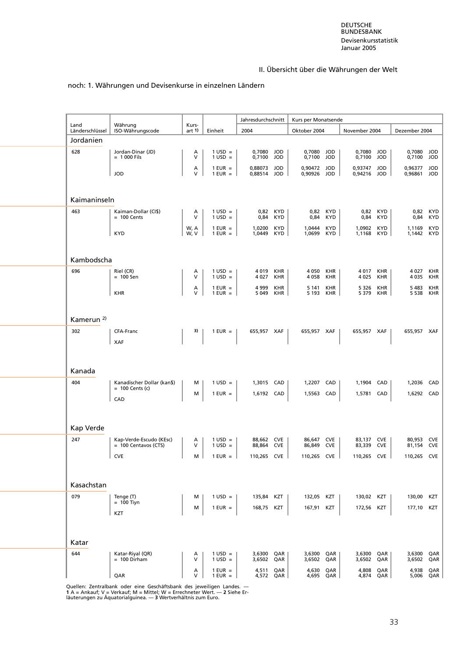#### noch: 1. Währungen und Devisenkurse in einzelnen Ländern

| Land                  | Währung                               | Kurs-        |                                        | Jahresdurchschnitt     |                        | Kurs per Monatsende        |                        |                            |                 |                        |                   |
|-----------------------|---------------------------------------|--------------|----------------------------------------|------------------------|------------------------|----------------------------|------------------------|----------------------------|-----------------|------------------------|-------------------|
| Länderschlüssel       | ISO-Währungscode                      | art 1)       | Einheit                                | 2004                   |                        | Oktober 2004               |                        | November 2004              |                 | Dezember 2004          |                   |
| Jordanien             |                                       |              |                                        |                        |                        |                            |                        |                            |                 |                        |                   |
| 628                   | Jordan-Dinar (JD)<br>$= 1000$ Fils    | А<br>$\vee$  | $1 \text{ USD} =$<br>$1$ USD =         | 0,7080 JOD<br>0,7100   | JOD                    | 0,7080<br>0,7100           | JOD<br><b>JOD</b>      | 0,7080 JOD<br>0,7100       | JOD             | 0,7080 JOD<br>0,7100   | JOD               |
|                       | <b>JOD</b>                            | А<br>$\vee$  | $1$ EUR $=$<br>$1$ EUR =               | 0,88073 JOD<br>0,88514 | <b>JOD</b>             | 0,90472 JOD<br>0,90926 JOD |                        | 0,93747 JOD<br>0,94216 JOD |                 | 0,96377 JOD<br>0,96861 | JOD               |
|                       |                                       |              |                                        |                        |                        |                            |                        |                            |                 |                        |                   |
| Kaimaninseln          |                                       |              |                                        |                        |                        |                            |                        |                            |                 |                        |                   |
| 463                   | Kaiman-Dollar (CI\$)<br>$= 100$ Cents | А<br>$\vee$  | $1 \text{ USD} =$<br>$1 \text{ USD} =$ | 0,84                   | 0,82 KYD<br><b>KYD</b> | 0,84                       | 0,82 KYD<br><b>KYD</b> | 0,84                       | 0,82 KYD<br>KYD | 0,84                   | 0,82 KYD<br>KYD   |
|                       | <b>KYD</b>                            | W, A<br>W, V | $1$ EUR =<br>$1$ EUR $=$               | 1,0200<br>1,0449       | <b>KYD</b><br>KYD      | 1,0444<br>1,0699           | <b>KYD</b><br>KYD      | 1,0902<br>1,1168 KYD       | <b>KYD</b>      | 1,1169<br>1,1442 KYD   | <b>KYD</b>        |
|                       |                                       |              |                                        |                        |                        |                            |                        |                            |                 |                        |                   |
| Kambodscha            |                                       |              |                                        |                        |                        |                            |                        |                            |                 |                        |                   |
| 696                   | Riel (CR)<br>$= 100$ Sen              | A<br>$\vee$  | $1 \text{ USD} =$<br>$1$ USD =         | 4019<br>4027           | KHR<br>KHR             | 4 0 5 0<br>4 0 5 8         | KHR<br>KHR             | 4 017 KHR<br>4 0 2 5       | KHR             | 4 0 2 7<br>4 0 3 5     | KHR<br><b>KHR</b> |
|                       | <b>KHR</b>                            | А<br>v       | $1$ EUR =<br>$1$ EUR =                 | 4999<br>5 0 4 9        | KHR<br>KHR             | 5 1 4 1<br>5 1 9 3         | KHR<br>KHR             | 5 3 2 6<br>5 3 7 9         | KHR<br>KHR      | 5483<br>5 5 3 8        | KHR<br><b>KHR</b> |
| Kamerun <sup>2)</sup> |                                       |              |                                        |                        |                        |                            |                        |                            |                 |                        |                   |
|                       | CFA-Franc                             | 3)           |                                        |                        |                        | 655,957 XAF                |                        |                            |                 |                        |                   |
| 302                   | <b>XAF</b>                            |              | $1$ EUR $=$                            | 655,957 XAF            |                        |                            |                        | 655,957 XAF                |                 | 655,957 XAF            |                   |
|                       |                                       |              |                                        |                        |                        |                            |                        |                            |                 |                        |                   |
| Kanada                |                                       |              |                                        |                        |                        |                            |                        |                            |                 |                        |                   |
| 404                   | Kanadischer Dollar (kan\$)            | м            | $1 \text{ USD} =$                      | 1,3015 CAD             |                        | 1,2207                     | CAD                    | 1,1904                     | CAD             | 1,2036 CAD             |                   |
|                       | $= 100$ Cents (c)                     | M            | $1$ EUR $=$                            | 1,6192 CAD             |                        | 1,5563 CAD                 |                        | 1,5781 CAD                 |                 | 1,6292 CAD             |                   |
|                       | CAD                                   |              |                                        |                        |                        |                            |                        |                            |                 |                        |                   |
| Kap Verde             |                                       |              |                                        |                        |                        |                            |                        |                            |                 |                        |                   |
| 247                   | Kap-Verde-Escudo (KEsc)               | Α            | $1$ USD =                              | 88,662 CVE             |                        | 86,647 CVE                 |                        | 83,137 CVE                 |                 | 80,953 CVE             |                   |
|                       | $= 100$ Centavos (CTS)                | $\vee$       | $1$ USD =                              | 88,864 CVE             |                        | 86,849 CVE                 |                        | 83,339 CVE                 |                 | 81,154 CVE             |                   |
|                       | <b>CVE</b>                            | м            | $1$ EUR $=$                            | 110.265 CVE            |                        | 110.265 CVE                |                        | 110.265 CVE                |                 | 110.265 CVE            |                   |
| Kasachstan            |                                       |              |                                        |                        |                        |                            |                        |                            |                 |                        |                   |
|                       |                                       |              |                                        |                        |                        |                            |                        |                            |                 |                        |                   |
| 079                   | Tenge (T)<br>$= 100$ Tiyn             | м            | $1 \text{ USD} =$                      | 135,84 KZT             |                        | 132,05 KZT                 |                        | 130,02 KZT                 |                 | 130,00                 | KZT               |
|                       | KZT                                   | м            | $1$ EUR =                              | 168,75                 | KZT                    | 167,91 KZT                 |                        | 172,56 KZT                 |                 | 177,10                 | KZT               |
|                       |                                       |              |                                        |                        |                        |                            |                        |                            |                 |                        |                   |
| Katar                 |                                       |              |                                        |                        |                        |                            |                        |                            |                 |                        |                   |
| 644                   | Katar-Riyal (QR)<br>$= 100$ Dirham    | А<br>$\vee$  | $1 \text{ USD} =$<br>$1 \text{ USD} =$ | 3,6300<br>3,6502       | QAR<br>QAR             | 3,6300<br>3,6502           | QAR<br>QAR             | 3,6300<br>3,6502           | QAR<br>QAR      | 3,6300<br>3,6502       | QAR<br>QAR        |
|                       | QAR                                   | А<br>$\vee$  | $1$ EUR $=$<br>$1$ EUR =               | 4,511<br>4,572 QAR     | QAR                    | 4,630<br>4,695 QAR         | QAR                    | 4,808<br>4,874             | QAR<br>QAR      | 4,938                  | QAR<br>5,006 QAR  |

Quellen: Zentralbank oder eine Geschäftsbank des jeweiligen Landes. —<br>1 A = Ankauf; V = Verkauf; M = Mittel; W = Errechneter Wert. — 2 Siehe Er-<br>läuterungen zu Äquatorialguinea. — 3 Wertverhältnis zum Euro.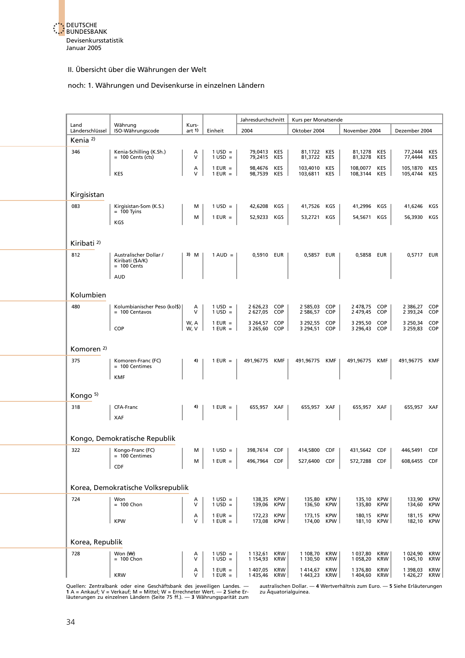

#### noch: 1. Währungen und Devisenkurse in einzelnen Ländern

|                         |                                                |                  |                                        | Jahresdurchschnitt           |                          | Kurs per Monatsende          |                          |                            |                          |                              |                          |
|-------------------------|------------------------------------------------|------------------|----------------------------------------|------------------------------|--------------------------|------------------------------|--------------------------|----------------------------|--------------------------|------------------------------|--------------------------|
| Land<br>Länderschlüssel | Währung<br>ISO-Währungscode                    | Kurs-<br>art $1$ | Einheit                                | 2004                         |                          | Oktober 2004                 |                          | November 2004              |                          | Dezember 2004                |                          |
| Kenia <sup>2)</sup>     |                                                |                  |                                        |                              |                          |                              |                          |                            |                          |                              |                          |
| 346                     | Kenia-Schilling (K.Sh.)<br>$= 100$ Cents (cts) | Α<br>V           | $1 \text{ USD} =$<br>$1 \text{ USD} =$ | 79,0413 KES<br>79,2415 KES   |                          | 81,1722 KES<br>81,3722 KES   |                          | 81,1278 KES<br>81,3278 KES |                          | 77,2444 KES<br>77,4444 KES   |                          |
|                         | KES                                            | А<br>V           | $1$ EUR $=$                            | 98,4676 KES                  |                          | 103,4010 KES                 |                          | 108,0077 KES               |                          | 105,1870 KES                 |                          |
|                         |                                                |                  | $1$ EUR $=$                            | 98,7539 KES                  |                          | 103,6811 KES                 |                          | 108,3144 KES               |                          | 105,4744 KES                 |                          |
| Kirgisistan             |                                                |                  |                                        |                              |                          |                              |                          |                            |                          |                              |                          |
|                         |                                                |                  |                                        |                              |                          |                              |                          |                            |                          |                              |                          |
| 083                     | Kirgisistan-Som (K.S.)<br>$= 100$ Tyins        | м                | $1$ USD =                              | 42,6208 KGS                  |                          | 41,7526 KGS                  |                          | 41,2996 KGS                |                          | 41,6246                      | KGS                      |
|                         | KGS                                            | м                | $1$ EUR $=$                            | 52,9233 KGS                  |                          | 53,2721 KGS                  |                          | 54,5671                    | KGS                      | 56,3930 KGS                  |                          |
|                         |                                                |                  |                                        |                              |                          |                              |                          |                            |                          |                              |                          |
| Kiribati <sup>2)</sup>  |                                                |                  |                                        |                              |                          |                              |                          |                            |                          |                              |                          |
| 812                     | Australischer Dollar /<br>Kiribati (\$A/K)     | 3) M             | $1 \text{ AUD} =$                      | 0,5910 EUR                   |                          | 0,5857 EUR                   |                          | 0,5858 EUR                 |                          | 0,5717 EUR                   |                          |
|                         | $= 100$ Cents                                  |                  |                                        |                              |                          |                              |                          |                            |                          |                              |                          |
|                         | <b>AUD</b>                                     |                  |                                        |                              |                          |                              |                          |                            |                          |                              |                          |
| Kolumbien               |                                                |                  |                                        |                              |                          |                              |                          |                            |                          |                              |                          |
| 480                     | Kolumbianischer Peso (kol\$)                   | Α                | $1$ USD =                              | 2 626,23 COP                 |                          | 2 585,03 COP                 |                          | 2478,75 COP                |                          | 2 386,27                     | COP                      |
|                         | $= 100$ Centavos                               | $\vee$           | $1$ USD =                              | 2 627,05 COP                 |                          | 2 586,57 COP                 |                          | 2 479,45 COP               |                          | 2 3 9 3 , 2 4                | COP                      |
|                         | COP                                            | W, A<br>W, V     | $1$ EUR =<br>$1$ EUR $=$               | 3 264,57 COP<br>3 265,60 COP |                          | 3 292,55 COP<br>3 294,51 COP |                          | 3 295,50<br>3 296,43 COP   | COP                      | 3 250,34 COP<br>3 259,83 COP |                          |
|                         |                                                |                  |                                        |                              |                          |                              |                          |                            |                          |                              |                          |
| Komoren <sup>2)</sup>   |                                                |                  |                                        |                              |                          |                              |                          |                            |                          |                              |                          |
| 375                     | Komoren-Franc (FC)                             | 4)               | $1$ EUR $=$                            | 491,96775 KMF                |                          | 491,96775 KMF                |                          | 491,96775 KMF              |                          | 491,96775 KMF                |                          |
|                         | = 100 Centimes                                 |                  |                                        |                              |                          |                              |                          |                            |                          |                              |                          |
|                         | <b>KMF</b>                                     |                  |                                        |                              |                          |                              |                          |                            |                          |                              |                          |
| Kongo <sup>5)</sup>     |                                                |                  |                                        |                              |                          |                              |                          |                            |                          |                              |                          |
| 318                     | CFA-Franc                                      |                  | $1$ EUR $=$                            | 655,957 XAF                  |                          | 655,957 XAF                  |                          | 655,957 XAF                |                          | 655,957 XAF                  |                          |
|                         | XAF                                            |                  |                                        |                              |                          |                              |                          |                            |                          |                              |                          |
|                         |                                                |                  |                                        |                              |                          |                              |                          |                            |                          |                              |                          |
|                         | Kongo, Demokratische Republik                  |                  |                                        |                              |                          |                              |                          |                            |                          |                              |                          |
| 322                     | Kongo-Franc (FC)<br>$= 100$ Centimes           | м                | $1 \text{ USD} =$                      | 398,7614 CDF                 |                          | 414,5800 CDF                 |                          | 431,5642 CDF               |                          | 446,5491 CDF                 |                          |
|                         | CDF                                            | M                | $1$ EUR $=$                            | 496,7964                     | <b>CDF</b>               | 527,6400 CDF                 |                          | 572,7288                   | CDF                      | 608,6455 CDF                 |                          |
|                         |                                                |                  |                                        |                              |                          |                              |                          |                            |                          |                              |                          |
|                         | Korea, Demokratische Volksrepublik             |                  |                                        |                              |                          |                              |                          |                            |                          |                              |                          |
| 724                     | Won                                            | Α                | $1 \text{ USD} =$                      | 138,35 KPW                   |                          | 135,80 KPW                   |                          | 135,10 KPW                 |                          | 133,90                       | <b>KPW</b>               |
|                         | $= 100$ Chon                                   | v                | $1$ USD =                              | 139,06                       | <b>KPW</b>               | 136,50                       | <b>KPW</b>               | 135,80                     | <b>KPW</b>               | 134,60                       | <b>KPW</b>               |
|                         | <b>KPW</b>                                     | А<br>v           | $1$ EUR =<br>$1$ EUR $=$               | 172,23<br>173,08             | <b>KPW</b><br><b>KPW</b> | 173,15<br>174,00             | <b>KPW</b><br><b>KPW</b> | 180,15<br>181,10           | <b>KPW</b><br>KPW        | 181,15<br>182,10             | <b>KPW</b><br><b>KPW</b> |
|                         |                                                |                  |                                        |                              |                          |                              |                          |                            |                          |                              |                          |
| Korea, Republik         |                                                |                  |                                        |                              |                          |                              |                          |                            |                          |                              |                          |
| 728                     | Won $(\forall \theta)$<br>$= 100$ Chon         | Α<br>v           | $1 \text{ USD} =$<br>$1$ USD =         | 1 132,61<br>1 154,93         | KRW<br><b>KRW</b>        | 1 108,70<br>1 130,50         | <b>KRW</b><br><b>KRW</b> | 1 037,80<br>1 058,20       | <b>KRW</b><br><b>KRW</b> | 1 024,90<br>1 045,10         | <b>KRW</b><br><b>KRW</b> |
|                         |                                                | Α                | $1$ EUR $=$                            | 1 407,05                     | <b>KRW</b>               | 1414,67                      | <b>KRW</b>               | 1 376,80                   | <b>KRW</b>               | 1 398,03                     | <b>KRW</b>               |
|                         | <b>KRW</b>                                     | v                | $1$ EUR =                              | 1435,46                      | <b>KRW</b>               | 1443,23                      | KRW                      | 1 404,60                   | KRW                      | 1426,27                      | KRW                      |

Quellen: Zentralbank oder eine Geschäftsbank des jeweiligen Landes. — australischen Dollar. — 4 Wertverhältnis zum Euro. — 5 Siehe Erläuterungen<br>1 A = Ankauf; V = Verkauf; M = Mittel; W = Errechneter Wert. — 2 Siehe Er- zu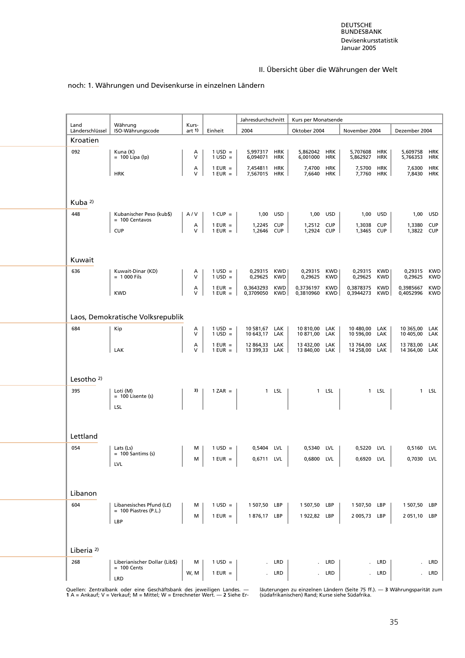#### noch: 1. Währungen und Devisenkurse in einzelnen Ländern

| Land                  | Währung                                             | Kurs-       |                                        | Jahresdurchschnitt             |                   | Kurs per Monatsende         |                   |                                |                   |                                |                          |
|-----------------------|-----------------------------------------------------|-------------|----------------------------------------|--------------------------------|-------------------|-----------------------------|-------------------|--------------------------------|-------------------|--------------------------------|--------------------------|
| Länderschlüssel       | ISO-Währungscode                                    | art 1)      | Einheit                                | 2004                           |                   | Oktober 2004                |                   | November 2004                  |                   | Dezember 2004                  |                          |
| Kroatien              |                                                     |             |                                        |                                |                   |                             |                   |                                |                   |                                |                          |
| 092                   | Kuna (K)<br>$= 100$ Lipa (lp)                       | A<br>$\vee$ | $1 \text{ USD} =$<br>$1$ USD =         | 5,997317<br>6,094071           | HRK<br>HRK        | 5,862042<br>6,001000        | HRK<br>HRK        | 5,707608 HRK<br>5,862927 HRK   |                   | 5,609758 HRK<br>5,766353       | HRK                      |
|                       | <b>HRK</b>                                          | Α<br>$\vee$ | $1$ EUR $=$<br>$1$ EUR $=$             | 7,454811<br>7,567015 HRK       | <b>HRK</b>        | 7,4700<br>7,6640 HRK        | <b>HRK</b>        | 7,5700<br>7,7760 HRK           | <b>HRK</b>        | 7,6300<br>7,8430 HRK           | HRK                      |
|                       |                                                     |             |                                        |                                |                   |                             |                   |                                |                   |                                |                          |
| Kuba $2$              |                                                     |             |                                        |                                |                   |                             |                   |                                |                   |                                |                          |
| 448                   | Kubanischer Peso (kub\$)<br>$= 100$ Centavos        | A/V         | $1$ CUP =                              |                                | 1,00 USD          | 1,00 USD                    |                   |                                | 1,00 USD          |                                | 1,00 USD                 |
|                       | <b>CUP</b>                                          | Α<br>$\vee$ | $1$ EUR $=$<br>$1$ EUR = $\vert$       | 1,2245 CUP<br>1,2646 CUP       |                   | 1,2512 CUP<br>1,2924 CUP    |                   | 1,3038<br>1,3465 CUP           | <b>CUP</b>        | 1,3380<br>1,3822 CUP           | <b>CUP</b>               |
|                       |                                                     |             |                                        |                                |                   |                             |                   |                                |                   |                                |                          |
| Kuwait                |                                                     |             |                                        |                                |                   |                             |                   |                                |                   |                                |                          |
| 636                   | Kuwait-Dinar (KD)<br>$= 1000$ Fils                  | A<br>$\vee$ | $1 \text{ USD} =$<br>$1 \text{ USD} =$ | 0,29315<br>0,29625 KWD         | KWD               | 0,29315<br>0,29625          | <b>KWD</b><br>KWD | 0,29315<br>0,29625 KWD         | KWD               | 0,29315<br>0,29625             | <b>KWD</b><br>KWD        |
|                       | <b>KWD</b>                                          | Α<br>$\vee$ | $1$ EUR =<br>$1$ EUR =                 | 0,3643293<br>0,3709050         | <b>KWD</b><br>KWD | 0,3736197<br>0,3810960      | <b>KWD</b><br>KWD | 0,3878375<br>0,3944273         | <b>KWD</b><br>KWD | 0,3985667<br>0,4052996         | <b>KWD</b><br><b>KWD</b> |
|                       | Laos, Demokratische Volksrepublik                   |             |                                        |                                |                   |                             |                   |                                |                   |                                |                          |
| 684                   | Kip                                                 | Α           | $1 \text{ USD} =$                      | 10 581,67 LAK                  |                   | 10 810,00 LAK               |                   | 10 480,00 LAK                  |                   | 10 365,00 LAK                  |                          |
|                       |                                                     | V           | $1$ USD =                              | 10 643,17 LAK                  |                   | 10 871,00 LAK               |                   | 10 596,00 LAK                  |                   | 10 405,00                      | LAK                      |
|                       | LAK                                                 | A<br>V      | $1$ EUR $=$<br>$1$ EUR $=$             | 12 864,33 LAK<br>13 399,33 LAK |                   | 13 432,00<br>13 840,00 LAK  | LAK               | 13 764,00 LAK<br>14 258,00 LAK |                   | 13 783,00 LAK<br>14 364,00 LAK |                          |
|                       |                                                     |             |                                        |                                |                   |                             |                   |                                |                   |                                |                          |
| Lesotho $2$ )         |                                                     |             |                                        |                                |                   |                             |                   |                                |                   |                                |                          |
| 395                   | Loti (M)<br>$= 100$ Lisente (s)                     | 3)          | $1 ZAR =$                              |                                | 1 LSL             |                             | 1 LSL             |                                | 1 LSL             |                                | 1 LSL                    |
|                       | LSL                                                 |             |                                        |                                |                   |                             |                   |                                |                   |                                |                          |
| Lettland              |                                                     |             |                                        |                                |                   |                             |                   |                                |                   |                                |                          |
| 054                   | Lats (Ls)                                           | м           | $1 \text{ USD} =$                      | 0,5404 LVL                     |                   | 0.5340 LVL                  |                   | 0,5220 LVL                     |                   | 0,5160 LVL                     |                          |
|                       | $= 100$ Santims (s)<br><b>LVL</b>                   | м           | $1$ EUR $=$                            | 0,6711 LVL                     |                   | 0,6800 LVL                  |                   | 0,6920 LVL                     |                   | 0,7030 LVL                     |                          |
|                       |                                                     |             |                                        |                                |                   |                             |                   |                                |                   |                                |                          |
| Libanon               |                                                     |             |                                        |                                |                   |                             |                   |                                |                   |                                |                          |
| 604                   | Libanesisches Pfund (L£)<br>$= 100$ Piastres (P.L.) | м           | $1 \text{ USD} =$                      | 1 507,50 LBP                   |                   | 1 507,50 LBP                |                   | 1 507,50 LBP                   |                   | 1 507,50 LBP                   |                          |
|                       | LBP                                                 | м           | $1$ EUR =                              | 1 876,17                       | LBP               | 1922,82 LBP                 |                   | 2 005,73 LBP                   |                   | 2051,10 LBP                    |                          |
|                       |                                                     |             |                                        |                                |                   |                             |                   |                                |                   |                                |                          |
| Liberia <sup>2)</sup> |                                                     |             |                                        |                                |                   |                             |                   |                                |                   |                                |                          |
| 268                   | Liberianischer Dollar (Lib\$)<br>$= 100$ Cents      | м           | $1 \text{ USD} =$                      | $\mathcal{L}^{\mathcal{L}}$    | LRD               | $\mathcal{L}_{\mathcal{A}}$ | LRD               | $\mathbf{r}$                   | LRD               | $\mathbf{r}$                   | LRD                      |
|                       | LRD                                                 | W, M        | $1$ EUR $=$                            |                                | LRD               |                             | LRD               |                                | LRD               |                                | LRD                      |

Quellen: Zentralbank oder eine Geschäftsbank des jeweiligen Landes. — läuterungen zu einzelnen Ländern (Seite 75 ff.). — 3 Währungsparität zum<br>1 A = Ankauf; V = Verkauf; M = Mittel; W = Errechneter Wert. — 2 Siehe Er-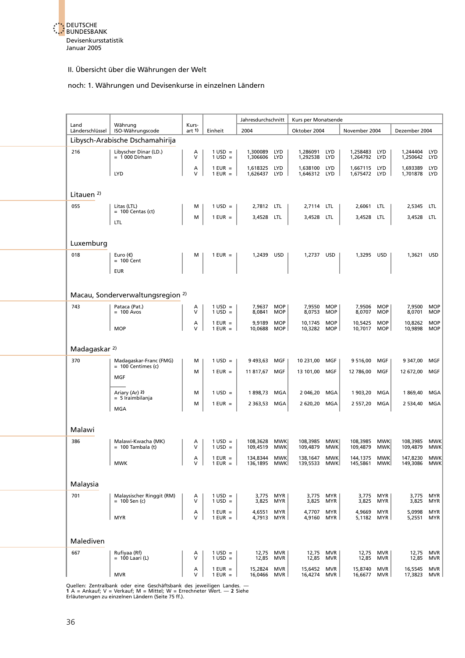

#### noch: 1. Währungen und Devisenkurse in einzelnen Ländern

|                          |                                                |                   |                                | Jahresdurchschnitt       |                          | Kurs per Monatsende          |                          |                              |                          |                          |                          |
|--------------------------|------------------------------------------------|-------------------|--------------------------------|--------------------------|--------------------------|------------------------------|--------------------------|------------------------------|--------------------------|--------------------------|--------------------------|
| Land<br>Länderschlüssel  | Währung<br>ISO-Währungscode                    | Kurs-<br>art $1$  | Einheit                        | 2004                     |                          | Oktober 2004                 |                          | November 2004                |                          | Dezember 2004            |                          |
|                          | Libysch-Arabische Dschamahirija                |                   |                                |                          |                          |                              |                          |                              |                          |                          |                          |
| 216                      | Libyscher Dinar (LD.)<br>$= 1000$ Dirham       | A<br>V            | $1 \text{ USD} =$<br>$1$ USD = | 1,300089<br>1,306606     | <b>LYD</b><br><b>LYD</b> | 1,286091<br>1,292538         | <b>LYD</b><br><b>LYD</b> | 1,258483<br>1,264792         | LYD<br>LYD               | 1,244404 LYD<br>1,250642 | LYD                      |
|                          | <b>LYD</b>                                     | А<br>$\vee$       | $1$ EUR $=$<br>$1$ EUR $=$     | 1,618325<br>1,626437     | <b>LYD</b><br><b>LYD</b> | 1,638100 LYD<br>1,646312 LYD |                          | 1,667115 LYD<br>1,675472 LYD |                          | 1,693389<br>1,701878     | <b>LYD</b><br>LYD        |
|                          |                                                |                   |                                |                          |                          |                              |                          |                              |                          |                          |                          |
| Litauen $2$              |                                                |                   |                                |                          |                          |                              |                          |                              |                          |                          |                          |
| 055                      | Litas (LTL)<br>$= 100$ Centas (ct)             | М                 | $1 \text{ USD} =$              | 2,7812 LTL               |                          | 2,7114 LTL                   |                          | 2,6061                       | <b>LTL</b>               | 2,5345                   | LTL                      |
|                          | <b>LTL</b>                                     | м                 | $1$ EUR =                      | 3,4528 LTL               |                          | 3,4528 LTL                   |                          | 3,4528 LTL                   |                          | 3,4528 LTL               |                          |
| Luxemburg                |                                                |                   |                                |                          |                          |                              |                          |                              |                          |                          |                          |
| 018                      | Euro $(\epsilon)$                              | м                 | $1$ EUR =                      | 1,2439 USD               |                          | 1,2737 USD                   |                          | 1,3295 USD                   |                          | 1,3621                   | <b>USD</b>               |
|                          | $= 100$ Cent<br><b>EUR</b>                     |                   |                                |                          |                          |                              |                          |                              |                          |                          |                          |
|                          |                                                |                   |                                |                          |                          |                              |                          |                              |                          |                          |                          |
|                          | Macau, Sonderverwaltungsregion <sup>2)</sup>   |                   |                                |                          |                          |                              |                          |                              |                          |                          |                          |
| 743                      | Pataca (Pat.)<br>$= 100$ Avos                  | A<br>V            | $1 \text{ USD} =$<br>$1$ USD = | 7,9637<br>8,0841         | <b>MOP</b><br><b>MOP</b> | 7,9550<br>8,0753             | <b>MOP</b><br><b>MOP</b> | 7,9506 MOP<br>8,0707         | <b>MOP</b>               | 7,9500<br>8,0701         | <b>MOP</b><br><b>MOP</b> |
|                          | <b>MOP</b>                                     | $\lambda$<br>V    | $1$ EUR $=$<br>$1$ EUR $=$     | 9,9189<br>10,0688        | <b>MOP</b><br><b>MOP</b> | 10,1745<br>10,3282           | <b>MOP</b><br>MOP        | 10,5425<br>10,7017           | <b>MOP</b><br>MOP        | 10,8262<br>10,9898       | <b>MOP</b><br><b>MOP</b> |
|                          |                                                |                   |                                |                          |                          |                              |                          |                              |                          |                          |                          |
| Madagaskar <sup>2)</sup> |                                                |                   |                                |                          |                          |                              |                          |                              |                          |                          |                          |
| 370                      | Madagaskar-Franc (FMG)<br>$= 100$ Centimes (c) | м                 | $1$ USD =                      | 9 493,63                 | MGF                      | 10 231,00 MGF                |                          | 9 516,00                     | MGF                      | 9 347,00                 | MGF                      |
|                          | <b>MGF</b>                                     | M                 | $1$ EUR =                      | 11 817,67                | MGF                      | 13 101,00                    | MGF                      | 12 786,00                    | MGF                      | 12 672,00                | MGF                      |
|                          | Ariary (Ar) 2)                                 | M                 | $1$ USD =                      | 1898,73                  | MGA                      | 2 046,20                     | MGA                      | 1 903,20                     | MGA                      | 1869,40                  | MGA                      |
|                          | $= 5$ Iraimbilanja<br><b>MGA</b>               | M                 | $1$ EUR =                      | 2 3 6 3 , 5 3            | MGA                      | 2 620,20                     | MGA                      | 2 557,20                     | MGA                      | 2 534,40                 | MGA                      |
|                          |                                                |                   |                                |                          |                          |                              |                          |                              |                          |                          |                          |
| Malawi                   |                                                |                   |                                |                          |                          |                              |                          |                              |                          |                          |                          |
| 386                      | Malawi-Kwacha (MK)<br>$= 100$ Tambala (t)      | Α<br>$\vee$       | $1 \text{ USD} =$<br>$1$ USD = | 108,3628<br>109,4519     | <b>MWK</b><br><b>MWK</b> | 108,3985<br>109,4879         | <b>MWK</b><br><b>MWK</b> | 108,3985<br>109,4879         | <b>MWK</b><br><b>MWK</b> | 108,3985<br>109,4879     | <b>MWK</b><br><b>MWK</b> |
|                          |                                                | А                 | $1$ EUR $=$                    | 134,8344<br>136,1895 MWK | MWK                      | 138,1647                     | <b>MWK</b>               | 144,1375                     | <b>MWK</b>               | 147,8230                 | MWK                      |
|                          | <b>MWK</b>                                     | V                 | $1$ EUR = $\vert$              |                          |                          | 139,5533 MWK                 |                          | 145,5861 MWK                 |                          | 149,3086 MWK             |                          |
| Malaysia                 |                                                |                   |                                |                          |                          |                              |                          |                              |                          |                          |                          |
| 701                      | Malaysischer Ringgit (RM)<br>$= 100$ Sen (c)   | Α<br>v            | $1$ USD =<br>$1$ USD =         | 3,775<br>3,825           | <b>MYR</b><br>MYR        | 3,775 MYR<br>3,825           | MYR                      | 3,775 MYR<br>3,825           | <b>MYR</b>               | 3,775<br>3,825           | <b>MYR</b><br>MYR        |
|                          | <b>MYR</b>                                     | A<br>V            | $1$ EUR $=$<br>$1$ EUR $=$     | 4,6551<br>4,7913         | <b>MYR</b><br>MYR        | 4,7707<br>4,9160             | <b>MYR</b><br>MYR        | 4,9669<br>5,1182             | <b>MYR</b><br>MYR        | 5,0998<br>5,2551         | <b>MYR</b><br>MYR        |
|                          |                                                |                   |                                |                          |                          |                              |                          |                              |                          |                          |                          |
| Malediven                |                                                |                   |                                |                          |                          |                              |                          |                              |                          |                          |                          |
| 667                      | Rufiyaa (Rf)<br>$= 100$ Laari (L)              | Α<br>V            | $1 \text{ USD} =$<br>$1$ USD = | 12,75<br>12,85           | <b>MVR</b><br><b>MVR</b> | 12,75 MVR<br>12,85           | <b>MVR</b>               | 12,75 MVR<br>12,85           | MVR                      | 12,75<br>12,85           | <b>MVR</b><br><b>MVR</b> |
|                          | <b>MVR</b>                                     | А<br>$\mathsf{V}$ | $1$ EUR =<br>$1$ EUR =         | 15,2824<br>16,0466       | <b>MVR</b><br><b>MVR</b> | 15,6452<br>16,4274           | <b>MVR</b><br>MVR        | 15,8740<br>16,6677 MVR       | <b>MVR</b>               | 16,5545<br>17,3823       | <b>MVR</b><br>MVR        |

Quellen: Zentralbank oder eine Geschäftsbank des jeweiligen Landes. —<br>**1 A = Ankauf; V = Verkauf; M = Mittel; W = Err**echneter Wert. — **2** Siehe<br>Erläuterungen zu einzelnen Ländern (Seite 75 ff.).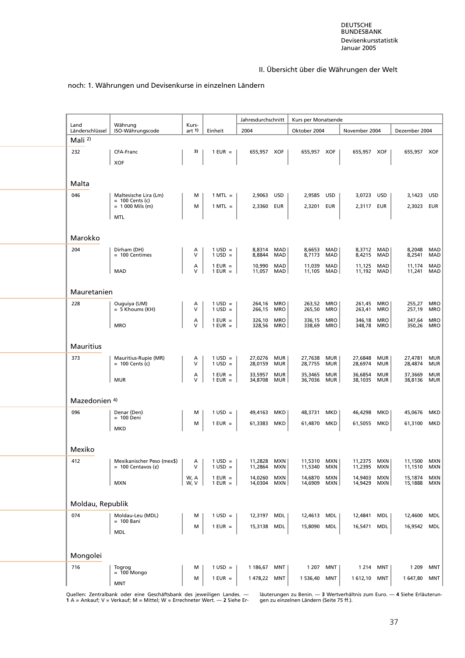#### noch: 1. Währungen und Devisenkurse in einzelnen Ländern

|                          |                                                    |                   |                                | Jahresdurchschnitt |                   | Kurs per Monatsende |                          |                      |            |                        |                   |
|--------------------------|----------------------------------------------------|-------------------|--------------------------------|--------------------|-------------------|---------------------|--------------------------|----------------------|------------|------------------------|-------------------|
| Land<br>Länderschlüssel  | Währung<br>ISO-Währungscode                        | Kurs-<br>art 1)   | Einheit                        | 2004               |                   | Oktober 2004        |                          | November 2004        |            | Dezember 2004          |                   |
| Mali $^{2)}$             |                                                    |                   |                                |                    |                   |                     |                          |                      |            |                        |                   |
| 232                      | CFA-Franc                                          | 3)                | $1$ EUR $=$                    | 655,957 XOF        |                   | 655,957 XOF         |                          | 655,957 XOF          |            | 655,957 XOF            |                   |
|                          | <b>XOF</b>                                         |                   |                                |                    |                   |                     |                          |                      |            |                        |                   |
|                          |                                                    |                   |                                |                    |                   |                     |                          |                      |            |                        |                   |
| Malta                    |                                                    |                   |                                |                    |                   |                     |                          |                      |            |                        |                   |
| 046                      | Maltesische Lira (Lm)<br>$= 100$ Cents (c)         | м                 | $1$ MTL $=$                    | 2,9063             | <b>USD</b>        | 2,9585              | USD                      | 3,0723               | USD        | 3,1423 USD             |                   |
|                          | $= 1000$ Mils (m)<br><b>MTL</b>                    | м                 | $1$ MTL $=$                    | 2,3360 EUR         |                   | 2,3201 EUR          |                          | 2,3117 EUR           |            | 2,3023 EUR             |                   |
|                          |                                                    |                   |                                |                    |                   |                     |                          |                      |            |                        |                   |
| Marokko                  |                                                    |                   |                                |                    |                   |                     |                          |                      |            |                        |                   |
| 204                      | Dirham (DH)                                        | А<br>$\vee$       | $1 \text{ USD} =$              | 8,8314 MAD         |                   | 8,6653              | MAD                      | 8,3712 MAD           |            | 8,2048                 | MAD               |
|                          | $= 100$ Centimes                                   | Α                 | $1$ USD =<br>$1$ EUR =         | 8,8844<br>10,990   | MAD<br>MAD        | 8,7173<br>11,039    | MAD<br>MAD               | 8,4215 MAD<br>11,125 | MAD        | 8,2541<br>11,174       | MAD<br>MAD        |
|                          | <b>MAD</b>                                         | v                 | $1$ EUR = $\vert$              | 11,057             | MAD               | 11,105              | MAD                      | 11,192 MAD           |            | 11,241                 | MAD               |
| Mauretanien              |                                                    |                   |                                |                    |                   |                     |                          |                      |            |                        |                   |
| 228                      | Ouguiya (UM)                                       | A                 | $1 \text{ USD} =$              | 264,16 MRO         |                   | 263,52 MRO          |                          | 261,45 MRO           |            | 255,27                 | <b>MRO</b>        |
|                          | $= 5$ Khoums (KH)                                  | $\vee$            | $1$ USD =                      | 266,15             | <b>MRO</b>        | 265,50              | <b>MRO</b>               | 263,41               | <b>MRO</b> | 257,19                 | <b>MRO</b>        |
|                          | <b>MRO</b>                                         | A<br>$\mathsf{V}$ | $1$ EUR =<br>$1$ EUR $=$       | 326.10<br>328,56   | <b>MRO</b><br>MRO | 336,15<br>338,69    | <b>MRO</b><br><b>MRO</b> | 346,18<br>348,78 MRO | <b>MRO</b> | 347,64<br>350,26 MRO   | <b>MRO</b>        |
|                          |                                                    |                   |                                |                    |                   |                     |                          |                      |            |                        |                   |
| <b>Mauritius</b>         |                                                    |                   |                                |                    |                   |                     |                          |                      |            |                        |                   |
| 373                      | Mauritius-Rupie (MR)<br>$= 100$ Cents (c)          | Α<br>V            | $1 \text{ USD} =$<br>$1$ USD = | 27,0276<br>28,0159 | MUR<br>MUR        | 27,7638<br>28,7755  | <b>MUR</b><br>MUR        | 27,6848<br>28,6974   | MUR<br>MUR | 27,4781<br>28,4874     | MUR<br><b>MUR</b> |
|                          |                                                    | Α                 | $1$ EUR $=$                    | 33,5957            | <b>MUR</b>        | 35,3465             | <b>MUR</b>               | 36,6854              | MUR        | 37,3669                | MUR               |
|                          | <b>MUR</b>                                         | $\mathsf{V}$      | $1$ EUR = $\vert$              | 34,8708            | MUR               | 36,7036             | MUR                      | 38,1035 MUR          |            | 38,8136 MUR            |                   |
| Mazedonien <sup>4)</sup> |                                                    |                   |                                |                    |                   |                     |                          |                      |            |                        |                   |
| 096                      | Denar (Den)                                        | м                 | $1 \text{ USD} =$              | 49,4163            | MKD               | 48,3731             | MKD                      | 46,4298              | MKD        | 45,0676 MKD            |                   |
|                          | $= 100$ Deni<br><b>MKD</b>                         | м                 | $1$ EUR =                      | 61,3383 MKD        |                   | 61,4870             | MKD                      | 61,5055 MKD          |            | 61,3100 MKD            |                   |
|                          |                                                    |                   |                                |                    |                   |                     |                          |                      |            |                        |                   |
| Mexiko                   |                                                    |                   |                                |                    |                   |                     |                          |                      |            |                        |                   |
| 412                      | Mexikanischer Peso (mex\$)<br>$= 100$ Centavos (¢) | Α<br>V            | $1$ USD =<br>$1$ USD =         | 11,2828<br>11,2864 | MXN<br><b>MXN</b> | 11,5310<br>11,5340  | MXN<br><b>MXN</b>        | 11,2375<br>11,2395   | MXN<br>MXN | 11,1500 MXN<br>11,1510 | MXN               |
|                          |                                                    | W, A              | $1$ EUR $=$                    | 14,0260            | <b>MXN</b>        | 14,6870             | <b>MXN</b>               | 14,9403              | <b>MXN</b> | 15,1874                | MXN               |
|                          | <b>MXN</b>                                         | W, V              | $1$ EUR = $\vert$              | 14,0304            | MXN               | 14,6909             | MXN                      | 14,9429 MXN          |            | 15,1888 MXN            |                   |
| Moldau, Republik         |                                                    |                   |                                |                    |                   |                     |                          |                      |            |                        |                   |
| 074                      | Moldau-Leu (MDL)                                   | м                 | $1 \text{ USD} =$              | 12,3197 MDL        |                   | 12,4613 MDL         |                          | 12,4841              | MDL        | 12,4600                | MDL               |
|                          | $= 100$ Bani                                       | M                 | $1$ EUR =                      | 15,3138            | MDL               | 15,8090             | MDL                      | 16,5471 MDL          |            | 16,9542 MDL            |                   |
|                          | <b>MDL</b>                                         |                   |                                |                    |                   |                     |                          |                      |            |                        |                   |
| Mongolei                 |                                                    |                   |                                |                    |                   |                     |                          |                      |            |                        |                   |
| 716                      | Togrog                                             | м                 | $1 \text{ USD} =$              | 1 186,67           | MNT               | 1 207               | MNT                      | 1 2 1 4              | <b>MNT</b> | 1 2 0 9                | MNT               |
|                          | $= 100$ Mongo                                      | M                 | $1$ EUR =                      | 1478,22 MNT        |                   | 1 536,40            | MNT                      | 1612,10 MNT          |            | 1 647,80 MNT           |                   |
|                          | <b>MNT</b>                                         |                   |                                |                    |                   |                     |                          |                      |            |                        |                   |

Quellen: Zentralbank oder eine Geschäftsbank des jeweiligen Landes. — läuterungen zu Benin. — 3 Wertverhältnis zum Euro. — 4 Siehe Erläuterun-<br>1 A = Ankauf; V = Verkauf; M = Mittel; W = Errechneter Wert. — 2 Siehe Er-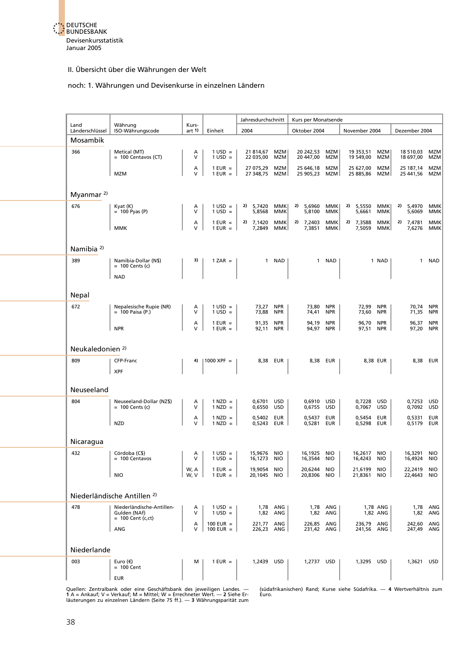

#### noch: 1. Währungen und Devisenkurse in einzelnen Ländern

|                             |                                               |                 |                                        | Jahresdurchschnitt             |                          | Kurs per Monatsende            |             |                                |            |                            |                   |
|-----------------------------|-----------------------------------------------|-----------------|----------------------------------------|--------------------------------|--------------------------|--------------------------------|-------------|--------------------------------|------------|----------------------------|-------------------|
| Land<br>Länderschlüssel     | Währung<br>ISO-Währungscode                   | Kurs-<br>art 1) | Einheit                                | 2004                           |                          | Oktober 2004                   |             | November 2004                  |            | Dezember 2004              |                   |
| Mosambik                    |                                               |                 |                                        |                                |                          |                                |             |                                |            |                            |                   |
| 366                         | Metical (MT)                                  | Α               | $1$ USD $=$                            | 21 814,67                      | MZM                      | 20 242,53                      | MZM         | 19 353,51 MZM                  |            | 18 510,03                  | MZM               |
|                             | $= 100$ Centavos (CT)                         | V               | $1 \text{ USD} =$                      | 22 035,00                      | MZM                      | 20 447,00                      | MZM         | 19 549,00                      | MZM        | 18 697,00                  | MZM               |
|                             | <b>MZM</b>                                    | Α<br>V          | $1$ EUR $=$<br>$1$ EUR = $\vert$       | 27 075,29 MZM<br>27 348,75 MZM |                          | 25 646,18 MZM<br>25 905,23 MZM |             | 25 627,00 MZM<br>25 885,86 MZM |            | 25 187,14<br>25 441,56 MZM | MZM               |
|                             |                                               |                 |                                        |                                |                          |                                |             |                                |            |                            |                   |
| Myanmar <sup>2)</sup>       |                                               |                 |                                        |                                |                          |                                |             |                                |            |                            |                   |
| 676                         | $K\text{vat}$ (K)                             | А               | $1 \text{ USD} =$                      | 2) 5,7420                      | MMK                      | 2) $5,6960$                    | MMK         | 2) 5,5550                      | MMK        | 2)<br>5,4970               | <b>MMK</b>        |
|                             | $= 100$ Pyas (P)                              | v               | $1 \text{ USD} =$                      | 5,8568                         | MMK                      | 5,8100                         | MMK         | 5,6661                         | ммк        | 5,6069                     | MMK               |
|                             | <b>MMK</b>                                    | А<br>V          | $1$ EUR $=$<br>$1$ EUR = $\vert$       | 2) $7,1420$<br>7,2849          | MMK<br>MMK               | 2) 7,2403<br>7,3851            | MMK <br>MMK | 2) 7,3588<br>7,5059 MMK        | MMK        | 2) 7,4781<br>7,6276 MMK    | MMK               |
|                             |                                               |                 |                                        |                                |                          |                                |             |                                |            |                            |                   |
| Namibia <sup>2)</sup>       |                                               |                 |                                        |                                |                          |                                |             |                                |            |                            |                   |
| 389                         | Namibia-Dollar (N\$)<br>$= 100$ Cents (c)     | 3)              | $1 ZAR =$                              |                                | 1 NAD                    |                                | 1 NAD       |                                | 1 NAD      | $\mathbf{1}$               | <b>NAD</b>        |
|                             | <b>NAD</b>                                    |                 |                                        |                                |                          |                                |             |                                |            |                            |                   |
|                             |                                               |                 |                                        |                                |                          |                                |             |                                |            |                            |                   |
| <b>Nepal</b>                |                                               |                 |                                        |                                |                          |                                |             |                                |            |                            |                   |
| 672                         | Nepalesische Rupie (NR)<br>$= 100$ Paisa (P.) | A<br>V          | $1 \text{ USD} =$<br>$1$ USD =         | 73,27 NPR<br>73,88 NPR         |                          | 73,80 NPR<br>74,41             | <b>NPR</b>  | 72,99 NPR<br>73,60             | <b>NPR</b> | 70,74<br>71,35             | NPR<br><b>NPR</b> |
|                             |                                               | A<br>V          | $1$ EUR $=$                            | 91,35 NPR                      |                          | 94,19 NPR                      |             | 96,70 NPR                      |            | 96,37                      | <b>NPR</b>        |
|                             | <b>NPR</b>                                    |                 | $1$ EUR $=$                            | 92,11 NPR                      |                          | 94,97 NPR                      |             | 97,51 NPR                      |            | 97,20 NPR                  |                   |
|                             |                                               |                 |                                        |                                |                          |                                |             |                                |            |                            |                   |
| Neukaledonien <sup>2)</sup> |                                               |                 |                                        |                                |                          |                                |             |                                |            |                            |                   |
| 809                         | CFP-Franc<br><b>XPF</b>                       | 4)              | $ 1000 \text{ XPF} =$                  |                                | 8,38 EUR                 |                                | 8,38 EUR    | 8,38 EUR                       |            |                            | 8,38 EUR          |
|                             |                                               |                 |                                        |                                |                          |                                |             |                                |            |                            |                   |
| Neuseeland                  |                                               |                 |                                        |                                |                          |                                |             |                                |            |                            |                   |
| 804                         | Neuseeland-Dollar (NZ\$)                      | A               | $1$ NZD $=$                            | 0,6701 USD                     |                          | 0,6910 USD                     |             | 0,7228 USD                     |            | 0,7253 USD                 |                   |
|                             | $= 100$ Cents (c)                             | v               | $1$ NZD =<br>$1$ NZD $=$               | 0,6550                         | USD                      | 0,6755                         | USD         | 0,7067 USD                     |            | 0,7092                     | <b>USD</b>        |
|                             | <b>NZD</b>                                    | А<br>V          | $1$ NZD $=$                            | 0,5402<br>0,5243               | EUR<br>EUR               | 0,5437<br>0,5281               | EUR<br>EUR  | 0,5454<br>0,5298               | EUR<br>EUR | 0,5331<br>0,5179           | EUR<br>EUR        |
|                             |                                               |                 |                                        |                                |                          |                                |             |                                |            |                            |                   |
| Nicaragua                   |                                               |                 |                                        |                                |                          |                                |             |                                |            |                            |                   |
| 432                         | Córdoba (C\$)<br>$= 100$ Centavos             | A<br>V          | $1 \text{ USD} =$<br>$1 \text{ USD} =$ | 15,9676 NIO<br>16,1273         | <b>NIO</b>               | 16,1925 NIO<br>16,3544         | <b>NIO</b>  | 16,2617 NIO<br>16,4243         | <b>NIO</b> | 16,3291<br>16,4924         | NIO<br><b>NIO</b> |
|                             | <b>NIO</b>                                    | W, A<br>W, V    | $1$ EUR =<br>$1$ EUR $=$               | 19,9054<br>20,1045             | <b>NIO</b><br><b>NIO</b> | 20,6244 NIO<br>20,8306         | <b>NIO</b>  | 21,6199 NIO<br>21,8361         | <b>NIO</b> | 22,2419 NIO<br>22,4643     | <b>NIO</b>        |
|                             |                                               |                 |                                        |                                |                          |                                |             |                                |            |                            |                   |
|                             | Niederländische Antillen <sup>2)</sup>        |                 |                                        |                                |                          |                                |             |                                |            |                            |                   |
| 478                         | Niederländische-Antillen-                     | Α               | $1 \text{ USD} =$                      |                                | 1,78 ANG                 |                                | 1,78 ANG    | 1,78 ANG                       |            |                            | 1,78 ANG          |
|                             | Gulden (NAf)<br>$= 100$ Cent (c,ct)           | V               | $1$ USD =                              | 1,82                           | ANG                      | 1,82                           | ANG         | 1,82 ANG                       |            | 1,82                       | ANG               |
|                             | ANG                                           | Α<br>V          | 100 EUR $=$<br>$100$ EUR =             | 221,77<br>226,23               | ANG<br>ANG               | 226,85 ANG<br>231,42 ANG       |             | 236,79 ANG<br>241,56 ANG       |            | 242,60<br>247,49 ANG       | ANG               |
|                             |                                               |                 |                                        |                                |                          |                                |             |                                |            |                            |                   |
| Niederlande                 |                                               |                 |                                        |                                |                          |                                |             |                                |            |                            |                   |
| 003                         | Euro $(\epsilon)$<br>$= 100$ Cent             | м               | $1$ EUR $=$                            | 1,2439 USD                     |                          | 1,2737 USD                     |             | 1,3295 USD                     |            | 1,3621                     | <b>USD</b>        |
|                             | <b>EUR</b>                                    |                 |                                        |                                |                          |                                |             |                                |            |                            |                   |
|                             |                                               |                 |                                        |                                |                          |                                |             |                                |            |                            |                   |

Quellen: Zentralbank oder eine Geschäftsbank des jeweiligen Landes. — (südafrikanischen) Rand; Kurse siehe Südafrika. — 4 Wertverhältnis zum<br>1 A = Ankauf; V = Verkauf; M = Mittel; W = Errechneter Wert. — 2 Siehe Er-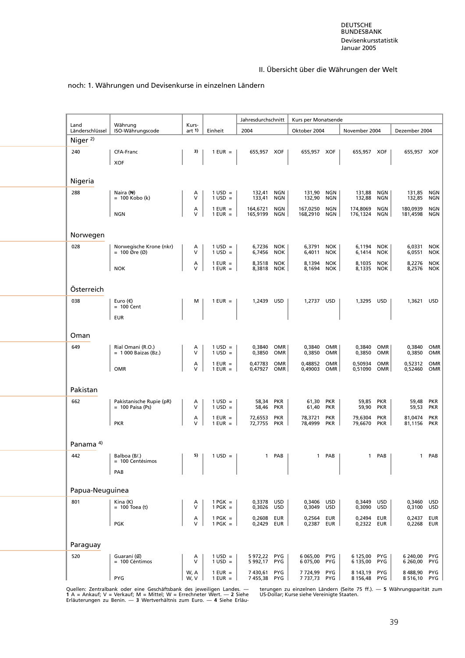#### noch: 1. Währungen und Devisenkurse in einzelnen Ländern

|                                        | Jahresdurchschnitt                             |              |                                  |                        |                          |                          |                          |                          |                          |                         |                          |
|----------------------------------------|------------------------------------------------|--------------|----------------------------------|------------------------|--------------------------|--------------------------|--------------------------|--------------------------|--------------------------|-------------------------|--------------------------|
| Land                                   | Währung                                        | Kurs-        |                                  |                        |                          | Kurs per Monatsende      |                          |                          |                          |                         |                          |
| Länderschlüssel<br>Niger <sup>2)</sup> | ISO-Währungscode                               | art 1)       | Einheit                          | 2004                   |                          | Oktober 2004             |                          | November 2004            |                          | Dezember 2004           |                          |
| 240                                    | CFA-Franc                                      | 3)           | $1$ EUR $=$                      | 655,957 XOF            |                          | 655,957 XOF              |                          | 655,957 XOF              |                          | 655,957 XOF             |                          |
|                                        | <b>XOF</b>                                     |              |                                  |                        |                          |                          |                          |                          |                          |                         |                          |
|                                        |                                                |              |                                  |                        |                          |                          |                          |                          |                          |                         |                          |
| Nigeria                                |                                                |              |                                  |                        |                          |                          |                          |                          |                          |                         |                          |
| 288                                    | Naira (N)<br>$= 100$ Kobo (k)                  | A<br>v       | $1 \text{ USD} =$<br>$1$ USD =   | 132,41<br>133,41       | NGN<br>NGN               | 131,90 NGN<br>132,90     | NGN                      | 131,88 NGN<br>132,88     | NGN                      | 131,85 NGN<br>132,85    | NGN                      |
|                                        | <b>NGN</b>                                     | Α<br>V       | $1$ EUR =<br>$1$ EUR $=$         | 164,6721<br>165,9199   | NGN<br>NGN               | 167,0250<br>168,2910     | NGN<br>NGN               | 174,8069<br>176,1324 NGN | NGN                      | 180,0939<br>181,4598    | NGN<br>NGN               |
|                                        |                                                |              |                                  |                        |                          |                          |                          |                          |                          |                         |                          |
| Norwegen                               |                                                |              |                                  |                        |                          |                          |                          |                          |                          |                         |                          |
| 028                                    | Norwegische Krone (nkr)<br>$= 100$ Øre (Ø)     | Α<br>v       | $1 \text{ USD} =$<br>$1$ USD =   | 6,7236<br>6,7456       | NOK<br>NOK               | 6,3791<br>6,4011         | NOK<br><b>NOK</b>        | 6,1194 NOK<br>6,1414     | NOK                      | 6,0331<br>6,0551        | <b>NOK</b><br><b>NOK</b> |
|                                        |                                                | А            | $1$ EUR $=$                      | 8,3518                 | <b>NOK</b>               | 8,1394                   | <b>NOK</b>               | 8,1035                   | <b>NOK</b>               | 8,2276                  | <b>NOK</b>               |
|                                        | <b>NOK</b>                                     | $\vee$       | $1$ EUR =                        | 8,3818                 | NOK                      | 8,1694                   | <b>NOK</b>               | 8,1335                   | NOK                      | 8,2576 NOK              |                          |
| Österreich                             |                                                |              |                                  |                        |                          |                          |                          |                          |                          |                         |                          |
| 038                                    | Euro $(\epsilon)$                              | м            | $1$ EUR =                        | 1,2439 USD             |                          | 1,2737 USD               |                          | 1,3295 USD               |                          | 1,3621 USD              |                          |
|                                        | $= 100$ Cent<br><b>EUR</b>                     |              |                                  |                        |                          |                          |                          |                          |                          |                         |                          |
|                                        |                                                |              |                                  |                        |                          |                          |                          |                          |                          |                         |                          |
| Oman                                   |                                                |              |                                  |                        |                          |                          |                          |                          |                          |                         |                          |
| 649                                    | Rial Omani (R.O.)<br>$= 1000$ Baizas (Bz.)     | Α<br>V       | $1 \text{ USD} =$<br>$1$ USD =   | 0,3840 OMR<br>0,3850   | OMR                      | 0,3840 OMR<br>0,3850     | OMR                      | 0,3840<br>0,3850         | OMR<br>OMR               | 0,3840<br>0,3850        | OMR<br>OMR               |
|                                        | <b>OMR</b>                                     | А<br>v       | $1$ EUR =<br>$1$ EUR =           | 0,47783<br>0,47927     | OMR<br><b>OMR</b>        | 0,48852<br>0,49003       | OMR<br>OMR               | 0,50934<br>0,51090       | OMR<br>OMR               | 0,52312 OMR<br>0,52460  | <b>OMR</b>               |
|                                        |                                                |              |                                  |                        |                          |                          |                          |                          |                          |                         |                          |
| Pakistan                               |                                                |              |                                  |                        |                          |                          |                          |                          |                          |                         |                          |
| 662                                    | Pakistanische Rupie (pR)<br>$= 100$ Paisa (Ps) | A<br>V       | $1 \text{ USD} =$<br>$1$ USD =   | 58,34<br>58,46         | PKR<br>PKR               | 61,30<br>61,40           | <b>PKR</b><br>PKR        | 59,85<br>59,90           | PKR<br>PKR               | 59,48<br>59,53          | <b>PKR</b><br>PKR        |
|                                        | <b>PKR</b>                                     | А<br>V       | $1$ EUR $=$<br>$1$ EUR =         | 72,6553<br>72,7755 PKR | <b>PKR</b>               | 78,3721<br>78,4999 PKR   | <b>PKR</b>               | 79,6304<br>79,6670 PKR   | <b>PKR</b>               | 81,0474<br>81,1156 PKR  | <b>PKR</b>               |
|                                        |                                                |              |                                  |                        |                          |                          |                          |                          |                          |                         |                          |
| Panama <sup>4)</sup>                   |                                                |              |                                  |                        |                          |                          |                          |                          |                          |                         |                          |
| 442                                    | Balboa (B/.)<br>= 100 Centésimos               |              | $5)$   1 USD =                   |                        | 1 PAB $ $                |                          | 1 PAB $\vert$            |                          | 1 PAB $\vert$            | $\mathbf{1}$            | PAB                      |
|                                        | PAB                                            |              |                                  |                        |                          |                          |                          |                          |                          |                         |                          |
|                                        |                                                |              |                                  |                        |                          |                          |                          |                          |                          |                         |                          |
| Papua-Neuguinea                        |                                                |              |                                  |                        |                          |                          |                          |                          |                          |                         |                          |
| 801                                    | Kina (K)<br>$= 100$ Toea (t)                   | А<br>V       | $1$ PGK =<br>$1$ PGK =           | 0,3378<br>0,3026       | USD<br><b>USD</b>        | 0,3406<br>0,3049         | <b>USD</b><br><b>USD</b> | 0,3449<br>0,3090         | <b>USD</b><br><b>USD</b> | 0,3460<br>0,3100        | USD<br><b>USD</b>        |
|                                        | <b>PGK</b>                                     | Α<br>V       | $1$ PGK $=$<br>$1$ PGK $=$       | 0,2608<br>0,2429       | <b>EUR</b><br>EUR        | 0,2564<br>0,2387         | <b>EUR</b><br>EUR        | 0,2494<br>0,2322         | <b>EUR</b><br>EUR        | 0,2437<br>0,2268        | <b>EUR</b><br><b>EUR</b> |
|                                        |                                                |              |                                  |                        |                          |                          |                          |                          |                          |                         |                          |
| Paraguay                               |                                                |              |                                  |                        |                          |                          |                          |                          |                          |                         |                          |
| 520                                    | Guaraní (G)<br>= 100 Céntimos                  | Α<br>V       | $1 \text{ USD} =$<br>$1$ USD =   | 5972,22<br>5 992,17    | <b>PYG</b><br><b>PYG</b> | 6 065,00<br>6 075,00     | <b>PYG</b><br><b>PYG</b> | 6 125,00<br>6 135,00     | <b>PYG</b><br><b>PYG</b> | 6 240,00<br>6 260,00    | <b>PYG</b><br><b>PYG</b> |
|                                        | <b>PYG</b>                                     | W, A<br>W, V | $1$ EUR $=$<br>$1$ EUR = $\vert$ | 7430,61<br>7455,38 PYG | <b>PYG</b>               | 7 724,99<br>7 737,73 PYG | <b>PYG</b>               | 8 143,19<br>8 156,48 PYG | <b>PYG</b>               | 8488,90<br>8 516,10 PYG | <b>PYG</b>               |
|                                        |                                                |              |                                  |                        |                          |                          |                          |                          |                          |                         |                          |

Quellen: Zentralbank oder eine Geschäftsbank des jeweiligen Landes. — ‱terungen zu einzelnen Ländern (Seite 75 ff.). — 5 Währungsparität zum<br>1 A = Ankauf; V = Verkauf; M = Mittel; W = Errechneter Wert. — 2 Siehe ©US-Dollar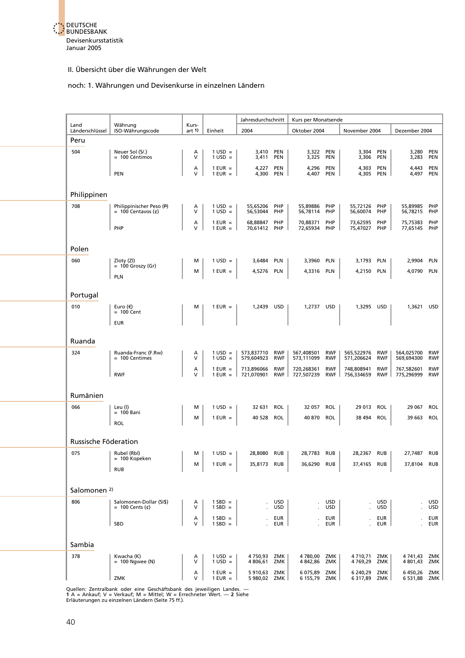

#### noch: 1. Währungen und Devisenkurse in einzelnen Ländern

|                         |                                                  |                  |                                        | Jahresdurchschnitt           |                          | Kurs per Monatsende      |                          |                              |                          |                          |                          |
|-------------------------|--------------------------------------------------|------------------|----------------------------------------|------------------------------|--------------------------|--------------------------|--------------------------|------------------------------|--------------------------|--------------------------|--------------------------|
| Land<br>Länderschlüssel | Währung<br>ISO-Währungscode                      | Kurs-<br>art $1$ | Einheit                                | 2004                         |                          | Oktober 2004             |                          | November 2004                |                          | Dezember 2004            |                          |
| Peru                    |                                                  |                  |                                        |                              |                          |                          |                          |                              |                          |                          |                          |
| 504                     | Neuer Sol (S/.)<br>= 100 Céntimos                | Α<br>$\vee$      | $1 \text{ USD} =$<br>$1 \text{ USD} =$ | 3,410<br>3,411               | PEN<br><b>PEN</b>        | 3,322 PEN<br>3,325       | PEN                      | 3,304<br>3,306               | PEN<br>PEN               | 3,280<br>3,283 PEN       | PEN                      |
|                         | <b>PEN</b>                                       | Α<br>V           | $1$ EUR $=$<br>$1$ EUR $=$             | 4,227 PEN<br>4,300 PEN       |                          | 4,296<br>4,407           | PEN<br>PEN               | 4,303 PEN<br>4,305 PEN       |                          | 4,443 PEN<br>4,497 PEN   |                          |
|                         |                                                  |                  |                                        |                              |                          |                          |                          |                              |                          |                          |                          |
| Philippinen             |                                                  |                  |                                        |                              |                          |                          |                          |                              |                          |                          |                          |
| 708                     | Philippinischer Peso (P)<br>$= 100$ Centavos (¢) | Α<br>V           | $1$ USD =<br>$1 \text{ USD} =$         | 55,65206<br>56,53044         | PHP<br>PHP               | 55,89886<br>56,78114     | PHP<br>PHP               | 55,72126 PHP<br>56,60074     | PHP                      | 55,89985<br>56,78215 PHP | PHP                      |
|                         | PHP                                              | А<br>$\vee$      | $1$ EUR $=$<br>$1$ EUR = $\vert$       | 68,88847<br>70,61412 PHP     | PHP                      | 70,88371<br>72,65934 PHP | PHP                      | 73,62595<br>75,47027 PHP     | PHP                      | 75,75383<br>77,65145 PHP | PHP                      |
| Polen                   |                                                  |                  |                                        |                              |                          |                          |                          |                              |                          |                          |                          |
| 060                     | Zloty (Zl)                                       | м                | $1 \text{ USD} =$                      | 3,6484 PLN                   |                          | 3,3960 PLN               |                          | 3,1793 PLN                   |                          | 2,9904 PLN               |                          |
|                         | $= 100$ Groszy (Gr)<br><b>PLN</b>                | м                | $1$ EUR =                              | 4,5276 PLN                   |                          | 4,3316 PLN               |                          | 4,2150 PLN                   |                          | 4,0790 PLN               |                          |
| Portugal                |                                                  |                  |                                        |                              |                          |                          |                          |                              |                          |                          |                          |
| 010                     | Euro $(\epsilon)$<br>$= 100$ Cent                | м                | $1$ EUR =                              | 1,2439 USD                   |                          | 1,2737 USD               |                          | 1,3295 USD                   |                          | 1,3621 USD               |                          |
|                         | <b>EUR</b>                                       |                  |                                        |                              |                          |                          |                          |                              |                          |                          |                          |
| Ruanda                  |                                                  |                  |                                        |                              |                          |                          |                          |                              |                          |                          |                          |
| 324                     | Ruanda-Franc (F.Rw)<br>= 100 Centimes            | Α<br>V           | $1 \text{ USD} =$<br>$1 \text{ USD} =$ | 573,837710 RWF<br>579,604923 | <b>RWF</b>               | 567,408501<br>573,111099 | <b>RWF</b><br><b>RWF</b> | 565,522976 RWF<br>571,206624 | <b>RWF</b>               | 564,025700<br>569,694300 | <b>RWF</b><br><b>RWF</b> |
|                         | <b>RWF</b>                                       | А<br>$\vee$      | $1$ EUR $=$<br>$1$ EUR $=$             | 713,896066<br>721,070901     | <b>RWF</b><br>$RWF$      | 720,268361<br>727,507239 | <b>RWF</b><br>RWF        | 748,808941<br>756,334659     | <b>RWF</b><br>RWF        | 767,582601<br>775,296999 | <b>RWF</b><br><b>RWF</b> |
| Rumänien                |                                                  |                  |                                        |                              |                          |                          |                          |                              |                          |                          |                          |
| 066                     | Leu (l)                                          | м                | $1 \text{ USD} =$                      | 32 631 ROL                   |                          | 32 057 ROL               |                          | 29 013 ROL                   |                          | 29 067 ROL               |                          |
|                         | $= 100$ Bani<br>ROL                              | М                | $1$ EUR =                              | 40 528                       | ROL                      | 40 870 ROL               |                          | 38 494                       | <b>ROL</b>               | 39 663 ROL               |                          |
| Russische Föderation    |                                                  |                  |                                        |                              |                          |                          |                          |                              |                          |                          |                          |
| 075                     | Rubel (Rbl)                                      | м                | $1 \text{ USD} =$                      | 28,8080 RUB                  |                          | 28,7783 RUB              |                          | 28,2367 RUB                  |                          | 27,7487 RUB              |                          |
|                         | $= 100$ Kopeken<br><b>RUB</b>                    | М                | $1$ EUR $=$                            | 35,8173 RUB                  |                          | 36,6290 RUB              |                          | 37,4165 RUB                  |                          | 37,8104 RUB              |                          |
|                         |                                                  |                  |                                        |                              |                          |                          |                          |                              |                          |                          |                          |
| Salomonen <sup>2)</sup> |                                                  |                  |                                        |                              |                          |                          |                          |                              |                          |                          |                          |
| 806                     | Salomonen-Dollar (SI\$)<br>= 100 Cents $(\phi)$  | А<br>V           | $1$ SBD =<br>$1$ SBD =                 |                              | <b>USD</b><br><b>USD</b> |                          | <b>USD</b><br><b>USD</b> |                              | <b>USD</b><br><b>USD</b> |                          | <b>USD</b><br><b>USD</b> |
|                         | SBD                                              | А<br>V           | $1$ SBD =<br>$1$ SBD =                 |                              | EUR<br>EUR               |                          | <b>EUR</b><br><b>EUR</b> |                              | <b>EUR</b><br>EUR        | $\epsilon$               | EUR<br><b>EUR</b>        |
| Sambia                  |                                                  |                  |                                        |                              |                          |                          |                          |                              |                          |                          |                          |
| 378                     | Kwacha (K)<br>$= 100$ Ngwee (N)                  | A<br>$\vee$      | $1 \text{ USD} =$<br>$1$ USD =         | 4 750,93 ZMK<br>4 806,61     | ZMK                      | 4780,00 ZMK<br>4 842,86  | ZMK                      | 4 710,71<br>4769,29          | ZMK<br>ZMK               | 4 741,43<br>4 801,43     | ZMK<br>ZMK               |
|                         | ZMK                                              | А<br>$\vee$      | $1$ EUR $=$<br>$1$ EUR $=$             | 5910,63<br>5 980,02 ZMK      | ZMK                      | 6 075,89<br>6 155,79 ZMK | ZMK                      | 6 240,29<br>6 317,89 ZMK     | ZMK                      | 6450,26<br>6 531,88 ZMK  | ZMK                      |
|                         |                                                  |                  |                                        |                              |                          |                          |                          |                              |                          |                          |                          |

Quellen: Zentralbank oder eine Geschäftsbank des jeweiligen Landes. —<br>**1 A = Ankauf; V = Verkauf; M = Mittel; W = Err**echneter Wert. — **2** Siehe<br>Erläuterungen zu einzelnen Ländern (Seite 75 ff.).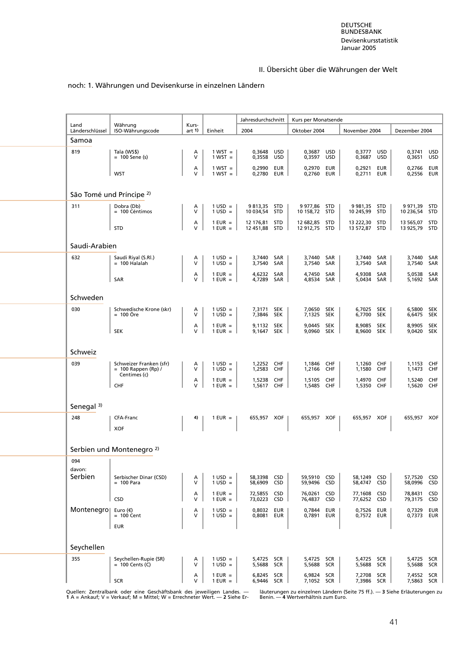# noch: 1. Währungen und Devisenkurse in einzelnen Ländern

| Land                  | Währung                                          | Kurs-       |                                        | Jahresdurchschnitt             |            | Kurs per Monatsende            |                   |                                |            |                                |                          |
|-----------------------|--------------------------------------------------|-------------|----------------------------------------|--------------------------------|------------|--------------------------------|-------------------|--------------------------------|------------|--------------------------------|--------------------------|
| Länderschlüssel       | ISO-Währungscode                                 | art 1)      | Einheit                                | 2004                           |            | Oktober 2004                   |                   | November 2004                  |            | Dezember 2004                  |                          |
| Samoa<br>819          | Tala (WS\$)                                      | Α           | $1 WST =$                              | 0,3648                         | <b>USD</b> | 0,3687                         | USD               | 0,3777                         | USD        | 0,3741                         | <b>USD</b>               |
|                       | $= 100$ Sene (s)                                 | $\vee$      | $1 WST =$                              | 0,3558                         | USD        | 0,3597                         | <b>USD</b>        | 0,3687                         | USD        | 0,3651                         | <b>USD</b>               |
|                       | <b>WST</b>                                       | Α<br>$\vee$ | $1 WST =$<br>$1 WST =$                 | 0,2990<br>0,2780               | EUR<br>EUR | 0,2970 EUR<br>0,2760 EUR       |                   | 0,2921<br>0,2711 EUR           | EUR        | 0,2766<br>0,2556               | EUR<br>EUR               |
|                       | São Tomé und Príncipe <sup>2)</sup>              |             |                                        |                                |            |                                |                   |                                |            |                                |                          |
| 311                   | Dobra (Db)<br>= 100 Céntimos                     | Α<br>$\vee$ | $1 \text{ USD} =$<br>$1 \text{ USD} =$ | 9813,35 STD<br>10 034,54 STD   |            | 9 977,86 STD<br>10 158,72 STD  |                   | 9 981,35 STD<br>10 245,99 STD  |            | 9 971,39 STD<br>10 236,54      | STD                      |
|                       | <b>STD</b>                                       | Α<br>V      | $1$ EUR $=$<br>$1$ EUR =               | 12 176,81 STD<br>12 451,88 STD |            | 12 682,85 STD<br>12 912,75 STD |                   | 13 222,30 STD<br>13 572,87 STD |            | 13 565,07 STD<br>13 925,79 STD |                          |
| Saudi-Arabien         |                                                  |             |                                        |                                |            |                                |                   |                                |            |                                |                          |
| 632                   | Saudi Riyal (S.Rl.)<br>$= 100$ Halalah           | A<br>$\vee$ | $1 \text{ USD} =$<br>$1$ USD =         | 3,7440 SAR<br>3,7540           | SAR        | 3,7440 SAR<br>3,7540           | SAR               | 3,7440 SAR<br>3,7540           | SAR        | 3,7440<br>3,7540               | SAR<br>SAR               |
|                       | SAR                                              | А<br>$\vee$ | $1$ EUR =<br>$1$ EUR =                 | 4,6232 SAR<br>4,7289           | SAR        | 4,7450<br>4,8534               | SAR<br>SAR        | 4,9308<br>5,0434 SAR           | SAR        | 5,0538<br>5,1692 SAR           | SAR                      |
| Schweden              |                                                  |             |                                        |                                |            |                                |                   |                                |            |                                |                          |
| 030                   | Schwedische Krone (skr)                          | Α           | $1 \text{ USD} =$                      | 7,3171                         | SEK        | 7,0650                         | SEK               | 6,7025 SEK                     |            | 6,5800 SEK                     |                          |
|                       | $= 100$ Öre                                      | V<br>Α      | $1$ USD =<br>$1$ EUR $=$               | 7,3846 SEK<br>9,1132 SEK       |            | 7,1325 SEK<br>9,0445 SEK       |                   | 6,7700 SEK<br>8,9085 SEK       |            | 6,6475 SEK<br>8,9905 SEK       |                          |
|                       | <b>SEK</b>                                       | $\vee$      | $1$ EUR =                              | 9,1647                         | <b>SEK</b> | 9,0960                         | <b>SEK</b>        | 8,9600                         | SEK        | 9,0420                         | <b>SEK</b>               |
| Schweiz               |                                                  |             |                                        |                                |            |                                |                   |                                |            |                                |                          |
| 039                   | Schweizer Franken (sfr)<br>$= 100$ Rappen (Rp) / | A<br>V      | $1$ USD =<br>$1$ USD =                 | 1,2252 CHF<br>1,2583           | CHF        | 1,1846<br>1,2166               | CHF<br>CHF        | 1,1260<br>1,1580               | CHF<br>CHF | 1,1153<br>1,1473               | CHF<br>CHF               |
|                       | Centimes (c)<br>CHF                              | А<br>$\vee$ | $1$ EUR =<br>$1$ EUR =                 | 1,5238<br>1,5617 CHF           | <b>CHF</b> | 1,5105<br>1,5485               | CHF<br>CHF        | 1,4970<br>1,5350 CHF           | CHF        | 1,5240<br>1,5620               | <b>CHF</b><br>CHF        |
|                       |                                                  |             |                                        |                                |            |                                |                   |                                |            |                                |                          |
| Senegal <sup>3)</sup> |                                                  | 4)          |                                        |                                |            |                                |                   |                                |            |                                |                          |
| 248                   | CFA-Franc<br><b>XOF</b>                          |             | $1$ EUR =                              | 655,957 XOF                    |            | 655,957 XOF                    |                   | 655,957 XOF                    |            | 655,957 XOF                    |                          |
|                       | Serbien und Montenegro <sup>2)</sup>             |             |                                        |                                |            |                                |                   |                                |            |                                |                          |
| 094                   |                                                  |             |                                        |                                |            |                                |                   |                                |            |                                |                          |
| davon:<br>Serbien     | Serbischer Dinar (CSD)<br>$= 100$ Para           | Α<br>$\vee$ | $1 \text{ USD} =$<br>$1$ USD =         | 58,3398 CSD<br>58,6909 CSD     |            | 59,5910 CSD<br>59,9496 CSD     |                   | 58,1249 CSD<br>58,4747 CSD     |            | 57,7520 CSD<br>58,0996         | <b>CSD</b>               |
|                       | <b>CSD</b>                                       | Α<br>V      | $1$ EUR =<br>$1$ EUR $=$               | 72,5855 CSD<br>73,0223 CSD     |            | 76,0261<br>76,4837             | <b>CSD</b><br>CSD | 77,1608<br>77,6252 CSD         | CSD        | 78,8431<br>79,3175             | <b>CSD</b><br><b>CSD</b> |
| Montenegro  Euro (€)  |                                                  | Α<br>$\vee$ | $1 \text{ USD} =$                      | 0,8032 EUR                     |            | 0,7844                         | <b>EUR</b>        | 0.7526 EUR                     |            | 0,7329                         | EUR                      |
|                       | $= 100$ Cent<br><b>EUR</b>                       |             | $1 \text{ USD} =$                      | 0,8081 EUR                     |            | 0,7891 EUR                     |                   | 0,7572 EUR                     |            | 0,7373 EUR                     |                          |
| Seychellen            |                                                  |             |                                        |                                |            |                                |                   |                                |            |                                |                          |
| 355                   | Seychellen-Rupie (SR)                            | А           | $1 \text{ USD} =$                      | 5,4725 SCR                     |            | 5,4725 SCR                     |                   | 5,4725 SCR                     |            | 5,4725 SCR                     |                          |
|                       | $= 100$ Cents (C)                                | $\vee$<br>Α | $1$ USD =<br>$1$ EUR $=$               | 5,5688 SCR<br>6,8245 SCR       |            | 5,5688 SCR<br>6,9824           | SCR               | 5,5688 SCR<br>7,2708 SCR       |            | 5,5688 SCR<br>7,4552 SCR       |                          |
|                       | <b>SCR</b>                                       | $\vee$      | $1$ EUR =                              | 6,9446 SCR                     |            | 7,1052 SCR                     |                   | 7,3986 SCR                     |            | 7,5863 SCR                     |                          |

Quellen: Zentralbank oder eine Geschäftsbank des jeweiligen Landes. — läuterungen zu einzelnen Ländern (Seite 75 ff.). — 3 Siehe Erläuterungen zu<br>1 A = Ankauf; V = Verkauf; M = Mittel; W = Errechneter Wert. — 2 Siehe Er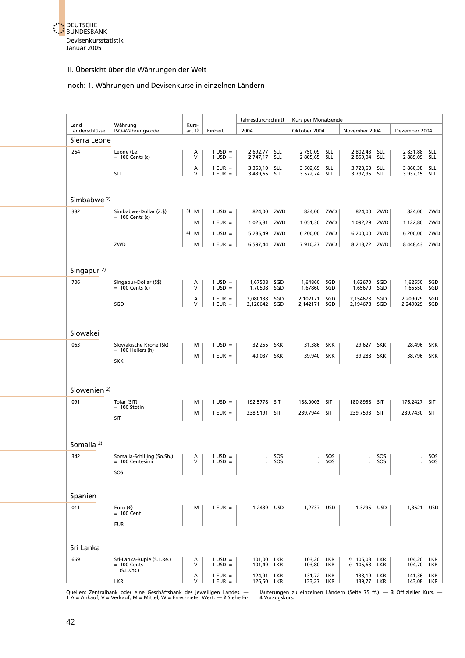

#### noch: 1. Währungen und Devisenkurse in einzelnen Ländern

| Land                    | Währung                                                  | Kurs-       |                                                | Jahresdurchschnitt           |                | Kurs per Monatsende          |                |                            |                          |                              |              |
|-------------------------|----------------------------------------------------------|-------------|------------------------------------------------|------------------------------|----------------|------------------------------|----------------|----------------------------|--------------------------|------------------------------|--------------|
| Länderschlüssel         | ISO-Währungscode                                         | art 1)      | Einheit                                        | 2004                         |                | Oktober 2004                 |                | November 2004              |                          | Dezember 2004                |              |
| Sierra Leone            |                                                          |             |                                                |                              |                |                              |                |                            |                          |                              |              |
| 264                     | Leone (Le)<br>$= 100$ Cents (c)                          | Α<br>$\vee$ | $1 \text{ USD} =$<br>$1$ USD =                 | 2 692,77<br>2 747,17 SLL     | <b>SLL</b>     | 2 750,09 SLL<br>2 805,65 SLL |                | 2 802,43<br>2 859,04       | <b>SLL</b><br><b>SLL</b> | 2831,88 SLL<br>2889,09 SLL   |              |
|                         | <b>SLL</b>                                               | Α<br>V      | $1$ EUR $=$<br>$1$ EUR =                       | 3 353,10 SLL<br>3 439,65 SLL |                | 3 502,69 SLL<br>3 572,74 SLL |                | 3 723,60<br>3 797,95 SLL   | <b>SLL</b>               | 3 860,38 SLL<br>3 937,15 SLL |              |
|                         |                                                          |             |                                                |                              |                |                              |                |                            |                          |                              |              |
| Simbabwe <sup>2)</sup>  |                                                          |             |                                                |                              |                |                              |                |                            |                          |                              |              |
| 382                     | Simbabwe-Dollar (Z.\$)<br>$= 100$ Cents (c)              | 3) M        | $1 \text{ USD} =$                              | 824,00 ZWD                   |                | 824,00 ZWD                   |                | 824,00 ZWD                 |                          | 824,00 ZWD                   |              |
|                         |                                                          | м           | $1$ EUR =                                      | 1025,81 ZWD                  |                | 1 051,30                     | ZWD            | 1 092,29                   | ZWD                      | 1 122,80                     | ZWD          |
|                         |                                                          | 4) M        | $1$ USD =                                      | 5 285,49 ZWD                 |                | 6 200,00                     | ZWD            | 6 200,00                   | ZWD                      | 6 200,00 ZWD                 |              |
|                         | ZWD                                                      | м           | $1$ EUR $=$                                    | 6 597,44 ZWD                 |                | 7 910,27 ZWD                 |                | 8 218,72 ZWD               |                          | 8448,43 ZWD                  |              |
|                         |                                                          |             |                                                |                              |                |                              |                |                            |                          |                              |              |
| Singapur <sup>2)</sup>  |                                                          |             |                                                |                              |                |                              |                |                            |                          |                              |              |
| 706                     | Singapur-Dollar (S\$)<br>$= 100$ Cents (c)               | Α<br>V      | $1 \text{ USD} =$<br>$1 \text{ USD} =$         | 1,67508<br>1,70508           | SGD<br>SGD     | 1,64860<br>1,67860           | SGD<br>SGD     | 1,62670<br>1,65670         | SGD<br>SGD               | 1,62550 SGD<br>1,65550       | SGD          |
|                         | SGD                                                      | Α<br>V      | $1$ EUR $=$<br>$1$ EUR =                       | 2,080138<br>2,120642 SGD     | SGD            | 2,102171<br>2,142171 SGD     | SGD            | 2,154678<br>2,194678       | SGD<br>SGD               | 2,209029<br>2,249029 SGD     | SGD          |
|                         |                                                          |             |                                                |                              |                |                              |                |                            |                          |                              |              |
| Slowakei                |                                                          |             |                                                |                              |                |                              |                |                            |                          |                              |              |
| 063                     | Slowakische Krone (Sk)<br>$= 100$ Hellers (h)            | м           | $1 \text{ USD} =$                              | 32,255 SKK                   |                | 31,386                       | <b>SKK</b>     | 29,627                     | SKK                      | 28,496 SKK                   |              |
|                         | <b>SKK</b>                                               | М           | $1$ EUR $=$                                    | 40,037 SKK                   |                | 39,940 SKK                   |                | 39,288                     | SKK                      | 38,796 SKK                   |              |
|                         |                                                          |             |                                                |                              |                |                              |                |                            |                          |                              |              |
| Slowenien <sup>2)</sup> |                                                          |             |                                                |                              |                |                              |                |                            |                          |                              |              |
| 091                     | Tolar (SIT)                                              | м           | $1 \text{ USD} =$                              | 192,5778 SIT                 |                | 188,0003 SIT                 |                | 180,8958                   | SIT                      | 176,2427 SIT                 |              |
|                         | $= 100$ Stotin<br>SIT                                    | М           | $1$ EUR =                                      | 238,9191 SIT                 |                | 239,7944 SIT                 |                | 239,7593 SIT               |                          | 239,7430 SIT                 |              |
|                         |                                                          |             |                                                |                              |                |                              |                |                            |                          |                              |              |
| Somalia <sup>2)</sup>   |                                                          |             |                                                |                              |                |                              |                |                            |                          |                              |              |
| 342                     | Somalia-Schilling (So.Sh.)<br>$= 100$ Centesimi          | A<br>v      | $1 \text{ USD} =$<br>$1 \text{ } \text{USD} =$ |                              | . SOS<br>. SOS |                              | . 505<br>. SOS |                            | sos<br>. SOS             |                              | SOS<br>. sos |
|                         | SOS                                                      |             |                                                |                              |                |                              |                |                            |                          |                              |              |
|                         |                                                          |             |                                                |                              |                |                              |                |                            |                          |                              |              |
| Spanien                 |                                                          |             |                                                |                              |                |                              |                |                            |                          |                              |              |
| 011                     | Euro $(\epsilon)$<br>$= 100$ Cent                        | м           | $1$ EUR $=$                                    | 1,2439 USD                   |                | 1,2737 USD                   |                | 1,3295 USD                 |                          | 1,3621 USD                   |              |
|                         | <b>EUR</b>                                               |             |                                                |                              |                |                              |                |                            |                          |                              |              |
|                         |                                                          |             |                                                |                              |                |                              |                |                            |                          |                              |              |
| Sri Lanka               |                                                          |             |                                                |                              |                |                              |                |                            |                          |                              |              |
| 669                     | Sri-Lanka-Rupie (S.L.Re.)<br>$= 100$ Cents<br>(S.L.Cts.) | Α<br>$\vee$ | $1 \text{ USD} =$<br>$1 \text{ USD} =$         | 101,00 LKR<br>101,49 LKR     |                | 103,20 LKR<br>103,80 LKR     |                | r) 105,08 LKR<br>r) 105,68 | LKR                      | 104,20 LKR<br>104,70 LKR     |              |
|                         | <b>LKR</b>                                               | A<br>v      | $1$ EUR $=$<br>$1$ EUR $=$                     | 124,91 LKR<br>126,50 LKR     |                | 131,72 LKR<br>133,27 LKR     |                | 138,19 LKR<br>139,77 LKR   |                          | 141,36 LKR<br>143,08 LKR     |              |

Quellen: Zentralbank oder eine Geschäftsbank des jeweiligen Landes. — läuterungen zu einzelnen Ländern (Seite 75 ff.). — 3 Offizieller Kurs. —<br>1 A = Ankauf; V = Verkauf; M = Mittel; W = Errechneter Wert. — 2 Siehe Er-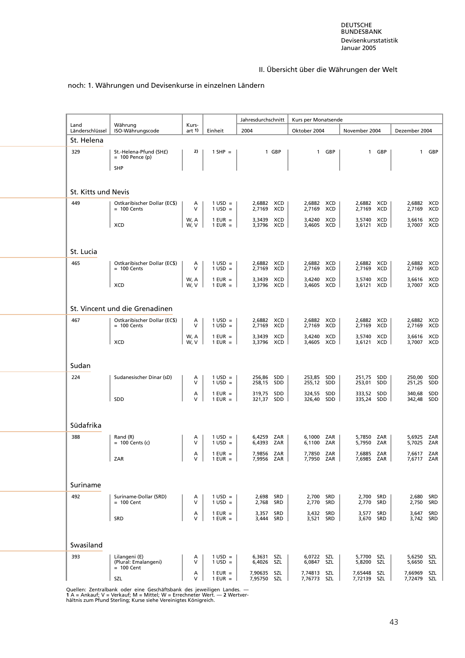#### noch: 1. Währungen und Devisenkurse in einzelnen Ländern

| Land                | Währung                                       | Kurs-        |                                        | Jahresdurchschnitt             | Kurs per Monatsende           |                               |                                |
|---------------------|-----------------------------------------------|--------------|----------------------------------------|--------------------------------|-------------------------------|-------------------------------|--------------------------------|
| Länderschlüssel     | ISO-Währungscode                              | art $1$      | Einheit                                | 2004                           | Oktober 2004                  | November 2004                 | Dezember 2004                  |
| St. Helena          |                                               |              |                                        |                                |                               |                               |                                |
| 329                 | St.-Helena-Pfund (SH£)<br>$= 100$ Pence (p)   | 2)           | $1$ SHP =                              | 1 GBP                          | 1 GBP                         | 1 GBP                         | GBP<br>$\mathbf{1}$            |
|                     |                                               |              |                                        |                                |                               |                               |                                |
|                     | <b>SHP</b>                                    |              |                                        |                                |                               |                               |                                |
|                     |                                               |              |                                        |                                |                               |                               |                                |
| St. Kitts und Nevis |                                               |              |                                        |                                |                               |                               |                                |
| 449                 | Ostkaribischer Dollar (EC\$)<br>$= 100$ Cents | A<br>v       | $1$ USD =<br>$1$ USD =                 | 2,6882 XCD<br>XCD<br>2,7169    | 2,6882 XCD<br>2,7169<br>XCD   | 2,6882 XCD<br>XCD<br>2,7169   | 2,6882 XCD<br>2,7169 XCD       |
|                     |                                               | W, A         | $1$ EUR $=$                            | 3,3439<br>XCD                  | XCD<br>3.4240                 | XCD<br>3,5740                 | 3,6616 XCD                     |
|                     | <b>XCD</b>                                    | W, V         | $1$ EUR $=$                            | 3,3796<br>XCD                  | 3,4605 XCD                    | 3,6121 XCD                    | 3,7007 XCD                     |
|                     |                                               |              |                                        |                                |                               |                               |                                |
| St. Lucia           |                                               |              |                                        |                                |                               |                               |                                |
| 465                 | Ostkaribischer Dollar (EC\$)                  | А            | $1 \text{ USD} =$                      | 2,6882<br>XCD                  | 2,6882 XCD                    | 2,6882 XCD                    | 2,6882<br>XCD                  |
|                     | $= 100$ Cents                                 | v            | $1$ USD =                              | 2,7169<br>XCD                  | 2,7169<br>XCD                 | 2,7169<br>XCD                 | XCD<br>2,7169                  |
|                     | XCD                                           | W, A<br>W, V | $1$ EUR $=$<br>$1$ EUR $=$             | 3,3439<br>XCD<br>3,3796 XCD    | 3,4240 XCD<br>3,4605 XCD      | 3,5740 XCD<br>3,6121 XCD      | 3,6616<br>XCD<br>3,7007 XCD    |
|                     |                                               |              |                                        |                                |                               |                               |                                |
|                     |                                               |              |                                        |                                |                               |                               |                                |
|                     | St. Vincent und die Grenadinen                |              |                                        |                                |                               |                               |                                |
| 467                 | Ostkaribischer Dollar (EC\$)<br>$= 100$ Cents | Α<br>V       | $1$ USD =<br>$1$ USD =                 | 2,6882<br>XCD<br>XCD<br>2,7169 | 2,6882 XCD<br>2,7169 XCD      | 2,6882 XCD<br>2,7169 XCD      | 2,6882 XCD<br>2,7169 XCD       |
|                     |                                               | W, A         | $1$ EUR $=$                            | 3,3439<br>XCD                  | 3,4240 XCD                    | 3,5740 XCD                    | 3,6616 XCD                     |
|                     | <b>XCD</b>                                    | W, V         | $1$ EUR $=$                            | 3,3796<br>XCD                  | 3,4605 XCD                    | 3,6121 XCD                    | 3,7007 XCD                     |
|                     |                                               |              |                                        |                                |                               |                               |                                |
| Sudan               |                                               |              |                                        |                                |                               |                               |                                |
| 224                 | Sudanesischer Dinar (sD)                      | A            | $1 \text{ USD} =$                      | 256,86 SDD                     | 253,85 SDD                    | 251,75 SDD                    | 250,00 SDD                     |
|                     |                                               | V            | $1$ USD =                              | 258,15 SDD                     | 255,12 SDD                    | 253,01 SDD                    | 251,25<br>SDD                  |
|                     | SDD                                           | Α<br>V       | $1$ EUR $=$<br>$1$ EUR =               | 319,75 SDD<br>SDD<br>321,37    | 324,55 SDD<br>326,40<br>SDD   | 333,52 SDD<br>335,24<br>SDD   | 340,68 SDD<br>SDD<br>342,48    |
|                     |                                               |              |                                        |                                |                               |                               |                                |
|                     |                                               |              |                                        |                                |                               |                               |                                |
| Südafrika           |                                               |              |                                        |                                |                               |                               |                                |
| 388                 | Rand (R)<br>$= 100$ Cents (c)                 | A<br>V       | $1 \text{ USD} =$<br>$1 \text{ USD} =$ | 6,4259 ZAR<br>ZAR<br>6,4393    | 6,1000 ZAR<br>6,1100 ZAR      | 5.7850 ZAR<br>5,7950 ZAR      | 5,6925<br>ZAR<br>ZAR<br>5,7025 |
|                     |                                               | A            | $1$ EUR $=$                            | 7,9856 ZAR                     | 7.7850 ZAR                    | 7,6885 ZAR                    | 7,6617 ZAR                     |
|                     | ZAR                                           | V            | $1$ EUR =                              | 7.9956 ZAR                     | 7.7950 ZAR                    | 7.6985 ZAR                    | 7.6717 ZAR                     |
|                     |                                               |              |                                        |                                |                               |                               |                                |
| Suriname            |                                               |              |                                        |                                |                               |                               |                                |
| 492                 | Suriname-Dollar (SRD)                         | Α            | $1 \text{ USD} =$                      | 2,698<br>SRD                   | 2,700 SRD                     | 2,700 SRD                     | 2,680 SRD                      |
|                     | $= 100$ Cent                                  | v            | $1$ USD =                              | 2,768<br>SRD                   | 2,770<br>SRD                  | 2,770<br>SRD                  | SRD<br>2,750                   |
|                     | SRD                                           | Α<br>V       | $1$ EUR $=$<br>$1$ EUR =               | 3,357<br>SRD<br>SRD<br>3,444   | 3,432 SRD<br>3,521<br>SRD     | 3,577<br>SRD<br>3,670<br>SRD  | 3,647<br>SRD<br>3,742 SRD      |
|                     |                                               |              |                                        |                                |                               |                               |                                |
|                     |                                               |              |                                        |                                |                               |                               |                                |
| Swasiland           |                                               |              |                                        |                                |                               |                               |                                |
| 393                 | Lilangeni (E)<br>(Plural: Emalangeni)         | Α<br>V       | $1 \text{ USD} =$<br>$1$ USD =         | 6,3631<br>SZL<br>6,4026<br>SZL | 6,0722 SZL<br>SZL<br>6,0847   | 5,7700 SZL<br>5,8200<br>SZL   | 5,6250<br>SZL<br>SZL<br>5,6650 |
|                     | $= 100$ Cent                                  |              | $1$ EUR $=$                            | SZL                            |                               |                               |                                |
|                     | SZL                                           | Α<br>V       | $1$ EUR $=$                            | 7,90635<br>7,95750 SZL         | 7,74813<br>SZL<br>7,76773 SZL | 7,65448<br>SZL<br>7,72139 SZL | 7,66969<br>SZL<br>7,72479 SZL  |

Quellen: Zentralbank oder eine Geschäftsbank des jeweiligen Landes. —<br>1 A = Ankauf; V = Verkauf; M = Mittel; W = Errechneter Wert. — 2 Wertver-<br>hältnis zum Pfund Sterling; Kurse siehe Vereinigtes Königreich.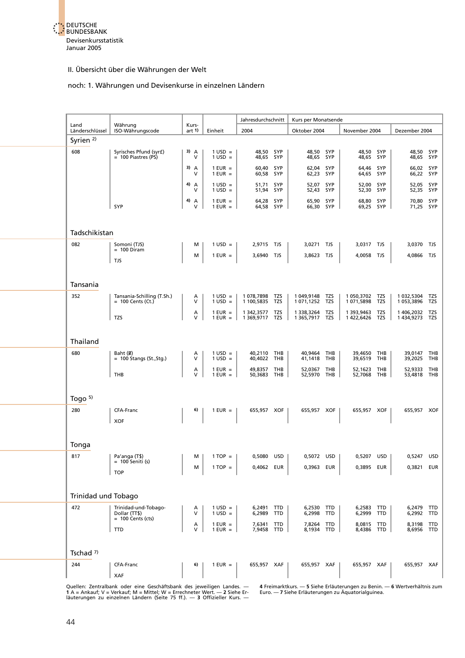

#### noch: 1. Währungen und Devisenkurse in einzelnen Ländern

|                         |                                                   |                    |                                        | Jahresdurchschnitt               |            | Kurs per Monatsende              |     |                              |            |                            |            |
|-------------------------|---------------------------------------------------|--------------------|----------------------------------------|----------------------------------|------------|----------------------------------|-----|------------------------------|------------|----------------------------|------------|
| Land<br>Länderschlüssel | Währung<br>ISO-Währungscode                       | Kurs-<br>art $1$   | Einheit                                | 2004                             |            | Oktober 2004                     |     | November 2004                |            | Dezember 2004              |            |
| Syrien $2$ )            |                                                   |                    |                                        |                                  |            |                                  |     |                              |            |                            |            |
| 608                     | Syrisches Pfund (syr£)<br>$= 100$ Piastres (PS)   | 3) A<br>V          | $1 \text{ USD} =$<br>$1$ USD =         | 48,50 SYP<br>48,65 SYP           |            | 48,50 SYP<br>48,65 SYP           |     | 48,50 SYP<br>48,65 SYP       |            | 48,50 SYP<br>48,65 SYP     |            |
|                         |                                                   | $3)$ A<br>v        | $1$ EUR $=$<br>$1$ EUR $=$             | 60,40 SYP<br>60,58 SYP           |            | 62,04 SYP<br>62,23 SYP           |     | 64,46 SYP<br>64,65 SYP       |            | 66,02 SYP<br>66,22 SYP     |            |
|                         |                                                   | 4) $A$<br>V        | $1 \text{ USD} =$<br>$1$ USD =         | 51,71 SYP<br>51,94 SYP           |            | 52,07 SYP<br>52,43 SYP           |     | 52,00 SYP<br>52,30 SYP       |            | 52,05 SYP<br>52,35 SYP     |            |
|                         | SYP                                               | 4) $\uparrow$<br>v | $1$ EUR $=$<br>$1$ EUR $=$             | 64,28 SYP<br>64,58 SYP           |            | 65,90 SYP<br>66,30 SYP           |     | 68,80 SYP<br>69,25 SYP       |            | 70,80 SYP<br>71,25 SYP     |            |
|                         |                                                   |                    |                                        |                                  |            |                                  |     |                              |            |                            |            |
| Tadschikistan           |                                                   |                    |                                        |                                  |            |                                  |     |                              |            |                            |            |
| 082                     | Somoni (TJS)<br>$= 100$ Diram                     | м                  | $1 \text{ USD} =$                      | 2,9715 TJS                       |            | 3,0271 TJS                       |     | 3,0317 TJS                   |            | 3,0370 TJS                 |            |
|                         | TJS                                               | м                  | $1$ EUR =                              | 3,6940 TJS                       |            | 3,8623 TJS                       |     | 4,0058 TJS                   |            | 4,0866 TJS                 |            |
| Tansania                |                                                   |                    |                                        |                                  |            |                                  |     |                              |            |                            |            |
| 352                     | Tansania-Schilling (T.Sh.)<br>$= 100$ Cents (Ct.) | A<br>V             | $1 \text{ USD} =$<br>$1$ USD =         | 1 078,7898 TZS<br>1 100,5835     | TZS        | 1 049,9148 TZS<br>1 071,1252 TZS |     | 1 050,3702 TZS<br>1 071,5898 | TZS        | 1 032,5304<br>1 053,3896   | TZS<br>TZS |
|                         | TZS                                               | А<br>V             | $1$ EUR $=$<br>$1$ EUR = $\vert$       | 1 342,3577 TZS<br>1 369,9717 TZS |            | 1 338,3264 TZS<br>1 365,7917 TZS |     | 1 393,9463<br>1 422,6426     | TZS<br>TZS | 1406,2032<br>1434,9273 TZS | TZS        |
|                         |                                                   |                    |                                        |                                  |            |                                  |     |                              |            |                            |            |
| Thailand                |                                                   |                    |                                        |                                  |            |                                  |     |                              |            |                            |            |
| 680                     | Baht (B)<br>$= 100$ Stangs (St., Stg.)            | Α<br>v             | $1 \text{ USD} =$<br>$1 \text{ USD} =$ | 40,2110 THB<br>40,4022 THB       |            | 40,9464 THB<br>41,1418 THB       |     | 39,4650 THB<br>39,6519 THB   |            | 39,0147 THB<br>39,2025     | THB        |
|                         | THB                                               | А<br>V             | $1$ EUR $=$<br>$1$ EUR $=$             | 49,8357 THB<br>50,3683 THB       |            | 52,0367 THB<br>52,5970 THB       |     | 52,1623 THB<br>52,7068 THB   |            | 52,9333 THB<br>53,4818 THB |            |
| Togo $5$ )              |                                                   |                    |                                        |                                  |            |                                  |     |                              |            |                            |            |
| 280                     | CFA-Franc                                         | 6)                 | $1$ EUR =                              | 655,957 XOF                      |            | 655,957 XOF                      |     | 655,957 XOF                  |            | 655,957 XOF                |            |
|                         | XOF                                               |                    |                                        |                                  |            |                                  |     |                              |            |                            |            |
| Tonga                   |                                                   |                    |                                        |                                  |            |                                  |     |                              |            |                            |            |
| 817                     | Pa'anga (T\$)<br>= 100 Seniti (s)                 | м                  | $1 TOP =$                              | 0,5080 USD                       |            | 0,5072 USD                       |     | 0,5207 USD                   |            | 0,5247 USD                 |            |
|                         | <b>TOP</b>                                        | м                  | $1 TOP =$                              | 0,4062 EUR                       |            | 0,3963 EUR                       |     | 0,3895 EUR                   |            | 0,3821                     | EUR        |
| Trinidad und Tobago     |                                                   |                    |                                        |                                  |            |                                  |     |                              |            |                            |            |
| 472                     | Trinidad-und-Tobago-<br>Dollar (TT\$)             | Α<br>V             | $1 \text{ USD} =$<br>$1$ USD =         | 6,2491 TTD<br>6,2989             | <b>TTD</b> | 6,2530 TTD<br>6,2998             | TTD | 6,2583 TTD<br>6,2999         | TTD        | 6,2479 TTD<br>6,2992 TTD   |            |
|                         | $= 100$ Cents (cts)                               | А<br>V             | $1$ EUR $=$                            | 7,6341                           | TTD        | 7,8264 TTD                       |     | 8,0815 TTD                   |            | 8,3198 TTD                 |            |
|                         | TTD                                               |                    | $1$ EUR $=$                            | 7,9458                           | TTD        | 8,1934 TTD                       |     | 8,4386 TTD                   |            | 8,6956 TTD                 |            |
| Tschad <sup>7)</sup>    |                                                   |                    |                                        |                                  |            |                                  |     |                              |            |                            |            |
| 244                     | CFA-Franc                                         | 6)                 | $1$ EUR $=$                            | 655,957 XAF                      |            | 655,957 XAF                      |     | 655,957 XAF                  |            | 655,957 XAF                |            |
|                         | XAF                                               |                    |                                        |                                  |            |                                  |     |                              |            |                            |            |

Quellen: Zentralbank oder eine Geschäftsbank des jeweiligen Landes. — 4 Freimarktkurs.— 5 Siehe Erläuterungen zu Benin.— 6 Wertverhältnis zum<br>1 A = Ankauf; V = Verkauf; M = Mittel; W = Errechneter Wert.— 2 Siehe Er-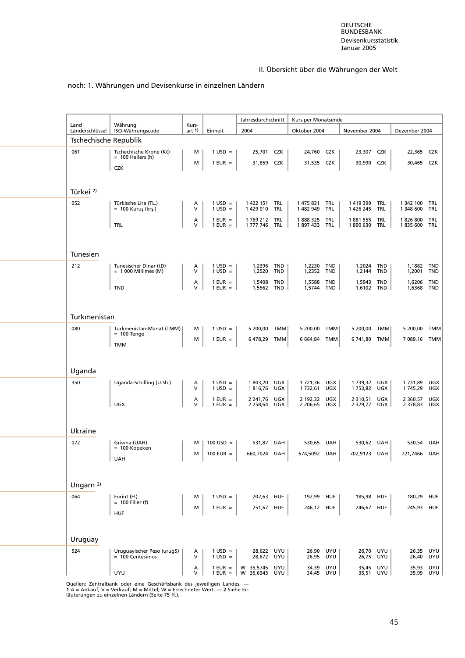#### noch: 1. Währungen und Devisenkurse in einzelnen Ländern

| Land                         | Währung                                           | Kurs-       |                                        | Jahresdurchschnitt             |            | Kurs per Monatsende      |                   |                             |                   |                        |                  |
|------------------------------|---------------------------------------------------|-------------|----------------------------------------|--------------------------------|------------|--------------------------|-------------------|-----------------------------|-------------------|------------------------|------------------|
| Länderschlüssel              | ISO-Währungscode                                  | art 1)      | Einheit                                | 2004                           |            | Oktober 2004             |                   | November 2004               |                   | Dezember 2004          |                  |
| Tschechische Republik<br>061 | Tschechische Krone (Kč)                           | М           | $1$ USD =                              | 25,701 CZK                     |            | 24,760 CZK               |                   | 23,307 CZK                  |                   | 22,365 CZK             |                  |
|                              | $= 100$ Hellers (h)                               | м           | $1$ EUR $=$                            | 31,859                         | <b>CZK</b> | 31,535 CZK               |                   | 30,990                      | <b>CZK</b>        | 30,465                 | CZK              |
|                              | <b>CZK</b>                                        |             |                                        |                                |            |                          |                   |                             |                   |                        |                  |
| Türkei <sup>2)</sup>         |                                                   |             |                                        |                                |            |                          |                   |                             |                   |                        |                  |
| 052                          | Türkische Lira (TL.)<br>= 100 Kuruş (krş.)        | Α<br>v      | $1$ USD =<br>$1$ USD =                 | 1 422 151<br>1429010           | TRL<br>TRL | 1 475 831<br>1 482 949   | TRL<br>TRL        | 1 419 399<br>1 426 245      | TRL<br><b>TRL</b> | 1 342 100<br>1 348 600 | TRL<br>TRL       |
|                              | TRL                                               | А<br>V      | $1$ EUR $=$<br>$1$ EUR = $\vert$       | 1 769 212<br>1 777 746         | TRL<br>TRL | 1888325<br>1897433       | TRL<br>TRL        | 1881555<br>1890 630 TRL     | TRL               | 1826800<br>1835600     | TRL<br>TRL       |
|                              |                                                   |             |                                        |                                |            |                          |                   |                             |                   |                        |                  |
| Tunesien                     |                                                   |             |                                        |                                |            |                          |                   |                             |                   |                        |                  |
| 212                          | Tunesischer Dinar (tD)<br>$= 1000$ Millimes (M)   | Α<br>V      | $1 \text{ USD} =$<br>$1$ USD =         | 1,2396 TND<br>1,2520           | TND        | 1,2230 TND<br>1,2352 TND |                   | 1,2024 TND<br>1,2144        | TND               | 1,1882 TND<br>1,2001   | TND              |
|                              | <b>TND</b>                                        | А<br>V      | $1$ EUR =<br>$1$ EUR =                 | 1,5408<br>1,5562 TND           | TND        | 1,5588<br>1,5744         | TND<br><b>TND</b> | 1,5943<br>1,6102 TND        | <b>TND</b>        | 1,6206<br>1,6368 TND   | <b>TND</b>       |
|                              |                                                   |             |                                        |                                |            |                          |                   |                             |                   |                        |                  |
| Turkmenistan                 |                                                   |             |                                        |                                |            |                          |                   |                             |                   |                        |                  |
| 080                          | Turkmenistan-Manat (TMM)<br>$= 100$ Tenge         | м           | $1$ USD =                              | 5 200,00 TMM                   |            | 5 200,00 TMM             |                   | 5 200,00 TMM                |                   | 5 200,00 TMM           |                  |
|                              | <b>TMM</b>                                        | м           | $1$ EUR $=$                            | 6478,29                        | TMM        | 6 664,84 TMM             |                   | 6 741,80 TMM                |                   | 7 089,16 TMM           |                  |
|                              |                                                   |             |                                        |                                |            |                          |                   |                             |                   |                        |                  |
| Uganda                       |                                                   |             |                                        |                                |            |                          |                   |                             |                   |                        |                  |
| 350                          | Uganda-Schilling (U.Sh.)                          | Α<br>$\vee$ | $1 \text{ USD} =$<br>$1$ USD =         | 1803,20 UGX<br>1816,76         | UGX        | 1721,36 UGX<br>1 732,61  | UGX               | 1 739,32 UGX<br>1753,82 UGX |                   | 1 731,89<br>1 745,29   | UGX<br>UGX       |
|                              | UGX                                               | А<br>V      | $1$ EUR $=$<br>$1$ EUR =               | 2 241,76 UGX<br>2 258,64       | UGX        | 2 192,32 UGX<br>2 206,65 | UGX               | 2 3 1 0, 5 1<br>2 329,77    | UGX<br>UGX        | 2 360,57<br>2 378,83   | UGX<br>UGX       |
|                              |                                                   |             |                                        |                                |            |                          |                   |                             |                   |                        |                  |
| Ukraine                      |                                                   |             |                                        |                                |            |                          |                   |                             |                   |                        |                  |
| 072                          | Griwna (UAH)<br>$= 100$ Kopeken                   | м           | $100$ USD =                            | 531,87 UAH                     |            | 530,65 UAH               |                   | 530,62 UAH                  |                   | 530,54                 | UAH              |
|                              | UAH                                               | м           | 100 EUR $=$                            | 660,7024 UAH                   |            | 674,5092 UAH             |                   | 702,9123 UAH                |                   | 721,7466               | UAH              |
|                              |                                                   |             |                                        |                                |            |                          |                   |                             |                   |                        |                  |
| Ungarn $2$                   |                                                   |             |                                        |                                |            |                          |                   |                             |                   |                        |                  |
| 064                          | Forint (Ft)<br>$= 100$ Filler (f)                 | м           | $1 \text{ USD} =$                      | 202,63 HUF                     |            | 192,99                   | HUF               | 185,98 HUF                  |                   | 180,29 HUF             |                  |
|                              | <b>HUF</b>                                        | м           | $1$ EUR =                              | 251,67 HUF                     |            | 246,12 HUF               |                   | 246,67                      | <b>HUF</b>        | 245,93 HUF             |                  |
|                              |                                                   |             |                                        |                                |            |                          |                   |                             |                   |                        |                  |
| Uruguay                      |                                                   |             |                                        |                                |            |                          |                   |                             |                   |                        |                  |
| 524                          | Uruguayischer Peso (urug\$)<br>$= 100$ Centésimos | Α<br>V      | $1 \text{ USD} =$<br>$1 \text{ USD} =$ | 28,622 UYU<br>28,672 UYU       |            | 26,90 UYU<br>26,95 UYU   |                   | 26,70 UYU<br>26,75 UYU      |                   | 26,35<br>26,40         | UYU<br>UYU       |
|                              | UYU                                               | Α<br>V      | $1$ EUR =<br>$1$ EUR = $\parallel$     | W 35,5745 UYU<br>W 35,6343 UYU |            | 34,39 UYU<br>34,45 UYU   |                   | 35,45 UYU<br>35,51 UYU      |                   | 35,93                  | UYU<br>35,99 UYU |
|                              |                                                   |             |                                        |                                |            |                          |                   |                             |                   |                        |                  |

Quellen: Zentralbank oder eine Geschäftsbank des jeweiligen Landes. —<br>1 A = Ankauf; V = Verkauf; M = Mittel; W = Errechneter Wert. — 2 Siehe Er-<br>läuterungen zu einzelnen Ländern (Seite 75 ff.).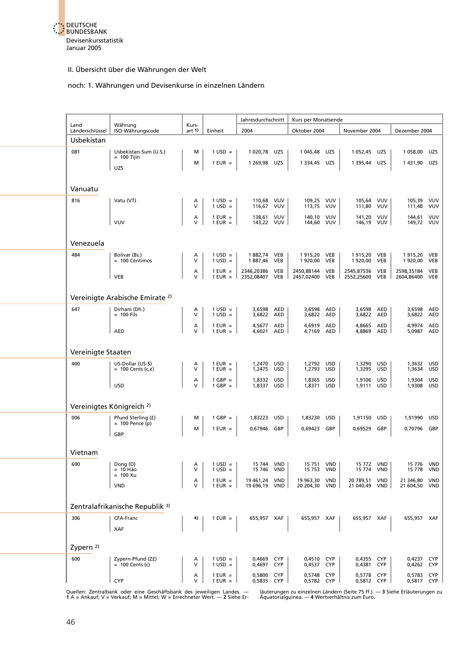

#### noch: 1. Währungen und Devisenkurse in einzelnen Ländern

|                                      |                                            |                   |                                        | Jahresdurchschnitt             |                          | Kurs per Monatsende            |                          |                                |                          |                                |                          |
|--------------------------------------|--------------------------------------------|-------------------|----------------------------------------|--------------------------------|--------------------------|--------------------------------|--------------------------|--------------------------------|--------------------------|--------------------------------|--------------------------|
| Land<br>Länderschlüssel              | Währung<br>ISO-Währungscode                | Kurs-<br>art $1$  | Einheit                                | 2004                           |                          | Oktober 2004                   |                          | November 2004                  |                          | Dezember 2004                  |                          |
| Usbekistan                           |                                            |                   |                                        |                                |                          |                                |                          |                                |                          |                                |                          |
| 081                                  | Usbekistan-Sum (U.S.)<br>$= 100$ Tijin     | м                 | $1 \text{ USD} =$                      | 1 020,78                       | UZS                      | 1 045,48                       | UZS                      | 1 052,45                       | UZS                      | 1 058,00                       | UZS                      |
|                                      | UZS                                        | м                 | $1$ EUR =                              | 1 269,98                       | <b>UZS</b>               | 1 3 3 4,45 UZS                 |                          | 1 395,44                       | <b>UZS</b>               | 1431,90 UZS                    |                          |
|                                      |                                            |                   |                                        |                                |                          |                                |                          |                                |                          |                                |                          |
| Vanuatu                              |                                            |                   |                                        |                                |                          |                                |                          |                                |                          |                                |                          |
| 816                                  | Vatu (VT)                                  | А<br>$\mathsf{V}$ | $1 \text{ USD} =$<br>$1$ USD =         | 110.68 VUV<br>116,67 VUV       |                          | 109,25 VUV<br>113,75 VUV       |                          | 105,64 VUV<br>111,80 VUV       |                          | 105,39 VUV<br>111,48           | VUV                      |
|                                      | <b>VUV</b>                                 | А<br>$\vee$       | $1$ EUR =<br>$1$ EUR $=$               | 138,61 VUV<br>143,22 VUV       |                          | 140.10 VUV<br>144,60 VUV       |                          | 141,20 VUV<br>146,19 VUV       |                          | 144,61 VUV<br>149,72 VUV       |                          |
|                                      |                                            |                   |                                        |                                |                          |                                |                          |                                |                          |                                |                          |
| Venezuela                            |                                            |                   |                                        |                                |                          |                                |                          |                                |                          |                                |                          |
| 484                                  | Bolívar (Bs.)<br>= 100 Céntimos            | А<br>v            | $1 \text{ USD} =$<br>$1$ USD =         | 1882,74 VEB<br>1887,46         | VEB                      | 1915,20 VEB<br>1920,00 VEB     |                          | 1915,20 VEB<br>1920,00         | <b>VEB</b>               | 1915,20 VEB<br>1920,00         | <b>VEB</b>               |
|                                      | VEB                                        | А<br>$\vee$       | $1$ EUR $=$<br>$1$ EUR $=$             | 2346,20386<br>2352,08407       | VEB<br>VEB               | 2450.88144<br>2457,02400       | <b>VEB</b><br><b>VEB</b> | 2545,87536 VEB<br>2552,25600   | VEB                      | 2598,35184<br>2604,86400       | <b>VEB</b><br><b>VEB</b> |
|                                      |                                            |                   |                                        |                                |                          |                                |                          |                                |                          |                                |                          |
|                                      | Vereinigte Arabische Emirate <sup>2)</sup> |                   |                                        |                                |                          |                                |                          |                                |                          |                                |                          |
| 647                                  | Dirham (Dh.)<br>$= 100$ Fils               | А<br>V            | $1$ USD =<br>$1$ USD =                 | 3,6598<br>3,6822               | AED<br>AED               | 3,6598<br>3,6822               | AED<br>AED               | 3,6598<br>3,6822               | AED<br><b>AED</b>        | 3,6598<br>3,6822               | AED<br><b>AED</b>        |
|                                      | <b>AED</b>                                 | А<br>$\vee$       | $1$ EUR $=$<br>$1$ EUR $=$             | 4,5677<br>4,6021               | AED<br>AED               | 4,6919<br>4,7169               | AED<br>AED               | 4,8665<br>4,8869               | <b>AED</b><br><b>AED</b> | 4,9974<br>5,0987               | <b>AED</b><br><b>AED</b> |
|                                      |                                            |                   |                                        |                                |                          |                                |                          |                                |                          |                                |                          |
| Vereinigte Staaten                   |                                            |                   |                                        |                                |                          |                                |                          |                                |                          |                                |                          |
| 400                                  | US-Dollar (US-\$)<br>= 100 Cents $(c, c)$  | Α<br>$\vee$       | $1$ EUR $=$<br>$1$ EUR =               | 1,2470<br>1,2475               | USD<br><b>USD</b>        | 1,2792 USD<br>1,2793           | <b>USD</b>               | 1,3290<br>1,3295               | USD<br><b>USD</b>        | 1,3632<br>1,3634               | <b>USD</b><br><b>USD</b> |
|                                      | <b>USD</b>                                 | А<br>$\vee$       | $1$ GBP =<br>$1$ GBP =                 | 1,8332<br>1,8337               | <b>USD</b><br><b>USD</b> | 1,8365<br>1,8371               | <b>USD</b><br>USD        | 1,9106<br>1,9111               | <b>USD</b><br><b>USD</b> | 1,9304<br>1,9308               | <b>USD</b><br><b>USD</b> |
|                                      |                                            |                   |                                        |                                |                          |                                |                          |                                |                          |                                |                          |
| Vereinigtes Königreich <sup>2)</sup> |                                            |                   |                                        |                                |                          |                                |                          |                                |                          |                                |                          |
| 006                                  | Pfund Sterling (£)<br>$= 100$ Pence (p)    | м                 | $1$ GBP =                              | 1,83223                        | <b>USD</b>               | 1,83230 USD                    |                          | 1,91150                        | <b>USD</b>               | 1,91990                        | <b>USD</b>               |
|                                      | GBP                                        | м                 | $1$ EUR =                              | 0,67946                        | GBP                      | 0,69423                        | GBP                      | 0,69529                        | GBP                      | 0,70796 GBP                    |                          |
| Vietnam                              |                                            |                   |                                        |                                |                          |                                |                          |                                |                          |                                |                          |
| 690                                  | Dong (D)<br>$= 10$ Hào                     | Α<br>v            | $1 \text{ USD} =$<br>$1$ USD =         | 15 744 VND<br>15 746           | <b>VND</b>               | 15 751 VND<br>15 753 VND       |                          | 15 772 VND<br>15 774           | <b>VND</b>               | 15 776 VND<br>15 7 78          | <b>VND</b>               |
|                                      | $= 100$ Xu<br><b>VND</b>                   | А<br>$\vee$       | $1$ EUR =<br>$1$ EUR $=$               | 19 461,24 VND<br>19 696,19 VND |                          | 19 963,30 VND<br>20 204,30 VND |                          | 20 789,51 VND<br>21 040,49 VND |                          | 21 346,80 VND<br>21 604,50 VND |                          |
|                                      |                                            |                   |                                        |                                |                          |                                |                          |                                |                          |                                |                          |
|                                      | Zentralafrikanische Republik 3)            |                   |                                        |                                |                          |                                |                          |                                |                          |                                |                          |
| 306                                  | CFA-Franc                                  | 4)                | $1$ EUR $=$                            | 655,957 XAF                    |                          | 655,957 XAF                    |                          | 655,957 XAF                    |                          | 655,957 XAF                    |                          |
|                                      | <b>XAF</b>                                 |                   |                                        |                                |                          |                                |                          |                                |                          |                                |                          |
| Zypern <sup>2)</sup>                 |                                            |                   |                                        |                                |                          |                                |                          |                                |                          |                                |                          |
| 600                                  | Zypern-Pfund (Z£)<br>$= 100$ Cents (c)     | А<br>$\vee$       | $1 \text{ USD} =$<br>$1 \text{ USD} =$ | 0,4669<br>0,4697               | <b>CYP</b><br><b>CYP</b> | 0,4510 CYP<br>0,4537           | <b>CYP</b>               | 0,4355 CYP<br>0,4381           | <b>CYP</b>               | 0,4237 CYP<br>0,4262 CYP       |                          |
|                                      | <b>CYP</b>                                 | Α<br>v            | $1$ EUR $=$<br>$1$ EUR =               | 0,5800 CYP<br>0,5835 CYP       |                          | 0,5748 CYP<br>0,5782 CYP       |                          | 0,5778 CYP<br>0,5812 CYP       |                          | 0,5783 CYP<br>0,5817 CYP       |                          |
|                                      |                                            |                   |                                        |                                |                          |                                |                          |                                |                          |                                |                          |

Quellen: Zentralbank oder eine Geschäftsbank des jeweiligen Landes. — läuterungen zu einzelnen Ländern (Seite 75 ff.). — 3 Siehe Erläuterungen zu<br>1 A = Ankauf; V = Verkauf; M = Mittel; W = Errechneter Wert. — 2 Siehe Er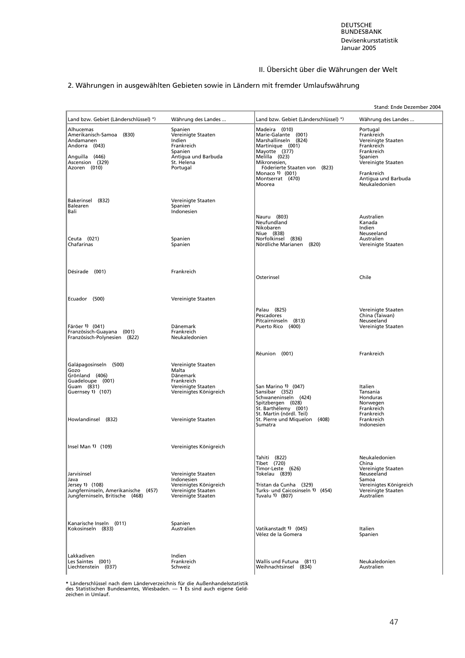# 2. Währungen in ausgewählten Gebieten sowie in Ländern mit fremder Umlaufswährung

|                                                                                                                          |                                                                                                                   |                                                                                                                                                                                                                     | Stand: Ende Dezember 2004                                                                                                                                       |
|--------------------------------------------------------------------------------------------------------------------------|-------------------------------------------------------------------------------------------------------------------|---------------------------------------------------------------------------------------------------------------------------------------------------------------------------------------------------------------------|-----------------------------------------------------------------------------------------------------------------------------------------------------------------|
| Land bzw. Gebiet (Länderschlüssel) *)                                                                                    | Währung des Landes                                                                                                | Land bzw. Gebiet (Länderschlüssel) *)                                                                                                                                                                               | Währung des Landes                                                                                                                                              |
| Alhucemas<br>Amerikanisch-Samoa (830)<br>Andamanen<br>Andorra (043)<br>Anguilla (446)<br>Ascension (329)<br>Azoren (010) | Spanien<br>Vereinigte Staaten<br>Indien<br>Frankreich<br>Spanien<br>Antigua und Barbuda<br>St. Helena<br>Portugal | Madeira (010)<br>Marie-Galante (001)<br>Marshallinseln (824)<br>Martinique (001)<br>Mayotte (377)<br>Melilla (023)<br>Mikronesien,<br>Föderierte Staaten von (823)<br>Monaco 1) (001)<br>Montserrat (470)<br>Moorea | Portugal<br>Frankreich<br>Vereinigte Staaten<br>Frankreich<br>Frankreich<br>Spanien<br>Vereinigte Staaten<br>Frankreich<br>Antigua und Barbuda<br>Neukaledonien |
| Bakerinsel (832)<br>Balearen<br>Bali                                                                                     | Vereinigte Staaten<br>Spanien<br>Indonesien                                                                       | Nauru (803)<br>Neufundland<br>Nikobaren                                                                                                                                                                             | Australien<br>Kanada<br>Indien                                                                                                                                  |
| Ceuta (021)<br>Chafarinas                                                                                                | Spanien<br>Spanien                                                                                                | Niue (838)<br>Norfolkinsel (836)<br>Nördliche Marianen (820)                                                                                                                                                        | Neuseeland<br>Australien<br>Vereinigte Staaten                                                                                                                  |
| Désirade (001)                                                                                                           | Frankreich                                                                                                        | Osterinsel                                                                                                                                                                                                          | Chile                                                                                                                                                           |
| Ecuador (500)                                                                                                            | Vereinigte Staaten                                                                                                |                                                                                                                                                                                                                     |                                                                                                                                                                 |
| Färöer 1) (041)<br>Französisch-Guayana (001)<br>Französisch-Polynesien (822)                                             | Dänemark<br>Frankreich<br>Neukaledonien                                                                           | Palau (825)<br>Pescadores<br>Pitcairninseln (813)<br>Puerto Rico (400)                                                                                                                                              | Vereinigte Staaten<br>China (Taiwan)<br>Neuseeland<br>Vereinigte Staaten                                                                                        |
|                                                                                                                          |                                                                                                                   | Réunion (001)                                                                                                                                                                                                       | Frankreich                                                                                                                                                      |
| Galápagosinseln (500)<br>Gozo<br>Grönland (406)<br>Guadeloupe (001)<br>Guam (831)<br>Guernsey 1) (107)                   | Vereinigte Staaten<br>Malta<br>Dänemark<br>Frankreich<br>Vereinigte Staaten<br>Vereinigtes Königreich             | San Marino 1) (047)<br>Sansibar (352)<br>Schwaneninseln (424)<br>Spitzbergen (028)<br>St. Barthélemy (001)                                                                                                          | Italien<br>Tansania<br>Honduras<br>Norwegen<br>Frankreich                                                                                                       |
| Howlandinsel (832)                                                                                                       | Vereinigte Staaten                                                                                                | St. Martin (nördl. Teil)<br>St. Pierre und Miquelon (408)<br>Sumatra                                                                                                                                                | Frankreich<br>Frankreich<br>Indonesien                                                                                                                          |
| Insel Man 1) (109)                                                                                                       | Vereinigtes Königreich                                                                                            |                                                                                                                                                                                                                     |                                                                                                                                                                 |
| Jarvisinsel<br>Java<br>Jersey 1) (108)<br>Jungferninseln, Amerikanische (457)<br>Jungferninseln, Britische (468)         | Vereinigte Staaten<br>Indonesien<br>Vereinigtes Königreich<br>Vereinigte Staaten<br>Vereinigte Staaten            | Tahiti (822)<br>Tibet (720)<br>Timor-Leste (626)<br>Tokelau (839)<br>Tristan da Cunha (329)<br>Turks- und Caicosinseln 1) (454)<br>Tuvalu 1) (807)                                                                  | Neukaledonien<br>China<br>Vereinigte Staaten<br>Neuseeland<br>Samoa<br>Vereinigtes Königreich<br>Vereinigte Staaten<br>Australien                               |
| Kanarische Inseln (011)<br>Kokosinseln (833)                                                                             | Spanien<br>Australien                                                                                             | Vatikanstadt 1) (045)<br>Vélez de la Gomera                                                                                                                                                                         | Italien<br>Spanien                                                                                                                                              |
| Lakkadiven<br>Les Saintes (001)<br>Liechtenstein (037)                                                                   | Indien<br>Frankreich<br>Schweiz                                                                                   | Wallis und Futuna (811)<br>Weihnachtsinsel (834)                                                                                                                                                                    | Neukaledonien<br>Australien                                                                                                                                     |

**\*** Länderschlüssel nach dem Länderverzeichnis für die Außenhandelsstatistik des Statistischen Bundesamtes, Wiesbaden. — **1** Es sind auch eigene Geld-zeichen in Umlauf.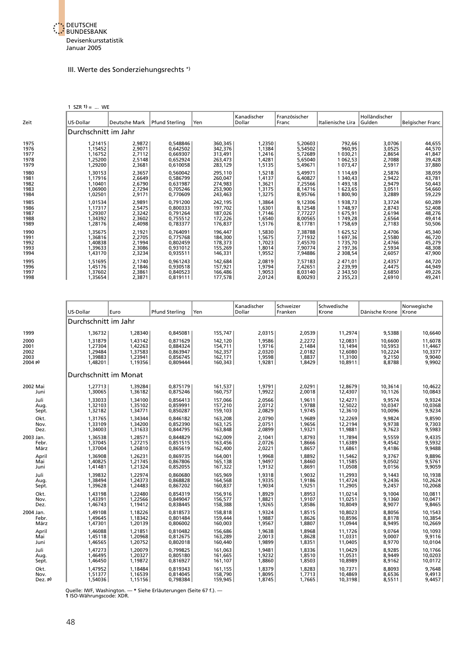

#### III. Werte des Sonderziehungsrechts \*)

1 SZR  $1) = ...$  WE

| Zeit | US-Dollar            | Deutsche Mark | <b>Pfund Sterling</b> | Yen     | Kanadischer<br>Dollar | Französischer<br>Franc | Italienische Lira | Holländischer<br> Gulden | <b>Belgischer Franc</b> |
|------|----------------------|---------------|-----------------------|---------|-----------------------|------------------------|-------------------|--------------------------|-------------------------|
|      | Durchschnitt im Jahr |               |                       |         |                       |                        |                   |                          |                         |
| 1975 | 1,21415              | 2,9872        | 0,548846              | 360,345 | 1,2350                | 5,20603                | 792,66            | 3,0706                   | 44,655                  |
| 1976 | 1,15452              | 2,9071        | 0.642502              | 342,376 | 1,1384                | 5,54502                | 960,95            | 3,0525                   | 44,570                  |
| 1977 | 1,16752              | 2,7112        | 0,669307              | 313,491 | 1,2416                | 5,72689                | 1 030,21          | 2,8654                   | 41,847                  |
| 1978 | 1,25200              | 2,5148        | 0,652924              | 263,473 | 1,4281                | 5,65040                | 1 062,53          | 2,7088                   | 39,428                  |
| 1979 | 1,29200              | 2,3681        | 0,610058              | 283,129 | 1,5135                | 5,49671                | 1 073,47          | 2,5917                   | 37,880                  |
| 1980 | 1,30153              | 2,3657        | 0,560042              | 295,110 | 1,5218                | 5,49971                | 1 1 1 4 , 6 9     | 2,5876                   | 38,059                  |
| 1981 | 1,17916              | 2,6649        | 0,586799              | 260,047 | 1,4137                | 6,40827                | 1 340,43          | 2,9422                   | 43,781                  |
| 1982 | 1,10401              | 2,6790        | 0,631987              | 274,983 | 1,3621                | 7,25566                | 1 493,18          | 2,9479                   | 50,443                  |
| 1983 | 1,06900              | 2,7294        | 0,705246              | 253,900 | 1,3175                | 8,14716                | 1 623,65          | 3,0511                   | 54,660                  |
| 1984 | 1,02501              | 2,9171        | 0,770609              | 243,463 | 1,3275                | 8,95766                | 1800,90           | 3,2889                   | 59,229                  |
| 1985 | 1,01534              | 2,9891        | 0,791200              | 242,195 | 1,3864                | 9,12306                | 1938,73           | 3,3724                   | 60,289                  |
| 1986 | 1,17317              | 2,5475        | 0,800333              | 197,702 | 1,6301                | 8,12548                | 1748,97           | 2,8743                   | 52,408                  |
| 1987 | 1,29307              | 2,3242        | 0,791264              | 187,026 | 1,7146                | 7,77227                | 1675,91           | 2,6194                   | 48,276                  |
| 1988 | 1,34392              | 2,3602        | 0,755512              | 172,226 | 1,6540                | 8,00565                | 1749,28           | 2,6564                   | 49,414                  |
| 1989 | 1,28176              | 2,4098        | 0,783377              | 176,837 | 1,5176                | 8,17781                | 1758,69           | 2,7183                   | 50,506                  |
| 1990 | 1,35675              | 2,1921        | 0.764091              | 196,447 | 1,5830                | 7,38788                | 1 625,52          | 2,4706                   | 45,340                  |
| 1991 | 1,36816              | 2,2705        | 0,775768              | 184,300 | 1,5675                | 7,71932                | 1 697,36          | 2,5580                   | 46,720                  |
| 1992 | 1,40838              | 2,1994        | 0.802459              | 178,373 | 1,7023                | 7,45570                | 1 735,70          | 2,4766                   | 45,279                  |
| 1993 | 1,39633              | 2,3086        | 0,931012              | 155,269 | 1,8014                | 7,90774                | 2 197,36          | 2,5934                   | 48,308                  |
| 1994 | 1,43170              | 2,3234        | 0,935511              | 146,331 | 1,9552                | 7,94886                | 2 308,54          | 2,6057                   | 47,900                  |
| 1995 | 1,51695              | 2,1740        | 0,961243              | 142,684 | 2,0819                | 7,57183                | 2 471,01          | 2,4357                   | 44,720                  |
| 1996 | 1,45176              | 2,1846        | 0,930518              | 157,921 | 1,9794                | 7,42651                | 2 2 3 9 , 9 9     | 2,4475                   | 44,949                  |
| 1997 | 1,37602              | 2,3861        | 0,840523              | 166,486 | 1,9053                | 8,03140                | 2 343,50          | 2,6850                   | 49,226                  |
| 1998 | 1,35654              | 2,3871        | 0.819111              | 177,578 | 2,0124                | 8,00293                | 2355,23           | 2.6910                   | 49,241                  |

|           | US-Dollar             | Euro    | <b>Pfund Sterling</b> | Yen     | Kanadischer<br>Dollar | Schweizer<br>Franken | Schwedische<br>Krone | Dänische Krone | Norwegische<br>l Krone |
|-----------|-----------------------|---------|-----------------------|---------|-----------------------|----------------------|----------------------|----------------|------------------------|
|           | Durchschnitt im Jahr  |         |                       |         |                       |                      |                      |                |                        |
| 1999      | 1,36732               | 1,28340 | 0,845081              | 155,747 | 2,0315                | 2,0539               | 11,2974              | 9,5388         | 10,6640                |
| 2000      | 1,31879               | 1,43142 | 0,871629              | 142,120 | 1,9586                | 2,2272               | 12,0831              | 10,6600        | 11,6078                |
| 2001      | 1,27304               | 1,42263 | 0,884324              | 154,711 | 1,9716                | 2,1484               | 13,1494              | 10,5953        | 11,4467                |
| 2002      | 1.29484               | 1.37583 | 0.863947              | 162,357 | 2.0320                | 2.0182               | 12,6080              | 10,2224        | 10.3377                |
| 2003      | 1,39883               | 1,23941 | 0,856745              | 162,171 | 1,9598                | 1,8837               | 11,3100              | 9,2150         | 9,9040                 |
| 2004 p    | 1,48201               | 1.19356 | 0.809444              | 160,343 | 1,9281                | 1,8429               | 10.8911              | 8,8788         | 9,9902                 |
|           | Durchschnitt im Monat |         |                       |         |                       |                      |                      |                |                        |
| 2002 Mai  | 1,27713               | 1,39284 | 0,875179              | 161,537 | 1,9791                | 2,0291               | 12,8679              | 10,3614        | 10,4622                |
| Juni      | 1.30065               | 1,36182 | 0,875246              | 160,757 | 1,9922                | 2,0018               | 12,4307              | 10,1126        | 10,0843                |
| Juli      | 1.33033               | 1.34100 | 0.856413              | 157.066 | 2.0566                | 1.9611               | 12.4271              | 9.9574         | 9.9324                 |
| Aug.      | 1,32103               | 1,35102 | 0,859991              | 157,210 | 2,0712                | 1,9788               | 12,5022              | 10,0347        | 10,0368                |
| Sept.     | 1,32182               | 1,34771 | 0,850287              | 159,103 | 2,0829                | 1,9745               | 12,3610              | 10,0096        | 9,9234                 |
| Okt.      | 1,31765               | 1,34344 | 0,846182              | 163,208 | 2,0790                | 1,9689               | 12,2269              | 9,9824         | 9,8590                 |
| Nov.      | 1,33109               | 1,34200 | 0,852390              | 163,125 | 2,0751                | 1,9656               | 12,2194              | 9,9738         | 9,7303                 |
| Dez.      | 1,34003               | 1.31633 | 0.844795              | 163,848 | 2,0899                | 1,9321               | 11,9881              | 9,7623         | 9,5983                 |
| 2003 Jan. | 1.36538               | 1,28571 | 0.844829              | 162,009 | 2,1041                | 1.8793               | 11.7894              | 9.5559         | 9.4335                 |
| Febr.     | 1.37045               | 1,27215 | 0,851515              | 163,456 | 2,0726                | 1,8666               | 11.6389              | 9.4542         | 9,5932                 |
| März      | 1,37004               | 1,26810 | 0,865619              | 162,400 | 2,0221                | 1,8657               | 11,6861              | 9,4186         | 9,9488                 |
| April     | 1,36908               | 1,26231 | 0,869735              | 164,001 | 1,9968                | 1,8892               | 11,5462              | 9,3767         | 9,8896                 |
| Mai       | 1,40825               | 1,21745 | 0,867806              | 165,138 | 1,9497                | 1,8460               | 11,1585              | 9,0502         | 9,5761                 |
| Juni      | 1,41481               | 1,21324 | 0,852055              | 167,322 | 1,9132                | 1,8691               | 11,0508              | 9,0156         | 9,9059                 |
| Juli      | 1.39832               | 1,22974 | 0.860680              | 165,969 | 1,9318                | 1.9032               | 11.2993              | 9.1443         | 10,1938                |
| Aug.      | 1.38494               | 1.24373 | 0.868828              | 164,568 | 1,9335                | 1,9186               | 11.4724              | 9.2436         | 10.2624                |
| Sept.     | 1.39628               | 1.24483 | 0.867202              | 160,837 | 1,9034                | 1,9251               | 11,2905              | 9,2457         | 10,2068                |
| Okt.      | 1,43198               | 1,22480 | 0,854319              | 156,916 | 1,8929                | 1,8953               | 11,0214              | 9,1004         | 10,0811                |
| Nov.      | 1,43391               | 1,22566 | 0,849047              | 156,577 | 1,8821                | 1,9107               | 11,0251              | 9,1360         | 10,0471                |
| Dez.      | 1,46743               | 1,19412 | 0,838445              | 158,388 | 1,9265                | 1,8586               | 10,8049              | 8,9077         | 9,8465                 |
| 2004 Jan. | 1.49108               | 1,18226 | 0.818573              | 158,818 | 1,9324                | 1,8515               | 10.8023              | 8.8056         | 10,1543                |
| Febr.     | 1,49645               | 1.18342 | 0.801484              | 159.444 | 1,9887                | 1.8626               | 10.8596              | 8,8178         | 10.3854                |
| März      | 1,47301               | 1,20139 | 0,806002              | 160,003 | 1,9567                | 1,8807               | 11,0944              | 8,9495         | 10,2669                |
| April     | 1.46088               | 1,21851 | 0.810482              | 156,686 | 1,9638                | 1.8968               | 11.1726              | 9.0764         | 10,1093                |
| Mai       | 1,45118               | 1,20968 | 0,812675              | 163,289 | 2,0013                | 1,8628               | 11,0331              | 9,0007         | 9,9116                 |
| Juni      | 1,46565               | 1,20752 | 0,802018              | 160,440 | 1,9899                | 1,8351               | 11,0405              | 8,9770         | 10,0104                |
| Juli      | 1.47273               | 1.20079 | 0.799825              | 161.063 | 1.9481                | 1.8336               | 11.0429              | 8.9285         | 10.1766                |
| Aug.      | 1,46495               | 1,20327 | 0,805180              | 161,665 | 1,9232                | 1,8510               | 11,0531              | 8,9449         | 10,0203                |
| Sept.     | 1,46450               | 1,19872 | 0,816927              | 161,107 | 1,8860                | 1,8503               | 10,8989              | 8,9162         | 10,0172                |
| Okt.      | 1,47952               | 1,18484 | 0,819343              | 161,155 | 1,8379                | 1,8283               | 10,7371              | 8,8093         | 9,7648                 |
| Nov.      | 1.51377               | 1.16539 | 0.814045              | 158,790 | 1.8095                | 1.7713               | 10.4869              | 8.6536         | 9.4913                 |
| Dez. p)   | 1,54036               | 1,15156 | 0,798384              | 159,945 | 1,8745                | 1,7665               | 10,3198              | 8,5511         | 9,4457                 |

Quelle: IWF, Washington. — **\*** Siehe Erläuterungen (Seite 67 f.). — **1** ISO-Währungscode: XDR.

48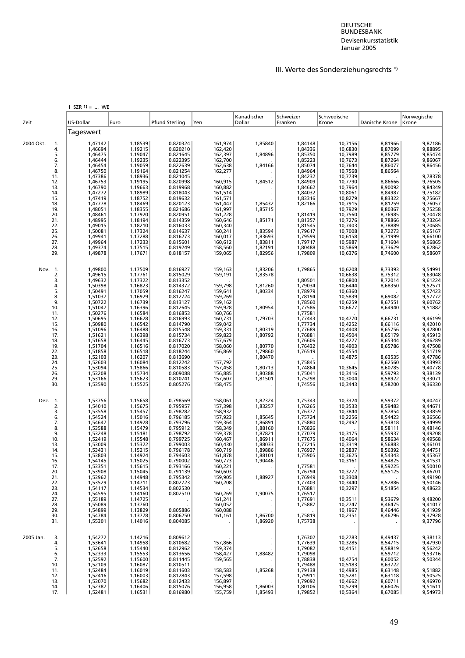# III. Werte des Sonderziehungsrechts \*)

|                 | 1 SZR $1) = $ WE   |                    |                       |                    |                    |                    |                    |                    |                                                     |
|-----------------|--------------------|--------------------|-----------------------|--------------------|--------------------|--------------------|--------------------|--------------------|-----------------------------------------------------|
|                 |                    |                    |                       |                    | Kanadischer        | Schweizer          | Schwedische        |                    | Norwegische                                         |
| Zeit            | US-Dollar          | Euro               | <b>Pfund Sterling</b> | Yen                | Dollar             | Franken            | Krone              | Dänische Krone     | Krone                                               |
|                 | Tageswert          |                    |                       |                    |                    |                    |                    |                    |                                                     |
| 2004 Okt.<br>1. | 1,47142<br>1,46694 | 1,18539<br>1,19215 | 0,820324<br>0,820210  | 161,974            | 1,85840            | 1,84148<br>1,84336 | 10,7156<br>10,6830 | 8,81966<br>8,87099 | 9,87186<br>9,88895                                  |
| 4.              | 1,46475            | 1,19047            |                       | 162,420            | 1,84896            | 1,85350            | 10,7989            | 8,85779            | 9,85474                                             |
| 5.<br>6.        | 1,46444            | 1,19235            | 0,821645<br>0,822395  | 162,397<br>162,700 |                    | 1,85223            | 10,7673            | 8,87264            | 9,86067                                             |
| 7.              | 1,46454            | 1,19059            | 0,822639              | 162,638            | 1,84166            | 1,85074            | 10,7644            | 8,86077            | 9,86456                                             |
| 8.              | 1,46750            | 1,19164            | 0,821254              | 162,277            |                    | 1,84964            | 10,7568            | 8,86564            |                                                     |
| 11.             | 1,47386            | 1,18936            | 0,821045              |                    |                    | 1,84232            | 10,7739            |                    |                                                     |
| 12.             | 1,46753            | 1,19195            | 0,820998              | 160,915            | 1,84512            | 1,84909            | 10,7790            | 8,86666            | 9,78378<br>9,76505                                  |
| 13.             | 1,46790            | 1,19663            | 0,819968              | 160,882            |                    | 1,84662            | 10,7964            | 8,90092            | 9,84349                                             |
| 14.             | 1,47272            | 1,18989            | 0,818043              | 161,514            |                    | 1,84032            | 10,8061            | 8,84987            | 9,75182                                             |
| 15.<br>18.      | 1,47419<br>1,47778 | 1,18752<br>1,18469 | 0,819632<br>0,820123  | 161,571<br>161,447 | 1,85432            | 1,83316<br>1,82166 | 10,8279<br>10,7915 | 8,83322<br>8,81259 | 9,75667                                             |
| 19.             | 1,48051            | 1,18355            | 0,821686              | 161,997            | 1,85715            |                    | 10,7929            | 8,80367            | 9,76057<br>9,75258<br>9,70478                       |
| 20.             | 1,48461            | 1,17920            | 0,820951              | 161,228            |                    | 1,81419            | 10,7560            | 8,76985            |                                                     |
| 21.             | 1,48995            | 1,18194            | 0,814359              | 160,646            | 1,85171            | 1,81357            | 10,7276            | 8,78866            | 9,73264                                             |
| 22.             | 1,49015            | 1,18210            | 0,816033              | 160,340            |                    | 1,81545            | 10,7403            | 8,78889            | 9,70685<br>9,65167                                  |
| 25.             | 1,50081            | 1,17324            | 0,814637              | 160,241            | 1,83594            | 1,79617            | 10,7008            | 8,72273            |                                                     |
| 26.             | 1,49941            | 1,17288            | 0,816273              | 160,017            | 1,83693            | 1,79599            | 10,6158            | 8,71999            | 9,66100<br>9,56865<br>9,62862                       |
| 27.<br>28.      | 1,49964<br>1,49374 | 1,17233<br>1,17515 | 0,815601<br>0,819249  | 160,612<br>158,560 | 1,83811<br>1,82191 | 1,79717<br>1,80488 | 10,5987<br>10,5869 | 8,71604<br>8,73629 |                                                     |
| 29.             | 1,49878            | 1,17671            | 0,818157              | 159,065            | 1,82956            | 1,79809            | 10,6376            | 8,74600            | 9,58607                                             |
|                 |                    |                    |                       |                    |                    |                    |                    |                    |                                                     |
| Nov. 1.         | 1,49800            | 1,17509            | 0,816927              | 159,163            | 1,83206            | 1,79865            | 10,6208            | 8,73393            | 9,54991                                             |
| 2.<br>3.        | 1,49615            | 1,17761            | 0,815029<br>0,813352  | 159,191            | 1,83578            |                    | 10,6638<br>10,6800 | 8,75312<br>8,72014 | 9,63048<br>9,61224                                  |
| 4.              | 1,49632<br>1,50398 | 1,17322<br>1,16823 | 0,814372              | 159,798            | 1,81260            | 1,80501<br>1,79034 | 10,6444            | 8,68350            | 9,52571                                             |
| 5.              | 1,50491            | 1,17059            | 0,816247              | 159,641            | 1,80334            | 1,78979            | 10,6360            |                    |                                                     |
| 8.              | 1,51037            | 1,16929            | 0,812724              | 159,269            |                    | 1,78194            | 10,5839            | 8,69082            | 9,57423<br>9,57772                                  |
| 9.              | 1,50722            | 1,16739            | 0,813127              | 159,162            |                    | 1,78560            | 10,6259            | 8,67551            | 9,60762                                             |
| 10.             | 1,51047            | 1,16396            | 0,812645              | 159,928            | 1,80954            | 1,77586            | 10,6677            | 8,64940            | 9,51882                                             |
| 11.<br>12.      | 1,50276<br>1,50695 | 1,16584<br>1,16628 | 0,816853<br>0,816993  | 160,766<br>160,731 | 1,79703            | 1,77581<br>1,77443 | 10,4770            | 8,66731            | 9,46199                                             |
| 15.             | 1,50980            | 1,16542            | 0,814790              | 159,042            |                    | 1,77734            | 10,4252            | 8,66116            |                                                     |
| 16.             | 1,51096            | 1,16488            | 0,815548              | 159,331            | 1,80319            | 1,77689            | 10,4408            | 8,65756            | 9,42010<br>9,42800<br>9,45913<br>9,46289<br>9,47508 |
| 17.             | 1,51621            | 1,16398            | 0,815734              | 159,823            | 1,80792            | 1,76881            | 10,4504            | 8,65179            |                                                     |
| 18.             | 1,51658            | 1,16445            | 0,816773              | 157,679            |                    | 1,76606            | 10,4227            | 8,65344            |                                                     |
| 19.<br>22.      | 1,51704<br>1,51858 | 1,16516<br>1,16518 | 0,817020<br>0,818244  | 158,060<br>156,869 | 1,80770<br>1,79860 | 1,76432<br>1,76519 | 10,4903<br>10,4554 | 8,65786            | 9,51719                                             |
| 23.             | 1,52103            | 1,16207            | 0,813690              |                    | 1,80470            |                    | 10,4875            | 8,63535            |                                                     |
| 24.             | 1,52603            | 1,16084            | 0,812242              |                    |                    | 1,75845            |                    | 8,62560<br>8,62560 |                                                     |
| 25.             | 1,53094            | 1,15866            | 0,810583              | 157,792<br>157,458 | 1,80713            | 1,74864            | 10,3645            |                    |                                                     |
| 26.             | 1,53208            | 1,15734            | 0,809088              | 156,885            | 1,80388            | 1,75041            | 10,3416            | 8,59793            | 9,47786<br>9,43993<br>9,40778<br>9,38139<br>9,33071 |
| 29.<br>30.      | 1,53166<br>1,53590 | 1,15623<br>1,15525 | 0,810741<br>0,805276  | 157,607<br>158,475 | 1,81501            | 1,75298<br>1,74556 | 10,3004<br>10,3443 | 8,58922<br>8,58200 | 9,36330                                             |
|                 |                    |                    |                       |                    |                    |                    |                    |                    |                                                     |
| Dez. 1.         | 1,53756            | 1,15658            | 0,798569              | 158,061            | 1,82324            | 1,75343            | 10,3324            | 8,59372            | 9,40247                                             |
| 2.              | 1,54010            | 1,15675            | 0,795957              | 157,398            | 1,83257            | 1,76265            | 10,3533            | 8,59483            | 9,44671                                             |
| 3.              | 1,53558            | 1,15457            | 0,798282              | 158,932            |                    | 1,76377            | 10,3844            | 8,57854            | 9,43859                                             |
| 6.<br>7.        | 1,54524<br>1,54647 | 1,15016<br>1,14928 | 0,796185<br>0,793796  | 157,923<br>159,364 | 1,85645<br>1,86891 | 1,75724<br>1,75880 | 10,2256<br>10,2492 | 8,54423<br>8,53818 | 9,36566<br>9,34999                                  |
| 8.              | 1,53588            | 1,15479            | 0,795912              | 158,349            | 1,88160            | 1,76826            |                    | 8,58111            |                                                     |
| 9.              | 1,53248            | 1,15181            | 0,798792              | 159,378            | 1,87821            | 1,77079            | 10,3175            | 8,55937            |                                                     |
| 10.             | 1,52419            | 1,15548            | 0,799725              | 160,467            | 1,86911            | 1,77675            | 10,4064            | 8,58634            | 9, 48146<br>9, 49208<br>9, 49568                    |
| 13.             | 1,53009            | 1,15322            | 0,799003              | 160,430            | 1,88033            | 1,77215            | 10,3319            | 8,56883            | 9,46101                                             |
| 14.<br>15.      | 1,53431<br>1,53803 | 1,15215<br>1,14924 | 0,796178<br>0,794603  | 160,719<br>161,878 | 1,89886<br>1,88101 | 1,76937<br>1,75905 | 10,2837<br>10,3625 | 8,56392<br>8,54343 | 9,44751<br>9,45367                                  |
| 16.             | 1,54145            | 1,15025            | 0,790002              | 160,773            | 1,90446            |                    | 10,3161            | 8,54825            | 9,41531                                             |
| 17.             | 1,53351            | 1,15615            | 0,793166              | 160,221            |                    | 1,77581            |                    | 8,59225            | 9,50010                                             |
| 20.             | 1,53908            | 1,15045            | 0,791139              | 160,603            |                    | 1,76794            | 10,3272            | 8,55125            | 9,46701                                             |
| 21.             | 1,53962            | 1,14948            | 0,795342              | 159,905            | 1,88927            | 1,76949            | 10,3308            |                    | 9,49190                                             |
| 22.             | 1,53529            | 1,14711            | 0,802723              | 160,208            |                    | 1,77403            | 10,3440            | 8,52886            | 9,50146                                             |
| 23.<br>24.      | 1,54117<br>1,54595 | 1,14534<br>1,14160 | 0,802530<br>0,802510  | 160,269            | 1,90075            | 1,76881<br>1,76517 | 10,3297            | 8,51854            | 9,48623                                             |
| 27.             | 1,55189            | 1,14725            |                       | 161,241            |                    | 1,77691            | 10,3511            | 8,53679            | 9,48200                                             |
| 28.             | 1,55089            | 1,13760            |                       | 160,052            | $\sim$             | 1,75887            | 10,2747            | 8,46475            | 9,41017                                             |
| 29.             | 1,54899            | 1,13829            | 0,805886              | 160,088            |                    |                    | 10,1967            | 8,46446            | 9,41939                                             |
| 30.             | 1,54784            | 1,13778            | 0,806250              | 161,161            | 1,86700            | 1,75819            | 10,2351            | 8,46296            | 9,37928                                             |
| 31.             | 1,55301            | 1,14016            | 0,804085              |                    | 1,86920            | 1,75738            |                    |                    | 9,37796                                             |
| 2005 Jan.<br>3. | 1,54272            | 1,14216            | 0,809612              |                    | $\cdot$            | 1,76302            | 10,2783            | 8,49437            |                                                     |
| 4.              | 1,53641            | 1,14958            | 0,810682              | 157,866            |                    | 1,77639            | 10,3285            | 8,54715            | 9,38113<br>9,47930                                  |
| 5.              | 1,52658            | 1,15440            | 0,812962              | 159,374            |                    | 1,79082            | 10,4151            | 8,58819            | 9,56242                                             |
| 6.              | 1,52333            | 1,15553            | 0,813656              | 158,427            | 1,88482            | 1,79098            |                    | 8,59712            | 9,53716                                             |
| 7.<br>10.       | 1,52592<br>1,52109 | 1,15600<br>1,16087 | 0,811445<br>0,810511  | 159,565            |                    | 1,78838<br>1,79488 | 10,4754<br>10,5183 | 8,60052<br>8,63722 | 9,50344                                             |
| 11.             | 1,52484            | 1,16019            | 0,811603              | 158,583            | 1,85268            | 1,79138            | 10,4985            | 8,63148            | 9,51882                                             |
| 12.             | 1,52416            | 1,16003            | 0,812843              | 157,598            |                    | 1,79911            | 10,5281            | 8,63118            | 9,50525                                             |
| 13.             | 1,53070            | 1,15682            | 0,812433              | 156,897            |                    | 1,79092            | 10,4662            | 8,60711            | 9,46970                                             |
| 14.<br>17.      | 1,52387<br>1,52481 | 1,16406<br>1,16531 | 0,815076<br>0,816980  | 156,958<br>155,759 | 1,86003<br>1,85493 | 1,80106<br>1,79852 | 10,5299<br>10,5364 | 8,66026<br>8,67085 | 9,51611<br>9,54973                                  |
|                 |                    |                    |                       |                    |                    |                    |                    |                    |                                                     |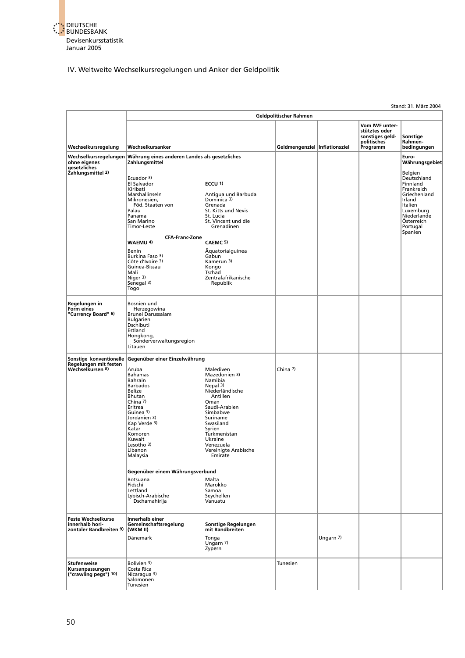

#### IV. Weltweite Wechselkursregelungen und Anker der Geldpolitik

Stand: 31. März 2004 **Geldpolitischer Rahmen Vom IWF unter stütztes oder** in the studies of the studies of the studies of the studies of the studies of the studies of the studies of the studies of the studies of the studies of the studies of the studies of the studies of the stud **stütztes oder<br>
sonstiges geld-**<br> **Sonstige<br>
politisches**<br>
Rahmenpolitisches Rahmen-<br>Programm bedingungen **Wechselkursregelung Wechselkursanker Programment and Celdmengenziel** Inflationsziel Wechselkursregelungen Währung eines anderen Landes als gesetzliches **Euro-Bernes and Euro-Bernes (Euro-Bernes a**<br>Dinne eigenes **Zahlungsmittel zahlungsmittel beso**hne eine andere als eine versiene versiene versiene versien **gesetzliches Zahlungsmittel 2)** Belgien Ecuador <sup>3)</sup> Deutschland Deutschland Deutschland Deutschland Deutschland Deutschland Deutschland Deutschland Deutschland Deutschland Deutschland Deutschland Deutschland Deutschland Deutschland Deutschland Deutschland Deuts El Salvador **ECCU 1)** Finnland Kiribati Frankreich [Marshallinseln Antigua und Barbuda Griechenland](#page-9-0) Mikronesien, Dominica 3) Irland Föd. Staaten von Grenada Italien<br>
Marshallinseln Dominica 3)<br>
Föd. Staaten von Grenada Italien<br>
Föd. Staaten von Grenada Italien<br>
Staaten St. Kitts und Nevis<br>
Panama St. Kitts und die Niederlande Steen (Steen Dominica 3)<br> Palau Staaten von Balau St. Kitts und Nevis<br>Palau St. Kitts und Nevis<br>St. Lucia Panama St. Lucia Niederlande San Marino St. Vincent und die Österreich Timor-Leste Grenadinen Portugal Spanien **CFA-Franc-Zone WAEMU 4) CAEMC 5)** Benin Äquatorialguinea Burkina Faso 3)<br>Côte d'Ivoire 3) Gabun<br>Côte d'Ivoire 3) (Kamerun 3) France (1990)<br>Cote d'Ivoire 3) Kamer<br>Guinea-Bissau Kongo<br>Mali Tschad Guinea-Bissau Kongo Mali Tschad niger 3<br>Zentralafrikanische<br>Republik Senegal 3) Republik Togo **Regelungen in**<br> **Room eines**<br> **Reform eines**<br> **Room Board Brunei Darussalam Room Board Brunei Darussalam Form eines**<br>
"Currency Board" <sup>6)</sup> Brunei Darussalam Bulgarien Dschibuti Estland Hongkong, Sonderverwaltungsregion Litauen **Sonstige konventionelle Gegenüber einer Einzelwährung Regelungen mit festen |**<br>Wechselkursen <sup>8)</sup> Aruba Malediven China <sup>7)</sup> China 7) Mazedonien 3)<br>Namibia Aruba<br>Bahamas<br>Bahrain Barbados<br>Belize nammera<br>Niederländische Bhutan **Antillen** Bhutan<br>China 7)<br>Eritrea<br>Guinea 3) Eritrea Saudi-Arabien Simbabwe<br>Suriname Jordanien 3) Suriname<br>
Kap Verde <sup>3)</sup> Swasiland Kap Verde 3)<br>Kap Verde 3) Katar Syrien Komoren Turkmenistan Kuwait Ukraine<br>Lesotho <sup>3</sup>) Ukraine<br>Libanon Vereinig Lesotho 3) Venezuela Libanon Vereinigte Arabische Malaysia **Emirate Gegenüber einem Währungsverbund** Botsuana Malta Fidschi Marokko ndexternal<br>
Lettland Samoa<br>
Lybisch-Arabische Seychellen Lybisch-Arabische Seychellen<br>Dschamahirija – Vanuatu Dschamahirija **Feste Wechselkurse Innerhalb einer**<br> **Innerhalb hori-** Gemeinschaftsr<br> **zontaler Bandbreiten 9** (WKM II) **innerhalb hori- Gemeinschaftsregelung Sonstige Regelungen zontaler Bandbreiten 9) (WKM II) mit Bandbreiten** Dänemark Tonga Ungarn 7) Ungarn 7) Zypern **Stufenweise** Bolivien 3)<br>**Kursanpassungen Costa Rica** Costa Costa Rica **Costa Rica Costa Rica Costa Rica Costa Rica Kursanpassungen** Costa Rica **("crawling pegs") 10)** Nicaragua 3) Nicaragua 3)<br>Salomonen Tunesien

50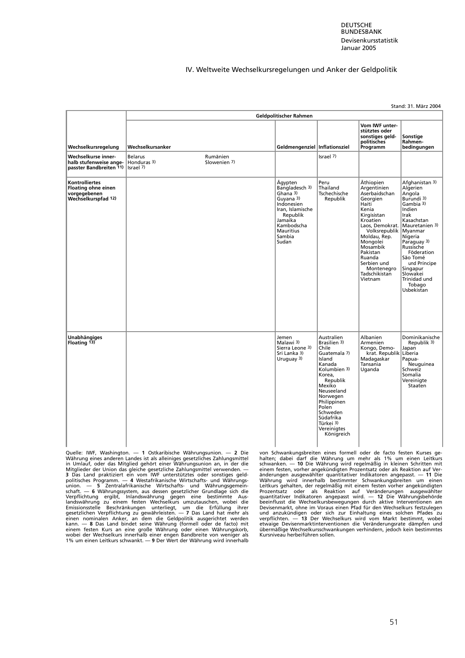**DEUTSCHE BUNDESBANK** Devisenkursstatistik Januar 2005

#### IV. Weltweite Wechselkursregelungen und Anker der Geldpolitik

Stand: 31. März 2004

|                                                                                                  |                  |                          | Geldpolitischer Rahmen                                                                                                                                           |                                                                                                                                                                                                                                              |                                                                                                                                                                                                                                                               |                                                                                                                                                                                                                                                                               |
|--------------------------------------------------------------------------------------------------|------------------|--------------------------|------------------------------------------------------------------------------------------------------------------------------------------------------------------|----------------------------------------------------------------------------------------------------------------------------------------------------------------------------------------------------------------------------------------------|---------------------------------------------------------------------------------------------------------------------------------------------------------------------------------------------------------------------------------------------------------------|-------------------------------------------------------------------------------------------------------------------------------------------------------------------------------------------------------------------------------------------------------------------------------|
| Wechselkursregelung                                                                              | Wechselkursanker |                          | Geldmengenziel Inflationsziel                                                                                                                                    |                                                                                                                                                                                                                                              | Vom IWF unter-<br>stütztes oder<br>sonstiges geld-<br>politisches<br>Programm                                                                                                                                                                                 | Sonstige<br>Rahmen-<br>bedingungen                                                                                                                                                                                                                                            |
| Wechselkurse inner-<br>halb stufenweise ange- Honduras 3)<br>passter Bandbreiten 11)   Israel 7) | <b>Belarus</b>   | Rumänien<br>Slowenien 7) |                                                                                                                                                                  | Israel 7)                                                                                                                                                                                                                                    |                                                                                                                                                                                                                                                               |                                                                                                                                                                                                                                                                               |
| <b>Kontrolliertes</b><br><b>Floating ohne einen</b><br>vorgegebenen<br>Wechselkurspfad 12)       |                  |                          | Ägypten<br>Bangladesch 3)<br>Ghana 3)<br>Guvana 3)<br>Indonesien<br>Iran, Islamische<br>Republik<br>Jamaika<br>Kambodscha<br><b>Mauritius</b><br>Sambia<br>Sudan | Peru<br>Thailand<br>Tschechische<br>Republik                                                                                                                                                                                                 | Äthiopien<br>Argentinien<br>Aserbaidschan<br>Georgien<br>Haiti<br>Kenia<br>Kirgisistan<br>Kroatien<br>Laos, Demokrat.<br>Volksrepublik<br>Moldau, Rep.<br>Mongolei<br>Mosambik<br>Pakistan<br>Ruanda<br>Serbien und<br>Montenegro<br>Tadschikistan<br>Vietnam | Afghanistan 3)<br>Algerien<br>Angola<br>Burundi 3)<br>Gambia 3)<br>Indien<br>Irak<br>Kasachstan<br>Mauretanien 3)<br>Myanmar<br>Nigeria<br>Paraguay 3)<br>Russische<br>Föderation<br>São Tomé<br>und Príncipe<br>Singapur<br>Slowakei<br>Trinidad und<br>Tobago<br>Usbekistan |
| <b>Unabhängiges</b><br>Floating 13)                                                              |                  |                          | Jemen<br>Malawi 3)<br>Sierra Leone 3)<br>Sri Lanka 3)<br>Uruguay 3)                                                                                              | Australien<br>Brasilien 3)<br>Chile<br>Guatemala 7)<br>Island<br>Kanada<br>Kolumbien 3)<br>Korea.<br>Republik<br>Mexiko<br>Neuseeland<br>Norwegen<br>Philippinen<br>Polen<br>Schweden<br>Südafrika<br>Türkei 3)<br>Vereinigtes<br>Königreich | Albanien<br>Armenien<br>Kongo, Demo-<br>krat. Republik<br>Madagaskar<br>Tansania<br>Uganda                                                                                                                                                                    | Dominikanische<br>Republik 3)<br>Japan<br>Liberia<br>Papua-<br>Neuguinea<br>Schweiz<br>Somalia<br>Vereinigte<br>Staaten                                                                                                                                                       |

Quelle: IWF, Washington. — 1 Ostkaribische Währungsunion. — 2 Die von Schwankungsbreiten eines formell oder de facto festen Kurses ge-<br>Währung eines anderen Landes ist als alleiniges gesetzliches Zahlungsmittel<br>in Umlauf, Währung eines anderen Landes ist als alleiniges gesetzliches Zahlungsmittel halten; dabei darf die Währung um mehr als 1% um einen Leitkurs<br>in Umlauf, oder das Mitglied gehört einer Währungsunion an, in der die schwanken. Mitglieder der Union das gleiche gesetzliche Zahlungsmittel verwenden. — einem festen, vorher angekündigten Prozentsatz oder als Reaktion auf Ver-<br>
3 Das Land praktizier ein vom IWF unterstütztes oder sonstiges geld. ander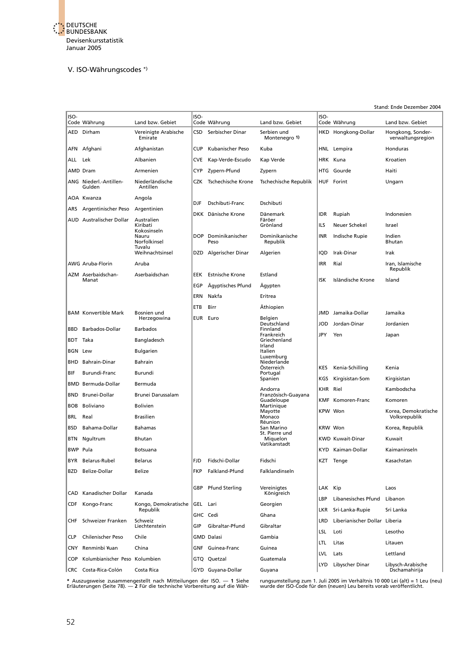

#### V. ISO-Währungscodes \*)

#### Stand: Ende Dezember 2004 ISO- ISO- ISO-Code Währung Land bzw. Gebiet Code Währung Land bzw. Gebiet Code Währung Land bzw. Gebiet AED Dirham Vereinigte Arabische CSD Serbischer Dinar Serbien und HKD Hongkong-Dollar Emirate CSD Serbischer Dinar Montenegro 1 Hongkong, Sonder-<br>verwaltungsregion AFN Afghani Afghanistan CUP Kubanischer Peso Kuba HNL Lempira Honduras ALL Lek Albanien CVE Kap-Verde-Escudo Kap Verde HRK Kuna Kroatien AMD Dram **Armenien** CYP Zypern-Pfund Zypern Haitin Armenien Haitin ANG Niederl.-Antillen- Niederländische CZK Tschechische Krone Tschechische Republik HUF Forint Ungarn Gulden Antillen AOA Kwanza Angola Angola<br>Argentinien **DJF Dschibuti-Franc** Dschibuti ARS Argentinischer Peso DKK Dänische Krone Dänemark IDR Rupiah Indonesien AUD Australischer Dollar Australien Färöer Faustralien Färöer Eine Färöer Kunst Färöer Eine Karlische Grönland<br>Färöer Färöer Kiribati ILS Neuer Schekel Israel Kiribati<br>Kokosinseln<br>Nauru Nauru DOP Dominikanischer Dominikanische INR Indische Rupie Indien Norfolkinsel **Peso** Tuvalu<br>Weihnachtsinsel DZD Algerischer Dinar Algerien IQD Irak-Dinar Irak awg Aruba-Florin and Aruba Iran, Islamische IRR Rial Iran, Islamische IRR Rial Iran, Islamische Iran, Islamische<br>Republik en de la construction de la construction de la construction de la construction de la construction de la construction de la construction de la construction de la construction de la construction de la construction de la cons AZM Aserbaidschan- Aserbaidschan EEK Estnische Krone Estland EGP Ägyptisches Pfund Ägypten and ISK Isländische Krone Island Ägyptisches Pfund ERN Nakfa Eritrea ETB Birr Äthiopien BAM Konvertible Mark Bosnien und Eine Eine Einer Statistischen Mark Jamaika-Dollar Jamaika<br>Herzegowina Herzegowina EUR Euro Belgien Sunction and EUR Euro Belgien<br>Herzegowina EUR Euro Beutschland<br>Arbados Finnland Deutschland JOD Jordan-Dinar Jordanien Barbados-Dollar Barbados<br>Finnland Finnland Finnland Finnland Frankreich JPY Yen Japan BDT Taka Bangladesch Griechenland is a set of the control of the control of the control of the control of the control of the control of the control of the control of the control of the control of the control of the control of the control of the control of BGN Lew Bulgarien and Bulgarien and talien Example of the contract of the contract of the contract of the contract of the contract of the contract of the contract of the contract of the contract of the contract of the contract of the contract of the contract of the Bahrain-Dinar Österreich KES Kenia-Schilling Kenia Burundi-Franc Burundi<br>Portugal<br>Spanien Spanien Kirgisistan-Som Kirgisistan-Som Kirgisistan-Som Kirgisistan-Som Kirgisistan-BMD Bermuda-Dollar Andorra KHR Riel Kambodscha BND Brunei-Dollar Brunei Darussalam Französisch-Guayana Guadeloupe KMF Komoren-Franc Komoren BOB Boliviano Bolivien Martinique en Mayotte Neal KPW Won Korea, Demokratische Real Brasilien Neal Real Real Brasilien Neal Real Real Brasilien Monaco BRL Real Brasilien Monaco Volksrepublik estado de la contradición de la contradición de la contradición de la contradición de la contradición de la con BSD Bahama-Dollar Bahamas San Marino KRW Won Korea, Republik BSD Bahama-Dollar Bahamas<br>BTN Ngultrum Bhutan Bhutan<br>BTN Ngultrum Bhutan Bhutan Bhutan St. Pierre und BTN Niquelon KWD Kuwait-Dinar Kuwait<br>Vatikan atau Vatikanstadt BWP Pula Botsuana Kaimaninseln KYD Kaiman-Dollar Kaimaninseln BYR Belarus-Rubel Belarus |FJD Fidschi-Dollar Fidschi |KZT Tenge Kasachstan BZD Belize-Dollar Belize **FKP** Falkland-Pfund Falklandinseln CAD Kanadischer Dollar Kanada **GBP Pfund Sterling Vereinigtes** | LAK Kip Laos<br>
CAD Kanadischer Dollar Kanada **GBP Pfund Sterling Königreich** Kanadischer Dollar LBP Libanesisches Pfund Libanon CDF Kongo-Franc Kongo, Demokratische GEL Lari Georgien Republik LKR Sri-Lanka-Rupie Sri Lanka GHC Cedi Ghana CHF Schweizer Franken Schweiz Liberianischer Dollar Liberianischer Dollar Liberianischer Dollar Liberianischer<br>CIP Gibraltar-Pfund Gibraltar Gibraltar Gibraltar-Pfund LSL Loti Lesotho CLP Chilenischer Peso Chile GMD Dalasi Gambia LTL Litas Litauen CNY Renminbi ¥uan China GNF Guinea-Franc Guinea LVL Lats Lettland COP Kolumbianischer Peso Kolumbien | GTQ Quetzal Guatemala LYD Libyscher Dinar Libysch-Arabische  $|$ CRC Costa-Rica-Colón Costa Rica  $|$ GYD Guyana-Dollar Guyana

\* Auszugsweise zusammengestellt nach Mitteilungen der ISO. — 1 Siehe kungsumstellung zum 1. Juli 2005 im Verhältnis 10 000 Lei (alt) = 1 Leu (neu)<br>Erläuterungen (Seite 78). — 2 Für die technische Vorbereitung auf die Wäh-k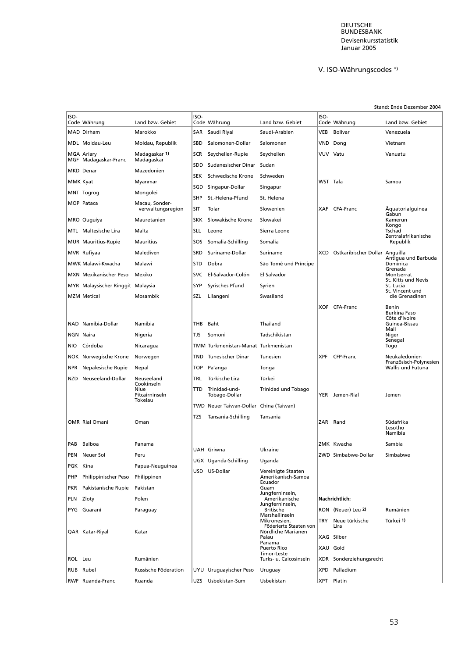#### DEUTSCHE BUNDESBANK Devisenkursstatistik Januar 2005

# V. ISO-Währungscodes \*)

#### Stand: Ende Dezember 2004

| ISO-     | Code Währung                       | Land bzw. Gebiet                    | ISO-       | Code Währung                           | Land bzw. Gebiet                       | ISO-       | Code Währung                         | Land bzw. Gebiet                        |
|----------|------------------------------------|-------------------------------------|------------|----------------------------------------|----------------------------------------|------------|--------------------------------------|-----------------------------------------|
|          | MAD Dirham                         | Marokko                             | SAR        | Saudi Riyal                            | Saudi-Arabien                          | VEB        | Bolívar                              | Venezuela                               |
|          | MDL Moldau-Leu                     | Moldau, Republik                    | <b>SBD</b> | Salomonen-Dollar                       | Salomonen                              | VND        | Dong                                 | Vietnam                                 |
|          | MGA Ariary<br>MGF Madagaskar-Franc | Madagaskar 1)<br>Madagaskar         | SCR        | Seychellen-Rupie                       | Seychellen                             |            | VUV Vatu                             | Vanuatu                                 |
|          | MKD Denar                          | Mazedonien                          | SDD        | Sudanesischer Dinar                    | Sudan                                  |            |                                      |                                         |
| MMK Kyat |                                    | Myanmar                             | <b>SEK</b> | Schwedische Krone                      | Schweden                               | WST Tala   |                                      | Samoa                                   |
|          |                                    | Mongolei                            | SGD        | Singapur-Dollar                        | Singapur                               |            |                                      |                                         |
|          | MNT Togrog                         |                                     | <b>SHP</b> | St.-Helena-Pfund                       | St. Helena                             |            |                                      |                                         |
|          | MOP Pataca                         | Macau, Sonder-<br>verwaltungsregion | SIT        | Tolar                                  | Slowenien                              |            | XAF CFA-Franc                        | Aquatorialguinea<br>Gabun               |
|          | MRO Ouguiya                        | Mauretanien                         | <b>SKK</b> | Slowakische Krone                      | Slowakei                               |            |                                      | Kamerun<br>Kongo                        |
|          | MTL Maltesische Lira               | Malta                               | <b>SLL</b> | Leone                                  | Sierra Leone                           |            |                                      | Tschad<br>Zentralafrikanische           |
|          | <b>MUR</b> Mauritius-Rupie         | Mauritius                           | SOS        | Somalia-Schilling                      | Somalia                                |            |                                      | Republik                                |
|          | MVR Rufiyaa                        | Malediven                           | SRD        | Suriname-Dollar                        | Suriname                               | XCD        | Ostkaribischer Dollar Anguilla       | Antigua und Barbuda                     |
|          | <b>MWK Malawi-Kwacha</b>           | Malawi                              | <b>STD</b> | Dobra                                  | São Tomé und Príncipe                  |            |                                      | Dominica<br>Grenada                     |
|          | MXN Mexikanischer Peso             | Mexiko                              | <b>SVC</b> | El-Salvador-Colón                      | El Salvador                            |            |                                      | Montserrat<br>St. Kitts und Nevis       |
|          | MYR Malaysischer Ringgit Malaysia  |                                     | <b>SYP</b> | Syrisches Pfund                        | Syrien                                 |            |                                      | St. Lucia<br>St. Vincent und            |
|          | MZM Metical                        | Mosambik                            | SZL        | Lilangeni                              | Swasiland                              |            |                                      | die Grenadinen                          |
|          |                                    |                                     |            |                                        |                                        |            | XOF CFA-Franc                        | Benin<br><b>Burkina Faso</b>            |
|          | NAD Namibia-Dollar                 | Namibia                             | THB        | Baht                                   | Thailand                               |            |                                      | Côte d'Ivoire<br>Guinea-Bissau          |
|          | NGN Naira                          |                                     | TJS        | Somoni                                 | Tadschikistan                          |            |                                      | Mali<br>Niger                           |
| NIO      | Córdoba                            | Nigeria<br>Nicaragua                |            | TMM Turkmenistan-Manat Turkmenistan    |                                        |            |                                      | Senegal<br>Togo                         |
|          |                                    |                                     |            |                                        |                                        | <b>XPF</b> | CFP-Franc                            |                                         |
|          | NOK Norwegische Krone              | Norwegen                            | TND        | Tunesischer Dinar                      | Tunesien                               |            |                                      | Neukaledonien<br>Französisch-Polynesien |
| NPR      | Nepalesische Rupie                 | Nepal                               | TOP        | Pa'anga                                | Tonga                                  |            |                                      | Wallis und Futuna                       |
| NZD      | Neuseeland-Dollar                  | Neuseeland<br>Cookinseln            | TRL        | Türkische Lira                         | Türkei                                 |            |                                      |                                         |
|          |                                    | Niue<br>Pitcairninseln              | TTD        | Trinidad-und-<br>Tobago-Dollar         | Trinidad und Tobago                    |            | YER Jemen-Rial                       | Jemen                                   |
|          |                                    | Tokelau                             |            | TWD Neuer Taiwan-Dollar China (Taiwan) |                                        |            |                                      |                                         |
|          |                                    |                                     | TZS        | Tansania-Schilling                     | Tansania                               |            |                                      |                                         |
|          | <b>OMR Rial Omani</b>              | Oman                                |            |                                        |                                        |            | ZAR Rand                             | Südafrika<br>Lesotho                    |
|          |                                    | Panama                              |            |                                        |                                        |            |                                      | Namibia                                 |
|          | PAB Balboa                         |                                     |            | UAH Griwna                             | Ukraine                                |            | ZMK Kwacha                           | Sambia                                  |
|          | PEN Neuer Sol                      | Peru                                |            | UGX Uganda-Schilling                   | Uganda                                 |            | ZWD Simbabwe-Dollar                  | Simbabwe                                |
| PGK Kina |                                    | Papua-Neuguinea                     |            | USD US-Dollar                          | Vereinigte Staaten                     |            |                                      |                                         |
| PHP      | Philippinischer Peso               | Philippinen                         |            |                                        | Amerikanisch-Samoa<br>Ecuador<br>Guam  |            |                                      |                                         |
| PKR      | Pakistanische Rupie                | Pakistan                            |            |                                        | Jungferninseln,                        |            |                                      |                                         |
| PLN      | Zloty<br>PYG Guaraní               | Polen                               |            |                                        | Amerikanische<br>Jungferninseln,       |            | Nachrichtlich:<br>RON (Neuer) Leu 2) |                                         |
|          |                                    | Paraguay                            |            |                                        | <b>Britische</b><br>Marshallinseln     |            |                                      | Rumänien                                |
|          |                                    |                                     |            |                                        | Mikronesien,<br>Föderierte Staaten von | TRY        | Neue türkische<br>Lira               | Türkei 1)                               |
|          | QAR Katar-Riyal                    | Katar                               |            |                                        | Nördliche Marianen<br>Palau            |            | XAG Silber                           |                                         |
|          |                                    |                                     |            |                                        | Panama<br><b>Puerto Rico</b>           |            | XAU Gold                             |                                         |
| ROL Leu  |                                    | Rumänien                            |            |                                        | Timor-Leste<br>Turks- u. Caicosinseln  |            | XDR Sonderziehungsrecht              |                                         |
| RUB      | Rubel                              | Russische Föderation                |            | UYU Uruguayischer Peso                 | Uruguay                                | XPD        | Palladium                            |                                         |
|          | RWF Ruanda-Franc                   | Ruanda                              | ∣∪zs       | Usbekistan-Sum                         | Usbekistan                             | XPT        | Platin                               |                                         |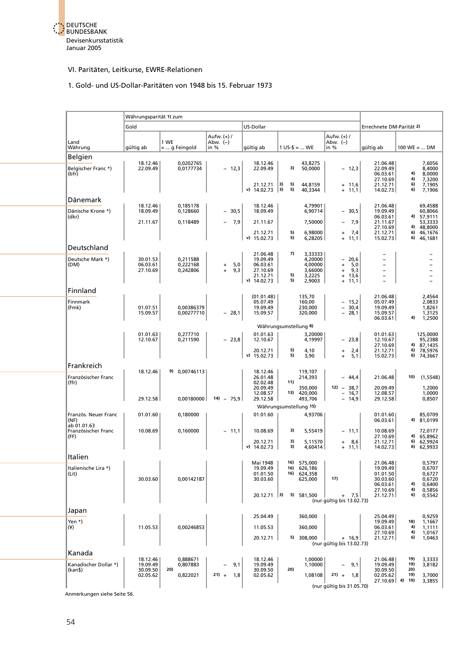

### VI. Paritäten, Leitkurse, EWRE-Relationen

# 1. Gold- und US-Dollar-Paritäten von 1948 bis 15. Februar 1973

|                                    | Währungsparität 1) zum |                        |                                   |                              |                                       |                                                         |                                               |                                                  |  |
|------------------------------------|------------------------|------------------------|-----------------------------------|------------------------------|---------------------------------------|---------------------------------------------------------|-----------------------------------------------|--------------------------------------------------|--|
|                                    | Gold                   |                        |                                   | US-Dollar                    |                                       |                                                         | Errechnete DM-Parität 2)                      |                                                  |  |
| Land<br>Währung                    | gültig ab              | 1 WE<br>=  g Feingold  | Aufw. (+) /<br>Abw. $(-)$<br>in % | gültig ab                    | $1 \text{ US-}$ \$ =  WE              | Aufw. $(+)$ /<br>Abw. $(-)$<br>in $%$                   | gültig ab                                     | $100 \text{ WE} =  \text{ DM}$                   |  |
| Belgien                            |                        |                        |                                   |                              |                                       |                                                         |                                               |                                                  |  |
| Belgischer Franc *)<br>(bfr)       | 18.12.46<br>22.09.49   | 0,0202765<br>0,0177734 | $-12,3$                           | 18.12.46<br>22.09.49         | 43,8275<br>3)<br>50,0000              | $-12,3$                                                 | 21.06.48<br>22.09.49<br>06.03.61<br>27.10.69  | 7,6056<br>8,4000<br>4)<br>8,0000<br>7,3200<br>4) |  |
|                                    |                        |                        |                                   | 21.12.71<br>v) $14.02.73$ 3) | 5)<br> 3)<br>44,8159<br>5)<br>40,3344 | $+ 11,6$<br>$+ 11,1$                                    | 21.12.71<br>14.02.73                          | 6)<br>7,1905<br>6)<br>7,1906                     |  |
| Dänemark                           |                        |                        |                                   |                              |                                       |                                                         |                                               |                                                  |  |
| Dänische Krone *)                  | 18.12.46<br>18.09.49   | 0,185178<br>0,128660   | $-30,5$                           | 18.12.46<br>18.09.49         | 4,79901<br>6,90714                    | $-30,5$                                                 | 21.06.48<br>19.09.49<br>06.03.61              | 69,4588<br>60,8066<br>4) 57,9111                 |  |
| (dkr)                              | 21.11.67               | 0,118489               | 7,9                               | 21.11.67                     | 7,50000                               | 7,9<br>$\overline{\phantom{0}}$                         | 21.11.67                                      | 53,3333                                          |  |
|                                    |                        |                        |                                   | 21.12.71<br>$v)$ 15.02.73    | 5)<br>6,98000<br>5)<br>6,28205        | 7,4<br>$+$<br>$+ 11,1$                                  | 27.10.69<br>21.12.71<br>15.02.73              | 48,8000<br>4)<br>46,1676<br>6)<br>6) 46,1681     |  |
| Deutschland                        |                        |                        |                                   |                              |                                       |                                                         |                                               |                                                  |  |
| Deutsche Mark *)                   | 30.01.53               | 0,211588               |                                   | 21.06.48<br>19.09.49         | 7)<br>3,33333<br>4,20000              | $-20,6$                                                 |                                               |                                                  |  |
| (DM)                               | 06.03.61<br>27.10.69   | 0,222168<br>0,242806   | 5,0<br>$\ddot{}$<br>9,3<br>$+$    | 06.03.61<br>27.10.69         | 4,00000<br>3,66000                    | 5,0<br>$+$<br>9,3<br>$+$                                | $\overline{\phantom{0}}$<br>$\qquad \qquad -$ | $\overline{a}$                                   |  |
|                                    |                        |                        |                                   | 21.12.71<br>$v)$ 14.02.73    | 5)<br>3,2225<br>5)<br>2,9003          | $+ 13,6$<br>$+ 11,1$                                    |                                               | $\overline{a}$                                   |  |
| Finnland                           |                        |                        |                                   |                              |                                       |                                                         |                                               |                                                  |  |
|                                    |                        |                        |                                   | (01.01.48)                   | 135,70                                |                                                         | 21.06.48                                      | 2,4564                                           |  |
| Finnmark<br>(Fmk)                  | 01.07.51               | 0,00386379             |                                   | 05.07.49<br>19.09.49         | 160,00<br>230,000                     | $-15,2$<br>$\overline{\phantom{0}}$<br>30,4             | 05.07.49<br>19.09.49                          | 2,0833<br>1,8261                                 |  |
|                                    | 15.09.57               | 0,00277710             | $-28,1$                           | 15.09.57                     | 320,000                               | $-28,1$                                                 | 15.09.57<br>06.03.61                          | 1,3125<br>1,2500<br>4)                           |  |
|                                    |                        |                        |                                   |                              | Währungsumstellung 8)                 |                                                         |                                               |                                                  |  |
|                                    | 01.01.63               | 0,277710               |                                   | 01.01.63                     | 3,20000                               |                                                         | 01.01.63                                      | 125,0000                                         |  |
|                                    | 12.10.67               | 0,211590               | $-23,8$                           | 12.10.67                     | 4,19997                               | $-23,8$                                                 | 12.10.67<br>27.10.69                          | 95,2388<br>4) 87,1435                            |  |
|                                    |                        |                        |                                   | 20.12.71                     | 5)<br>4,10                            | $\begin{bmatrix} 2,4 \\ 5,1 \end{bmatrix}$<br>$\ddot{}$ | 21.12.71                                      | 78,5976<br>6)                                    |  |
|                                    |                        |                        |                                   | v) 15.02.73                  | 5)<br>3,90                            | $+$                                                     | 15.02.73                                      | 6) 74,3667                                       |  |
| Frankreich                         | 18.12.46               | 9) 0,00746113          |                                   | 18.12.46                     | 119,107                               |                                                         |                                               |                                                  |  |
| Französischer Franc<br>(ffr)       |                        |                        |                                   | 26.01.48<br>02.02.48         | 214,393<br>11)                        | $-44,4$                                                 | 21.06.48                                      | 10)<br>(1,5548)                                  |  |
|                                    |                        |                        |                                   | 20.09.49                     | 350,000                               | $12) - 38,7$                                            | 20.09.49                                      | 1,2000                                           |  |
|                                    | 29.12.58               | 0,00180000             | $14) - 75,9$                      | 12.08.57<br>29.12.58         | 13) 420,000<br>493,706                | $-16,7$<br>$-14,9$                                      | 12.08.57<br>29.12.58                          | 1,0000<br>0,8507                                 |  |
|                                    |                        |                        |                                   |                              | Währungsumstellung 15)                |                                                         |                                               |                                                  |  |
| Französ. Neuer Franc<br>(NF)       | 01.01.60               | 0,180000               |                                   | 01.01.60                     | 4,93706                               |                                                         | 01.01.60<br>06.03.61                          | 85,0709<br>4) 81,0199                            |  |
| ab 01.01.63<br>Französischer Franc | 10.08.69               | 0,160000               | $-11,1$                           | 10.08.69                     | 3)<br>5,55419                         | $-11,1$                                                 | 10.08.69                                      | 72,0177                                          |  |
| (FF)                               |                        |                        |                                   | 20.12.71                     | 3)<br>5,11570                         | 8,6<br>$+$                                              | 27.10.69<br>21.12.71                          | 4) 65,8962<br>6) 62,9924                         |  |
|                                    |                        |                        |                                   | $v)$ 14.02.73                | 3)<br>4,60414                         | $+ 11,1$                                                | 14.02.73                                      | 6) 62,9933                                       |  |
| Italien                            |                        |                        |                                   | Mai 1948                     | 16) 575,000                           |                                                         | 21.06.48                                      | 0,5797                                           |  |
| Italienische Lira *)               |                        |                        |                                   | 19.09.49                     | 16) 626,186                           |                                                         | 19.09.49                                      | 0,6707                                           |  |
| (Lit)                              | 30.03.60               | 0,00142187             |                                   | 01.01.50<br>30.03.60         | 16) 624,358<br>625,000                | 17)                                                     | 01.01.50<br>30.03.60                          | 0,6727<br>0,6720                                 |  |
|                                    |                        |                        |                                   |                              |                                       |                                                         | 06.03.61<br>27.10.69                          | 4)<br>0,6400<br>4)<br>0,5856                     |  |
|                                    |                        |                        |                                   | $20.12.71$ 3)                | 5) 581,500                            | $+ 7,5$<br>(nur gültig bis 13.02.73)                    | 21.12.71                                      | 6)<br>0,5542                                     |  |
|                                    |                        |                        |                                   |                              |                                       |                                                         |                                               |                                                  |  |
| Japan                              |                        |                        |                                   | 25.04.49                     | 360,000                               |                                                         | 25.04.49                                      | 0,9259                                           |  |
| Yen $*$ )<br>$(\yen)$              | 11.05.53               | 0,00246853             |                                   | 11.05.53                     | 360,000                               |                                                         | 19.09.49<br>06.03.61                          | 18)<br>1,1667<br>4)<br>1,1111                    |  |
|                                    |                        |                        |                                   |                              |                                       |                                                         | 27.10.69                                      | 4)<br>1,0167                                     |  |
|                                    |                        |                        |                                   | 20.12.71                     | 5) 308,000                            | $+ 16,9$<br>(nur gültig bis 13.02.73)                   | 21.12.71                                      | 1,0463<br>6)                                     |  |
| Kanada                             |                        |                        |                                   |                              |                                       |                                                         |                                               |                                                  |  |
| Kanadischer Dollar *)              | 18.12.46<br>19.09.49   | 0,888671<br>0,807883   | 9,1                               | 18.12.46<br>19.09.49         | 1.00000<br>1,10000                    | 9,1                                                     | 21.06.48<br>19.09.49                          | 19)<br>3,3333<br>19)<br>3,8182                   |  |
| (kan\$)                            | 30.09.50               | 20)                    |                                   | 30.09.50                     | 20)                                   |                                                         | 30.09.50                                      | 20)                                              |  |
|                                    | 02.05.62               | 0,822021               | $21) + 1,8$                       | 02.05.62                     | 1,08108                               | $21) +$<br>- 1,8                                        | 02.05.62<br>$27.10.69$ 4) 19)                 | 19)<br>3,7000<br>3,3855                          |  |
|                                    |                        |                        |                                   |                              |                                       | (nur gültig bis 31.05.70)                               |                                               |                                                  |  |

Anmerkungen siehe Seite 56.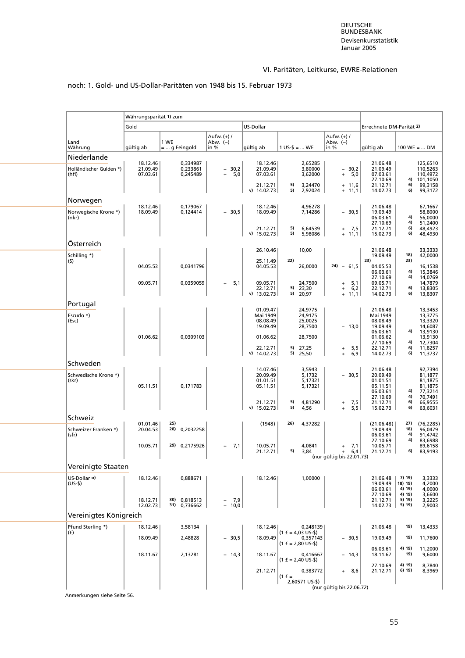# VI. Paritäten, Leitkurse, EWRE-Relationen

|                                  | Währungsparität 1) zum |                              |                                                     |                                              |                                          |                                                              |                                              |                                                           |  |
|----------------------------------|------------------------|------------------------------|-----------------------------------------------------|----------------------------------------------|------------------------------------------|--------------------------------------------------------------|----------------------------------------------|-----------------------------------------------------------|--|
|                                  | Gold                   |                              |                                                     | US-Dollar                                    |                                          |                                                              | Errechnete DM-Parität 2)                     |                                                           |  |
| Land<br>Währung                  | gültig ab              | 1 WE<br>$=  q$ Feingold      | Aufw. (+) /<br>Abw. (-)<br>in %                     | gültig ab                                    | $1 \text{ US-}$ \$ =  WE                 | Aufw. (+) /<br>Abw. $(-)$<br>in %                            | gültig ab                                    | $100 \text{ WE} =  \text{ DM}$                            |  |
| Niederlande                      | 18.12.46               | 0,334987                     |                                                     | 18.12.46                                     | 2,65285                                  |                                                              | 21.06.48                                     | 125,6510                                                  |  |
| Holländischer Gulden *)<br>(hfl) | 21.09.49<br>07.03.61   | 0,233861<br>0,245489         | $-30,2$<br>5,0<br>$\ddot{}$                         | 21.09.49<br>07.03.61                         | 3,80000<br>3,62000<br>5)                 | $-30,2$<br>5,0<br>$+$                                        | 21.09.49<br>07.03.61<br>27.10.69             | 110,5263<br>110,4972<br>4) 101,1050<br>6)<br>99,3158      |  |
|                                  |                        |                              |                                                     | 21.12.71<br>$v)$ 14.02.73                    | 3,24470<br>5)<br>2,92024                 | $+ 11,6$<br>$+ 11,1$                                         | 21.12.71<br>14.02.73                         | 6)<br>99,3172                                             |  |
| Norwegen                         | 18.12.46               | 0,179067                     |                                                     | 18.12.46                                     | 4,96278                                  |                                                              | 21.06.48                                     | 67,1667                                                   |  |
| Norwegische Krone *)<br>(nkr)    | 18.09.49               | 0,124414                     | $-30,5$                                             | 18.09.49                                     | 7,14286                                  | $-30,5$                                                      | 19.09.49<br>06.03.61<br>27.10.69             | 58,8000<br>4)<br>56,0000<br>4)<br>51,2400                 |  |
|                                  |                        |                              |                                                     | 21.12.71<br>$v)$ 15.02.73                    | 5)<br>6,64539<br>5)<br>5,98086           | + 7,5<br>$+ 11,1$                                            | 21.12.71<br>15.02.73                         | 6)<br>48,4923<br>6)<br>48,4930                            |  |
| Österreich                       |                        |                              |                                                     |                                              |                                          |                                                              |                                              |                                                           |  |
| Schilling *)                     |                        |                              |                                                     | 26.10.46                                     | 10,00                                    |                                                              | 21.06.48<br>19.09.49<br>23)                  | 33,3333<br>18)<br>42,0000                                 |  |
| (S)                              | 04.05.53               | 0,0341796                    |                                                     | 25.11.49<br>04.05.53                         | 22)<br>26,0000                           | $24) - 61,5$                                                 | 04.05.53<br>06.03.61<br>27.10.69             | 23)<br>16,1538<br>4)<br>15,3846<br>4)<br>14,0769          |  |
|                                  | 09.05.71               | 0,0359059                    | 5,1<br>$+$                                          | 09.05.71<br>22.12.71<br>v) $13.02.73$        | 24,7500<br>5)<br>23,30<br>5) 20,97       | 5,1<br>$\ddot{}$<br>6,2<br>$\ddot{}$<br>$+ 11,1$             | 09.05.71<br>22.12.71<br>14.02.73             | 14,7879<br>13,8305<br>6)<br>6)<br>13,8307                 |  |
| Portugal                         |                        |                              |                                                     |                                              |                                          |                                                              |                                              |                                                           |  |
| Escudo *)<br>(Esc)               |                        |                              |                                                     | 01.09.47<br>Mai 1949<br>08.08.49<br>19.09.49 | 24,9775<br>24,9175<br>25,0025<br>28,7500 | $-13,0$                                                      | 21.06.48<br>Mai 1949<br>08.08.49<br>19.09.49 | 13,3453<br>13,3775<br>13,3320<br>14,6087                  |  |
|                                  | 01.06.62               | 0,0309103                    |                                                     | 01.06.62                                     | 28,7500                                  |                                                              | 06.03.61<br>01.06.62                         | 4)<br>13,9130<br>13,9130                                  |  |
|                                  |                        |                              |                                                     | 22.12.71                                     | 5) 27,25                                 | 5,5<br>$\ddot{}$                                             | 27.10.69<br>22.12.71                         | 4)<br>12,7304<br>6)<br>11,8257                            |  |
| Schweden                         |                        |                              |                                                     | v) $14.02.73$                                | 5) 25,50                                 | 6,9<br>$+$                                                   | 14.02.73                                     | 6)<br>11,3737                                             |  |
| Schwedische Krone *)             |                        |                              |                                                     | 14.07.46<br>20.09.49                         | 3,5943<br>5,1732                         | $-30,5$                                                      | 21.06.48<br>20.09.49                         | 92,7394<br>81,1877                                        |  |
| (skr)                            | 05.11.51               | 0,171783                     |                                                     | 01.01.51<br>05.11.51                         | 5,17321<br>5,17321                       |                                                              | 01.01.51<br>05.11.51<br>06.03.61             | 81,1875<br>81,1875<br>77,3214<br>4)                       |  |
|                                  |                        |                              |                                                     | 21.12.71<br>$v)$ 15.02.73                    | 5)<br>4,81290<br>5)<br>4,56              | 7,5<br>$\ddot{}$<br>5,5                                      | 27.10.69<br>21.12.71<br>15.02.73             | 4)<br>70,7491<br>6)<br>66,9555<br>6)<br>63,6031           |  |
| Schweiz                          | 01.01.46               | 25)                          |                                                     | (1948)                                       | 26)<br>4,37282                           |                                                              | (21.06.48)                                   | (76, 2285)<br>27)                                         |  |
| Schweizer Franken *)<br>(sfr)    | 20.04.53               | 28) 0,2032258                |                                                     |                                              |                                          |                                                              | 19.09.49<br>06.03.61<br>27.10.69             | 18)<br>96,0479<br>4)<br>91.4742<br>4)<br>83,6988          |  |
|                                  | 10.05.71               | 29) 0,2175926                | 7,1<br>$+$                                          | 10.05.71<br>21.12.71                         | 4,0841<br>5)<br>3,84                     | 7,1<br>$+$<br>6, 4<br>$\ddot{}$<br>(nur gültig bis 22.01.73) | 10.05.71<br>21.12.71                         | 89,6158<br>6)<br>83,9193                                  |  |
| Vereinigte Staaten               |                        |                              |                                                     |                                              |                                          |                                                              |                                              |                                                           |  |
| US-Dollar o)<br>$(US-$)$         | 18.12.46               | 0,888671                     |                                                     | 18.12.46                                     | 1,00000                                  |                                                              | 21.06.48<br>19.09.49<br>06.03.61             | 7) 19)<br>3,3333<br>18) 19)<br>4,2000<br>4) 19)<br>4,0000 |  |
|                                  | 18.12.71<br>12.02.73   | 30) 0,818513<br>31) 0,736662 | $\begin{bmatrix} - & 7,9 \\ - & 10,0 \end{bmatrix}$ |                                              |                                          |                                                              | 27.10.69<br>21.12.71<br>14.02.73             | 4) 19)<br>3,6600<br>5) 19)<br>3,2225<br>5) 19)<br>2,9003  |  |
| Vereinigtes Königreich           |                        |                              |                                                     |                                              |                                          |                                                              |                                              |                                                           |  |
| Pfund Sterling *)<br>(f)         | 18.12.46               | 3,58134                      |                                                     | 18.12.46                                     | 0,248139<br>$(1 f = 4,03 US-$)$          |                                                              | 21.06.48                                     | 19)<br>13,4333                                            |  |
|                                  | 18.09.49               | 2,48828                      | $-30,5$                                             | 18.09.49                                     | 0,357143<br>$(1 f = 2,80 US-$)$          | $-30,5$                                                      | 19.09.49                                     | 19)<br>11,7600                                            |  |
|                                  | 18.11.67               | 2,13281                      | $-14,3$                                             | 18.11.67                                     | 0,416667<br>$(1 f = 2,40 US-$)$          | - 14,3                                                       | 06.03.61<br>18.11.67                         | 4) 19)<br>11,2000<br>19)<br>9,6000                        |  |
|                                  |                        |                              |                                                     | 21.12.71                                     | 0,383772<br>$(1 f =$<br>2,60571 US-\$)   | + 8,6                                                        | 27.10.69<br>21.12.71                         | 4) 19)<br>8,7840<br>6) 19)<br>8,3969                      |  |
|                                  |                        |                              |                                                     |                                              |                                          | (nur gültig bis 22.06.72)                                    |                                              |                                                           |  |

## noch: 1. Gold- und US-Dollar-Paritäten von 1948 bis 15. Februar 1973

Anmerkungen siehe Seite 56.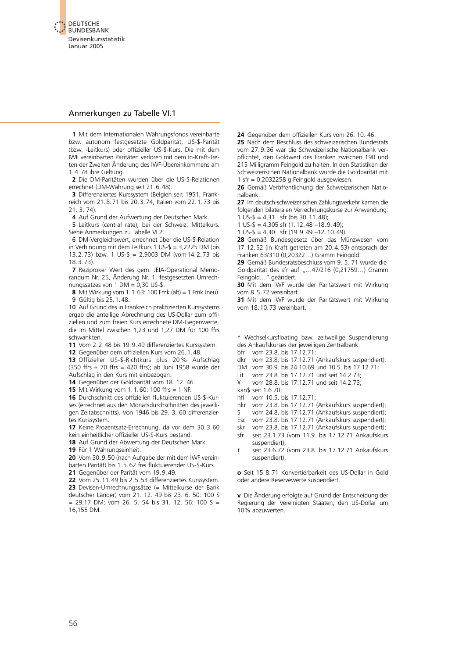

#### Anmerkungen zu Tabelle VI.1

**1** Mit dem Internationalen Währungsfonds vereinbarte bzw. autonom festgesetzte Goldparität, US-\$-Parität (bzw. -Leitkurs) oder offizieller US-\$-Kurs. Die mit dem IWF vereinbarten Paritäten verloren mit dem In-Kraft-Treten der Zweiten Änderung des IWF-Übereinkommens am 1.4.78 ihre Geltung.

**2** Die DM-Paritäten wurden über die US-\$-Relationen errechnet (DM-Währung seit 21.6.48).

**3** Differenziertes Kurssystem (Belgien seit 1951, Frankreich vom 21.8.71 bis 20.3.74, Italien vom 22.1.73 bis 21. 3. 74).

4 Auf Grund der Aufwertung der Deutschen Mark.

5 Leitkurs (central rate); bei der Schweiz: Mittelkurs. Siehe Anmerkungen zu Tabelle VI.2.

6 DM-Vergleichswert, errechnet über die US-\$-Relation in Verbindung mit dem Leitkurs 1 US-\$ = 3,2225 DM (bis 13.2.73) bzw. 1 US-\$ = 2,9003 DM (vom14.2.73 bis 18.3.73).

**7** Reziproker Wert des gem. JEIA-Operational Memorandum Nr. 25, Änderung Nr. 1, festgesetzten Umrechnungssatzes von 1 DM =  $0.30$  US-\$.

**8** Mit Wirkung vom 1.1.63: 100 Fmk (alt) = 1 Fmk (neu). 9 Gültig bis 25.1.48.

10 Auf Grund des in Frankreich praktizierten Kurssystems ergab die anteilige Abrechnung des US-Dollar zum offiziellen und zum freien Kurs errechnete DM-Gegenwerte, die im Mittel zwischen 1,23 und 1,27 DM für 100 ffrs schwankten.

**11** Vom 2.2.48 bis 19.9.49 differenziertes Kurssystem.

**12** Gegenüber dem offiziellen Kurs vom 26.1.48.

**13** Offizieller US-\$-Richtkurs plus 20 % Aufschlag (350 ffrs + 70 ffrs = 420 ffrs); ab Juni 1958 wurde der Aufschlag in den Kurs mit einbezogen.

**14** Gegenüber der Goldparität vom 18. 12. 46.

**15** Mit Wirkung vom 1.1.60: 100 ffrs = 1 NF.

**16** Durchschnitt des offiziellen fluktuierenden US-\$-Kurses (errechnet aus den Monatsdurchschnitten des jeweiligen Zeitabschnitts). Von 1946 bis 29. 3. 60 differenziertes Kurssystem.

**17** Keine Prozentsatz-Errechnung, da vor dem 30.3.60 kein einheitlicher offizieller US-\$-Kurs bestand.

**18** Auf Grund der Abwertung der Deutschen Mark.

**19** Für 1 Währungseinheit.

**20** Vom 30.9.50 (nach Aufgabe der mit dem IWF vereinbarten Parität) bis 1.5.62 frei fluktuierender US-\$-Kurs.

**21** Gegenüber der Parität vom 19.9.49.

**22** Vom 25.11.49 bis 2.5.53 differenziertes Kurssystem. **23** Devisen-Umrechnungssätze (= Mittelkurse der Bank [deutscher Länder\) vom 21. 12. 49 bis 23. 6. 50: 100 S](#page-10-1)   $= 29,17$  DM; vom 26. 5. 54 bis 31. 12. 56: 100 S = 16,155 DM.

**24** Gegenüber dem offiziellen Kurs vom 26. 10. 46.

**25** Nach dem Beschluss des schweizerischen Bundesrats vom 27.9.36 war die Schweizerische Nationalbank verpflichtet, den Goldwert des Franken zwischen 190 und 215 Milligramm Feingold zu halten. In den Statistiken der Schweizerischen Nationalbank wurde die Goldparität mit 1 sfr = 0,2032258 g Feingold ausgewiesen.

**26** Gemäß Veröffentlichung der Schweizerischen Nationalbank.

**27** Im deutsch-schweizerischen Zahlungsverkehr kamen die folgenden bilateralen Verrechnungskurse zur Anwendung: 1 US-\$ = 4,31 sfr (bis 30.11.48);

1 US- $\frac{1}{2}$  = 4,305 sfr (1.12.48 –18.9.49);

1 US- $\frac{1}{2}$  = 4,30 sfr (19.9.49 –12.10.49).

**28** Gemäß Bundesgesetz über das Münzwesen vom 17.12.52 (in Kraft getreten am 20.4.53) entsprach der Franken 63/310 (0,20322…) Gramm Feingold.

**29** Gemäß Bundesratsbeschluss vom 9. 5. 71 wurde die Goldparität des sfr auf "...47/216 (0,21759...) Gramm Feingold…" geändert.

**30** Mit dem IWF wurde der Paritätswert mit Wirkung vom 8.5.72 vereinbart.

**31** Mit dem IWF wurde der Paritätswert mit Wirkung vom 18.10.73 vereinbart.

Wechselkursfloating bzw. zeitweilige Suspendierung des Ankaufskurses der jeweiligen Zentralbank:

bfr vom 23.8. bis 17.12.71;

dkr vom 23.8. bis 17.12.71 (Ankaufskurs suspendiert);

DM vom 30.9. bis 24.10.69 und 10.5. bis 17.12.71;

Lit vom 23.8. bis 17.12.71 und seit 14.2.73;

¥ vom 28.8. bis 17.12.71 und seit 14.2.73;

kan\$ seit 1.6.70;

hfl vom 10.5. bis 17.12.71;

nkr vom 23.8. bis 17.12.71 (Ankaufskurs suspendiert);

- S vom 24.8. bis 17.12.71 (Ankaufskurs suspendiert);
- Esc vom 23.8. bis 17.12.71 (Ankaufskurs suspendiert);
- skr vom 23.8. bis 17.12.71 (Ankaufskurs suspendiert); sfr seit 23.1.73 (vom 11.9. bis 17.12.71 Ankaufskurs suspendiert);
- £ seit 23.6.72 (vom 23.8. bis 17.12.71 Ankaufskurs suspendiert).

**o** Seit 15.8.71 Konvertierbarkeit des US-Dollar in Gold oder andere Reservewerte suspendiert.

**v** Die Änderung erfolgte auf Grund der Entscheidung der Regierung der Vereinigten Staaten, den US-Dollar um 10% abzuwerten.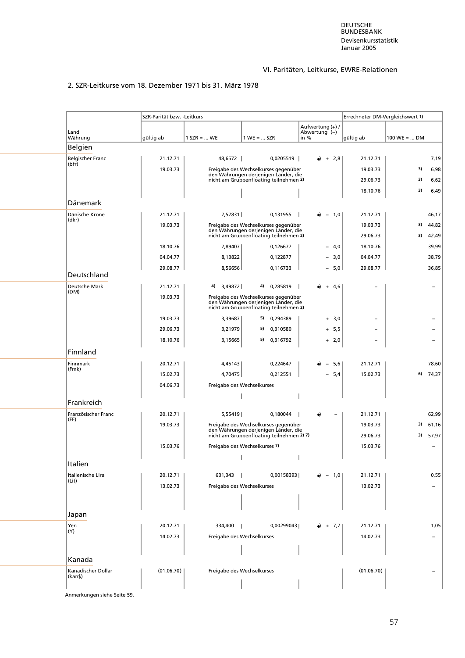# VI. Paritäten, Leitkurse, EWRE-Relationen

# 2. SZR-Leitkurse vom 18. Dezember 1971 bis 31. März 1978

| Land                             |            |                            |                                                                                                                           | Aufwertung (+) /<br>Abwertung (-) |                 |                      |                                |                |
|----------------------------------|------------|----------------------------|---------------------------------------------------------------------------------------------------------------------------|-----------------------------------|-----------------|----------------------|--------------------------------|----------------|
| Währung                          | gültig ab  | $1$ SZR =  WE              | $1 WE =  SZR$                                                                                                             | in %                              |                 | gültig ab            | $100 \text{ WE} =  \text{ DM}$ |                |
| Belgien                          |            |                            |                                                                                                                           |                                   |                 |                      |                                |                |
| <b>Belgischer Franc</b><br>(bfr) | 21.12.71   | 48,6572                    | 0,0205519                                                                                                                 | $+$                               | 2,8             | 21.12.71             |                                | 7,19           |
|                                  | 19.03.73   |                            | Freigabe des Wechselkurses gegenüber                                                                                      |                                   |                 | 19.03.73             | 3)                             | 6,98           |
|                                  |            |                            | den Währungen derjenigen Länder, die<br>nicht am Gruppenfloating teilnehmen 2)                                            |                                   |                 | 29.06.73             | 3)                             | 6,62           |
|                                  |            |                            |                                                                                                                           |                                   |                 | 18.10.76             | 3)                             | 6,49           |
| Dänemark                         |            |                            |                                                                                                                           |                                   |                 |                      |                                |                |
| Dänische Krone<br>(dkr)          | 21.12.71   | 7,57831                    | 0,131955                                                                                                                  | $\overline{\phantom{0}}$          | 1,0             | 21.12.71             |                                | 46,17          |
|                                  | 19.03.73   |                            | Freigabe des Wechselkurses gegenüber<br>den Währungen derjenigen Länder, die<br>nicht am Gruppenfloating teilnehmen 2)    |                                   |                 | 19.03.73<br>29.06.73 | 3)<br>3)                       | 44,82<br>42,49 |
|                                  | 18.10.76   | 7,89407                    | 0,126677                                                                                                                  |                                   | - 4,0           | 18.10.76             |                                | 39,99          |
|                                  | 04.04.77   | 8,13822                    | 0,122877                                                                                                                  |                                   | $-3,0$          | 04.04.77             |                                | 38,79          |
|                                  | 29.08.77   | 8,56656                    | 0,116733                                                                                                                  |                                   | $-5,0$          | 29.08.77             |                                | 36,85          |
| Deutschland                      |            |                            |                                                                                                                           |                                   |                 |                      |                                |                |
| Deutsche Mark<br>(DM)            | 21.12.71   | 3,49872<br>4)              | 0,285819<br>4)                                                                                                            | $\div$                            | 4,6             |                      |                                |                |
|                                  | 19.03.73   |                            | Freigabe des Wechselkurses gegenüber<br>den Währungen derjenigen Länder, die<br>nicht am Gruppenfloating teilnehmen 2)    |                                   |                 |                      |                                |                |
|                                  | 19.03.73   | 3,39687                    | 5) 0,294389                                                                                                               |                                   | $+ 3,0$         |                      |                                |                |
|                                  | 29.06.73   | 3,21979                    | 5) 0,310580                                                                                                               |                                   | $+ 5,5$         |                      |                                |                |
|                                  | 18.10.76   | 3,15665                    | 5) 0,316792                                                                                                               |                                   | $+ 2,0$         |                      |                                |                |
| Finnland                         |            |                            |                                                                                                                           |                                   |                 |                      |                                |                |
| Finnmark                         | 20.12.71   | 4,45143                    | 0,224647                                                                                                                  |                                   | 5,6             | 21.12.71             |                                | 78,60          |
| (Fmk)                            | 15.02.73   | 4,70475                    | 0,212551                                                                                                                  |                                   | 5,4             | 15.02.73             | 6)                             | 74,37          |
|                                  | 04.06.73   |                            | Freigabe des Wechselkurses                                                                                                |                                   |                 |                      |                                |                |
|                                  |            |                            |                                                                                                                           |                                   |                 |                      |                                |                |
| Frankreich                       |            |                            |                                                                                                                           |                                   |                 |                      |                                |                |
| Französischer Franc<br>(FF)      | 20.12.71   | 5,55419                    | 0,180044                                                                                                                  | $\bullet$                         |                 | 21.12.71             |                                | 62,99          |
|                                  | 19.03.73   |                            | Freigabe des Wechselkurses gegenüber<br>den Währungen derjenigen Länder, die<br>nicht am Gruppenfloating teilnehmen 2) 7) |                                   |                 | 19.03.73<br>29.06.73 | 3)<br>3)                       | 61,16<br>57,97 |
|                                  | 15.03.76   |                            | Freigabe des Wechselkurses 7)                                                                                             |                                   |                 | 15.03.76             |                                |                |
|                                  |            |                            |                                                                                                                           |                                   |                 |                      |                                |                |
| Italien                          |            |                            |                                                                                                                           |                                   |                 |                      |                                |                |
| Italienische Lira<br>(Lit)       | 20.12.71   | 631,343<br>- 1             | 0,00158393                                                                                                                |                                   | $-1,0$          | 21.12.71             |                                | 0,55           |
|                                  | 13.02.73   |                            | Freigabe des Wechselkurses                                                                                                |                                   |                 | 13.02.73             |                                |                |
|                                  |            |                            |                                                                                                                           |                                   |                 |                      |                                |                |
| Japan                            |            |                            |                                                                                                                           |                                   |                 |                      |                                |                |
| Yen<br>(Y)                       | 20.12.71   | 334,400                    | 0,00299043                                                                                                                |                                   | $\bullet$ + 7,7 | 21.12.71             |                                | 1,05           |
|                                  | 14.02.73   |                            | Freigabe des Wechselkurses                                                                                                |                                   |                 | 14.02.73             |                                |                |
| Kanada                           |            |                            |                                                                                                                           |                                   |                 |                      |                                |                |
| Kanadischer Dollar<br>(kan\$)    | (01.06.70) | Freigabe des Wechselkurses |                                                                                                                           |                                   |                 | (01.06.70)           |                                |                |

Anmerkungen siehe Seite 59.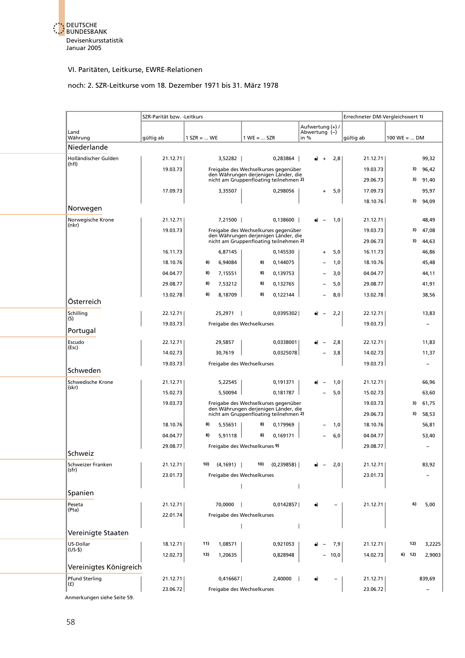

# noch: 2. SZR-Leitkurse vom 18. Dezember 1971 bis 31. März 1978

|                             | SZR-Parität bzw. - Leitkurs |               |           |                                                                                                                        |             |                                   |      | Errechneter DM-Vergleichswert 1) |                                |                          |
|-----------------------------|-----------------------------|---------------|-----------|------------------------------------------------------------------------------------------------------------------------|-------------|-----------------------------------|------|----------------------------------|--------------------------------|--------------------------|
| Land                        |                             |               |           |                                                                                                                        |             | Aufwertung (+) /<br>Abwertung (-) |      |                                  |                                |                          |
| Währung<br>Niederlande      | gültig ab                   | $1$ SZR =  WE |           | $1 WE =  SZR$                                                                                                          |             | in %                              |      | gültig ab                        | $100 \text{ WE} =  \text{ DM}$ |                          |
| Holländischer Gulden        | 21.12.71                    |               | 3,52282   |                                                                                                                        | 0,283864    | $\ddot{}$                         | 2,8  | 21.12.71                         |                                | 99,32                    |
| (hfl)                       | 19.03.73                    |               |           | Freigabe des Wechselkurses gegenüber                                                                                   |             |                                   |      | 19.03.73                         | 3)                             | 96,42                    |
|                             |                             |               |           | den Währungen derjenigen Länder, die<br>nicht am Gruppenfloating teilnehmen 2)                                         |             |                                   |      | 29.06.73                         | 3)                             | 91,40                    |
|                             | 17.09.73                    |               | 3,35507   |                                                                                                                        | 0.298056    | $\ddot{}$                         | 5,0  | 17.09.73                         |                                | 95,97                    |
|                             |                             |               |           |                                                                                                                        |             |                                   |      | 18.10.76                         | 3)                             | 94,09                    |
| Norwegen                    |                             |               |           |                                                                                                                        |             |                                   |      |                                  |                                |                          |
| Norwegische Krone<br>(nkr)  | 21.12.71                    |               | 7,21500   |                                                                                                                        | $0.138600$  |                                   | 1,0  | 21.12.71                         |                                | 48,49                    |
|                             | 19.03.73                    |               |           | Freigabe des Wechselkurses gegenüber<br>den Währungen derjenigen Länder, die<br>nicht am Gruppenfloating teilnehmen 2) |             |                                   |      | 19.03.73<br>29.06.73             | 3)<br>3)                       | 47,08<br>44,63           |
|                             | 16.11.73                    |               | 6,87145   |                                                                                                                        | 0,145530    | $\ddot{}$                         | 5,0  | 16.11.73                         |                                | 46,86                    |
|                             | 18.10.76                    | 8)            | 6,94084   | 8)                                                                                                                     | 0,144075    |                                   | 1,0  | 18.10.76                         |                                | 45,48                    |
|                             | 04.04.77                    | 8)            | 7,15551   | 8)                                                                                                                     | 0,139753    |                                   | 3,0  | 04.04.77                         |                                | 44,11                    |
|                             | 29.08.77                    | 8)            | 7,53212   | 8)                                                                                                                     | 0,132765    |                                   | 5,0  | 29.08.77                         |                                | 41,91                    |
|                             | 13.02.78                    | 8)            | 8,18709   | 8)                                                                                                                     | 0,122144    |                                   | 8,0  | 13.02.78                         |                                | 38,56                    |
| Österreich                  |                             |               |           |                                                                                                                        |             |                                   |      |                                  |                                |                          |
| Schilling<br>(S)            | 22.12.71                    |               | 25,2971   |                                                                                                                        | 0,0395302   |                                   | 2,2  | 22.12.71                         |                                | 13,83                    |
| Portugal                    | 19.03.73                    |               |           | Freigabe des Wechselkurses                                                                                             |             |                                   |      | 19.03.73                         |                                | $\overline{\phantom{0}}$ |
| Escudo                      | 22.12.71                    |               | 29,5857   |                                                                                                                        | 0,0338001   |                                   | 2,8  | 22.12.71                         |                                | 11,83                    |
| (Esc)                       | 14.02.73                    |               | 30,7619   |                                                                                                                        | 0,0325078   |                                   | 3,8  | 14.02.73                         |                                | 11,37                    |
| Schweden                    | 19.03.73                    |               |           | Freigabe des Wechselkurses                                                                                             |             |                                   |      | 19.03.73                         |                                | $\overline{\phantom{0}}$ |
| Schwedische Krone           | 21.12.71                    |               | 5,22545   |                                                                                                                        | 0,191371    |                                   | 1,0  | 21.12.71                         |                                | 66,96                    |
| (skr)                       | 15.02.73                    |               | 5,50094   |                                                                                                                        | 0,181787    |                                   | 5,0  | 15.02.73                         |                                | 63,60                    |
|                             | 19.03.73                    |               |           | Freigabe des Wechselkurses gegenüber                                                                                   |             |                                   |      | 19.03.73                         | 3)                             | 61,75                    |
|                             |                             |               |           | den Währungen derjenigen Länder, die<br>nicht am Gruppenfloating teilnehmen 2)                                         |             |                                   |      | 29.06.73                         |                                | 3) 58,53                 |
|                             | 18.10.76                    | 8)            | 5,55651   | 8)                                                                                                                     | 0,179969    |                                   | 1,0  | 18.10.76                         |                                | 56,81                    |
|                             | 04.04.77                    | 8)            | 5,91118   | 8)                                                                                                                     | 0,169171    |                                   | 6,0  | 04.04.77                         |                                | 53,40                    |
| Schweiz                     | 29.08.77                    |               |           | Freigabe des Wechselkurses 9)                                                                                          |             |                                   |      | 29.08.77                         |                                |                          |
| Schweizer Franken           | 21.12.71                    | 10)           | (4, 1691) | 10)                                                                                                                    | (0, 239858) |                                   | 2,0  | 21.12.71                         |                                | 83,92                    |
| (sfr)                       | 23.01.73                    |               |           | Freigabe des Wechselkurses                                                                                             |             |                                   |      | 23.01.73                         |                                |                          |
| Spanien                     |                             |               |           |                                                                                                                        |             |                                   |      |                                  |                                |                          |
| Peseta                      | 21.12.71                    |               | 70,0000   |                                                                                                                        | 0,0142857   | $\bullet$                         |      | 21.12.71                         | 6)                             | 5,00                     |
| (Pta)                       | 22.01.74                    |               |           | Freigabe des Wechselkurses                                                                                             |             |                                   |      |                                  |                                |                          |
|                             |                             |               |           |                                                                                                                        |             |                                   |      |                                  |                                |                          |
| Vereinigte Staaten          |                             |               |           |                                                                                                                        |             |                                   |      |                                  |                                |                          |
| US-Dollar<br>$(US-$)$       | 18.12.71                    | 11)           | 1,08571   |                                                                                                                        | 0,921053    |                                   | 7,9  | 21.12.71                         | 12)                            | 3,2225                   |
|                             | 12.02.73                    | 13)           | 1,20635   |                                                                                                                        | 0,828948    | $\overline{\phantom{0}}$          | 10,0 | 14.02.73                         | 6) 12)                         | 2,9003                   |
| Vereinigtes Königreich      |                             |               |           |                                                                                                                        |             |                                   |      |                                  |                                |                          |
| Pfund Sterling<br>(f)       | 21.12.71                    |               | 0,416667  |                                                                                                                        | 2,40000     |                                   |      | 21.12.71                         |                                | 839,69                   |
|                             | 23.06.72                    |               |           | Freigabe des Wechselkurses                                                                                             |             |                                   |      | 23.06.72                         |                                |                          |
| Anmerkungen siehe Seite 59. |                             |               |           |                                                                                                                        |             |                                   |      |                                  |                                |                          |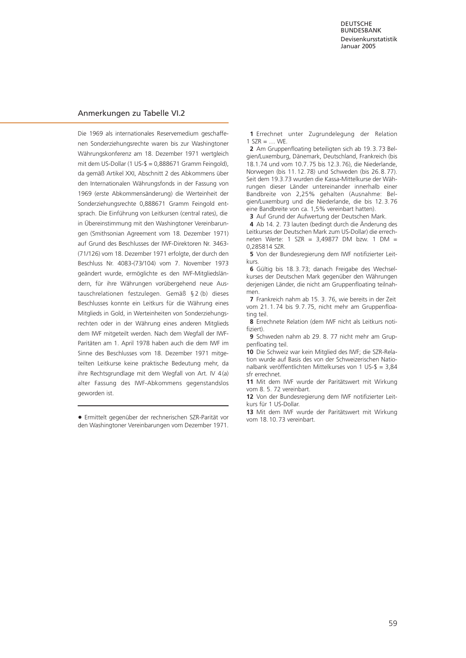### Anmerkungen zu Tabelle VI.2

Die 1969 als internationales Reservemedium geschaffenen Sonderziehungsrechte waren bis zur Washingtoner Währungskonferenz am 18. Dezember 1971 wertgleich mit dem US-Dollar (1 US-\$ = 0,888671 Gramm Feingold), da gemäß Artikel XXI, Abschnitt 2 des Abkommens über den Internationalen Währungsfonds in der Fassung von 1969 (erste Abkommensänderung) die Werteinheit der Sonderziehungsrechte 0,888671 Gramm Feingold entsprach. Die Einführung von Leitkursen (central rates), die in Übereinstimmung mit den Washingtoner Vereinbarungen (Smithsonian Agreement vom 18. Dezember 1971) auf Grund des Beschlusses der IWF-Direktoren Nr. 3463- (71/126) vom 18. Dezember 1971 erfolgte, der durch den Beschluss Nr. 4083-(73/104) vom 7. November 1973 geändert wurde, ermöglichte es den IWF-Mitgliedsländern, für ihre Währungen vorübergehend neue Austauschrelationen festzulegen. Gemäß § 2 (b) dieses Beschlusses konnte ein Leitkurs für die Währung eines Mitglieds in Gold, in Werteinheiten von Sonderziehungs[rechten oder in der Währung eines anderen Mitglieds](#page-11-1) dem IWF mitgeteilt werden. Nach dem Wegfall der IWF-Paritäten am 1. April 1978 haben auch die dem IWF im Sinne des Beschlusses vom 18. Dezember 1971 mitgeteilten Leitkurse keine praktische Bedeutung mehr, da ihre Rechtsgrundlage mit dem Wegfall von Art. IV 4(a) alter Fassung des IWF-Abkommens gegenstandslos geworden ist.

• Ermittelt gegenüber der rechnerischen SZR-Parität vor den Washingtoner Vereinbarungen vom Dezember 1971.

**1** Errechnet unter Zugrundelegung der Relation  $1$  SZR = ... WE.

**2** Am Gruppenfloating beteiligten sich ab 19.3.73 Belgien/Luxemburg, Dänemark, Deutschland, Frankreich (bis 18.1.74 und vom 10.7.75 bis 12.3.76), die Niederlande, Norwegen (bis 11.12.78) und Schweden (bis 26.8.77). Seit dem 19.3.73 wurden die Kassa-Mittelkurse der Währungen dieser Länder untereinander innerhalb einer Bandbreite von 2,25% gehalten (Ausnahme: Belgien/Luxemburg und die Niederlande, die bis 12.3.76 eine Bandbreite von ca. 1,5% vereinbart hatten).

**3** Auf Grund der Aufwertung der Deutschen Mark.

**4** Ab 14. 2. 73 lauten (bedingt durch die Änderung des Leitkurses der Deutschen Mark zum US-Dollar) die errechneten Werte: 1 SZR = 3,49877 DM bzw. 1 DM = 0,285814 SZR.

**5** Von der Bundesregierung dem IWF notifizierter Leitkurs.

**6** Gültig bis 18.3.73; danach Freigabe des Wechselkurses der Deutschen Mark gegenüber den Währungen derjenigen Länder, die nicht am Gruppenfloating teilnahmen.

**7** Frankreich nahm ab 15. 3. 76, wie bereits in der Zeit vom 21.1.74 bis 9.7.75, nicht mehr am Gruppenfloating teil.

**8** Errechnete Relation (dem IWF nicht als Leitkurs notifiziert).

**9** Schweden nahm ab 29. 8. 77 nicht mehr am Gruppenfloating teil.

**10** Die Schweiz war kein Mitglied des IWF; die SZR-Relation wurde auf Basis des von der Schweizerischen Nationalbank veröffentlichten Mittelkurses von 1 US-\$ = 3,84 sfr errechnet.

**11** Mit dem IWF wurde der Paritätswert mit Wirkung vom 8. 5. 72 vereinbart.

**12** Von der Bundesregierung dem IWF notifizierter Leitkurs für 1 US-Dollar.

**13** Mit dem IWF wurde der Paritätswert mit Wirkung vom 18.10.73 vereinbart.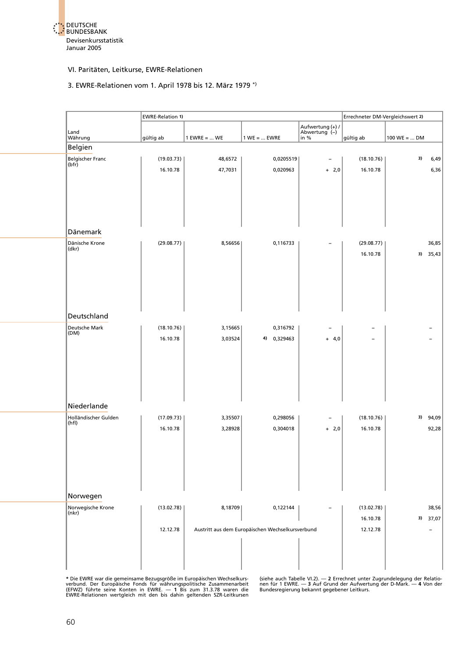

#### 3. EWRE-Relationen vom 1. April 1978 bis 12. März 1979 \*)

|                            | <b>EWRE-Relation 1)</b> |                |                                                  |                                   |            | Errechneter DM-Vergleichswert 2) |          |  |  |
|----------------------------|-------------------------|----------------|--------------------------------------------------|-----------------------------------|------------|----------------------------------|----------|--|--|
| Land                       |                         |                |                                                  | Aufwertung (+) /<br>Abwertung (-) |            |                                  |          |  |  |
| Währung                    | gültig ab               | $1$ EWRE =  WE | $1 WE =  EWRE$                                   | $\ln$ %                           | gültig ab  | 100 WE =  DM                     |          |  |  |
| Belgien                    |                         |                |                                                  |                                   |            |                                  |          |  |  |
| Belgischer Franc<br>(bfr)  | (19.03.73)              | 48,6572        | 0,0205519                                        |                                   | (18.10.76) | 3)                               | 6,49     |  |  |
|                            | 16.10.78                | 47,7031        | 0,020963                                         | $+ 2,0$                           | 16.10.78   |                                  | 6,36     |  |  |
| Dänemark                   |                         |                |                                                  |                                   |            |                                  |          |  |  |
|                            |                         |                |                                                  |                                   |            |                                  |          |  |  |
| Dänische Krone<br>(dkr)    | (29.08.77)              | 8,56656        | 0,116733                                         |                                   | (29.08.77) |                                  | 36,85    |  |  |
|                            |                         |                |                                                  |                                   | 16.10.78   |                                  | 3) 35,43 |  |  |
| Deutschland                |                         |                |                                                  |                                   |            |                                  |          |  |  |
| Deutsche Mark              | (18.10.76)              | 3,15665        | 0,316792                                         |                                   |            |                                  |          |  |  |
| (DM)                       | 16.10.78                | 3,03524        | 4) 0,329463                                      | $+ 4,0$                           |            |                                  |          |  |  |
| Niederlande                |                         |                |                                                  |                                   |            |                                  |          |  |  |
| Holländischer Gulden       | (17.09.73)              | 3,35507        | 0,298056                                         |                                   | (18.10.76) | 3)                               | 94,09    |  |  |
| (hfl)                      | 16.10.78                | 3,28928        | 0,304018                                         | $+ 2,0$                           | 16.10.78   |                                  | 92,28    |  |  |
| Norwegen                   |                         |                |                                                  |                                   |            |                                  |          |  |  |
| Norwegische Krone<br>(nkr) | (13.02.78)              | 8,18709        | 0,122144                                         |                                   | (13.02.78) |                                  | 38,56    |  |  |
|                            |                         |                |                                                  |                                   | 16.10.78   |                                  | 3) 37,07 |  |  |
|                            | 12.12.78                |                | Austritt aus dem Europäischen Wechselkursverbund |                                   | 12.12.78   |                                  |          |  |  |
|                            |                         |                |                                                  |                                   |            |                                  |          |  |  |

\* Die EWRE war die gemeinsame Bezugsgröße im Europäischen Wechselkurs- (siehe auch Tabelle VI.2). — 2 Errechnet unter Zugrundelegung der Relatio-<br>verbund. Der Europäische Fonds für währungspolitische Zusammenarbeit – nen f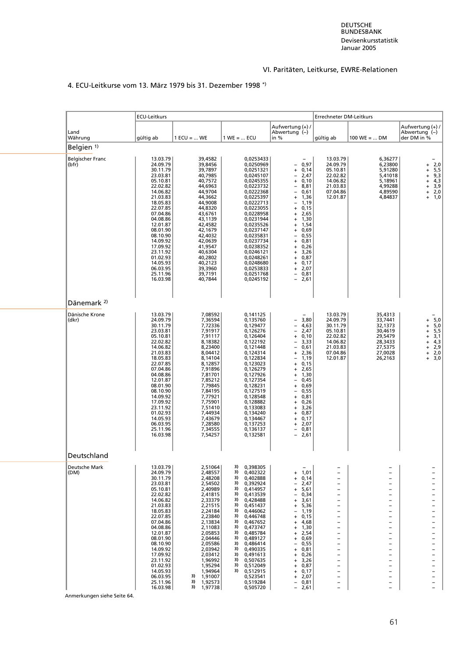# 4. ECU-Leitkurse vom 13. März 1979 bis 31. Dezember 1998 \*)

|                                  | ECU-Leitkurs                                                                                                                                                                                                                                                                     |                                                                                                                                                                                                                                                                             |                                                                                                                                                                                                                                                                                                                                                                                                          |                                                                                                                                                                                                                                                                                                                | Errechneter DM-Leitkurs                                                                                                                                                                                                                                                                                                                                                                                                                               |                                                                                                                                                                                                                      |                                                                                                                                                                                                                                                                                                                                                                                                                                                    |
|----------------------------------|----------------------------------------------------------------------------------------------------------------------------------------------------------------------------------------------------------------------------------------------------------------------------------|-----------------------------------------------------------------------------------------------------------------------------------------------------------------------------------------------------------------------------------------------------------------------------|----------------------------------------------------------------------------------------------------------------------------------------------------------------------------------------------------------------------------------------------------------------------------------------------------------------------------------------------------------------------------------------------------------|----------------------------------------------------------------------------------------------------------------------------------------------------------------------------------------------------------------------------------------------------------------------------------------------------------------|-------------------------------------------------------------------------------------------------------------------------------------------------------------------------------------------------------------------------------------------------------------------------------------------------------------------------------------------------------------------------------------------------------------------------------------------------------|----------------------------------------------------------------------------------------------------------------------------------------------------------------------------------------------------------------------|----------------------------------------------------------------------------------------------------------------------------------------------------------------------------------------------------------------------------------------------------------------------------------------------------------------------------------------------------------------------------------------------------------------------------------------------------|
| Land<br>Währung                  | gültig ab                                                                                                                                                                                                                                                                        | $1$ ECU =  WE                                                                                                                                                                                                                                                               | $1 WE =  ECU$                                                                                                                                                                                                                                                                                                                                                                                            | Aufwertung (+) /<br>Abwertung (-)<br>in $%$                                                                                                                                                                                                                                                                    | gültig ab                                                                                                                                                                                                                                                                                                                                                                                                                                             | $100 \text{ WE} =  \text{ DM}$                                                                                                                                                                                       | Aufwertung (+) /<br>Abwertung (-)<br>der DM in %                                                                                                                                                                                                                                                                                                                                                                                                   |
| Belgien <sup>1)</sup>            |                                                                                                                                                                                                                                                                                  |                                                                                                                                                                                                                                                                             |                                                                                                                                                                                                                                                                                                                                                                                                          |                                                                                                                                                                                                                                                                                                                |                                                                                                                                                                                                                                                                                                                                                                                                                                                       |                                                                                                                                                                                                                      |                                                                                                                                                                                                                                                                                                                                                                                                                                                    |
| <b>Belgischer Franc</b><br>(bfr) | 13.03.79<br>24.09.79<br>30.11.79<br>23.03.81<br>05.10.81<br>22.02.82<br>14.06.82<br>21.03.83<br>18.05.83<br>22.07.85<br>07.04.86<br>04.08.86<br>12.01.87<br>08.01.90<br>08.10.90<br>14.09.92<br>17.09.92<br>23.11.92<br>01.02.93<br>14.05.93<br>06.03.95<br>25.11.96<br>16.03.98 | 39,4582<br>39,8456<br>39,7897<br>40,7985<br>40,7572<br>44,6963<br>44,9704<br>44,3662<br>44,9008<br>44,8320<br>43,6761<br>43,1139<br>42,4582<br>42,1679<br>42,4032<br>42,0639<br>41,9547<br>40,6304<br>40,2802<br>40,2123<br>39,3960<br>39,7191<br>40,7844                   | 0,0253433<br>0,0250969<br>0,0251321<br>0,0245107<br>0,0245355<br>0,0223732<br>0,0222368<br>0,0225397<br>0,0222713<br>0,0223055<br>0,0228958<br>0,0231944<br>0,0235526<br>0,0237147<br>0,0235831<br>0,0237734<br>0,0238352<br>0,0246121<br>0,0248261<br>0,0248680<br>0,0253833<br>0,0251768<br>0,0245192                                                                                                  | $-0.97$<br>$+ 0,14$<br>$-2,47$<br>$+ 0,10$<br>$-8,81$<br>- 0,61<br>$+ 1,36$<br>$-1,19$<br>$+ 0,15$<br>2,65<br>$+$<br>$+ 1,30$<br>$+ 1,54$<br>0,69<br>$+$<br>0,55<br>$-$<br>$+ 0,81$<br>$+ 0,26$<br>$+ 3,26$<br>$+ 0,87$<br>$+ 0,17$<br>$+ 2,07$<br>$-0,81$<br>$-2,61$                                          | 13.03.79<br>24.09.79<br>05.10.81<br>22.02.82<br>14.06.82<br>21.03.83<br>07.04.86<br>12.01.87                                                                                                                                                                                                                                                                                                                                                          | 6,36277<br>6,23800<br>5,91280<br>5,41018<br>5,18961<br>4,99288<br>4,89590<br>4,84837                                                                                                                                 | $+ 2,0$<br>$+ 5,5$<br>+ 9,3<br>$+ 4,3$<br>$+ 3,9$<br>+ 2,0<br>$+ 1,0$                                                                                                                                                                                                                                                                                                                                                                              |
| Dänemark <sup>2)</sup>           |                                                                                                                                                                                                                                                                                  |                                                                                                                                                                                                                                                                             |                                                                                                                                                                                                                                                                                                                                                                                                          |                                                                                                                                                                                                                                                                                                                |                                                                                                                                                                                                                                                                                                                                                                                                                                                       |                                                                                                                                                                                                                      |                                                                                                                                                                                                                                                                                                                                                                                                                                                    |
| Dänische Krone<br>(dkr)          | 13.03.79<br>24.09.79<br>30.11.79<br>23.03.81<br>05.10.81<br>22.02.82<br>14.06.82<br>21.03.83<br>18.05.83<br>22.07.85<br>07.04.86<br>04.08.86<br>12.01.87<br>08.01.90<br>08.10.90<br>14.09.92<br>17.09.92<br>23.11.92<br>01.02.93<br>14.05.93<br>06.03.95<br>25.11.96<br>16.03.98 | 7,08592<br>7,36594<br>7,72336<br>7,91917<br>7,91117<br>8,18382<br>8,23400<br>8,04412<br>8,14104<br>8,12857<br>7,91896<br>7,81701<br>7,85212<br>7,79845<br>7,84195<br>7,77921<br>7,75901<br>7,51410<br>7,44934<br>7,43679<br>7,28580<br>7,34555<br>7,54257                   | 0,141125<br>0,135760<br>0,129477<br>0,126276<br>0,126404<br>0,122192<br>0,121448<br>0,124314<br>0,122834<br>0,123023<br>0,126279<br>0,127926<br>0,127354<br>0,128231<br>0,127519<br>0,128548<br>0,128882<br>0,133083<br>0,134240<br>0,134467<br>0,137253<br>0,136137<br>0,132581                                                                                                                         | $-3,80$<br>$-4,63$<br>2,47<br>$+ 0,10$<br>$-3,33$<br>0,61<br>$\overline{\phantom{0}}$<br>$+2,36$<br>$-1,19$<br>0,15<br>$+$<br>$+2,65$<br>$+ 1,30$<br>0,45<br>$\overline{\phantom{0}}$<br>$+ 0,69$<br>0,55<br>$-$<br>$+ 0,81$<br>$+ 0,26$<br>$+ 3,26$<br>$+ 0,87$<br>$+ 0,17$<br>$+ 2,07$<br>$-0,81$<br>$-2,61$ | 13.03.79<br>24.09.79<br>30.11.79<br>05.10.81<br>22.02.82<br>14.06.82<br>21.03.83<br>07.04.86<br>12.01.87                                                                                                                                                                                                                                                                                                                                              | 35,4313<br>33,7441<br>32,1373<br>30,4619<br>29,5479<br>28,3433<br>27,5375<br>27,0028<br>26,2163                                                                                                                      | $+ 5,0$<br>$+ 5,0$<br>5,5<br>$\ddot{}$<br>$+3,1$<br>+4,3<br>+2,9<br>$+2,0$<br>+ 3,0                                                                                                                                                                                                                                                                                                                                                                |
| Deutschland                      |                                                                                                                                                                                                                                                                                  |                                                                                                                                                                                                                                                                             |                                                                                                                                                                                                                                                                                                                                                                                                          |                                                                                                                                                                                                                                                                                                                |                                                                                                                                                                                                                                                                                                                                                                                                                                                       |                                                                                                                                                                                                                      |                                                                                                                                                                                                                                                                                                                                                                                                                                                    |
| Deutsche Mark<br>(DM)            | 13.03.79<br>24.09.79<br>30.11.79<br>23.03.81<br>05.10.81<br>22.02.82<br>14.06.82<br>21.03.83<br>18.05.83<br>22.07.85<br>07.04.86<br>04.08.86<br>12.01.87<br>08.01.90<br>08.10.90<br>14.09.92<br>17.09.92<br>23.11.92<br>01.02.93<br>14.05.93<br>06.03.95<br>25.11.96<br>16.03.98 | 2,51064<br>2,48557<br>2,48208<br>2,54502<br>2,40989<br>2,41815<br>2,33379<br>2,21515<br>2,24184<br>2,23840<br>2,13834<br>2,11083<br>2,05853<br>2,04446<br>2,05586<br>2,03942<br>2,03412<br>1,96992<br>1,95294<br>1,94964<br>1,91007<br>3)<br>1,92573<br>3)<br>3)<br>1,97738 | 0,398305<br>3)<br>3)<br>0,402322<br>3)<br>0,402888<br>3)<br>0,392924<br>3)<br>0,414957<br>0,413539<br>3)<br>3)<br>0,428488<br>3)<br>0,451437<br>3)<br>0,446062<br>3)<br>0,446748<br>3)<br>0,467652<br>3)<br>0.473747<br>3)<br>0,485784<br>3)<br>0,489127<br>3)<br>0,486414<br>3)<br>0,490335<br>3)<br>0,491613<br>3)<br>0,507635<br>3)<br>0,512049<br>3)<br>0,512915<br>0,523541<br>0,519284<br>0,505720 | 1,01<br>0,14<br>$\ddot{}$<br>2,47<br>5,61<br>$\ddot{}$<br>0,34<br>3,61<br>5,36<br>÷<br>1,19<br>0,15<br>4,68<br>1,30<br>$\ddot{}$<br>2,54<br>0,69<br>÷<br>0,55<br>0,81<br>0,26<br>+<br>3,26<br>$\ddot{}$<br>0,87<br>0,17<br>$+$<br>2,07<br>$\ddot{}$<br>0,81<br>2,61<br>$\overline{\phantom{0}}$                | $\qquad \qquad -$<br>$\overline{\phantom{a}}$<br>$\overline{\phantom{a}}$<br>$\overline{\phantom{0}}$<br>$\overline{\phantom{a}}$<br>$\overline{\phantom{a}}$<br>$\qquad \qquad -$<br>$\overline{\phantom{a}}$<br>$\qquad \qquad -$<br>$\qquad \qquad -$<br>$\overline{\phantom{a}}$<br>$\overline{\phantom{0}}$<br>$\overline{\phantom{0}}$<br>$\overline{\phantom{a}}$<br>$\overline{\phantom{0}}$<br>$\qquad \qquad -$<br>$\overline{\phantom{0}}$ | -<br>$\overline{\phantom{0}}$<br>-<br>$\overline{\phantom{0}}$<br>$\overline{\phantom{0}}$<br>$\overline{\phantom{0}}$<br>$\overline{\phantom{0}}$<br>$\overline{\phantom{0}}$<br>$\overline{\phantom{0}}$<br>-<br>- | $\overline{\phantom{0}}$<br>$\overline{\phantom{a}}$<br>$\overline{\phantom{a}}$<br>$\overline{\phantom{0}}$<br>$\overline{\phantom{0}}$<br>$\overline{\phantom{a}}$<br>$\overline{\phantom{a}}$<br>$\overline{\phantom{0}}$<br>$\overline{a}$<br>$\overline{\phantom{0}}$<br>$\overline{\phantom{0}}$<br>$\overline{\phantom{a}}$<br>$\overline{\phantom{0}}$<br>$\overline{\phantom{0}}$<br>$\overline{\phantom{a}}$<br>$\overline{\phantom{0}}$ |

Anmerkungen siehe Seite 64.